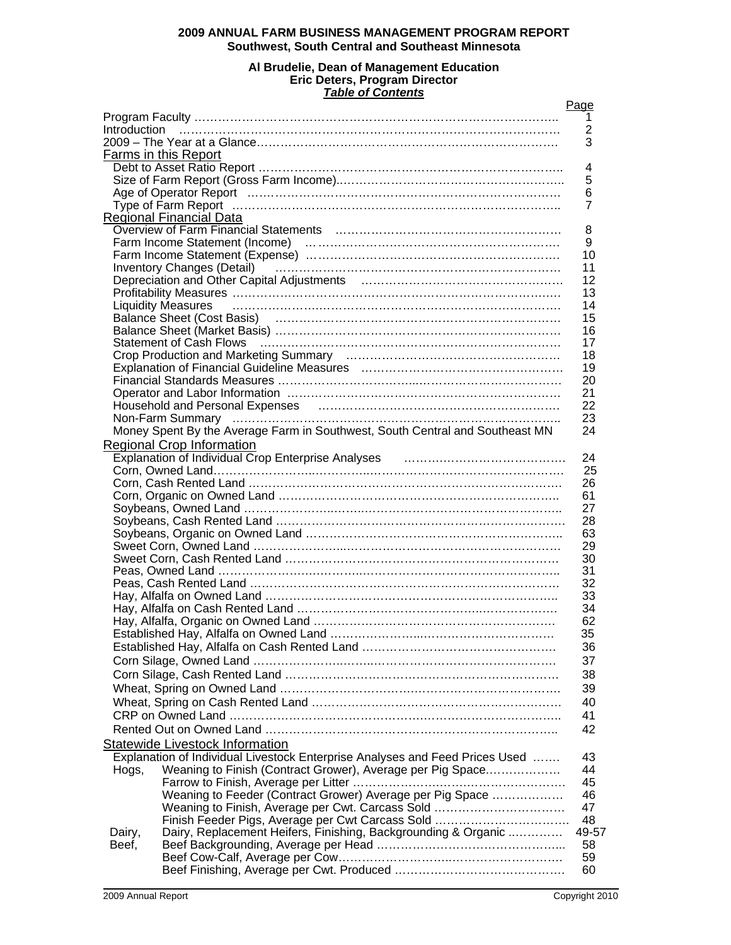# **2009 ANNUAL FARM BUSINESS MANAGEMENT PROGRAM REPORT Southwest, South Central and Southeast Minnesota**

#### **Al Brudelie, Dean of Management Education Eric Deters, Program Director**  *Table of Contents*

|        |                                                                                                                                                                                                                                                                                                                                                                                                                                                                                                                                                 | Page           |
|--------|-------------------------------------------------------------------------------------------------------------------------------------------------------------------------------------------------------------------------------------------------------------------------------------------------------------------------------------------------------------------------------------------------------------------------------------------------------------------------------------------------------------------------------------------------|----------------|
|        |                                                                                                                                                                                                                                                                                                                                                                                                                                                                                                                                                 | 1              |
|        | $\begin{minipage}{0.9\linewidth} \begin{minipage}{0.9\linewidth} \begin{minipage}{0.9\linewidth} \begin{minipage}{0.9\linewidth} \begin{minipage}{0.9\linewidth} \begin{minipage}{0.9\linewidth} \end{minipage} \end{minipage} \end{minipage} \begin{minipage}{0.9\linewidth} \begin{minipage}{0.9\linewidth} \begin{minipage}{0.9\linewidth} \begin{minipage}{0.9\linewidth} \end{minipage} \end{minipage} \end{minipage} \begin{minipage}{0.9\linewidth} \begin{minipage}{0.9\linewidth} \begin{minipage}{0.9\linewidth} \begin{minipage}{0.$ | $\overline{2}$ |
|        | Farms in this Report                                                                                                                                                                                                                                                                                                                                                                                                                                                                                                                            | 3              |
|        |                                                                                                                                                                                                                                                                                                                                                                                                                                                                                                                                                 | 4              |
|        |                                                                                                                                                                                                                                                                                                                                                                                                                                                                                                                                                 | 5              |
|        |                                                                                                                                                                                                                                                                                                                                                                                                                                                                                                                                                 | 6              |
|        |                                                                                                                                                                                                                                                                                                                                                                                                                                                                                                                                                 | 7              |
|        | <b>Regional Financial Data</b>                                                                                                                                                                                                                                                                                                                                                                                                                                                                                                                  |                |
|        |                                                                                                                                                                                                                                                                                                                                                                                                                                                                                                                                                 | 8              |
|        |                                                                                                                                                                                                                                                                                                                                                                                                                                                                                                                                                 | 9              |
|        | Farm Income Statement (Income)<br>Farm Income Statement (Expense)<br>All Allen Constant (Expense)                                                                                                                                                                                                                                                                                                                                                                                                                                               | 10             |
|        | Inventory Changes (Detail) (Changer Changes Contains) (Changes (Detail)                                                                                                                                                                                                                                                                                                                                                                                                                                                                         | 11             |
|        |                                                                                                                                                                                                                                                                                                                                                                                                                                                                                                                                                 | 12             |
|        |                                                                                                                                                                                                                                                                                                                                                                                                                                                                                                                                                 | 13             |
|        | <b>Liquidity Measures</b>                                                                                                                                                                                                                                                                                                                                                                                                                                                                                                                       | 14             |
|        |                                                                                                                                                                                                                                                                                                                                                                                                                                                                                                                                                 | 15             |
|        |                                                                                                                                                                                                                                                                                                                                                                                                                                                                                                                                                 | 16             |
|        | Statement of Cash Flows (and according continuum control of Cash Flows (and according continuum)                                                                                                                                                                                                                                                                                                                                                                                                                                                | 17             |
|        |                                                                                                                                                                                                                                                                                                                                                                                                                                                                                                                                                 | 18             |
|        |                                                                                                                                                                                                                                                                                                                                                                                                                                                                                                                                                 | 19             |
|        |                                                                                                                                                                                                                                                                                                                                                                                                                                                                                                                                                 | 20             |
|        |                                                                                                                                                                                                                                                                                                                                                                                                                                                                                                                                                 | 21<br>22       |
|        | Household and Personal Expenses [11] matter contracts and Personal Expenses [11] matter contracts and Personal                                                                                                                                                                                                                                                                                                                                                                                                                                  | 23             |
|        | Money Spent By the Average Farm in Southwest, South Central and Southeast MN                                                                                                                                                                                                                                                                                                                                                                                                                                                                    | 24             |
|        | <b>Regional Crop Information</b>                                                                                                                                                                                                                                                                                                                                                                                                                                                                                                                |                |
|        |                                                                                                                                                                                                                                                                                                                                                                                                                                                                                                                                                 | 24             |
|        |                                                                                                                                                                                                                                                                                                                                                                                                                                                                                                                                                 | 25             |
|        |                                                                                                                                                                                                                                                                                                                                                                                                                                                                                                                                                 | 26             |
|        |                                                                                                                                                                                                                                                                                                                                                                                                                                                                                                                                                 | 61             |
|        |                                                                                                                                                                                                                                                                                                                                                                                                                                                                                                                                                 | 27             |
|        |                                                                                                                                                                                                                                                                                                                                                                                                                                                                                                                                                 | 28             |
|        |                                                                                                                                                                                                                                                                                                                                                                                                                                                                                                                                                 | 63             |
|        |                                                                                                                                                                                                                                                                                                                                                                                                                                                                                                                                                 | 29             |
|        |                                                                                                                                                                                                                                                                                                                                                                                                                                                                                                                                                 | 30             |
|        |                                                                                                                                                                                                                                                                                                                                                                                                                                                                                                                                                 | 31             |
|        |                                                                                                                                                                                                                                                                                                                                                                                                                                                                                                                                                 | 32             |
|        |                                                                                                                                                                                                                                                                                                                                                                                                                                                                                                                                                 | 33             |
|        |                                                                                                                                                                                                                                                                                                                                                                                                                                                                                                                                                 | 34             |
|        |                                                                                                                                                                                                                                                                                                                                                                                                                                                                                                                                                 | 62             |
|        |                                                                                                                                                                                                                                                                                                                                                                                                                                                                                                                                                 | 35             |
|        |                                                                                                                                                                                                                                                                                                                                                                                                                                                                                                                                                 | 36             |
|        |                                                                                                                                                                                                                                                                                                                                                                                                                                                                                                                                                 | 37             |
|        |                                                                                                                                                                                                                                                                                                                                                                                                                                                                                                                                                 | 38             |
|        |                                                                                                                                                                                                                                                                                                                                                                                                                                                                                                                                                 | 39             |
|        |                                                                                                                                                                                                                                                                                                                                                                                                                                                                                                                                                 | 40             |
|        |                                                                                                                                                                                                                                                                                                                                                                                                                                                                                                                                                 | 41             |
|        |                                                                                                                                                                                                                                                                                                                                                                                                                                                                                                                                                 | 42             |
|        | Statewide Livestock Information                                                                                                                                                                                                                                                                                                                                                                                                                                                                                                                 |                |
|        | Explanation of Individual Livestock Enterprise Analyses and Feed Prices Used                                                                                                                                                                                                                                                                                                                                                                                                                                                                    | 43             |
| Hogs,  | Weaning to Finish (Contract Grower), Average per Pig Space                                                                                                                                                                                                                                                                                                                                                                                                                                                                                      | 44             |
|        |                                                                                                                                                                                                                                                                                                                                                                                                                                                                                                                                                 | 45             |
|        | Weaning to Feeder (Contract Grower) Average per Pig Space                                                                                                                                                                                                                                                                                                                                                                                                                                                                                       | 46             |
|        | Weaning to Finish, Average per Cwt. Carcass Sold                                                                                                                                                                                                                                                                                                                                                                                                                                                                                                | 47             |
|        | Finish Feeder Pigs, Average per Cwt Carcass Sold                                                                                                                                                                                                                                                                                                                                                                                                                                                                                                | 48             |
| Dairy, | Dairy, Replacement Heifers, Finishing, Backgrounding & Organic                                                                                                                                                                                                                                                                                                                                                                                                                                                                                  | 49-57          |
| Beef,  |                                                                                                                                                                                                                                                                                                                                                                                                                                                                                                                                                 | 58             |
|        |                                                                                                                                                                                                                                                                                                                                                                                                                                                                                                                                                 | 59             |
|        |                                                                                                                                                                                                                                                                                                                                                                                                                                                                                                                                                 | 60             |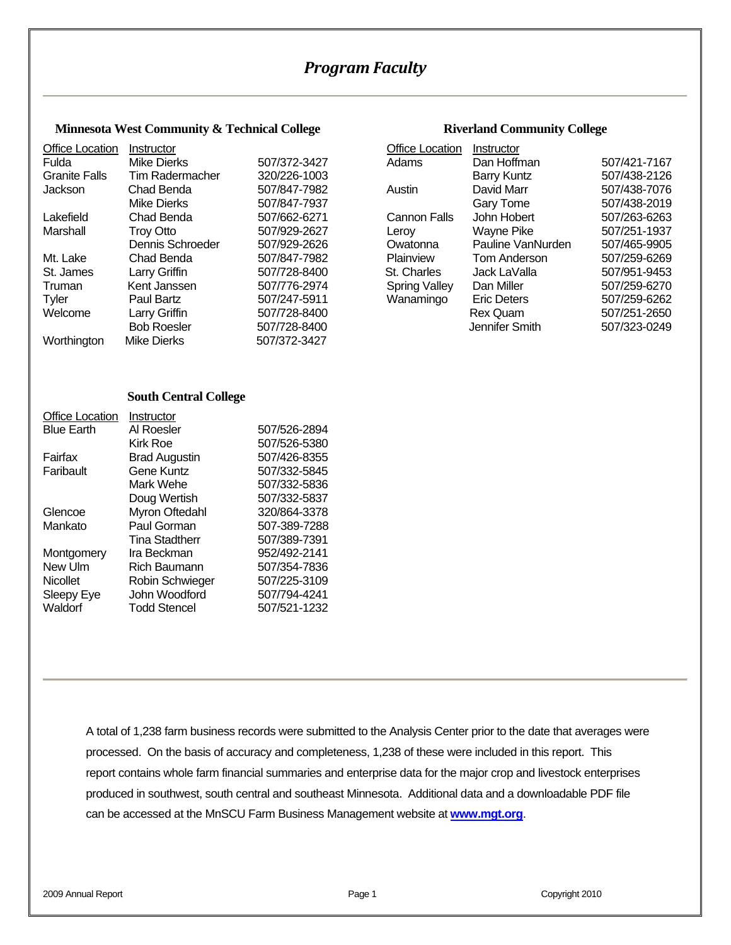# *Program Faculty*

#### **Minnesota West Community & Technical College <b>Riverland Community College**

| <b>Office Location</b> | Instructor         |              | <b>Office Location</b> | Instructor         |              |
|------------------------|--------------------|--------------|------------------------|--------------------|--------------|
| Fulda                  | Mike Dierks        | 507/372-3427 | Adams                  | Dan Hoffman        | 507/421-7167 |
| <b>Granite Falls</b>   | Tim Radermacher    | 320/226-1003 |                        | <b>Barry Kuntz</b> | 507/438-2126 |
| <b>Jackson</b>         | Chad Benda         | 507/847-7982 | Austin                 | David Marr         | 507/438-7076 |
|                        | Mike Dierks        | 507/847-7937 |                        | Gary Tome          | 507/438-2019 |
| Lakefield              | Chad Benda         | 507/662-6271 | Cannon Falls           | John Hobert        | 507/263-6263 |
| Marshall               | <b>Troy Otto</b>   | 507/929-2627 | Leroy                  | Wayne Pike         | 507/251-1937 |
|                        | Dennis Schroeder   | 507/929-2626 | Owatonna               | Pauline VanNurden  | 507/465-9905 |
| Mt. Lake               | Chad Benda         | 507/847-7982 | Plainview              | Tom Anderson       | 507/259-6269 |
| St. James              | Larry Griffin      | 507/728-8400 | St. Charles            | Jack LaValla       | 507/951-9453 |
| Truman                 | Kent Janssen       | 507/776-2974 | <b>Spring Valley</b>   | Dan Miller         | 507/259-6270 |
| Tyler                  | Paul Bartz         | 507/247-5911 | Wanamingo              | <b>Eric Deters</b> | 507/259-6262 |
| Welcome                | Larry Griffin      | 507/728-8400 |                        | <b>Rex Quam</b>    | 507/251-2650 |
|                        | <b>Bob Roesler</b> | 507/728-8400 |                        | Jennifer Smith     | 507/323-0249 |
| Worthington            | <b>Mike Dierks</b> | 507/372-3427 |                        |                    |              |

| Instructor         |              | Office Location      | Instructor         |              |
|--------------------|--------------|----------------------|--------------------|--------------|
| Mike Dierks        | 507/372-3427 | Adams                | Dan Hoffman        | 507/421-7167 |
| Tim Radermacher    | 320/226-1003 |                      | <b>Barry Kuntz</b> | 507/438-2126 |
| Chad Benda         | 507/847-7982 | Austin               | David Marr         | 507/438-7076 |
| Mike Dierks        | 507/847-7937 |                      | Gary Tome          | 507/438-2019 |
| Chad Benda         | 507/662-6271 | <b>Cannon Falls</b>  | John Hobert        | 507/263-6263 |
| Troy Otto          | 507/929-2627 | Leroy                | Wayne Pike         | 507/251-1937 |
| Dennis Schroeder   | 507/929-2626 | Owatonna             | Pauline VanNurden  | 507/465-9905 |
| Chad Benda         | 507/847-7982 | Plainview            | Tom Anderson       | 507/259-6269 |
| Larry Griffin      | 507/728-8400 | St. Charles          | Jack LaValla       | 507/951-9453 |
| Kent Janssen       | 507/776-2974 | <b>Spring Valley</b> | Dan Miller         | 507/259-6270 |
| Paul Bartz         | 507/247-5911 | Wanamingo            | <b>Eric Deters</b> | 507/259-6262 |
| Larry Griffin      | 507/728-8400 |                      | <b>Rex Quam</b>    | 507/251-2650 |
| <b>Bob Roesler</b> | 507/728-8400 |                      | Jennifer Smith     | 507/323-0249 |

#### **South Central College**

| <b>Office Location</b> | Instructor            |              |
|------------------------|-----------------------|--------------|
| <b>Blue Earth</b>      | Al Roesler            | 507/526-2894 |
|                        | Kirk Roe              | 507/526-5380 |
| Fairfax                | <b>Brad Augustin</b>  | 507/426-8355 |
| Faribault              | Gene Kuntz            | 507/332-5845 |
|                        | Mark Wehe             | 507/332-5836 |
|                        | Doug Wertish          | 507/332-5837 |
| Glencoe                | Myron Oftedahl        | 320/864-3378 |
| Mankato                | Paul Gorman           | 507-389-7288 |
|                        | <b>Tina Stadtherr</b> | 507/389-7391 |
| Montgomery             | Ira Beckman           | 952/492-2141 |
| New Ulm                | Rich Baumann          | 507/354-7836 |
| <b>Nicollet</b>        | Robin Schwieger       | 507/225-3109 |
| Sleepy Eye             | John Woodford         | 507/794-4241 |
| Waldorf                | <b>Todd Stencel</b>   | 507/521-1232 |

A total of 1,238 farm business records were submitted to the Analysis Center prior to the date that averages were processed. On the basis of accuracy and completeness, 1,238 of these were included in this report. This report contains whole farm financial summaries and enterprise data for the major crop and livestock enterprises produced in southwest, south central and southeast Minnesota. Additional data and a downloadable PDF file can be accessed at the MnSCU Farm Business Management website at **www.mgt.org**.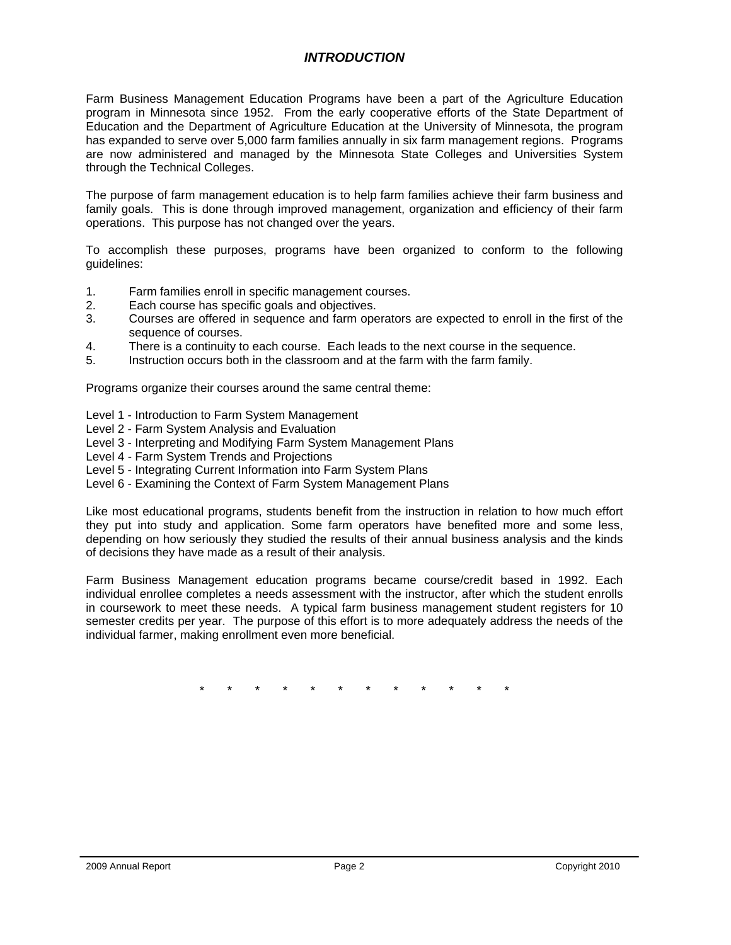# *INTRODUCTION*

Farm Business Management Education Programs have been a part of the Agriculture Education program in Minnesota since 1952. From the early cooperative efforts of the State Department of Education and the Department of Agriculture Education at the University of Minnesota, the program has expanded to serve over 5,000 farm families annually in six farm management regions. Programs are now administered and managed by the Minnesota State Colleges and Universities System through the Technical Colleges.

The purpose of farm management education is to help farm families achieve their farm business and family goals. This is done through improved management, organization and efficiency of their farm operations. This purpose has not changed over the years.

To accomplish these purposes, programs have been organized to conform to the following guidelines:

- 1. Farm families enroll in specific management courses.
- 2. Each course has specific goals and objectives.
- 3. Courses are offered in sequence and farm operators are expected to enroll in the first of the sequence of courses.
- 4. There is a continuity to each course. Each leads to the next course in the sequence.
- 5. Instruction occurs both in the classroom and at the farm with the farm family.

Programs organize their courses around the same central theme:

- Level 1 Introduction to Farm System Management
- Level 2 Farm System Analysis and Evaluation
- Level 3 Interpreting and Modifying Farm System Management Plans
- Level 4 Farm System Trends and Projections
- Level 5 Integrating Current Information into Farm System Plans
- Level 6 Examining the Context of Farm System Management Plans

Like most educational programs, students benefit from the instruction in relation to how much effort they put into study and application. Some farm operators have benefited more and some less, depending on how seriously they studied the results of their annual business analysis and the kinds of decisions they have made as a result of their analysis.

Farm Business Management education programs became course/credit based in 1992. Each individual enrollee completes a needs assessment with the instructor, after which the student enrolls in coursework to meet these needs. A typical farm business management student registers for 10 semester credits per year. The purpose of this effort is to more adequately address the needs of the individual farmer, making enrollment even more beneficial.

\* \* \* \* \* \* \* \* \* \* \* \*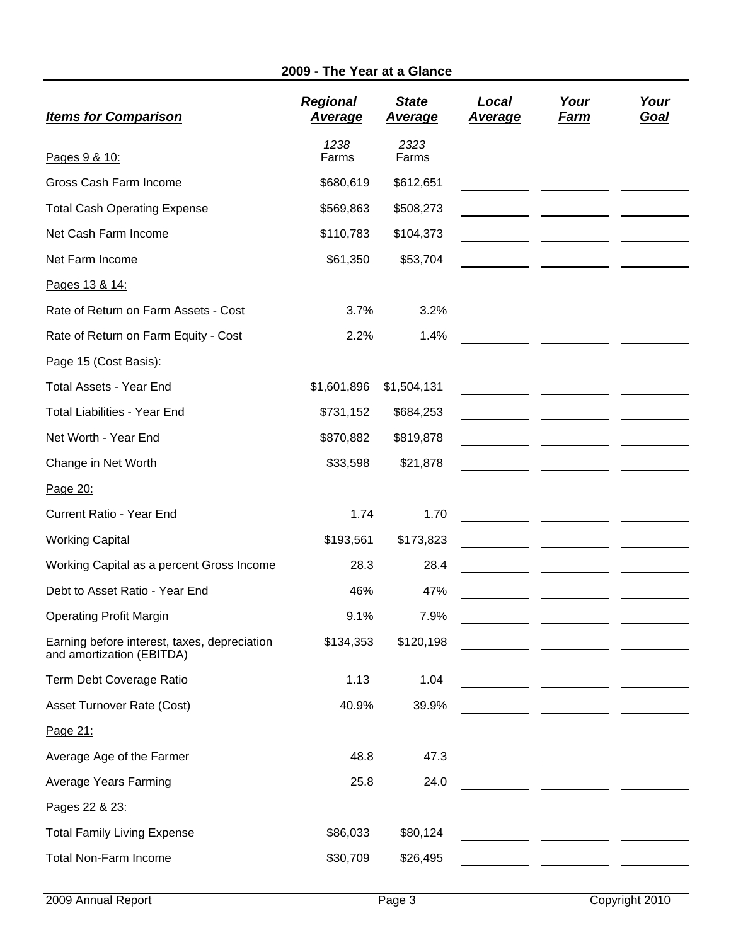# **2009 - The Year at a Glance**

| <b>Items for Comparison</b>                                               | <b>Regional</b><br><b>Average</b> | <b>State</b><br><u>Average</u> | Local<br><u>Average</u> | Your<br><u>Farm</u>                         | Your<br><u>Goal</u> |
|---------------------------------------------------------------------------|-----------------------------------|--------------------------------|-------------------------|---------------------------------------------|---------------------|
| Pages 9 & 10:                                                             | 1238<br>Farms                     | 2323<br>Farms                  |                         |                                             |                     |
| Gross Cash Farm Income                                                    | \$680,619                         | \$612,651                      |                         |                                             |                     |
| <b>Total Cash Operating Expense</b>                                       | \$569,863                         | \$508,273                      |                         |                                             |                     |
| Net Cash Farm Income                                                      | \$110,783                         | \$104,373                      |                         |                                             |                     |
| Net Farm Income                                                           | \$61,350                          | \$53,704                       |                         |                                             |                     |
| Pages 13 & 14:                                                            |                                   |                                |                         |                                             |                     |
| Rate of Return on Farm Assets - Cost                                      | 3.7%                              | 3.2%                           |                         |                                             |                     |
| Rate of Return on Farm Equity - Cost                                      | 2.2%                              | 1.4%                           |                         |                                             |                     |
| Page 15 (Cost Basis):                                                     |                                   |                                |                         |                                             |                     |
| <b>Total Assets - Year End</b>                                            | \$1,601,896                       | \$1,504,131                    |                         |                                             |                     |
| <b>Total Liabilities - Year End</b>                                       | \$731,152                         | \$684,253                      |                         |                                             |                     |
| Net Worth - Year End                                                      | \$870,882                         | \$819,878                      |                         |                                             |                     |
| Change in Net Worth                                                       | \$33,598                          | \$21,878                       |                         |                                             |                     |
| Page 20:                                                                  |                                   |                                |                         |                                             |                     |
| Current Ratio - Year End                                                  | 1.74                              | 1.70                           |                         |                                             |                     |
| <b>Working Capital</b>                                                    | \$193,561                         | \$173,823                      |                         |                                             |                     |
| Working Capital as a percent Gross Income                                 | 28.3                              | 28.4                           |                         |                                             |                     |
| Debt to Asset Ratio - Year End                                            | 46%                               | 47%                            |                         |                                             |                     |
| <b>Operating Profit Margin</b>                                            | 9.1%                              | 7.9%                           |                         |                                             |                     |
| Earning before interest, taxes, depreciation<br>and amortization (EBITDA) | \$134,353                         | \$120,198                      |                         |                                             |                     |
| Term Debt Coverage Ratio                                                  | 1.13                              | 1.04                           |                         |                                             |                     |
| Asset Turnover Rate (Cost)                                                | 40.9%                             | 39.9%                          |                         |                                             |                     |
| Page 21:                                                                  |                                   |                                |                         |                                             |                     |
| Average Age of the Farmer                                                 | 48.8                              | 47.3                           |                         | <u> 1999 - Johann Marie Barn, mars eta </u> |                     |
| Average Years Farming                                                     | 25.8                              | 24.0                           |                         | <u> 1989 - Jan Barbara Barbara, maskin</u>  |                     |
| Pages 22 & 23:                                                            |                                   |                                |                         |                                             |                     |
| <b>Total Family Living Expense</b>                                        | \$86,033                          | \$80,124                       |                         |                                             |                     |
| <b>Total Non-Farm Income</b>                                              | \$30,709                          | \$26,495                       |                         |                                             |                     |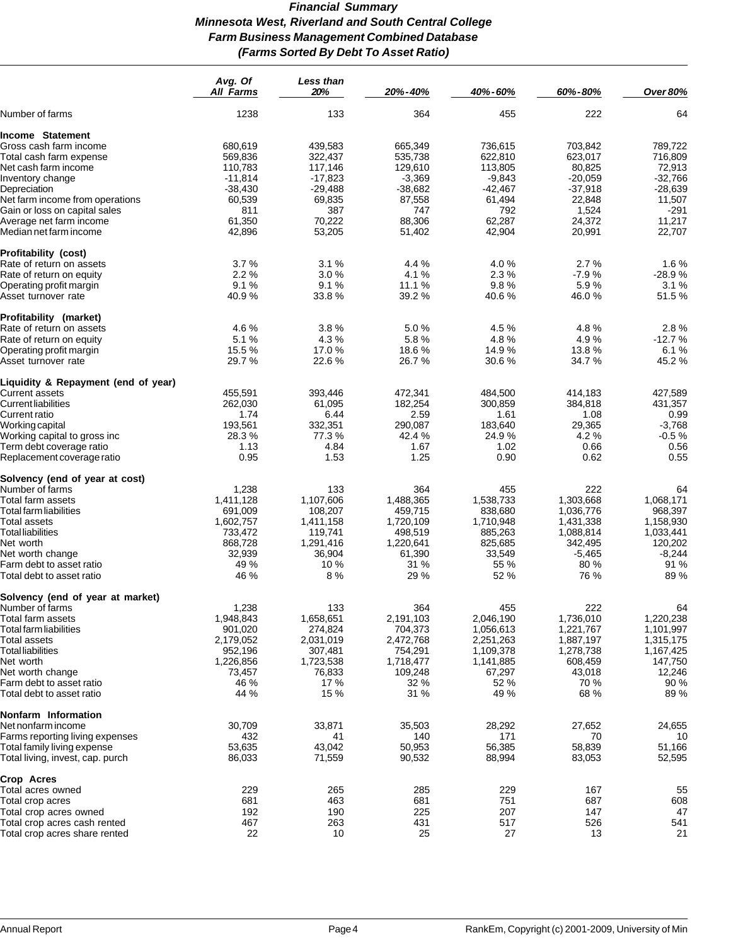# *Financial Summary Minnesota West, Riverland and South Central College Farm Business Management Combined Database (Farms Sorted By Debt To Asset Ratio)*

|                                                   | Avg. Of<br><b>All Farms</b> | <b>Less than</b><br>20% | 20%-40%          | 40%-60%          | 60%-80%          | <b>Over 80%</b>  |
|---------------------------------------------------|-----------------------------|-------------------------|------------------|------------------|------------------|------------------|
| Number of farms                                   | 1238                        | 133                     | 364              | 455              | 222              | 64               |
| Income Statement                                  |                             |                         |                  |                  |                  |                  |
| Gross cash farm income                            | 680,619                     | 439,583                 | 665,349          | 736,615          | 703,842          | 789,722          |
| Total cash farm expense                           | 569,836                     | 322,437                 | 535,738          | 622,810          | 623,017          | 716,809          |
|                                                   |                             |                         |                  |                  |                  |                  |
| Net cash farm income                              | 110,783                     | 117,146                 | 129,610          | 113,805          | 80,825           | 72,913           |
| Inventory change                                  | $-11,814$                   | $-17,823$               | $-3,369$         | $-9,843$         | $-20,059$        | $-32,766$        |
| Depreciation                                      | $-38,430$                   | $-29,488$               | $-38,682$        | $-42,467$        | $-37,918$        | $-28,639$        |
| Net farm income from operations                   | 60,539                      | 69,835                  | 87,558           | 61,494           | 22,848           | 11,507           |
| Gain or loss on capital sales                     | 811                         | 387                     | 747              | 792              | 1,524            | -291             |
| Average net farm income<br>Median net farm income | 61,350<br>42,896            | 70,222<br>53,205        | 88,306<br>51,402 | 62,287<br>42,904 | 24,372<br>20,991 | 11,217<br>22,707 |
|                                                   |                             |                         |                  |                  |                  |                  |
| <b>Profitability (cost)</b>                       |                             |                         |                  |                  |                  |                  |
| Rate of return on assets                          | 3.7%                        | 3.1%                    | 4.4 %            | 4.0%             | 2.7%             | 1.6%             |
| Rate of return on equity                          | 2.2%                        | 3.0%                    | 4.1%             | 2.3%             | $-7.9%$          | $-28.9%$         |
| Operating profit margin                           | 9.1%                        | 9.1%                    | 11.1 %           | 9.8%             | 5.9%             | 3.1 %            |
| Asset turnover rate                               | 40.9%                       | 33.8%                   | 39.2%            | 40.6%            | 46.0%            | 51.5%            |
| Profitability (market)                            |                             |                         |                  |                  |                  |                  |
| Rate of return on assets                          | 4.6%                        | 3.8%                    | 5.0%             | 4.5 %            | 4.8%             | 2.8%             |
| Rate of return on equity                          | 5.1%                        | 4.3%                    | 5.8%             | 4.8%             | 4.9%             | $-12.7%$         |
| Operating profit margin                           | 15.5 %                      | 17.0%                   | 18.6%            | 14.9%            | 13.8%            | 6.1%             |
| Asset turnover rate                               | 29.7%                       | 22.6 %                  | 26.7 %           | 30.6%            | 34.7 %           | 45.2%            |
| Liquidity & Repayment (end of year)               |                             |                         |                  |                  |                  |                  |
| Current assets                                    | 455,591                     | 393,446                 | 472,341          | 484,500          | 414,183          | 427,589          |
| Current liabilities                               | 262,030                     | 61,095                  | 182,254          | 300,859          | 384,818          | 431,357          |
| Current ratio                                     | 1.74                        | 6.44                    | 2.59             | 1.61             | 1.08             | 0.99             |
| Working capital                                   | 193,561                     | 332,351                 | 290,087          | 183,640          | 29,365           | $-3,768$         |
| Working capital to gross inc                      | 28.3%                       | 77.3 %                  | 42.4 %           | 24.9 %           | 4.2%             | $-0.5%$          |
| Term debt coverage ratio                          | 1.13                        | 4.84                    | 1.67             | 1.02             | 0.66             | 0.56             |
| Replacement coverage ratio                        | 0.95                        | 1.53                    | 1.25             | 0.90             | 0.62             | 0.55             |
| Solvency (end of year at cost)                    |                             |                         |                  |                  |                  |                  |
| Number of farms                                   | 1,238                       | 133                     | 364              | 455              | 222              | 64               |
| Total farm assets                                 | 1,411,128                   | 1,107,606               | 1,488,365        | 1,538,733        | 1,303,668        | 1,068,171        |
| Total farm liabilities                            | 691,009                     | 108,207                 | 459,715          | 838,680          | 1,036,776        | 968,397          |
| Total assets                                      | 1,602,757                   | 1,411,158               | 1,720,109        | 1,710,948        | 1,431,338        | 1,158,930        |
| <b>Total liabilities</b>                          | 733,472                     | 119,741                 | 498,519          | 885,263          | 1,088,814        | 1,033,441        |
| Net worth                                         | 868,728                     | 1,291,416               | 1,220,641        | 825,685          | 342,495          | 120,202          |
| Net worth change                                  | 32,939                      | 36,904                  | 61,390           | 33,549           | $-5,465$         | $-8,244$         |
| Farm debt to asset ratio                          | 49 %                        | 10 %                    | 31 %             | 55 %             | 80 %             | 91 %             |
| Total debt to asset ratio                         | 46 %                        | 8%                      | 29 %             | 52 %             | 76 %             | 89 %             |
| Solvency (end of year at market)                  |                             |                         |                  |                  |                  |                  |
| Number of farms                                   | 1,238                       | 133                     | 364              | 455              | 222              | 64               |
| Total farm assets                                 | 1,948,843                   | 1,658,651               | 2,191,103        | 2,046,190        | 1,736,010        | 1,220,238        |
| <b>Total farm liabilities</b>                     | 901,020                     | 274,824                 | 704,373          | 1,056,613        | 1,221,767        | 1,101,997        |
| Total assets                                      | 2,179,052                   | 2,031,019               | 2,472,768        | 2,251,263        | 1,887,197        | 1,315,175        |
| <b>Total liabilities</b>                          | 952,196                     | 307,481                 | 754,291          | 1,109,378        | 1,278,738        | 1,167,425        |
| Net worth                                         | 1,226,856                   | 1,723,538               | 1,718,477        | 1,141,885        | 608,459          | 147,750          |
| Net worth change                                  | 73,457                      | 76,833                  | 109,248          | 67,297           | 43,018           | 12,246           |
| Farm debt to asset ratio                          | 46 %                        | 17 %                    | 32 %             | 52 %             | 70 %             | 90 %             |
| Total debt to asset ratio                         | 44 %                        | 15 %                    | 31 %             | 49 %             | 68 %             | 89 %             |
| Nonfarm Information                               |                             |                         |                  |                  |                  |                  |
| Net nonfarm income                                | 30,709                      | 33,871                  | 35,503           | 28,292           | 27,652           | 24,655           |
| Farms reporting living expenses                   | 432                         | 41                      | 140              | 171              | 70               | 10               |
| Total family living expense                       | 53,635                      | 43,042                  | 50,953           | 56,385           | 58,839           | 51,166           |
| Total living, invest, cap. purch                  | 86,033                      | 71,559                  | 90,532           | 88,994           | 83,053           | 52,595           |
| Crop Acres                                        |                             |                         |                  |                  |                  |                  |
| Total acres owned                                 | 229                         | 265                     | 285              | 229              | 167              | 55               |
|                                                   | 681                         | 463                     | 681              | 751              | 687              | 608              |
| Total crop acres                                  | 192                         | 190                     | 225              | 207              | 147              | 47               |
| Total crop acres owned                            |                             |                         |                  |                  |                  |                  |
| Total crop acres cash rented                      | 467<br>22                   | 263                     | 431              | 517              | 526              | 541              |
| Total crop acres share rented                     |                             | 10                      | 25               | 27               | 13               | 21               |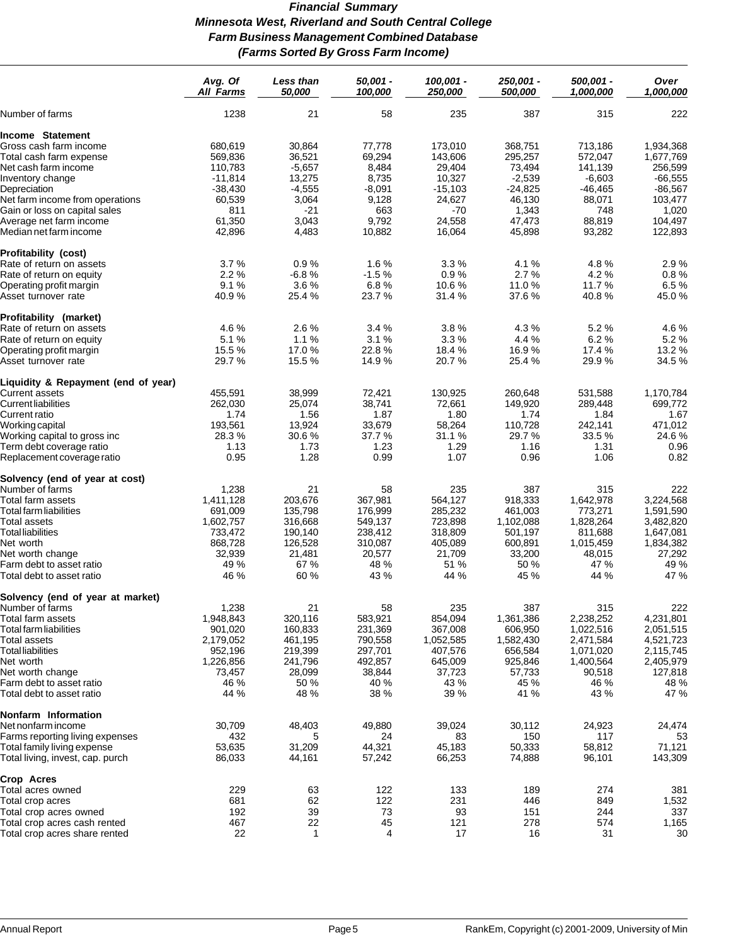# *Financial Summary Minnesota West, Riverland and South Central College Farm Business Management Combined Database (Farms Sorted By Gross Farm Income)*

|                                                                | Avg. Of<br><b>All Farms</b> | Less than<br>50,000 | $50,001 -$<br>100,000 | 100,001 -<br>250,000 | 250,001 -<br>500,000 | 500.001 -<br>1,000,000 | Over<br>1.000.000 |
|----------------------------------------------------------------|-----------------------------|---------------------|-----------------------|----------------------|----------------------|------------------------|-------------------|
| Number of farms                                                | 1238                        | 21                  | 58                    | 235                  | 387                  | 315                    | 222               |
| Income Statement                                               |                             |                     |                       |                      |                      |                        |                   |
| Gross cash farm income                                         | 680,619                     | 30,864              | 77,778                | 173,010              | 368,751              | 713,186                | 1,934,368         |
| Total cash farm expense                                        | 569,836                     | 36,521              | 69,294                | 143,606              | 295,257              | 572,047                | 1,677,769         |
| Net cash farm income                                           | 110,783                     | $-5,657$            | 8,484                 | 29,404               | 73,494               | 141,139                | 256,599           |
|                                                                |                             |                     |                       |                      |                      |                        |                   |
| Inventory change                                               | $-11,814$                   | 13,275              | 8,735                 | 10,327               | $-2,539$             | $-6,603$               | $-66,555$         |
| Depreciation                                                   | $-38,430$                   | $-4,555$            | $-8,091$              | $-15,103$            | $-24,825$            | $-46,465$              | $-86,567$         |
| Net farm income from operations                                | 60,539                      | 3,064               | 9,128                 | 24,627               | 46,130               | 88,071                 | 103,477           |
| Gain or loss on capital sales                                  | 811                         | $-21$               | 663                   | $-70$                | 1,343                | 748                    | 1,020             |
| Average net farm income                                        | 61,350                      | 3,043               | 9,792                 | 24,558               | 47,473               | 88,819                 | 104,497           |
| Median net farm income                                         | 42,896                      | 4,483               | 10,882                | 16,064               | 45,898               | 93,282                 | 122,893           |
| Profitability (cost)                                           |                             |                     |                       |                      |                      |                        |                   |
| Rate of return on assets                                       | 3.7%                        | 0.9%                | 1.6%                  | 3.3%                 | 4.1 %                | 4.8%                   | 2.9%              |
| Rate of return on equity                                       | 2.2%                        | $-6.8%$             | $-1.5%$               | 0.9%                 | 2.7%                 | 4.2%                   | 0.8%              |
| Operating profit margin                                        | 9.1%                        | 3.6%                | 6.8%                  | 10.6 %               | 11.0%                | 11.7 %                 | 6.5%              |
| Asset turnover rate                                            | 40.9%                       | 25.4 %              | 23.7 %                | 31.4 %               | 37.6 %               | 40.8%                  | 45.0%             |
| Profitability (market)                                         |                             |                     |                       |                      |                      |                        |                   |
| Rate of return on assets                                       | 4.6%                        | 2.6%                | 3.4%                  | 3.8%                 | 4.3%                 | 5.2%                   | 4.6%              |
| Rate of return on equity                                       | 5.1%                        | 1.1%                | 3.1%                  | 3.3%                 | 4.4 %                | 6.2%                   | 5.2%              |
| Operating profit margin                                        | 15.5 %                      | 17.0%               | 22.8%                 | 18.4 %               | 16.9%                | 17.4 %                 | 13.2 %            |
| Asset turnover rate                                            | 29.7 %                      | 15.5 %              | 14.9 %                | 20.7%                | 25.4 %               | 29.9%                  | 34.5 %            |
| Liquidity & Repayment (end of year)                            |                             |                     |                       |                      |                      |                        |                   |
| Current assets                                                 | 455,591                     | 38,999              | 72,421                | 130,925              | 260,648              | 531.588                | 1,170,784         |
| Current liabilities                                            | 262,030                     | 25,074              | 38,741                | 72,661               | 149,920              | 289.448                | 699,772           |
| Current ratio                                                  | 1.74                        | 1.56                | 1.87                  | 1.80                 | 1.74                 | 1.84                   | 1.67              |
|                                                                | 193,561                     | 13,924              | 33,679                | 58,264               | 110,728              | 242,141                | 471,012           |
| Working capital                                                | 28.3%                       | 30.6%               | 37.7 %                | 31.1 %               | 29.7%                | 33.5 %                 | 24.6%             |
| Working capital to gross inc                                   |                             |                     |                       |                      |                      |                        |                   |
| Term debt coverage ratio<br>Replacement coverage ratio         | 1.13<br>0.95                | 1.73<br>1.28        | 1.23<br>0.99          | 1.29<br>1.07         | 1.16<br>0.96         | 1.31<br>1.06           | 0.96<br>0.82      |
|                                                                |                             |                     |                       |                      |                      |                        |                   |
| Solvency (end of year at cost)                                 |                             | 21                  | 58                    | 235                  | 387                  | 315                    |                   |
| Number of farms                                                | 1,238                       |                     |                       |                      |                      |                        | 222               |
| Total farm assets                                              | 1,411,128                   | 203,676             | 367,981               | 564,127              | 918,333              | 1,642,978              | 3,224,568         |
| Total farm liabilities                                         | 691,009                     | 135,798             | 176,999               | 285,232              | 461,003              | 773,271                | 1,591,590         |
| Total assets                                                   | 1,602,757                   | 316,668             | 549,137               | 723,898              | 1,102,088            | 1,828,264              | 3,482,820         |
| Total liabilities                                              | 733,472                     | 190,140             | 238,412               | 318,809              | 501,197              | 811,688                | 1,647,081         |
| Net worth                                                      | 868,728                     | 126,528             | 310,087               | 405,089              | 600,891              | 1,015,459              | 1,834,382         |
| Net worth change                                               | 32,939                      | 21,481              | 20,577                | 21,709               | 33,200               | 48,015                 | 27,292            |
| Farm debt to asset ratio                                       | 49 %                        | 67 %                | 48 %                  | 51 %                 | 50 %                 | 47 %                   | 49 %              |
| Total debt to asset ratio                                      | 46 %                        | 60 %                | 43 %                  | 44 %                 | 45 %                 | 44 %                   | 47 %              |
| Solvency (end of year at market)                               |                             |                     |                       |                      |                      |                        |                   |
| Number of farms                                                | 1,238                       | 21                  | 58                    | 235                  | 387                  | 315                    | 222               |
| Total farm assets                                              | 1,948,843                   | 320,116             | 583,921               | 854,094              | 1,361,386            | 2,238,252              | 4,231,801         |
| Total farm liabilities                                         | 901,020                     | 160,833             | 231,369               | 367,008              | 606,950              | 1,022,516              | 2,051,515         |
| Total assets                                                   | 2,179,052                   | 461,195             | 790,558               | 1,052,585            | 1,582,430            | 2,471,584              | 4,521,723         |
| <b>Total liabilities</b>                                       | 952,196                     | 219,399             | 297,701               | 407,576              | 656,584              | 1,071,020              | 2,115,745         |
| Net worth                                                      | 1,226,856                   | 241,796             | 492,857               | 645,009              | 925,846              | 1,400,564              | 2,405,979         |
| Net worth change                                               | 73,457                      | 28,099              | 38,844                | 37,723               | 57,733               | 90,518                 | 127,818           |
| Farm debt to asset ratio                                       | 46 %                        | 50 %                | 40 %                  | 43 %                 | 45 %                 | 46 %                   | 48 %              |
| Total debt to asset ratio                                      | 44 %                        | 48 %                | 38 %                  | 39 %                 | 41 %                 | 43 %                   | 47 %              |
| Nonfarm Information                                            |                             |                     |                       |                      |                      |                        |                   |
| Net nonfarm income                                             | 30,709                      | 48,403              | 49,880                | 39,024               | 30,112               | 24,923                 | 24,474            |
|                                                                |                             | 5                   | 24                    | 83                   |                      | 117                    |                   |
| Farms reporting living expenses<br>Total family living expense | 432                         | 31,209              | 44,321                | 45,183               | 150<br>50,333        | 58,812                 | 53<br>71,121      |
| Total living, invest, cap. purch                               | 53,635<br>86,033            | 44,161              | 57,242                | 66,253               | 74,888               | 96,101                 | 143,309           |
| Crop Acres                                                     |                             |                     |                       |                      |                      |                        |                   |
|                                                                |                             |                     |                       |                      |                      |                        |                   |
| Total acres owned                                              | 229                         | 63                  | 122                   | 133                  | 189                  | 274                    | 381               |
| Total crop acres                                               | 681                         | 62                  | 122                   | 231                  | 446                  | 849                    | 1,532             |
| Total crop acres owned                                         | 192                         | 39                  | 73                    | 93                   | 151                  | 244                    | 337               |
| Total crop acres cash rented                                   | 467                         | 22                  | 45                    | 121                  | 278                  | 574                    | 1,165             |
| Total crop acres share rented                                  | 22                          | $\mathbf{1}$        | 4                     | 17                   | 16                   | 31                     | 30                |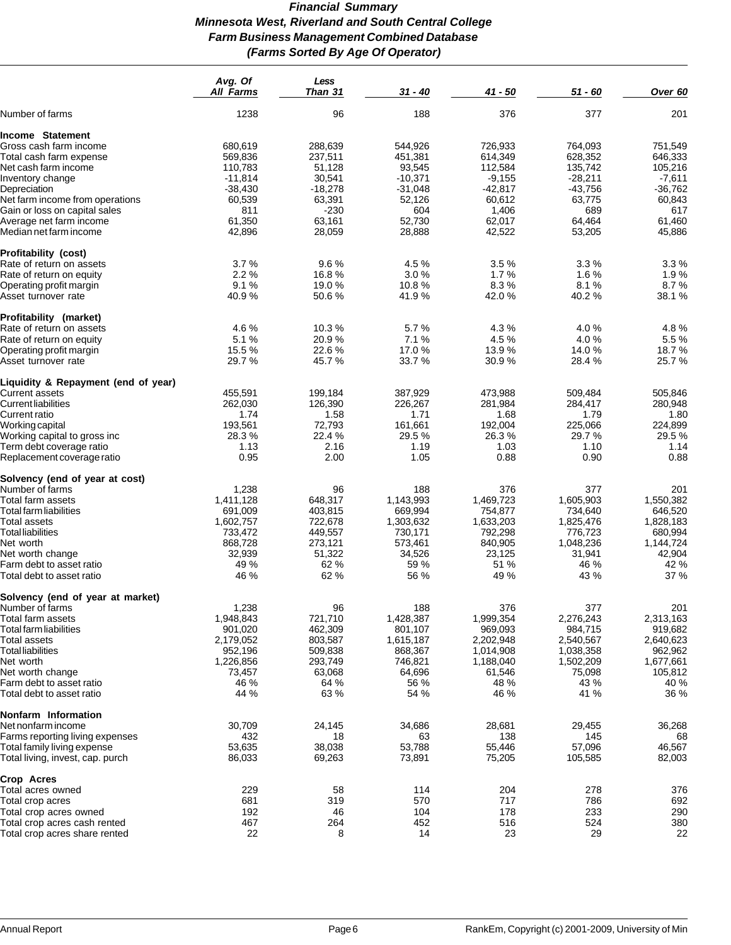# *Financial Summary Minnesota West, Riverland and South Central College Farm Business Management Combined Database (Farms Sorted By Age Of Operator)*

|                                                                 | Avg. Of<br><b>All Farms</b> | Less<br>Than 31  | 31 - 40          | $41 - 50$        | 51 - 60           | Over 60          |
|-----------------------------------------------------------------|-----------------------------|------------------|------------------|------------------|-------------------|------------------|
| Number of farms                                                 | 1238                        | 96               | 188              | 376              | 377               | 201              |
| Income Statement                                                |                             |                  |                  |                  |                   |                  |
| Gross cash farm income                                          | 680.619                     | 288,639          | 544,926          | 726,933          | 764,093           | 751,549          |
| Total cash farm expense                                         | 569,836                     | 237,511          | 451,381          | 614,349          | 628,352           | 646,333          |
|                                                                 | 110,783                     | 51,128           | 93,545           | 112,584          | 135,742           | 105,216          |
| Net cash farm income                                            |                             |                  |                  |                  |                   |                  |
| Inventory change                                                | $-11,814$                   | 30,541           | $-10,371$        | $-9,155$         | $-28,211$         | $-7,611$         |
| Depreciation                                                    | $-38,430$                   | $-18,278$        | $-31,048$        | $-42,817$        | $-43,756$         | $-36,762$        |
| Net farm income from operations                                 | 60,539                      | 63,391           | 52,126           | 60,612           | 63,775            | 60,843           |
| Gain or loss on capital sales                                   | 811                         | -230             | 604              | 1,406            | 689               | 617              |
| Average net farm income<br>Median net farm income               | 61,350<br>42,896            | 63,161<br>28,059 | 52,730<br>28,888 | 62,017<br>42,522 | 64,464<br>53,205  | 61,460<br>45,886 |
|                                                                 |                             |                  |                  |                  |                   |                  |
| <b>Profitability (cost)</b>                                     |                             |                  |                  |                  |                   |                  |
| Rate of return on assets                                        | 3.7%                        | 9.6%             | 4.5 %            | 3.5%             | 3.3%              | 3.3%             |
| Rate of return on equity                                        | 2.2%                        | 16.8%            | 3.0%             | 1.7%             | 1.6%              | 1.9%             |
| Operating profit margin                                         | 9.1%                        | 19.0%            | 10.8%            | 8.3%<br>42.0%    | 8.1%<br>40.2%     | 8.7%             |
| Asset turnover rate                                             | 40.9%                       | 50.6%            | 41.9%            |                  |                   | 38.1 %           |
| Profitability (market)                                          |                             |                  |                  |                  |                   |                  |
| Rate of return on assets                                        | 4.6%                        | 10.3%            | 5.7%             | 4.3 %            | 4.0%              | 4.8%             |
| Rate of return on equity                                        | 5.1%                        | 20.9%            | 7.1%             | 4.5%             | 4.0%              | 5.5%             |
| Operating profit margin                                         | 15.5 %                      | 22.6%            | 17.0%            | 13.9%            | 14.0%             | 18.7%            |
| Asset turnover rate                                             | 29.7%                       | 45.7%            | 33.7%            | 30.9%            | 28.4%             | 25.7%            |
| Liquidity & Repayment (end of year)                             |                             |                  |                  |                  |                   |                  |
| Current assets                                                  | 455,591                     | 199,184          | 387,929          | 473,988          | 509,484           | 505,846          |
| Current liabilities                                             | 262,030                     | 126,390          | 226,267          | 281,984          | 284,417           | 280,948          |
| Current ratio                                                   | 1.74                        | 1.58             | 1.71             | 1.68             | 1.79              | 1.80             |
| Working capital                                                 | 193,561                     | 72,793           | 161,661          | 192,004          | 225,066           | 224,899          |
| Working capital to gross inc                                    | 28.3%                       | 22.4 %           | 29.5%            | 26.3%            | 29.7 %            | 29.5%            |
| Term debt coverage ratio                                        | 1.13                        | 2.16             | 1.19             | 1.03             | 1.10              | 1.14             |
| Replacement coverage ratio                                      | 0.95                        | 2.00             | 1.05             | 0.88             | 0.90              | 0.88             |
| Solvency (end of year at cost)                                  |                             |                  |                  |                  |                   |                  |
| Number of farms                                                 | 1,238                       | 96               | 188              | 376              | 377               | 201              |
| Total farm assets                                               | 1,411,128                   | 648,317          | 1,143,993        | 1,469,723        | 1,605,903         | 1,550,382        |
| Total farm liabilities                                          | 691,009                     | 403,815          | 669,994          | 754,877          | 734,640           | 646,520          |
| Total assets                                                    | 1,602,757                   | 722,678          | 1,303,632        | 1,633,203        | 1,825,476         | 1,828,183        |
| <b>Total liabilities</b>                                        | 733,472                     | 449,557          | 730,171          | 792,298          | 776,723           | 680,994          |
| Net worth                                                       | 868,728                     | 273,121          | 573,461          | 840,905          | 1,048,236         | 1,144,724        |
| Net worth change                                                | 32,939                      | 51,322           | 34,526           | 23,125           | 31,941            | 42,904           |
| Farm debt to asset ratio                                        | 49 %                        | 62 %             | 59 %             | 51 %             | 46 %              | 42 %             |
| Total debt to asset ratio                                       | 46 %                        | 62 %             | 56 %             | 49 %             | 43 %              | 37 %             |
|                                                                 |                             |                  |                  |                  |                   |                  |
| Solvency (end of year at market)<br>Number of farms             | 1,238                       | 96               | 188              | 376              | 377               | 201              |
| Total farm assets                                               | 1,948,843                   | 721,710          | 1,428,387        | 1,999,354        | 2,276,243         | 2,313,163        |
| <b>Total farm liabilities</b>                                   | 901,020                     |                  | 801,107          | 969,093          | 984,715           | 919,682          |
|                                                                 |                             | 462,309          |                  |                  |                   |                  |
| <b>Total assets</b>                                             | 2,179,052                   | 803,587          | 1,615,187        | 2,202,948        | 2,540,567         | 2,640,623        |
| <b>Total liabilities</b>                                        | 952,196                     | 509,838          | 868,367          | 1,014,908        | 1,038,358         | 962,962          |
| Net worth                                                       | 1,226,856                   | 293,749          | 746,821          | 1,188,040        | 1,502,209         | 1,677,661        |
| Net worth change                                                | 73,457                      | 63,068           | 64,696           | 61,546           | 75,098            | 105,812          |
| Farm debt to asset ratio<br>Total debt to asset ratio           | 46 %<br>44 %                | 64 %<br>63 %     | 56 %<br>54 %     | 48 %<br>46 %     | 43 %<br>41 %      | 40 %<br>36 %     |
|                                                                 |                             |                  |                  |                  |                   |                  |
| Nonfarm Information                                             |                             |                  |                  |                  |                   |                  |
| Net nonfarm income                                              | 30,709                      | 24,145           | 34,686           | 28,681           | 29,455            | 36,268           |
| Farms reporting living expenses                                 | 432                         | 18               | 63               | 138              | 145               | 68               |
| Total family living expense<br>Total living, invest, cap. purch | 53,635<br>86,033            | 38,038<br>69,263 | 53,788<br>73,891 | 55,446<br>75,205 | 57,096<br>105,585 | 46,567<br>82,003 |
|                                                                 |                             |                  |                  |                  |                   |                  |
| Crop Acres                                                      |                             |                  |                  |                  |                   |                  |
| Total acres owned                                               | 229                         | 58               | 114              | 204              | 278               | 376              |
| Total crop acres                                                | 681                         | 319              | 570              | 717              | 786               | 692              |
| Total crop acres owned                                          | 192                         | 46               | 104              | 178              | 233               | 290              |
| Total crop acres cash rented                                    | 467                         | 264              | 452              | 516              | 524               | 380              |
| Total crop acres share rented                                   | 22                          | 8                | 14               | 23               | 29                | 22               |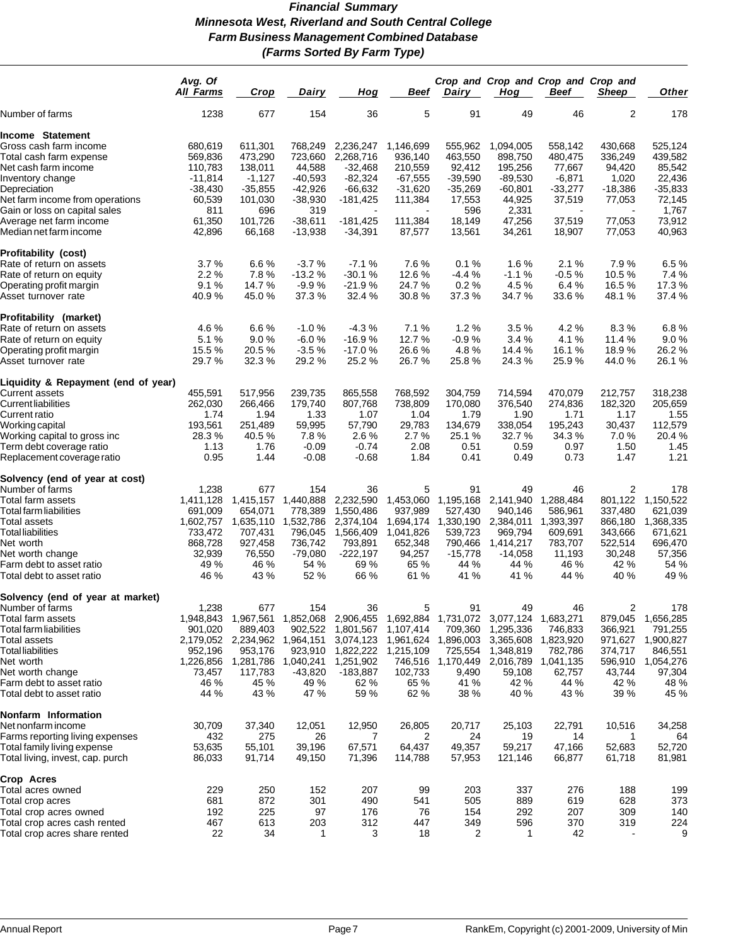# *Financial Summary Minnesota West, Riverland and South Central College Farm Business Management Combined Database (Farms Sorted By Farm Type)*

|                                                   | Avg. Of<br><b>All Farms</b> | Crop                | Dairy                  | Hog                     | Beef              | Dairy               | Hog                 | Crop and Crop and Crop and Crop and<br>Beef | Sheep            | <b>Other</b>     |
|---------------------------------------------------|-----------------------------|---------------------|------------------------|-------------------------|-------------------|---------------------|---------------------|---------------------------------------------|------------------|------------------|
| Number of farms                                   | 1238                        | 677                 | 154                    | 36                      | 5                 | 91                  | 49                  | 46                                          | 2                | 178              |
| Income Statement                                  |                             |                     |                        |                         |                   |                     |                     |                                             |                  |                  |
| Gross cash farm income                            | 680,619                     | 611,301             | 768,249                | 2,236,247               | 1,146,699         | 555.962             | 1,094,005           | 558,142                                     | 430.668          | 525,124          |
| Total cash farm expense                           | 569,836                     | 473,290             | 723,660                | 2,268,716               | 936,140           | 463,550             | 898,750             | 480,475                                     | 336,249          | 439,582          |
| Net cash farm income                              | 110,783                     | 138,011             | 44,588                 | $-32,468$               | 210,559           | 92,412              | 195,256             | 77,667                                      | 94,420           | 85,542           |
| Inventory change                                  | $-11,814$                   | $-1,127$            | $-40,593$              | $-82,324$               | $-67,555$         | $-39,590$           | $-89,530$           | $-6,871$                                    | 1,020            | 22,436           |
| Depreciation                                      | -38,430                     | $-35,855$           | $-42,926$              | $-66,632$               | $-31,620$         | $-35,269$           | $-60,801$           | $-33,277$                                   | $-18,386$        | $-35,833$        |
| Net farm income from operations                   | 60,539                      | 101,030             | $-38,930$              | $-181,425$              | 111,384           | 17,553              | 44,925              | 37,519                                      | 77,053           | 72,145           |
| Gain or loss on capital sales                     | 811                         | 696                 | 319                    |                         |                   | 596                 | 2,331               |                                             |                  | 1,767            |
|                                                   |                             |                     |                        |                         |                   |                     |                     |                                             |                  |                  |
| Average net farm income<br>Median net farm income | 61,350<br>42,896            | 101,726<br>66,168   | $-38,611$<br>$-13,938$ | $-181,425$<br>$-34,391$ | 111,384<br>87,577 | 18,149<br>13,561    | 47,256<br>34,261    | 37,519<br>18,907                            | 77,053<br>77,053 | 73,912<br>40,963 |
| Profitability (cost)                              |                             |                     |                        |                         |                   |                     |                     |                                             |                  |                  |
| Rate of return on assets                          | 3.7%                        | 6.6%                | $-3.7%$                | $-7.1%$                 | 7.6%              | 0.1%                | 1.6%                | 2.1%                                        | 7.9%             | 6.5%             |
| Rate of return on equity                          | 2.2%                        | 7.8%                | $-13.2%$               | $-30.1%$                | 12.6%             | $-4.4%$             | $-1.1%$             | $-0.5%$                                     | 10.5%            | 7.4 %            |
| Operating profit margin                           | 9.1%                        | 14.7 %              | $-9.9%$                | $-21.9%$                | 24.7 %            | 0.2%                | 4.5 %               | 6.4%                                        | 16.5%            | 17.3%            |
| Asset turnover rate                               | 40.9%                       | 45.0%               | 37.3%                  | 32.4 %                  | 30.8%             | 37.3%               | 34.7 %              | 33.6%                                       | 48.1 %           | 37.4 %           |
| Profitability (market)                            |                             |                     |                        |                         |                   |                     |                     |                                             |                  |                  |
| Rate of return on assets                          | 4.6%                        | 6.6%                | $-1.0%$                | $-4.3%$                 | 7.1 %             | 1.2%                | 3.5%                | 4.2%                                        | 8.3%             | 6.8%             |
| Rate of return on equity                          | 5.1%                        | 9.0%                | $-6.0%$                | $-16.9%$                | 12.7 %            | $-0.9%$             | 3.4%                | 4.1%                                        | 11.4 %           | 9.0%             |
| Operating profit margin                           | 15.5 %                      | 20.5%               | $-3.5%$                | $-17.0%$                | 26.6%             | 4.8%                | 14.4 %              | 16.1 %                                      | 18.9%            | 26.2%            |
| Asset turnover rate                               | 29.7%                       | 32.3 %              | 29.2 %                 | 25.2 %                  | 26.7%             | 25.8%               | 24.3%               | 25.9 %                                      | 44.0 %           | 26.1 %           |
| Liquidity & Repayment (end of year)               |                             |                     |                        |                         |                   |                     |                     |                                             |                  |                  |
| Current assets                                    | 455,591                     | 517,956             | 239,735                | 865,558                 | 768,592           | 304,759             | 714,594             | 470,079                                     | 212,757          | 318,238          |
| Current liabilities                               | 262,030                     | 266,466             | 179,740                | 807,768                 | 738,809           | 170,080             | 376,540             | 274,836                                     | 182,320          | 205,659          |
| Current ratio                                     | 1.74                        | 1.94                | 1.33                   | 1.07                    | 1.04              | 1.79                | 1.90                | 1.71                                        | 1.17             | 1.55             |
| Working capital                                   | 193,561                     | 251,489             | 59,995                 | 57,790                  | 29,783            | 134,679             | 338,054             | 195,243                                     | 30,437           | 112,579          |
| Working capital to gross inc                      | 28.3 %                      | 40.5 %              | 7.8%                   | 2.6%                    | 2.7%              | 25.1 %              | 32.7 %              | 34.3 %                                      | 7.0%             | 20.4 %           |
| Term debt coverage ratio                          | 1.13                        | 1.76                | $-0.09$                | $-0.74$                 | 2.08              | 0.51                | 0.59                | 0.97                                        | 1.50             | 1.45             |
| Replacement coverage ratio                        | 0.95                        | 1.44                | $-0.08$                | $-0.68$                 | 1.84              | 0.41                | 0.49                | 0.73                                        | 1.47             | 1.21             |
| Solvency (end of year at cost)                    |                             |                     |                        |                         |                   |                     |                     |                                             |                  |                  |
| Number of farms                                   | 1,238                       | 677                 | 154                    | 36                      | 5                 | 91                  | 49                  | 46                                          | 2                | 178              |
| Total farm assets                                 | 1,411,128                   | 1,415,157           | 1,440,888              | 2,232,590               | 1,453,060         | 1,195,168           | 2,141,940           | 1,288,484                                   | 801,122          | 1,150,522        |
| Total farm liabilities                            | 691,009                     | 654,071             | 778,389                | 1,550,486               | 937,989           | 527,430             | 940,146             | 586,961                                     | 337,480          | 621,039          |
| Total assets                                      | 1,602,757                   | 1,635,110           | 1,532,786              | 2,374,104               | 1,694,174         | 1,330,190           | 2,384,011           | 1,393,397                                   | 866,180          | 1,368,335        |
| Total liabilities                                 | 733,472                     | 707,431             | 796,045                | 1,566,409               | 1,041,826         | 539,723             | 969,794             | 609,691                                     | 343,666          | 671,621          |
| Net worth                                         | 868,728                     | 927,458             | 736,742                | 793,891                 | 652,348           | 790,466             | 1,414,217           | 783,707                                     | 522,514          | 696,470          |
| Net worth change                                  | 32,939                      | 76,550              | $-79,080$              | $-222,197$              | 94,257            | $-15,778$           | $-14,058$           | 11,193                                      | 30,248           | 57,356           |
| Farm debt to asset ratio                          | 49 %                        | 46 %                | 54 %                   | 69 %                    | 65 %              | 44 %                | 44 %                | 46 %                                        | 42 %             | 54 %             |
| Total debt to asset ratio                         | 46 %                        | 43 %                | 52 %                   | 66 %                    | 61 %              | 41 %                | 41 %                | 44 %                                        | 40 %             | 49 %             |
| Solvency (end of year at market)                  |                             |                     |                        |                         |                   |                     |                     |                                             |                  |                  |
| Number of farms                                   | 1,238                       | 677                 | 154                    | 36                      | 5                 | 91                  | 49                  | 46                                          | 2                | 178              |
| Total farm assets                                 | 1,948,843                   | 1,967,561           | 1,852,068              | 2,906,455               |                   | 1,692,884 1,731,072 | 3,077,124 1,683,271 |                                             | 879,045          | 1,656,285        |
| Total farm liabilities                            | 901,020                     | 889,403             | 902,522                | 1,801,567               | 1,107,414         | 709,360             | 1,295,336           | 746,833                                     | 366,921          | 791,255          |
| Total assets                                      |                             | 2,179,052 2,234,962 | 1,964,151              | 3,074,123               |                   | 1,961,624 1,896,003 | 3,365,608           | 1,823,920                                   | 971,627          | 1,900,827        |
| <b>Total liabilities</b>                          | 952,196                     | 953,176             | 923,910                | 1,822,222               | 1,215,109         | 725,554             | 1,348,819           | 782,786                                     | 374,717          | 846,551          |
| Net worth                                         | 1,226,856                   | 1,281,786           | 1,040,241              | 1,251,902               |                   | 746,516 1,170,449   | 2,016,789           | 1,041,135                                   | 596,910          | 1,054,276        |
| Net worth change                                  | 73,457                      | 117,783             | $-43,820$              | $-183,887$              | 102,733           | 9,490               | 59,108              | 62,757                                      | 43,744           | 97,304           |
| Farm debt to asset ratio                          | 46 %                        | 45 %                | 49 %                   | 62 %                    | 65 %              | 41 %                | 42 %                | 44 %                                        | 42 %             | 48 %             |
| Total debt to asset ratio                         | 44 %                        | 43 %                | 47 %                   | 59 %                    | 62 %              | 38 %                | 40 %                | 43 %                                        | 39 %             | 45 %             |
| Nonfarm Information                               |                             |                     |                        |                         |                   |                     |                     |                                             |                  |                  |
| Net nonfarm income                                | 30,709                      | 37,340              | 12,051                 | 12,950                  | 26,805            | 20,717              | 25,103              | 22,791                                      | 10,516           | 34,258           |
| Farms reporting living expenses                   | 432                         | 275                 | 26                     | 7                       | 2                 | 24                  | 19                  | 14                                          | 1                | 64               |
| Total family living expense                       | 53,635                      | 55,101              | 39,196                 | 67,571                  | 64,437            | 49,357              | 59,217              | 47,166                                      | 52,683           | 52,720           |
| Total living, invest, cap. purch                  | 86,033                      | 91,714              | 49,150                 | 71,396                  | 114,788           | 57,953              | 121,146             | 66,877                                      | 61,718           | 81,981           |
| Crop Acres                                        |                             |                     |                        |                         |                   |                     |                     |                                             |                  |                  |
| Total acres owned                                 | 229                         | 250                 | 152                    | 207                     | 99                | 203                 | 337                 | 276                                         | 188              | 199              |
| Total crop acres                                  | 681                         | 872                 | 301                    | 490                     | 541               | 505                 | 889                 | 619                                         | 628              | 373              |
| Total crop acres owned                            | 192                         | 225                 | 97                     | 176                     | 76                | 154                 | 292                 | 207                                         | 309              | 140              |
| Total crop acres cash rented                      | 467                         | 613                 | 203                    | 312                     | 447               | 349                 | 596                 | 370                                         | 319              | 224              |
| Total crop acres share rented                     | 22                          | 34                  | 1                      | 3                       | 18                | 2                   | 1                   | 42                                          |                  | 9                |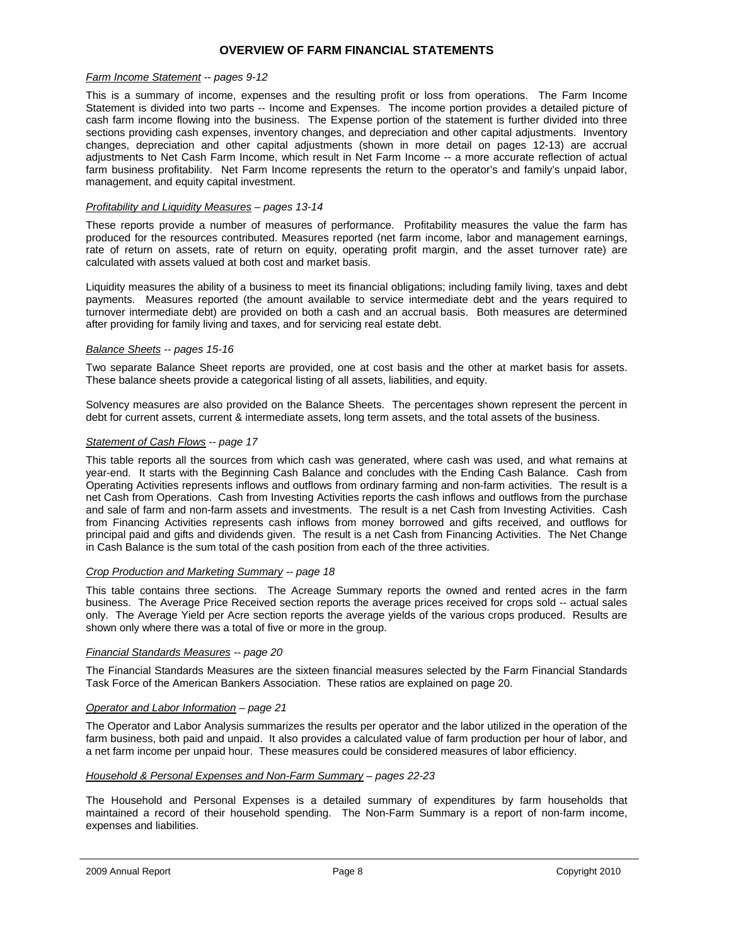# **OVERVIEW OF FARM FINANCIAL STATEMENTS**

#### *Farm Income Statement -- pages 9-12*

This is a summary of income, expenses and the resulting profit or loss from operations. The Farm Income Statement is divided into two parts -- Income and Expenses. The income portion provides a detailed picture of cash farm income flowing into the business. The Expense portion of the statement is further divided into three sections providing cash expenses, inventory changes, and depreciation and other capital adjustments. Inventory changes, depreciation and other capital adjustments (shown in more detail on pages 12-13) are accrual adjustments to Net Cash Farm Income, which result in Net Farm Income -- a more accurate reflection of actual farm business profitability. Net Farm Income represents the return to the operator's and family's unpaid labor, management, and equity capital investment.

#### *Profitability and Liquidity Measures – pages 13-14*

These reports provide a number of measures of performance. Profitability measures the value the farm has produced for the resources contributed. Measures reported (net farm income, labor and management earnings, rate of return on assets, rate of return on equity, operating profit margin, and the asset turnover rate) are calculated with assets valued at both cost and market basis.

Liquidity measures the ability of a business to meet its financial obligations; including family living, taxes and debt payments. Measures reported (the amount available to service intermediate debt and the years required to turnover intermediate debt) are provided on both a cash and an accrual basis. Both measures are determined after providing for family living and taxes, and for servicing real estate debt.

#### *Balance Sheets -- pages 15-16*

Two separate Balance Sheet reports are provided, one at cost basis and the other at market basis for assets. These balance sheets provide a categorical listing of all assets, liabilities, and equity.

Solvency measures are also provided on the Balance Sheets. The percentages shown represent the percent in debt for current assets, current & intermediate assets, long term assets, and the total assets of the business.

#### *Statement of Cash Flows -- page 17*

This table reports all the sources from which cash was generated, where cash was used, and what remains at year-end. It starts with the Beginning Cash Balance and concludes with the Ending Cash Balance. Cash from Operating Activities represents inflows and outflows from ordinary farming and non-farm activities. The result is a net Cash from Operations. Cash from Investing Activities reports the cash inflows and outflows from the purchase and sale of farm and non-farm assets and investments. The result is a net Cash from Investing Activities. Cash from Financing Activities represents cash inflows from money borrowed and gifts received, and outflows for principal paid and gifts and dividends given. The result is a net Cash from Financing Activities. The Net Change in Cash Balance is the sum total of the cash position from each of the three activities.

#### *Crop Production and Marketing Summary -- page 18*

This table contains three sections. The Acreage Summary reports the owned and rented acres in the farm business. The Average Price Received section reports the average prices received for crops sold -- actual sales only. The Average Yield per Acre section reports the average yields of the various crops produced. Results are shown only where there was a total of five or more in the group.

#### *Financial Standards Measures -- page 20*

The Financial Standards Measures are the sixteen financial measures selected by the Farm Financial Standards Task Force of the American Bankers Association. These ratios are explained on page 20.

#### *Operator and Labor Information – page 21*

The Operator and Labor Analysis summarizes the results per operator and the labor utilized in the operation of the farm business, both paid and unpaid. It also provides a calculated value of farm production per hour of labor, and a net farm income per unpaid hour. These measures could be considered measures of labor efficiency.

#### *Household & Personal Expenses and Non-Farm Summary – pages 22-23*

The Household and Personal Expenses is a detailed summary of expenditures by farm households that maintained a record of their household spending. The Non-Farm Summary is a report of non-farm income, expenses and liabilities.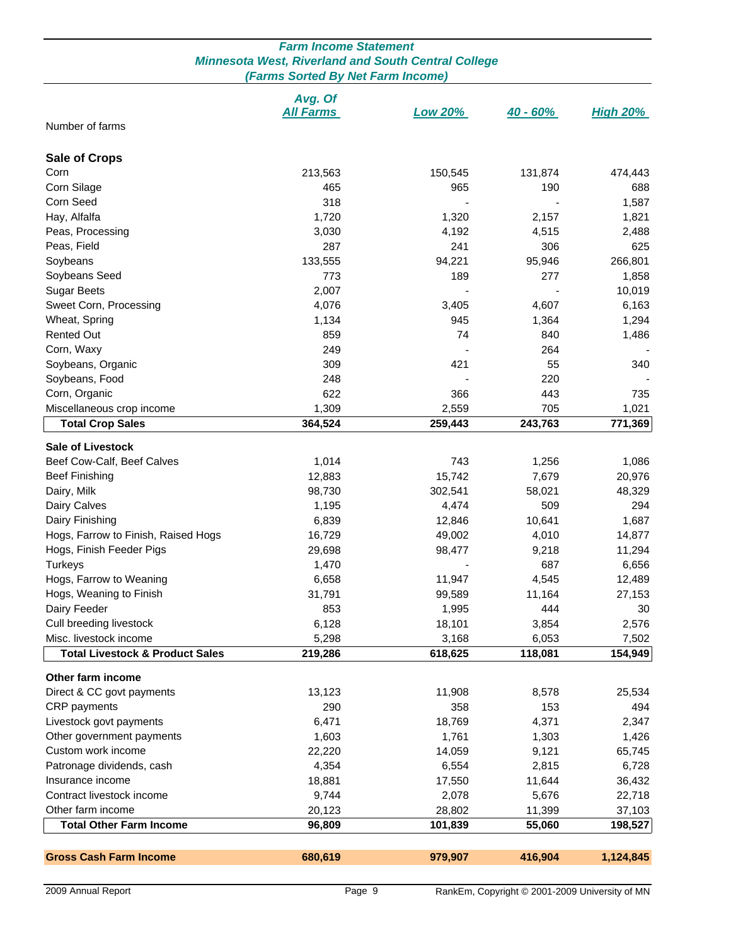# *Farm Income Statement Minnesota West, Riverland and South Central College (Farms Sorted By Net Farm Income)*

|                                            | Avg. Of          |                |            |                 |
|--------------------------------------------|------------------|----------------|------------|-----------------|
| Number of farms                            | <b>All Farms</b> | <b>Low 20%</b> | $40 - 60%$ | <u>High 20%</u> |
|                                            |                  |                |            |                 |
|                                            |                  |                |            |                 |
| <b>Sale of Crops</b>                       |                  |                |            |                 |
| Corn                                       | 213,563          | 150,545        | 131,874    | 474,443         |
| Corn Silage<br>Corn Seed                   | 465<br>318       | 965            | 190        | 688<br>1,587    |
|                                            |                  |                |            |                 |
| Hay, Alfalfa                               | 1,720            | 1,320          | 2,157      | 1,821           |
| Peas, Processing                           | 3,030            | 4,192          | 4,515      | 2,488           |
| Peas, Field                                | 287              | 241            | 306        | 625             |
| Soybeans                                   | 133,555          | 94,221         | 95,946     | 266,801         |
| Soybeans Seed                              | 773              | 189            | 277        | 1,858           |
| <b>Sugar Beets</b>                         | 2,007            |                |            | 10,019          |
| Sweet Corn, Processing                     | 4,076            | 3,405          | 4,607      | 6,163           |
| Wheat, Spring                              | 1,134            | 945            | 1,364      | 1,294           |
| <b>Rented Out</b>                          | 859              | 74             | 840        | 1,486           |
| Corn, Waxy                                 | 249              |                | 264        |                 |
| Soybeans, Organic                          | 309              | 421            | 55         | 340             |
| Soybeans, Food                             | 248              |                | 220        |                 |
| Corn, Organic                              | 622              | 366            | 443        | 735             |
| Miscellaneous crop income                  | 1,309            | 2,559          | 705        | 1,021           |
| <b>Total Crop Sales</b>                    | 364,524          | 259,443        | 243,763    | 771,369         |
|                                            |                  |                |            |                 |
| <b>Sale of Livestock</b>                   |                  |                |            |                 |
| Beef Cow-Calf, Beef Calves                 | 1,014            | 743            | 1,256      | 1,086           |
| <b>Beef Finishing</b>                      | 12,883           | 15,742         | 7,679      | 20,976          |
| Dairy, Milk                                | 98,730           | 302,541        | 58,021     | 48,329          |
| Dairy Calves                               | 1,195            | 4,474          | 509        | 294             |
| Dairy Finishing                            | 6,839            | 12,846         | 10,641     | 1,687           |
| Hogs, Farrow to Finish, Raised Hogs        | 16,729           | 49,002         | 4,010      | 14,877          |
| Hogs, Finish Feeder Pigs                   | 29,698           | 98,477         | 9,218      | 11,294          |
| <b>Turkeys</b>                             | 1,470            |                | 687        | 6,656           |
| Hogs, Farrow to Weaning                    | 6,658            | 11,947         | 4,545      | 12,489          |
| Hogs, Weaning to Finish                    | 31,791           | 99,589         | 11,164     | 27,153          |
| Dairy Feeder                               | 853              | 1,995          | 444        | 30              |
| Cull breeding livestock                    | 6,128            | 18,101         | 3,854      | 2,576           |
| Misc. livestock income                     | 5,298            | 3,168          | 6,053      | 7,502           |
| <b>Total Livestock &amp; Product Sales</b> | 219,286          | 618,625        | 118,081    | 154,949         |
| Other farm income                          |                  |                |            |                 |
| Direct & CC govt payments                  |                  |                |            |                 |
| CRP payments                               | 13,123           | 11,908         | 8,578      | 25,534          |
|                                            | 290              | 358            | 153        | 494             |
| Livestock govt payments                    | 6,471            | 18,769         | 4,371      | 2,347           |
| Other government payments                  | 1,603            | 1,761          | 1,303      | 1,426           |
| Custom work income                         | 22,220           | 14,059         | 9,121      | 65,745          |
| Patronage dividends, cash                  | 4,354            | 6,554          | 2,815      | 6,728           |
| Insurance income                           | 18,881           | 17,550         | 11,644     | 36,432          |
| Contract livestock income                  | 9,744            | 2,078          | 5,676      | 22,718          |
| Other farm income                          | 20,123           | 28,802         | 11,399     | 37,103          |
| <b>Total Other Farm Income</b>             | 96,809           | 101,839        | 55,060     | 198,527         |
|                                            |                  |                |            |                 |
| <b>Gross Cash Farm Income</b>              | 680,619          | 979,907        | 416,904    | 1,124,845       |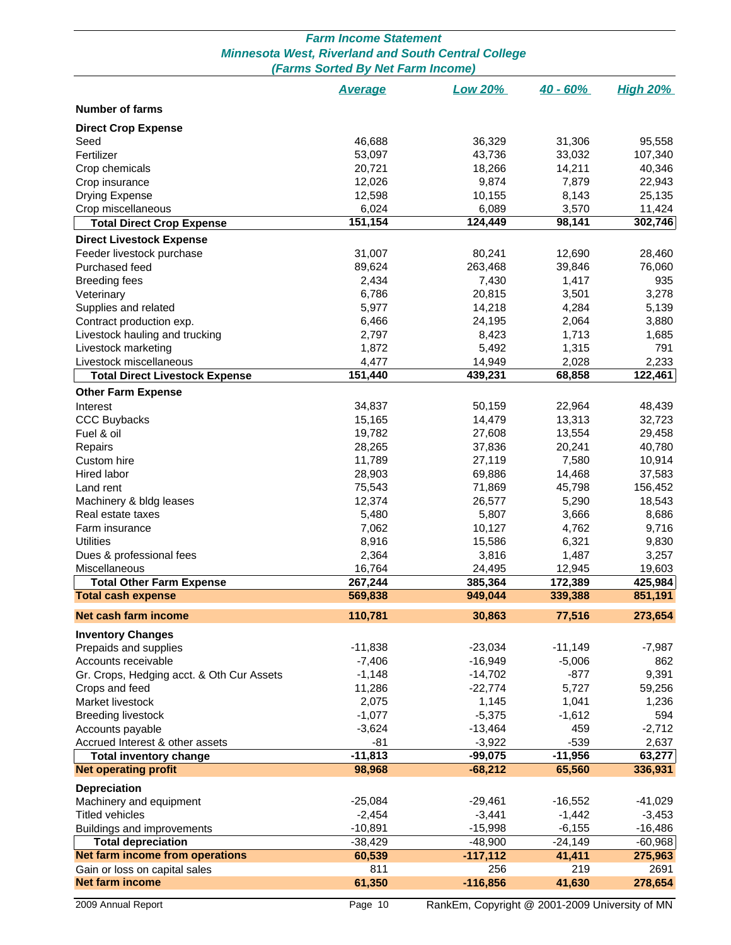| <b>Minnesota West, Riverland and South Central College</b><br>(Farms Sorted By Net Farm Income) |                |                 |                |              |  |  |  |  |  |
|-------------------------------------------------------------------------------------------------|----------------|-----------------|----------------|--------------|--|--|--|--|--|
| <b>Low 20%</b><br>$40 - 60%$<br><b>High 20%</b><br><b>Average</b>                               |                |                 |                |              |  |  |  |  |  |
| <b>Number of farms</b>                                                                          |                |                 |                |              |  |  |  |  |  |
| <b>Direct Crop Expense</b>                                                                      |                |                 |                |              |  |  |  |  |  |
| Seed                                                                                            | 46,688         | 36,329          | 31,306         | 95,558       |  |  |  |  |  |
| Fertilizer                                                                                      | 53,097         | 43,736          | 33,032         | 107,340      |  |  |  |  |  |
| Crop chemicals                                                                                  | 20,721         | 18,266          | 14,211         | 40,346       |  |  |  |  |  |
| Crop insurance                                                                                  | 12,026         | 9,874           | 7,879          | 22,943       |  |  |  |  |  |
| <b>Drying Expense</b>                                                                           | 12,598         | 10,155          | 8,143          | 25,135       |  |  |  |  |  |
| Crop miscellaneous                                                                              | 6,024          | 6,089           | 3,570          | 11,424       |  |  |  |  |  |
| <b>Total Direct Crop Expense</b>                                                                | 151,154        | 124,449         | 98,141         | 302,746      |  |  |  |  |  |
| <b>Direct Livestock Expense</b>                                                                 |                |                 |                |              |  |  |  |  |  |
| Feeder livestock purchase                                                                       | 31,007         | 80,241          | 12,690         | 28,460       |  |  |  |  |  |
| Purchased feed                                                                                  | 89,624         | 263,468         | 39,846         | 76,060       |  |  |  |  |  |
| <b>Breeding fees</b>                                                                            | 2,434          | 7,430           | 1,417          | 935<br>3,278 |  |  |  |  |  |
| Veterinary                                                                                      | 6,786          | 20,815          | 3,501          |              |  |  |  |  |  |
| Supplies and related                                                                            | 5,977<br>6,466 | 14,218          | 4,284<br>2,064 | 5,139        |  |  |  |  |  |
| Contract production exp.                                                                        |                | 24,195<br>8,423 | 1,713          | 3,880        |  |  |  |  |  |
| Livestock hauling and trucking                                                                  | 2,797          |                 |                | 1,685        |  |  |  |  |  |
| Livestock marketing<br>Livestock miscellaneous                                                  | 1,872<br>4,477 | 5,492<br>14,949 | 1,315<br>2,028 | 791<br>2,233 |  |  |  |  |  |
| <b>Total Direct Livestock Expense</b>                                                           | 151,440        | 439,231         | 68,858         | 122,461      |  |  |  |  |  |
| <b>Other Farm Expense</b>                                                                       |                |                 |                |              |  |  |  |  |  |
| Interest                                                                                        | 34,837         | 50,159          | 22,964         | 48,439       |  |  |  |  |  |
| <b>CCC Buybacks</b>                                                                             | 15,165         | 14,479          | 13,313         | 32,723       |  |  |  |  |  |
| Fuel & oil                                                                                      | 19,782         | 27,608          | 13,554         | 29,458       |  |  |  |  |  |
| Repairs                                                                                         | 28,265         | 37,836          | 20,241         | 40,780       |  |  |  |  |  |
| Custom hire                                                                                     | 11,789         | 27,119          | 7,580          | 10,914       |  |  |  |  |  |
| Hired labor                                                                                     | 28,903         | 69,886          | 14,468         | 37,583       |  |  |  |  |  |
| Land rent                                                                                       | 75,543         | 71,869          | 45,798         | 156,452      |  |  |  |  |  |
| Machinery & bldg leases                                                                         | 12,374         | 26,577          | 5,290          | 18,543       |  |  |  |  |  |
| Real estate taxes                                                                               | 5,480          | 5,807           | 3,666          | 8,686        |  |  |  |  |  |
| Farm insurance                                                                                  | 7,062          | 10,127          | 4,762          | 9,716        |  |  |  |  |  |
| <b>Utilities</b>                                                                                | 8,916          | 15,586          | 6,321          | 9,830        |  |  |  |  |  |
| Dues & professional fees                                                                        | 2,364          | 3,816           | 1,487          | 3,257        |  |  |  |  |  |
| Miscellaneous                                                                                   | 16,764         | 24,495          | 12,945         | 19,603       |  |  |  |  |  |
| <b>Total Other Farm Expense</b>                                                                 | 267,244        | 385,364         | 172,389        | 425,984      |  |  |  |  |  |
| <b>Total cash expense</b>                                                                       | 569,838        | 949.044         | 339,388        | 851,191      |  |  |  |  |  |
| Net cash farm income                                                                            | 110,781        | 30,863          | 77,516         | 273,654      |  |  |  |  |  |
| <b>Inventory Changes</b>                                                                        |                |                 |                |              |  |  |  |  |  |
| Prepaids and supplies                                                                           | $-11,838$      | $-23,034$       | $-11,149$      | $-7,987$     |  |  |  |  |  |
| Accounts receivable                                                                             | $-7,406$       | $-16,949$       | $-5,006$       | 862          |  |  |  |  |  |
| Gr. Crops, Hedging acct. & Oth Cur Assets                                                       | $-1,148$       | $-14,702$       | $-877$         | 9,391        |  |  |  |  |  |
| Crops and feed                                                                                  | 11,286         | $-22,774$       | 5,727          | 59,256       |  |  |  |  |  |
| Market livestock                                                                                | 2,075          | 1,145           | 1,041          | 1,236        |  |  |  |  |  |
| <b>Breeding livestock</b>                                                                       | $-1,077$       | $-5,375$        | $-1,612$       | 594          |  |  |  |  |  |
| Accounts payable                                                                                | $-3,624$       | $-13,464$       | 459            | $-2,712$     |  |  |  |  |  |
| Accrued Interest & other assets                                                                 | $-81$          | $-3,922$        | $-539$         | 2,637        |  |  |  |  |  |
| <b>Total inventory change</b>                                                                   | $-11,813$      | $-99,075$       | $-11,956$      | 63,277       |  |  |  |  |  |
| <b>Net operating profit</b>                                                                     | 98,968         | $-68,212$       | 65,560         | 336,931      |  |  |  |  |  |
| Depreciation                                                                                    |                |                 |                |              |  |  |  |  |  |
| Machinery and equipment                                                                         | $-25,084$      | $-29,461$       | $-16,552$      | $-41,029$    |  |  |  |  |  |
| <b>Titled vehicles</b>                                                                          | $-2,454$       | $-3,441$        | $-1,442$       | $-3,453$     |  |  |  |  |  |
| Buildings and improvements                                                                      | $-10,891$      | $-15,998$       | $-6,155$       | $-16,486$    |  |  |  |  |  |
| <b>Total depreciation</b>                                                                       | $-38,429$      | $-48,900$       | $-24,149$      | $-60,968$    |  |  |  |  |  |
| Net farm income from operations                                                                 | 60,539         | $-117,112$      | 41,411         | 275,963      |  |  |  |  |  |
| Gain or loss on capital sales                                                                   | 811            | 256             | 219            | 2691         |  |  |  |  |  |
| <b>Net farm income</b>                                                                          | 61,350         | $-116,856$      | 41,630         | 278,654      |  |  |  |  |  |

# *Farm Income Statement*

2009 Annual Report **Page 10** Page 10 RankEm, Copyright @ 2001-2009 University of MN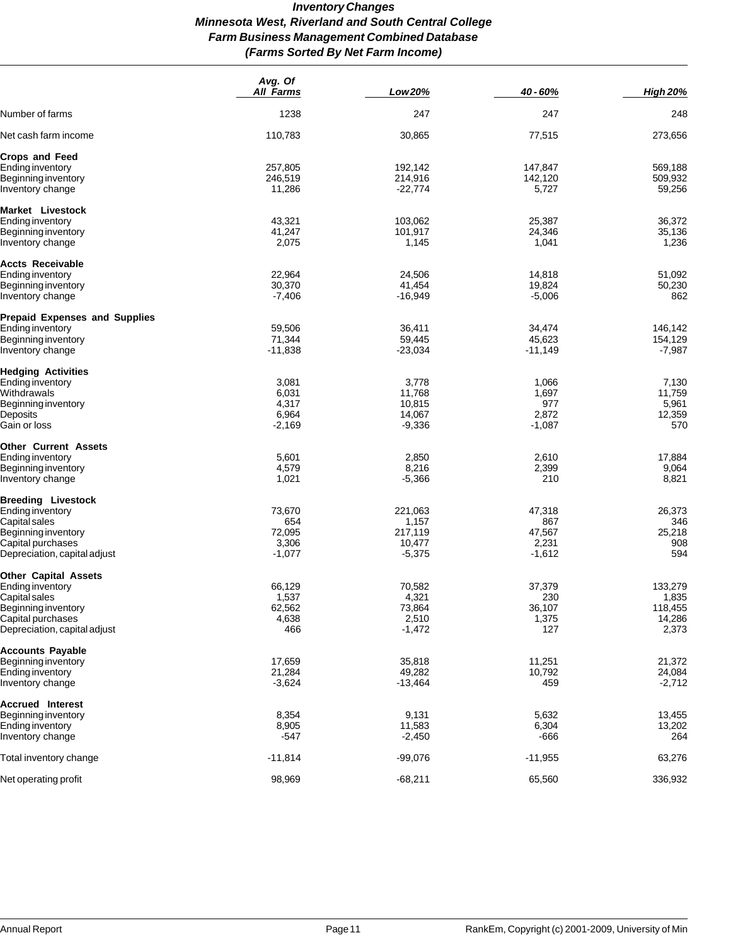# *Inventory Changes Minnesota West, Riverland and South Central College Farm Business Management Combined Database (Farms Sorted By Net Farm Income)*

|                                      | Avg. Of<br><b>All Farms</b> | Low 20%   | 40 - 60%  | <b>High 20%</b> |
|--------------------------------------|-----------------------------|-----------|-----------|-----------------|
| Number of farms                      | 1238                        | 247       | 247       | 248             |
| Net cash farm income                 | 110,783                     | 30,865    | 77,515    | 273,656         |
| Crops and Feed                       |                             |           |           |                 |
| Ending inventory                     | 257,805                     | 192,142   | 147,847   | 569,188         |
| Beginning inventory                  | 246,519                     | 214,916   | 142,120   | 509,932         |
| Inventory change                     | 11,286                      | $-22,774$ | 5,727     | 59,256          |
| Market Livestock                     |                             |           |           |                 |
| Ending inventory                     | 43,321                      | 103,062   | 25,387    | 36,372          |
| Beginning inventory                  | 41,247                      | 101,917   | 24,346    | 35,136          |
| Inventory change                     | 2,075                       | 1,145     | 1,041     | 1,236           |
| Accts Receivable                     |                             |           |           |                 |
| Ending inventory                     | 22,964                      | 24,506    | 14,818    | 51,092          |
| Beginning inventory                  | 30,370                      | 41,454    | 19,824    | 50,230          |
| Inventory change                     | $-7,406$                    | -16,949   | $-5,006$  | 862             |
| <b>Prepaid Expenses and Supplies</b> |                             |           |           |                 |
| Ending inventory                     | 59,506                      | 36,411    | 34,474    | 146,142         |
| Beginning inventory                  | 71,344                      | 59,445    | 45,623    | 154,129         |
| Inventory change                     | $-11,838$                   | $-23,034$ | $-11,149$ | $-7,987$        |
| <b>Hedging Activities</b>            |                             |           |           |                 |
| Ending inventory                     | 3,081                       | 3,778     | 1,066     | 7,130           |
| Withdrawals                          | 6,031                       | 11,768    | 1,697     | 11,759          |
| Beginning inventory                  | 4,317                       | 10,815    | 977       | 5,961           |
| Deposits                             | 6,964                       | 14,067    | 2,872     | 12,359          |
| Gain or loss                         | $-2,169$                    | $-9,336$  | $-1,087$  | 570             |
| Other Current Assets                 |                             |           |           |                 |
| Ending inventory                     | 5,601                       | 2,850     | 2,610     | 17,884          |
| Beginning inventory                  | 4,579                       | 8,216     | 2,399     | 9,064           |
| Inventory change                     | 1,021                       | $-5,366$  | 210       | 8,821           |
| <b>Breeding Livestock</b>            |                             |           |           |                 |
| <b>Ending inventory</b>              | 73,670                      | 221,063   | 47,318    | 26,373          |
| Capital sales                        | 654                         | 1,157     | 867       | 346             |
| Beginning inventory                  | 72,095                      | 217,119   | 47,567    | 25,218          |
| Capital purchases                    | 3,306                       | 10,477    | 2,231     | 908             |
| Depreciation, capital adjust         | $-1,077$                    | $-5,375$  | $-1,612$  | 594             |
| <b>Other Capital Assets</b>          |                             |           |           |                 |
| Ending inventory                     | 66,129                      | 70,582    | 37,379    | 133,279         |
| Capital sales                        | 1,537                       | 4,321     | 230       | 1,835           |
| Beginning inventory                  | 62,562                      | 73,864    | 36,107    | 118,455         |
| Capital purchases                    | 4,638                       | 2,510     | 1,375     | 14,286          |
| Depreciation, capital adjust         | 466                         | $-1,472$  | 127       | 2,373           |
| Accounts Payable                     |                             |           |           |                 |
| Beginning inventory                  | 17,659                      | 35,818    | 11,251    | 21,372          |
| Ending inventory                     | 21,284                      | 49,282    | 10,792    | 24,084          |
| Inventory change                     | $-3,624$                    | -13,464   | 459       | $-2,712$        |
| <b>Accrued Interest</b>              |                             |           |           |                 |
| Beginning inventory                  | 8,354                       | 9,131     | 5,632     | 13,455          |
| Ending inventory                     | 8,905                       | 11,583    | 6,304     | 13,202          |
| Inventory change                     | -547                        | $-2,450$  | -666      | 264             |
| Total inventory change               | $-11,814$                   | $-99,076$ | $-11,955$ | 63,276          |
| Net operating profit                 | 98,969                      | $-68,211$ | 65,560    | 336,932         |
|                                      |                             |           |           |                 |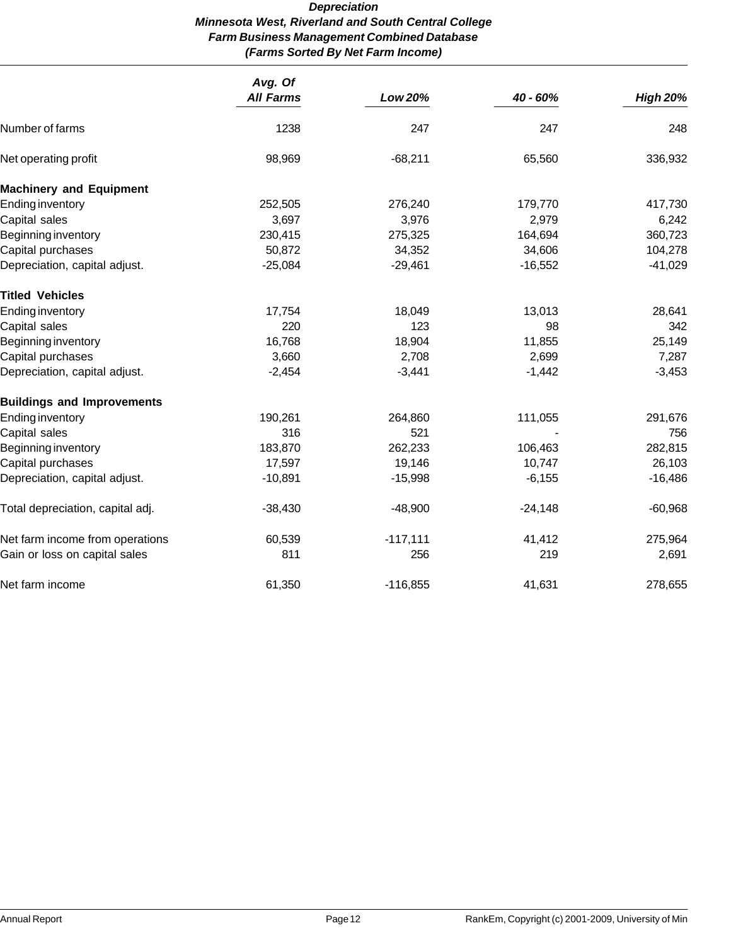# *Depreciation Minnesota West, Riverland and South Central College Farm Business Management Combined Database (Farms Sorted By Net Farm Income)*

|                                   | Avg. Of<br><b>All Farms</b> | <b>Low 20%</b> | 40 - 60%  | <b>High 20%</b> |
|-----------------------------------|-----------------------------|----------------|-----------|-----------------|
| Number of farms                   | 1238                        | 247            | 247       | 248             |
| Net operating profit              | 98,969                      | $-68,211$      | 65,560    | 336,932         |
| <b>Machinery and Equipment</b>    |                             |                |           |                 |
| <b>Ending inventory</b>           | 252,505                     | 276,240        | 179,770   | 417,730         |
| Capital sales                     | 3,697                       | 3,976          | 2,979     | 6,242           |
| Beginning inventory               | 230,415                     | 275,325        | 164,694   | 360,723         |
| Capital purchases                 | 50,872                      | 34,352         | 34,606    | 104,278         |
| Depreciation, capital adjust.     | $-25,084$                   | $-29,461$      | $-16,552$ | $-41,029$       |
| <b>Titled Vehicles</b>            |                             |                |           |                 |
| <b>Ending inventory</b>           | 17,754                      | 18,049         | 13,013    | 28,641          |
| Capital sales                     | 220                         | 123            | 98        | 342             |
| Beginning inventory               | 16,768                      | 18,904         | 11,855    | 25,149          |
| Capital purchases                 | 3,660                       | 2,708          | 2,699     | 7,287           |
| Depreciation, capital adjust.     | $-2,454$                    | $-3,441$       | $-1,442$  | $-3,453$        |
| <b>Buildings and Improvements</b> |                             |                |           |                 |
| <b>Ending inventory</b>           | 190,261                     | 264,860        | 111,055   | 291,676         |
| Capital sales                     | 316                         | 521            |           | 756             |
| Beginning inventory               | 183,870                     | 262,233        | 106,463   | 282,815         |
| Capital purchases                 | 17,597                      | 19,146         | 10,747    | 26,103          |
| Depreciation, capital adjust.     | $-10,891$                   | $-15,998$      | $-6,155$  | $-16,486$       |
| Total depreciation, capital adj.  | $-38,430$                   | $-48,900$      | $-24,148$ | $-60,968$       |
| Net farm income from operations   | 60,539                      | $-117,111$     | 41,412    | 275,964         |
| Gain or loss on capital sales     | 811                         | 256            | 219       | 2,691           |
| Net farm income                   | 61,350                      | $-116,855$     | 41,631    | 278,655         |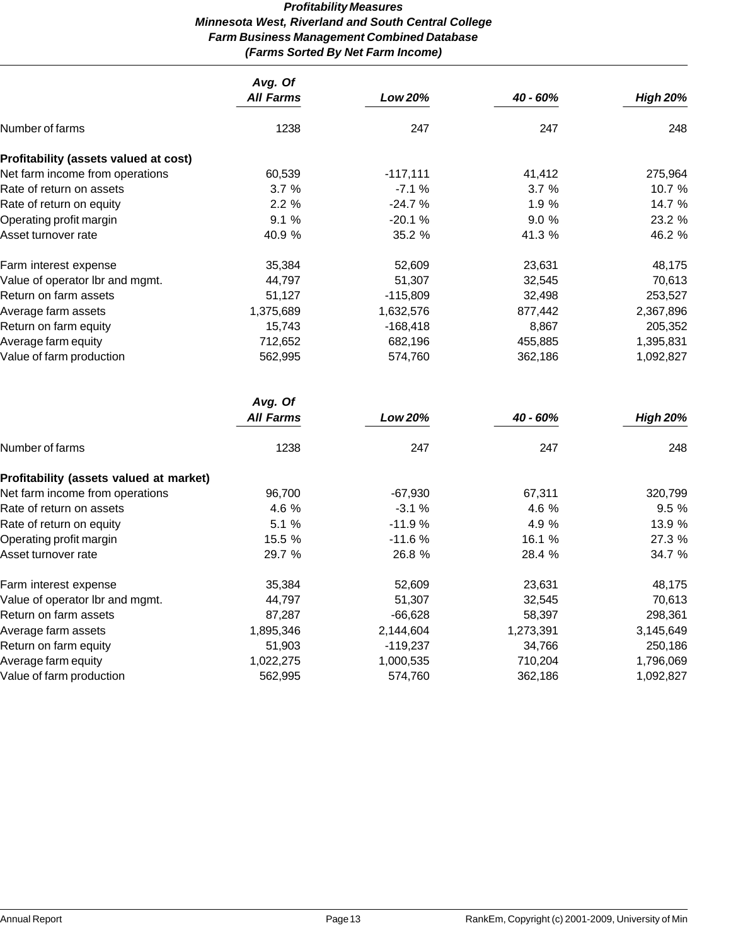# *Profitability Measures Minnesota West, Riverland and South Central College Farm Business Management Combined Database (Farms Sorted By Net Farm Income)*

|                                         | Avg. Of<br><b>All Farms</b> | Low 20%    | 40 - 60%                                                                                                                                              | <b>High 20%</b> |
|-----------------------------------------|-----------------------------|------------|-------------------------------------------------------------------------------------------------------------------------------------------------------|-----------------|
| Number of farms                         | 1238                        | 247        | 247                                                                                                                                                   | 248             |
| Profitability (assets valued at cost)   |                             |            |                                                                                                                                                       |                 |
| Net farm income from operations         | 60,539                      | $-117,111$ | 41,412                                                                                                                                                | 275,964         |
| Rate of return on assets                | 3.7%                        | $-7.1%$    | 3.7%                                                                                                                                                  | 10.7 %          |
| Rate of return on equity                | 2.2%                        | $-24.7%$   | 1.9 %                                                                                                                                                 | 14.7 %          |
| Operating profit margin                 | 9.1%                        | $-20.1%$   | 9.0%                                                                                                                                                  | 23.2 %          |
| Asset turnover rate                     | 40.9%                       | 35.2 %     | 41.3 %                                                                                                                                                | 46.2 %          |
| Farm interest expense                   | 35,384                      | 52,609     | 23,631                                                                                                                                                | 48,175          |
| Value of operator lbr and mgmt.         | 44,797                      | 51,307     | 32,545                                                                                                                                                | 70,613          |
| Return on farm assets                   | 51,127                      | $-115,809$ | 32,498                                                                                                                                                | 253,527         |
| Average farm assets                     | 1,375,689                   | 1,632,576  | 877,442                                                                                                                                               | 2,367,896       |
| Return on farm equity                   | 15,743                      | $-168,418$ | 8,867                                                                                                                                                 | 205,352         |
| Average farm equity                     | 712,652                     | 682,196    | 455,885                                                                                                                                               | 1,395,831       |
| Value of farm production                | 562,995                     | 574,760    | 362,186<br>40 - 60%<br>247<br>67,311<br>4.6 %<br>4.9 %<br>16.1 %<br>28.4 %<br>23,631<br>32,545<br>58,397<br>1,273,391<br>34,766<br>710,204<br>362,186 | 1,092,827       |
|                                         | Avg. Of                     |            |                                                                                                                                                       |                 |
|                                         | <b>All Farms</b>            | Low 20%    |                                                                                                                                                       | <b>High 20%</b> |
| Number of farms                         | 1238                        | 247        |                                                                                                                                                       | 248             |
| Profitability (assets valued at market) |                             |            |                                                                                                                                                       |                 |
| Net farm income from operations         | 96,700                      | $-67,930$  |                                                                                                                                                       | 320,799         |
| Rate of return on assets                | 4.6 %                       | $-3.1%$    |                                                                                                                                                       | 9.5 %           |
| Rate of return on equity                | 5.1 %                       | $-11.9%$   |                                                                                                                                                       | 13.9 %          |
| Operating profit margin                 | 15.5 %                      | $-11.6%$   |                                                                                                                                                       | 27.3 %          |
| Asset turnover rate                     | 29.7 %                      | 26.8 %     |                                                                                                                                                       | 34.7 %          |
| Farm interest expense                   | 35,384                      | 52,609     |                                                                                                                                                       | 48,175          |
| Value of operator Ibr and mgmt.         | 44,797                      | 51,307     |                                                                                                                                                       | 70,613          |
| Return on farm assets                   | 87,287                      | $-66,628$  |                                                                                                                                                       | 298,361         |
| Average farm assets                     | 1,895,346                   | 2,144,604  |                                                                                                                                                       | 3,145,649       |
| Return on farm equity                   | 51,903                      | $-119,237$ |                                                                                                                                                       | 250,186         |
| Average farm equity                     | 1,022,275                   | 1,000,535  |                                                                                                                                                       | 1,796,069       |
| Value of farm production                | 562,995                     | 574,760    |                                                                                                                                                       | 1,092,827       |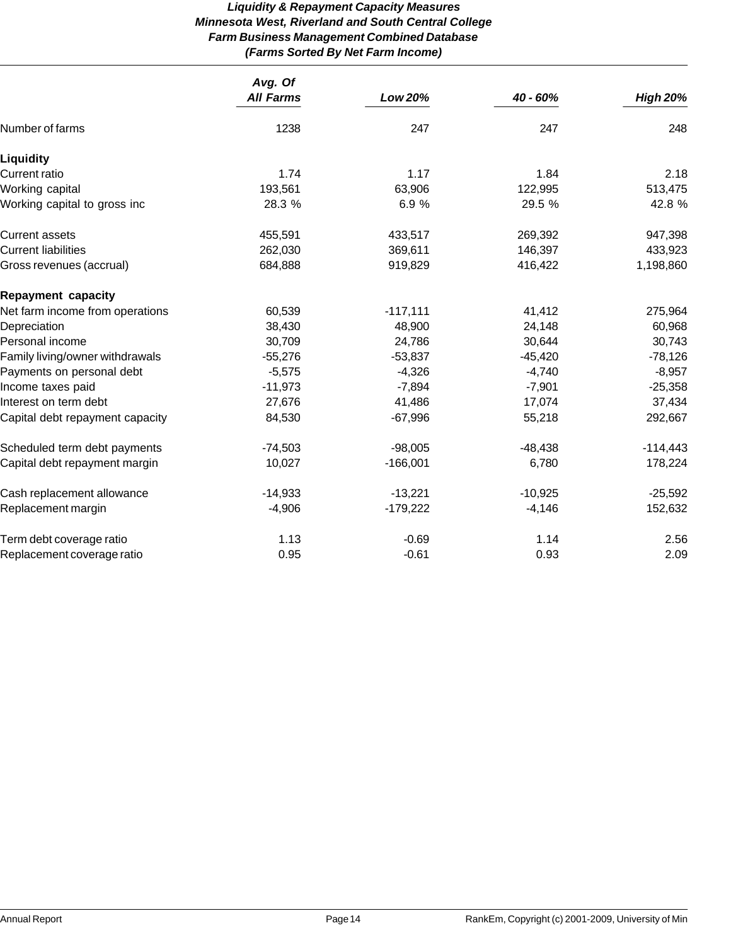# *Liquidity & Repayment Capacity Measures Minnesota West, Riverland and South Central College Farm Business Management Combined Database (Farms Sorted By Net Farm Income)*

|                                 | Avg. Of          |                |           |                 |  |
|---------------------------------|------------------|----------------|-----------|-----------------|--|
|                                 | <b>All Farms</b> | <b>Low 20%</b> | 40 - 60%  | <b>High 20%</b> |  |
| Number of farms                 | 1238             | 247            | 247       | 248             |  |
| Liquidity                       |                  |                |           |                 |  |
| <b>Current ratio</b>            | 1.74             | 1.17           | 1.84      | 2.18            |  |
| Working capital                 | 193,561          | 63,906         | 122,995   | 513,475         |  |
| Working capital to gross inc    | 28.3 %           | 6.9%           | 29.5 %    | 42.8 %          |  |
| <b>Current assets</b>           | 455,591          | 433,517        | 269,392   | 947,398         |  |
| <b>Current liabilities</b>      | 262,030          | 369,611        | 146,397   | 433,923         |  |
| Gross revenues (accrual)        | 684,888          | 919,829        | 416,422   | 1,198,860       |  |
| <b>Repayment capacity</b>       |                  |                |           |                 |  |
| Net farm income from operations | 60,539           | $-117,111$     | 41,412    | 275,964         |  |
| Depreciation                    | 38,430           | 48,900         | 24,148    | 60,968          |  |
| Personal income                 | 30,709           | 24,786         | 30,644    | 30,743          |  |
| Family living/owner withdrawals | $-55,276$        | $-53,837$      | $-45,420$ | $-78,126$       |  |
| Payments on personal debt       | $-5,575$         | $-4,326$       | $-4,740$  | $-8,957$        |  |
| Income taxes paid               | $-11,973$        | $-7,894$       | $-7,901$  | $-25,358$       |  |
| Interest on term debt           | 27,676           | 41,486         | 17,074    | 37,434          |  |
| Capital debt repayment capacity | 84,530           | $-67,996$      | 55,218    | 292,667         |  |
| Scheduled term debt payments    | $-74,503$        | $-98,005$      | $-48,438$ | $-114,443$      |  |
| Capital debt repayment margin   | 10,027           | $-166,001$     | 6,780     | 178,224         |  |
| Cash replacement allowance      | $-14,933$        | $-13,221$      | $-10,925$ | $-25,592$       |  |
| Replacement margin              | $-4,906$         | $-179,222$     | $-4,146$  | 152,632         |  |
| Term debt coverage ratio        | 1.13             | $-0.69$        | 1.14      | 2.56            |  |
| Replacement coverage ratio      | 0.95             | $-0.61$        | 0.93      | 2.09            |  |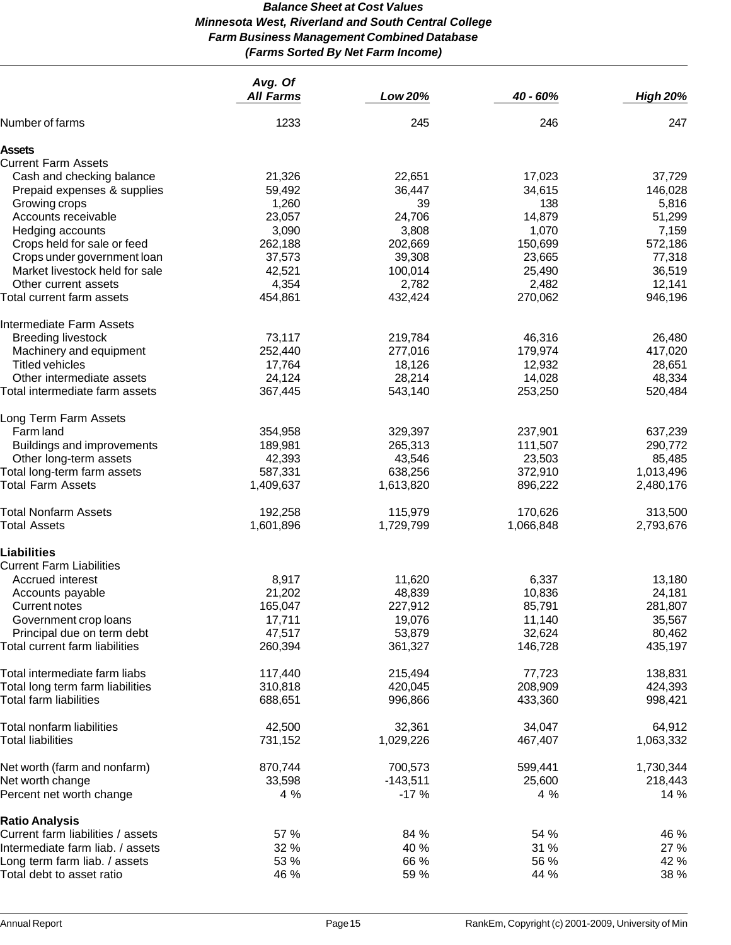# *Balance Sheet at Cost Values Minnesota West, Riverland and South Central College Farm Business Management Combined Database (Farms Sorted By Net Farm Income)*

|                                   | Avg. Of<br><b>All Farms</b> | Low 20%    | 40 - 60%  | <b>High 20%</b> |
|-----------------------------------|-----------------------------|------------|-----------|-----------------|
| Number of farms                   | 1233                        | 245        | 246       | 247             |
|                                   |                             |            |           |                 |
| Assets                            |                             |            |           |                 |
| <b>Current Farm Assets</b>        |                             |            |           |                 |
| Cash and checking balance         | 21,326                      | 22,651     | 17,023    | 37,729          |
| Prepaid expenses & supplies       | 59,492                      | 36,447     | 34,615    | 146,028         |
| Growing crops                     | 1,260                       | 39         | 138       | 5,816           |
| Accounts receivable               | 23,057                      | 24,706     | 14,879    | 51,299          |
| Hedging accounts                  | 3,090                       | 3,808      | 1,070     | 7,159           |
| Crops held for sale or feed       | 262,188                     | 202,669    | 150,699   | 572,186         |
| Crops under government loan       | 37,573                      | 39,308     | 23,665    | 77,318          |
| Market livestock held for sale    | 42,521                      | 100,014    | 25,490    | 36,519          |
| Other current assets              | 4,354                       | 2,782      | 2,482     | 12,141          |
| Total current farm assets         | 454,861                     | 432,424    | 270,062   | 946,196         |
| Intermediate Farm Assets          |                             |            |           |                 |
| <b>Breeding livestock</b>         | 73,117                      | 219,784    | 46,316    | 26,480          |
| Machinery and equipment           | 252,440                     | 277,016    | 179,974   | 417,020         |
| <b>Titled vehicles</b>            | 17,764                      | 18,126     | 12,932    | 28,651          |
| Other intermediate assets         | 24,124                      | 28,214     | 14,028    | 48,334          |
| Total intermediate farm assets    | 367,445                     | 543,140    | 253,250   | 520,484         |
|                                   |                             |            |           |                 |
| Long Term Farm Assets             |                             |            |           |                 |
| Farm land                         | 354,958                     | 329,397    | 237,901   | 637,239         |
| Buildings and improvements        | 189,981                     | 265,313    | 111,507   | 290,772         |
| Other long-term assets            | 42,393                      | 43,546     | 23,503    | 85,485          |
| Total long-term farm assets       | 587,331                     | 638,256    | 372,910   | 1,013,496       |
| <b>Total Farm Assets</b>          | 1,409,637                   | 1,613,820  | 896,222   | 2,480,176       |
| Total Nonfarm Assets              | 192,258                     | 115,979    | 170,626   | 313,500         |
| <b>Total Assets</b>               | 1,601,896                   | 1,729,799  | 1,066,848 | 2,793,676       |
| <b>Liabilities</b>                |                             |            |           |                 |
| <b>Current Farm Liabilities</b>   |                             |            |           |                 |
| Accrued interest                  | 8,917                       | 11,620     | 6,337     | 13,180          |
| Accounts payable                  | 21,202                      | 48,839     | 10,836    | 24,181          |
| Current notes                     | 165,047                     | 227,912    | 85,791    | 281,807         |
| Government crop loans             | 17,711                      | 19,076     | 11,140    | 35,567          |
| Principal due on term debt        | 47,517                      | 53,879     | 32,624    | 80,462          |
| Total current farm liabilities    | 260,394                     | 361,327    | 146,728   | 435,197         |
|                                   |                             |            |           |                 |
| Total intermediate farm liabs     | 117,440                     | 215,494    | 77,723    | 138,831         |
| Total long term farm liabilities  | 310,818                     | 420,045    | 208,909   | 424,393         |
| Total farm liabilities            | 688,651                     | 996,866    | 433,360   | 998,421         |
| Total nonfarm liabilities         | 42,500                      | 32,361     | 34,047    | 64,912          |
| <b>Total liabilities</b>          | 731,152                     | 1,029,226  | 467,407   | 1,063,332       |
| Net worth (farm and nonfarm)      | 870,744                     | 700,573    | 599,441   | 1,730,344       |
| Net worth change                  | 33,598                      | $-143,511$ | 25,600    | 218,443         |
| Percent net worth change          | 4 %                         | $-17%$     | 4 %       | 14 %            |
| <b>Ratio Analysis</b>             |                             |            |           |                 |
| Current farm liabilities / assets | 57 %                        | 84 %       | 54 %      | 46 %            |
| Intermediate farm liab. / assets  | 32 %                        | 40 %       | 31 %      | 27 %            |
| Long term farm liab. / assets     | 53 %                        | 66 %       | 56 %      | 42 %            |
| Total debt to asset ratio         | 46 %                        | 59 %       | 44 %      | 38 %            |
|                                   |                             |            |           |                 |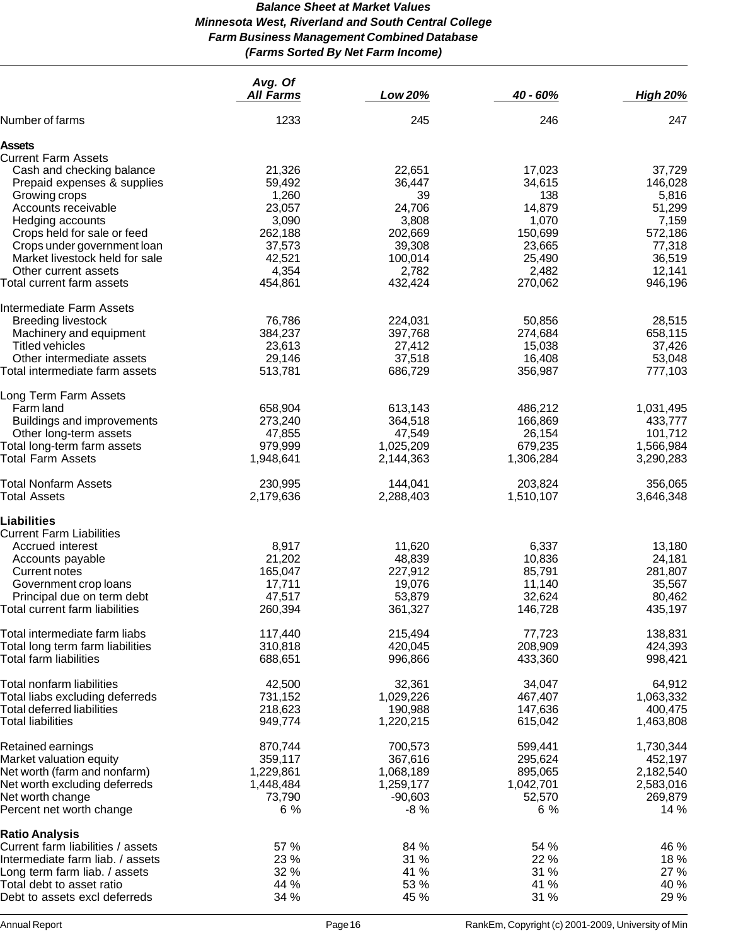# *Balance Sheet at Market Values Minnesota West, Riverland and South Central College Farm Business Management Combined Database (Farms Sorted By Net Farm Income)*

|                                                            | Avg. Of<br><b>All Farms</b> | Low 20%            | 40 - 60%           | <b>High 20%</b>    |
|------------------------------------------------------------|-----------------------------|--------------------|--------------------|--------------------|
| Number of farms                                            | 1233                        | 245                | 246                | 247                |
| Assets                                                     |                             |                    |                    |                    |
| <b>Current Farm Assets</b>                                 |                             |                    |                    |                    |
| Cash and checking balance                                  | 21,326                      | 22,651             | 17,023             | 37,729             |
| Prepaid expenses & supplies                                | 59,492                      | 36,447             | 34,615             | 146,028            |
| Growing crops                                              | 1,260                       | 39                 | 138                | 5,816              |
| Accounts receivable                                        | 23,057                      | 24,706             | 14,879             | 51,299             |
| Hedging accounts                                           | 3,090                       | 3,808              | 1,070              | 7,159              |
| Crops held for sale or feed                                | 262,188                     | 202,669            | 150,699            | 572,186            |
| Crops under government loan                                | 37,573                      | 39,308             | 23,665             | 77,318             |
| Market livestock held for sale                             | 42,521                      | 100,014            | 25,490             | 36,519             |
| Other current assets                                       | 4,354                       | 2,782              | 2,482              | 12,141             |
| Total current farm assets                                  | 454,861                     | 432,424            | 270,062            | 946,196            |
| Intermediate Farm Assets                                   |                             |                    |                    |                    |
| <b>Breeding livestock</b>                                  | 76,786                      | 224,031            | 50,856             | 28,515             |
| Machinery and equipment                                    | 384,237                     | 397,768            | 274,684            | 658,115            |
| Titled vehicles                                            | 23,613                      | 27,412             | 15,038             | 37,426             |
| Other intermediate assets                                  | 29,146                      | 37,518             | 16,408             | 53,048             |
| Total intermediate farm assets                             | 513,781                     | 686,729            | 356,987            | 777,103            |
| Long Term Farm Assets                                      |                             |                    |                    |                    |
| Farm land                                                  | 658,904                     | 613,143            | 486,212            | 1,031,495          |
| <b>Buildings and improvements</b>                          | 273,240                     | 364,518            | 166,869            | 433,777            |
| Other long-term assets                                     | 47,855                      | 47,549             | 26,154             | 101,712            |
| Total long-term farm assets                                | 979,999                     | 1,025,209          | 679,235            | 1,566,984          |
| Total Farm Assets                                          | 1,948,641                   | 2,144,363          | 1,306,284          | 3,290,283          |
| <b>Total Nonfarm Assets</b>                                | 230,995                     | 144,041            | 203,824            | 356,065            |
| <b>Total Assets</b>                                        | 2,179,636                   | 2,288,403          | 1,510,107          | 3,646,348          |
| Liabilities                                                |                             |                    |                    |                    |
| <b>Current Farm Liabilities</b>                            |                             |                    |                    |                    |
| Accrued interest                                           | 8,917                       | 11,620             | 6,337              | 13,180             |
| Accounts payable                                           | 21,202                      | 48,839             | 10,836             | 24,181             |
| Current notes                                              | 165,047                     | 227,912            | 85,791             | 281,807            |
| Government crop loans                                      | 17,711                      | 19,076             | 11,140             | 35,567             |
| Principal due on term debt                                 | 47,517<br>260,394           | 53,879             | 32,624             | 80,462             |
| Total current farm liabilities                             |                             | 361,327            | 146,728            | 435,197            |
| Total intermediate farm liabs                              | 117,440                     | 215,494            | 77,723             | 138,831            |
| Total long term farm liabilities<br>Total farm liabilities | 310,818<br>688,651          | 420,045<br>996,866 | 208,909<br>433,360 | 424,393<br>998,421 |
|                                                            |                             |                    |                    |                    |
| Total nonfarm liabilities                                  | 42,500                      | 32,361             | 34,047             | 64,912             |
| Total liabs excluding deferreds                            | 731,152                     | 1,029,226          | 467,407            | 1,063,332          |
| Total deferred liabilities                                 | 218,623                     | 190,988            | 147,636            | 400,475            |
| <b>Total liabilities</b>                                   | 949,774                     | 1,220,215          | 615,042            | 1,463,808          |
| Retained earnings                                          | 870,744                     | 700,573            | 599,441            | 1,730,344          |
| Market valuation equity                                    | 359,117                     | 367,616            | 295,624            | 452,197            |
| Net worth (farm and nonfarm)                               | 1,229,861                   | 1,068,189          | 895,065            | 2,182,540          |
| Net worth excluding deferreds                              | 1,448,484                   | 1,259,177          | 1,042,701          | 2,583,016          |
| Net worth change                                           | 73,790                      | $-90,603$          | 52,570             | 269,879            |
| Percent net worth change                                   | 6 %                         | $-8%$              | 6 %                | 14 %               |
| <b>Ratio Analysis</b>                                      |                             |                    |                    |                    |
| Current farm liabilities / assets                          | 57 %                        | 84 %               | 54 %               | 46 %               |
| Intermediate farm liab. / assets                           | 23 %                        | 31 %               | 22 %               | 18 %               |
| Long term farm liab. / assets                              | 32 %                        | 41 %               | 31 %               | 27 %               |
| Total debt to asset ratio                                  | 44 %                        | 53 %               | 41 %               | 40 %               |
| Debt to assets excl deferreds                              | 34 %                        | 45 %               | 31 %               | 29 %               |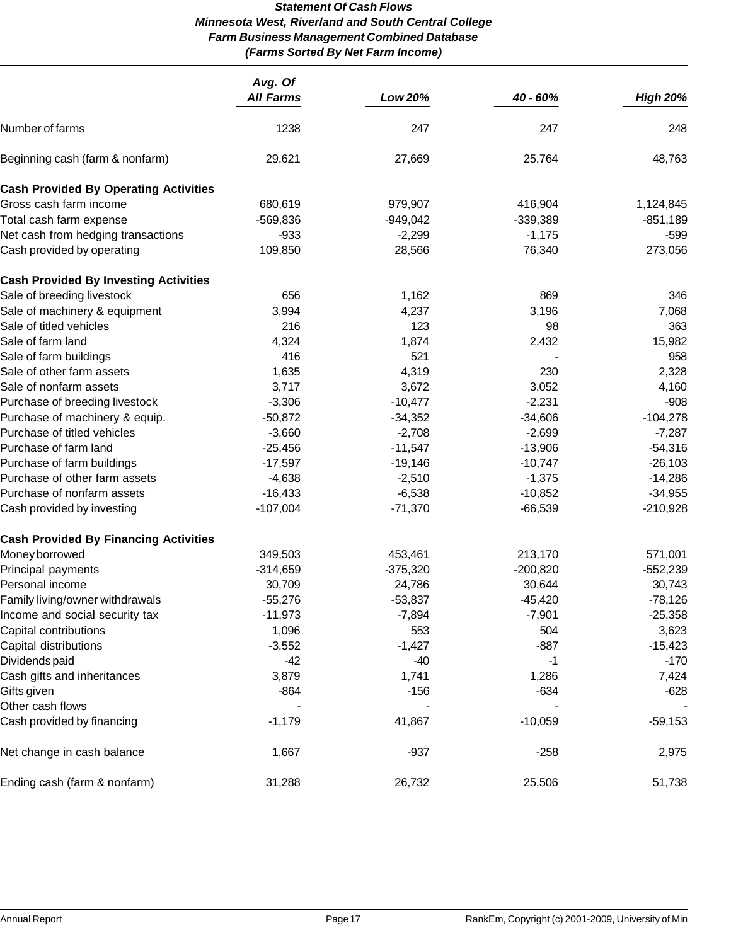# *Statement Of Cash Flows Minnesota West, Riverland and South Central College Farm Business Management Combined Database (Farms Sorted By Net Farm Income)*

|                                              | Avg. Of<br><b>All Farms</b> | Low 20%    | 40 - 60%   | <b>High 20%</b> |
|----------------------------------------------|-----------------------------|------------|------------|-----------------|
|                                              |                             |            |            |                 |
| Number of farms                              | 1238                        | 247        | 247        | 248             |
| Beginning cash (farm & nonfarm)              | 29,621                      | 27,669     | 25,764     | 48,763          |
| <b>Cash Provided By Operating Activities</b> |                             |            |            |                 |
| Gross cash farm income                       | 680,619                     | 979,907    | 416,904    | 1,124,845       |
| Total cash farm expense                      | $-569,836$                  | $-949,042$ | $-339,389$ | $-851,189$      |
| Net cash from hedging transactions           | $-933$                      | $-2,299$   | $-1,175$   | -599            |
| Cash provided by operating                   | 109,850                     | 28,566     | 76,340     | 273,056         |
| <b>Cash Provided By Investing Activities</b> |                             |            |            |                 |
| Sale of breeding livestock                   | 656                         | 1,162      | 869        | 346             |
| Sale of machinery & equipment                | 3,994                       | 4,237      | 3,196      | 7,068           |
| Sale of titled vehicles                      | 216                         | 123        | 98         | 363             |
| Sale of farm land                            | 4,324                       | 1,874      | 2,432      | 15,982          |
| Sale of farm buildings                       | 416                         | 521        |            | 958             |
| Sale of other farm assets                    | 1,635                       | 4,319      | 230        | 2,328           |
| Sale of nonfarm assets                       | 3,717                       | 3,672      | 3,052      | 4,160           |
| Purchase of breeding livestock               | $-3,306$                    | $-10,477$  | $-2,231$   | $-908$          |
| Purchase of machinery & equip.               | $-50,872$                   | $-34,352$  | $-34,606$  | $-104,278$      |
| Purchase of titled vehicles                  | $-3,660$                    | $-2,708$   | $-2,699$   | $-7,287$        |
| Purchase of farm land                        | $-25,456$                   | $-11,547$  | $-13,906$  | $-54,316$       |
| Purchase of farm buildings                   | $-17,597$                   | $-19,146$  | $-10,747$  | $-26,103$       |
| Purchase of other farm assets                | $-4,638$                    | $-2,510$   | $-1,375$   | $-14,286$       |
| Purchase of nonfarm assets                   | $-16,433$                   | $-6,538$   | $-10,852$  | $-34,955$       |
| Cash provided by investing                   | $-107,004$                  | $-71,370$  | $-66,539$  | $-210,928$      |
| <b>Cash Provided By Financing Activities</b> |                             |            |            |                 |
| Money borrowed                               | 349,503                     | 453,461    | 213,170    | 571,001         |
| Principal payments                           | $-314,659$                  | $-375,320$ | $-200,820$ | $-552,239$      |
| Personal income                              | 30,709                      | 24,786     | 30,644     | 30,743          |
| Family living/owner withdrawals              | $-55,276$                   | $-53,837$  | $-45,420$  | $-78,126$       |
| Income and social security tax               | $-11,973$                   | $-7,894$   | $-7,901$   | $-25,358$       |
| Capital contributions                        | 1,096                       | 553        | 504        | 3,623           |
| Capital distributions                        | $-3,552$                    | $-1,427$   | $-887$     | $-15,423$       |
| Dividends paid                               | $-42$                       | $-40$      | $-1$       | $-170$          |
| Cash gifts and inheritances                  | 3,879                       | 1,741      | 1,286      | 7,424           |
| Gifts given                                  | $-864$                      | $-156$     | $-634$     | $-628$          |
| Other cash flows                             |                             |            |            |                 |
| Cash provided by financing                   | $-1,179$                    | 41,867     | $-10,059$  | $-59,153$       |
| Net change in cash balance                   | 1,667                       | $-937$     | $-258$     | 2,975           |
| Ending cash (farm & nonfarm)                 | 31,288                      | 26,732     | 25,506     | 51,738          |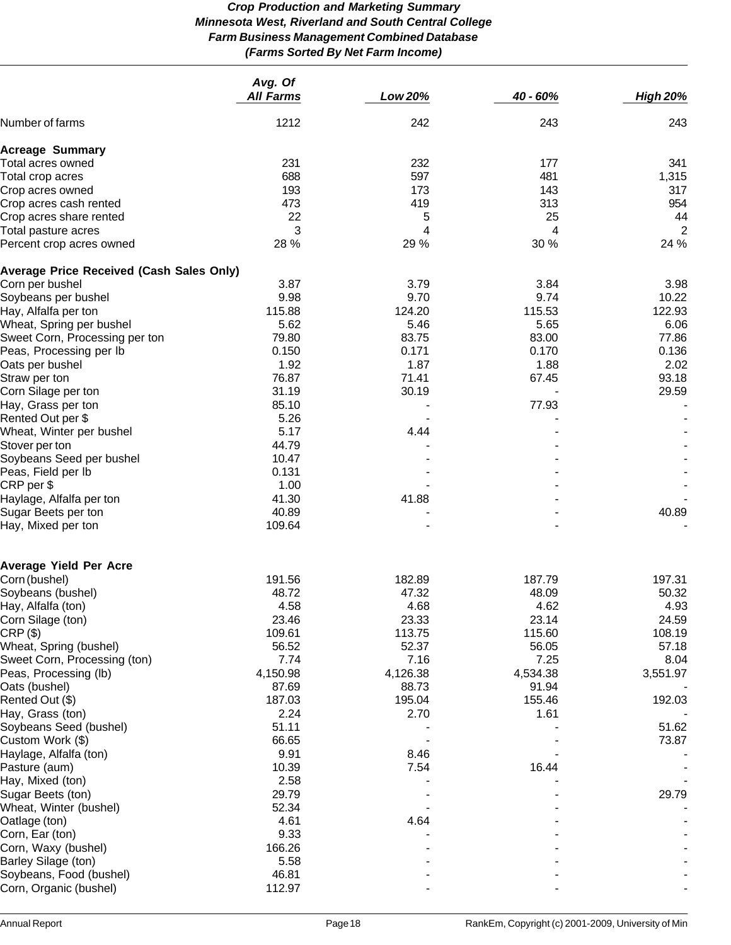# *Crop Production and Marketing Summary Minnesota West, Riverland and South Central College Farm Business Management Combined Database (Farms Sorted By Net Farm Income)*

|                                                 | Avg. Of<br><b>All Farms</b> | Low 20%  | 40 - 60% | <b>High 20%</b> |
|-------------------------------------------------|-----------------------------|----------|----------|-----------------|
| Number of farms                                 | 1212                        | 242      | 243      | 243             |
| <b>Acreage Summary</b>                          |                             |          |          |                 |
| Total acres owned                               | 231                         | 232      | 177      | 341             |
| Total crop acres                                | 688                         | 597      | 481      | 1,315           |
| Crop acres owned                                | 193                         | 173      | 143      | 317             |
| Crop acres cash rented                          | 473                         | 419      | 313      | 954             |
| Crop acres share rented                         | 22                          | 5        | 25       | 44              |
| Total pasture acres                             | 3                           | 4        | 4        | $\overline{2}$  |
| Percent crop acres owned                        | 28 %                        | 29 %     | 30 %     | 24 %            |
| <b>Average Price Received (Cash Sales Only)</b> |                             |          |          |                 |
| Corn per bushel                                 | 3.87                        | 3.79     | 3.84     | 3.98            |
| Soybeans per bushel                             | 9.98                        | 9.70     | 9.74     | 10.22           |
| Hay, Alfalfa per ton                            | 115.88                      | 124.20   | 115.53   | 122.93          |
| Wheat, Spring per bushel                        | 5.62                        | 5.46     | 5.65     | 6.06            |
| Sweet Corn, Processing per ton                  | 79.80                       | 83.75    | 83.00    | 77.86           |
| Peas, Processing per lb                         | 0.150                       | 0.171    | 0.170    | 0.136           |
| Oats per bushel                                 | 1.92                        | 1.87     | 1.88     | 2.02            |
| Straw per ton                                   | 76.87                       | 71.41    | 67.45    | 93.18           |
| Corn Silage per ton                             | 31.19                       | 30.19    |          | 29.59           |
| Hay, Grass per ton                              | 85.10                       |          | 77.93    |                 |
| Rented Out per \$                               | 5.26                        |          |          |                 |
| Wheat, Winter per bushel                        | 5.17                        | 4.44     |          |                 |
| Stover per ton                                  | 44.79                       |          |          |                 |
| Soybeans Seed per bushel                        | 10.47                       |          |          |                 |
| Peas, Field per Ib                              | 0.131                       |          |          |                 |
| CRP per \$                                      | 1.00                        |          |          |                 |
| Haylage, Alfalfa per ton                        | 41.30                       | 41.88    |          |                 |
| Sugar Beets per ton                             | 40.89                       |          |          | 40.89           |
| Hay, Mixed per ton                              | 109.64                      |          |          |                 |
|                                                 |                             |          |          |                 |
| <b>Average Yield Per Acre</b>                   |                             |          |          |                 |
| Corn (bushel)                                   | 191.56                      | 182.89   | 187.79   | 197.31          |
| Soybeans (bushel)                               | 48.72                       | 47.32    | 48.09    | 50.32           |
| Hay, Alfalfa (ton)                              | 4.58                        | 4.68     | 4.62     | 4.93            |
| Corn Silage (ton)                               | 23.46                       | 23.33    | 23.14    | 24.59           |
| CRP(S)                                          | 109.61                      | 113.75   | 115.60   | 108.19          |
| Wheat, Spring (bushel)                          | 56.52                       | 52.37    | 56.05    | 57.18           |
| Sweet Corn, Processing (ton)                    | 7.74                        | 7.16     | 7.25     | 8.04            |
| Peas, Processing (lb)                           | 4,150.98                    | 4,126.38 | 4,534.38 | 3,551.97        |
| Oats (bushel)                                   | 87.69                       | 88.73    | 91.94    |                 |
| Rented Out (\$)                                 | 187.03                      | 195.04   | 155.46   | 192.03          |
| Hay, Grass (ton)                                | 2.24                        | 2.70     | 1.61     |                 |
| Soybeans Seed (bushel)                          | 51.11                       |          |          | 51.62           |
| Custom Work (\$)                                | 66.65                       |          |          | 73.87           |
| Haylage, Alfalfa (ton)                          | 9.91                        | 8.46     |          |                 |
| Pasture (aum)                                   | 10.39                       | 7.54     | 16.44    |                 |
| Hay, Mixed (ton)                                | 2.58                        |          |          |                 |
| Sugar Beets (ton)                               | 29.79                       |          |          | 29.79           |
| Wheat, Winter (bushel)                          | 52.34                       |          |          |                 |
| Oatlage (ton)                                   | 4.61                        | 4.64     |          |                 |
| Corn, Ear (ton)                                 | 9.33                        |          |          |                 |
| Corn, Waxy (bushel)                             | 166.26                      |          |          |                 |
| Barley Silage (ton)                             | 5.58                        |          |          |                 |
| Soybeans, Food (bushel)                         | 46.81                       |          |          |                 |
| Corn, Organic (bushel)                          | 112.97                      |          |          |                 |
|                                                 |                             |          |          |                 |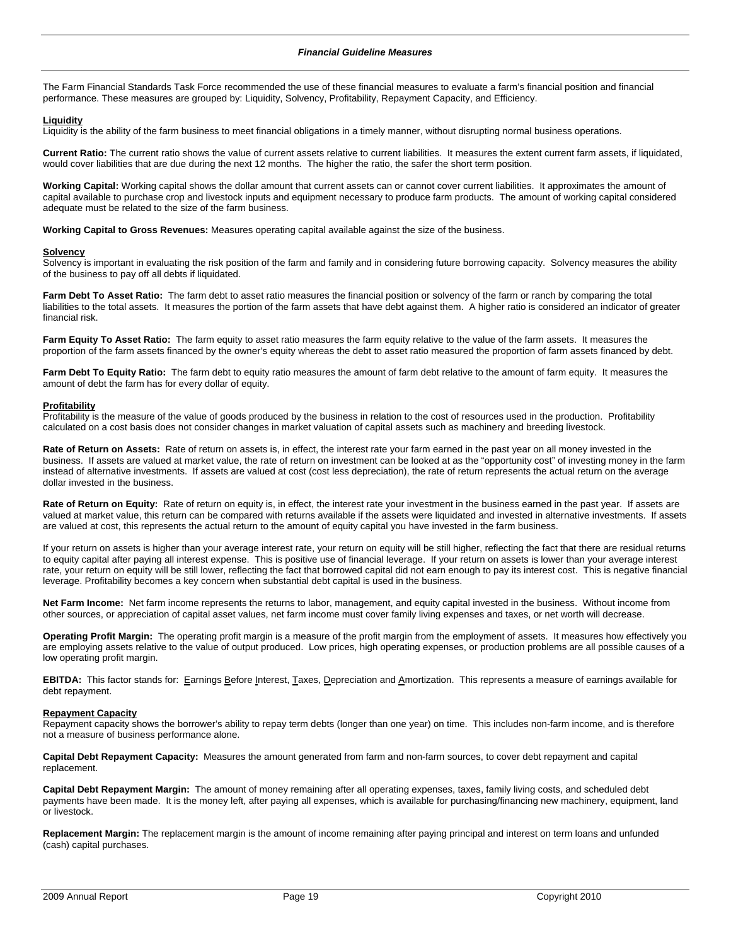The Farm Financial Standards Task Force recommended the use of these financial measures to evaluate a farm's financial position and financial performance. These measures are grouped by: Liquidity, Solvency, Profitability, Repayment Capacity, and Efficiency.

#### **Liquidity**

Liquidity is the ability of the farm business to meet financial obligations in a timely manner, without disrupting normal business operations.

**Current Ratio:** The current ratio shows the value of current assets relative to current liabilities. It measures the extent current farm assets, if liquidated, would cover liabilities that are due during the next 12 months. The higher the ratio, the safer the short term position.

**Working Capital:** Working capital shows the dollar amount that current assets can or cannot cover current liabilities. It approximates the amount of capital available to purchase crop and livestock inputs and equipment necessary to produce farm products. The amount of working capital considered adequate must be related to the size of the farm business.

**Working Capital to Gross Revenues:** Measures operating capital available against the size of the business.

#### **Solvency**

Solvency is important in evaluating the risk position of the farm and family and in considering future borrowing capacity. Solvency measures the ability of the business to pay off all debts if liquidated.

Farm Debt To Asset Ratio: The farm debt to asset ratio measures the financial position or solvency of the farm or ranch by comparing the total liabilities to the total assets. It measures the portion of the farm assets that have debt against them. A higher ratio is considered an indicator of greater financial risk.

**Farm Equity To Asset Ratio:** The farm equity to asset ratio measures the farm equity relative to the value of the farm assets. It measures the proportion of the farm assets financed by the owner's equity whereas the debt to asset ratio measured the proportion of farm assets financed by debt.

**Farm Debt To Equity Ratio:** The farm debt to equity ratio measures the amount of farm debt relative to the amount of farm equity. It measures the amount of debt the farm has for every dollar of equity.

#### **Profitability**

Profitability is the measure of the value of goods produced by the business in relation to the cost of resources used in the production. Profitability calculated on a cost basis does not consider changes in market valuation of capital assets such as machinery and breeding livestock.

**Rate of Return on Assets:** Rate of return on assets is, in effect, the interest rate your farm earned in the past year on all money invested in the business. If assets are valued at market value, the rate of return on investment can be looked at as the "opportunity cost" of investing money in the farm instead of alternative investments. If assets are valued at cost (cost less depreciation), the rate of return represents the actual return on the average dollar invested in the business.

Rate of Return on Equity: Rate of return on equity is, in effect, the interest rate your investment in the business earned in the past year. If assets are valued at market value, this return can be compared with returns available if the assets were liquidated and invested in alternative investments. If assets are valued at cost, this represents the actual return to the amount of equity capital you have invested in the farm business.

If your return on assets is higher than your average interest rate, your return on equity will be still higher, reflecting the fact that there are residual returns to equity capital after paying all interest expense. This is positive use of financial leverage. If your return on assets is lower than your average interest rate, your return on equity will be still lower, reflecting the fact that borrowed capital did not earn enough to pay its interest cost. This is negative financial leverage. Profitability becomes a key concern when substantial debt capital is used in the business.

**Net Farm Income:** Net farm income represents the returns to labor, management, and equity capital invested in the business. Without income from other sources, or appreciation of capital asset values, net farm income must cover family living expenses and taxes, or net worth will decrease.

**Operating Profit Margin:** The operating profit margin is a measure of the profit margin from the employment of assets. It measures how effectively you are employing assets relative to the value of output produced. Low prices, high operating expenses, or production problems are all possible causes of a low operating profit margin.

EBITDA: This factor stands for: Earnings Before Interest, Taxes, Depreciation and Amortization. This represents a measure of earnings available for debt repayment.

#### **Repayment Capacity**

Repayment capacity shows the borrower's ability to repay term debts (longer than one year) on time. This includes non-farm income, and is therefore not a measure of business performance alone.

**Capital Debt Repayment Capacity:** Measures the amount generated from farm and non-farm sources, to cover debt repayment and capital replacement.

**Capital Debt Repayment Margin:** The amount of money remaining after all operating expenses, taxes, family living costs, and scheduled debt payments have been made. It is the money left, after paying all expenses, which is available for purchasing/financing new machinery, equipment, land or livestock.

**Replacement Margin:** The replacement margin is the amount of income remaining after paying principal and interest on term loans and unfunded (cash) capital purchases.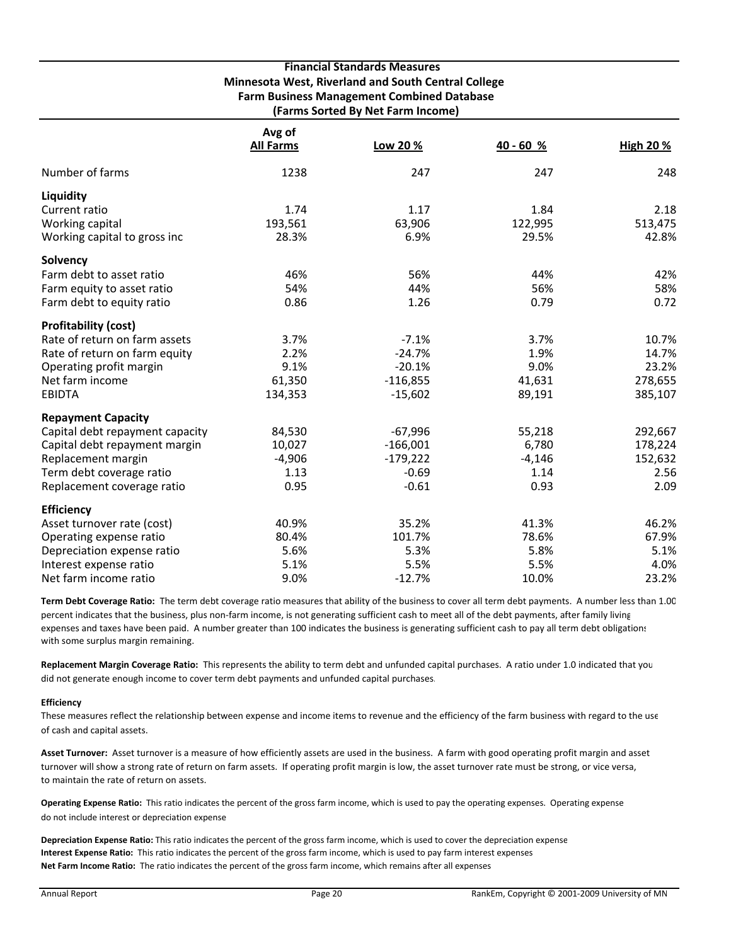|                                 |                  | <b>Financial Standards Measures</b>                 |             |                 |
|---------------------------------|------------------|-----------------------------------------------------|-------------|-----------------|
|                                 |                  | Minnesota West, Riverland and South Central College |             |                 |
|                                 |                  | <b>Farm Business Management Combined Database</b>   |             |                 |
|                                 |                  | (Farms Sorted By Net Farm Income)                   |             |                 |
|                                 | Avg of           |                                                     |             |                 |
|                                 | <b>All Farms</b> | Low 20 %                                            | $40 - 60 %$ | <b>High 20%</b> |
|                                 |                  |                                                     |             |                 |
| Number of farms                 | 1238             | 247                                                 | 247         | 248             |
| Liquidity                       |                  |                                                     |             |                 |
| Current ratio                   | 1.74             | 1.17                                                | 1.84        | 2.18            |
| Working capital                 | 193,561          | 63,906                                              | 122,995     | 513,475         |
| Working capital to gross inc    | 28.3%            | 6.9%                                                | 29.5%       | 42.8%           |
| Solvency                        |                  |                                                     |             |                 |
| Farm debt to asset ratio        | 46%              | 56%                                                 | 44%         | 42%             |
| Farm equity to asset ratio      | 54%              | 44%                                                 | 56%         | 58%             |
| Farm debt to equity ratio       | 0.86             | 1.26                                                | 0.79        | 0.72            |
| <b>Profitability (cost)</b>     |                  |                                                     |             |                 |
| Rate of return on farm assets   | 3.7%             | $-7.1%$                                             | 3.7%        | 10.7%           |
| Rate of return on farm equity   | 2.2%             | $-24.7%$                                            | 1.9%        | 14.7%           |
| Operating profit margin         | 9.1%             | $-20.1%$                                            | 9.0%        | 23.2%           |
| Net farm income                 | 61,350           | $-116,855$                                          | 41,631      | 278,655         |
| <b>EBIDTA</b>                   | 134,353          | $-15,602$                                           | 89,191      | 385,107         |
| <b>Repayment Capacity</b>       |                  |                                                     |             |                 |
| Capital debt repayment capacity | 84,530           | $-67,996$                                           | 55,218      | 292,667         |
| Capital debt repayment margin   | 10,027           | $-166,001$                                          | 6,780       | 178,224         |
| Replacement margin              | $-4,906$         | $-179,222$                                          | $-4,146$    | 152,632         |
| Term debt coverage ratio        | 1.13             | $-0.69$                                             | 1.14        | 2.56            |
| Replacement coverage ratio      | 0.95             | $-0.61$                                             | 0.93        | 2.09            |
| <b>Efficiency</b>               |                  |                                                     |             |                 |
| Asset turnover rate (cost)      | 40.9%            | 35.2%                                               | 41.3%       | 46.2%           |
| Operating expense ratio         | 80.4%            | 101.7%                                              | 78.6%       | 67.9%           |
| Depreciation expense ratio      | 5.6%             | 5.3%                                                | 5.8%        | 5.1%            |
| Interest expense ratio          | 5.1%             | 5.5%                                                | 5.5%        | 4.0%            |
| Net farm income ratio           | 9.0%             | $-12.7%$                                            | 10.0%       | 23.2%           |

**Term Debt Coverage Ratio:** The term debt coverage ratio measures that ability of the business to cover all term debt payments. A number less than 1.00 percent indicates that the business, plus non-farm income, is not generating sufficient cash to meet all of the debt payments, after family living expenses and taxes have been paid. A number greater than 100 indicates the business is generating sufficient cash to pay all term debt obligations with some surplus margin remaining.

**Replacement Margin Coverage Ratio:** This represents the ability to term debt and unfunded capital purchases. A ratio under 1.0 indicated that you did not generate enough income to cover term debt payments and unfunded capital purchases.

#### **Efficiency**

These measures reflect the relationship between expense and income items to revenue and the efficiency of the farm business with regard to the use of cash and capital assets.

**Asset Turnover:** Asset turnover is a measure of how efficiently assets are used in the business. A farm with good operating profit margin and asset turnover will show a strong rate of return on farm assets. If operating profit margin is low, the asset turnover rate must be strong, or vice versa, to maintain the rate of return on assets.

**Operating Expense Ratio:** This ratio indicates the percent of the gross farm income, which is used to pay the operating expenses. Operating expense do not include interest or depreciation expense

**Depreciation Expense Ratio:** This ratio indicates the percent of the gross farm income, which is used to cover the depreciation expense **Interest Expense Ratio:** This ratio indicates the percent of the gross farm income, which is used to pay farm interest expenses **Net Farm Income Ratio:** The ratio indicates the percent of the gross farm income, which remains after all expenses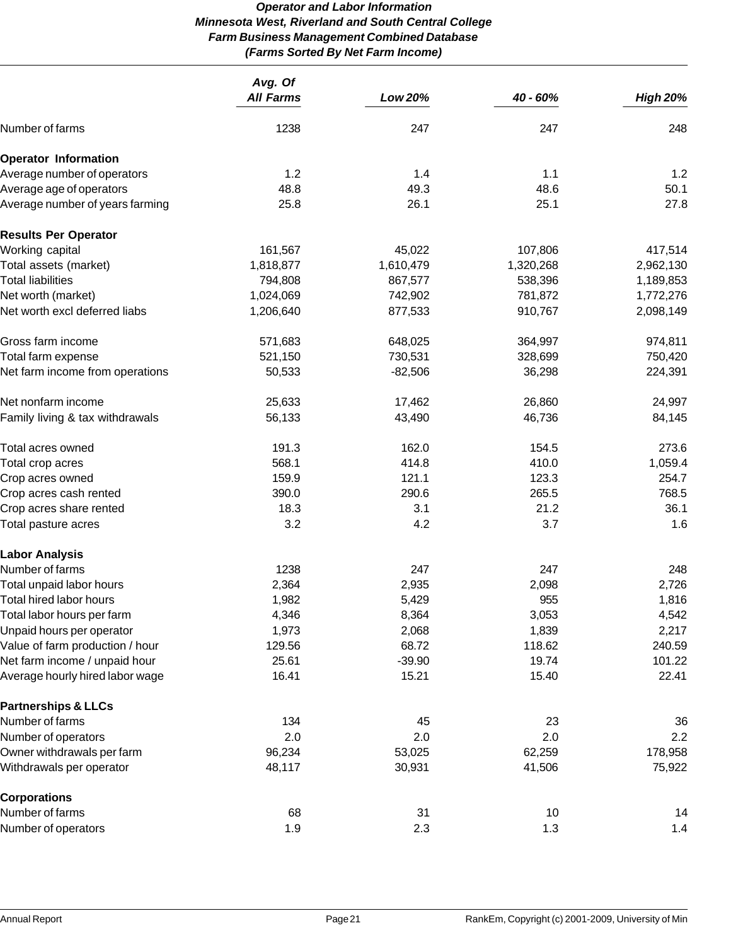# *Operator and Labor Information Minnesota West, Riverland and South Central College Farm Business Management Combined Database (Farms Sorted By Net Farm Income)*

|                                 | Avg. Of          |           |           |                 |
|---------------------------------|------------------|-----------|-----------|-----------------|
|                                 | <b>All Farms</b> | Low 20%   | 40 - 60%  | <b>High 20%</b> |
| Number of farms                 | 1238             | 247       | 247       | 248             |
| <b>Operator Information</b>     |                  |           |           |                 |
| Average number of operators     | 1.2              | 1.4       | 1.1       | 1.2             |
| Average age of operators        | 48.8             | 49.3      | 48.6      | 50.1            |
| Average number of years farming | 25.8             | 26.1      | 25.1      | 27.8            |
| <b>Results Per Operator</b>     |                  |           |           |                 |
| Working capital                 | 161,567          | 45,022    | 107,806   | 417,514         |
| Total assets (market)           | 1,818,877        | 1,610,479 | 1,320,268 | 2,962,130       |
| <b>Total liabilities</b>        | 794,808          | 867,577   | 538,396   | 1,189,853       |
| Net worth (market)              | 1,024,069        | 742,902   | 781,872   | 1,772,276       |
| Net worth excl deferred liabs   | 1,206,640        | 877,533   | 910,767   | 2,098,149       |
| Gross farm income               | 571,683          | 648,025   | 364,997   | 974,811         |
| Total farm expense              | 521,150          | 730,531   | 328,699   | 750,420         |
| Net farm income from operations | 50,533           | $-82,506$ | 36,298    | 224,391         |
| Net nonfarm income              | 25,633           | 17,462    | 26,860    | 24,997          |
| Family living & tax withdrawals | 56,133           | 43,490    | 46,736    | 84,145          |
| Total acres owned               | 191.3            | 162.0     | 154.5     | 273.6           |
| Total crop acres                | 568.1            | 414.8     | 410.0     | 1,059.4         |
| Crop acres owned                | 159.9            | 121.1     | 123.3     | 254.7           |
| Crop acres cash rented          | 390.0            | 290.6     | 265.5     | 768.5           |
| Crop acres share rented         | 18.3             | 3.1       | 21.2      | 36.1            |
| Total pasture acres             | 3.2              | 4.2       | 3.7       | 1.6             |
| <b>Labor Analysis</b>           |                  |           |           |                 |
| Number of farms                 | 1238             | 247       | 247       | 248             |
| Total unpaid labor hours        | 2,364            | 2,935     | 2,098     | 2,726           |
| <b>Total hired labor hours</b>  | 1,982            | 5,429     | 955       | 1,816           |
| Total labor hours per farm      | 4,346            | 8,364     | 3,053     | 4,542           |
| Unpaid hours per operator       | 1,973            | 2,068     | 1,839     | 2,217           |
| Value of farm production / hour | 129.56           | 68.72     | 118.62    | 240.59          |
| Net farm income / unpaid hour   | 25.61            | $-39.90$  | 19.74     | 101.22          |
| Average hourly hired labor wage | 16.41            | 15.21     | 15.40     | 22.41           |
| <b>Partnerships &amp; LLCs</b>  |                  |           |           |                 |
| Number of farms                 | 134              | 45        | 23        | 36              |
| Number of operators             | 2.0              | 2.0       | 2.0       | 2.2             |
| Owner withdrawals per farm      | 96,234           | 53,025    | 62,259    | 178,958         |
| Withdrawals per operator        | 48,117           | 30,931    | 41,506    | 75,922          |
| <b>Corporations</b>             |                  |           |           |                 |
| Number of farms                 | 68               | 31        | 10        | 14              |
| Number of operators             | 1.9              | 2.3       | 1.3       | 1.4             |
|                                 |                  |           |           |                 |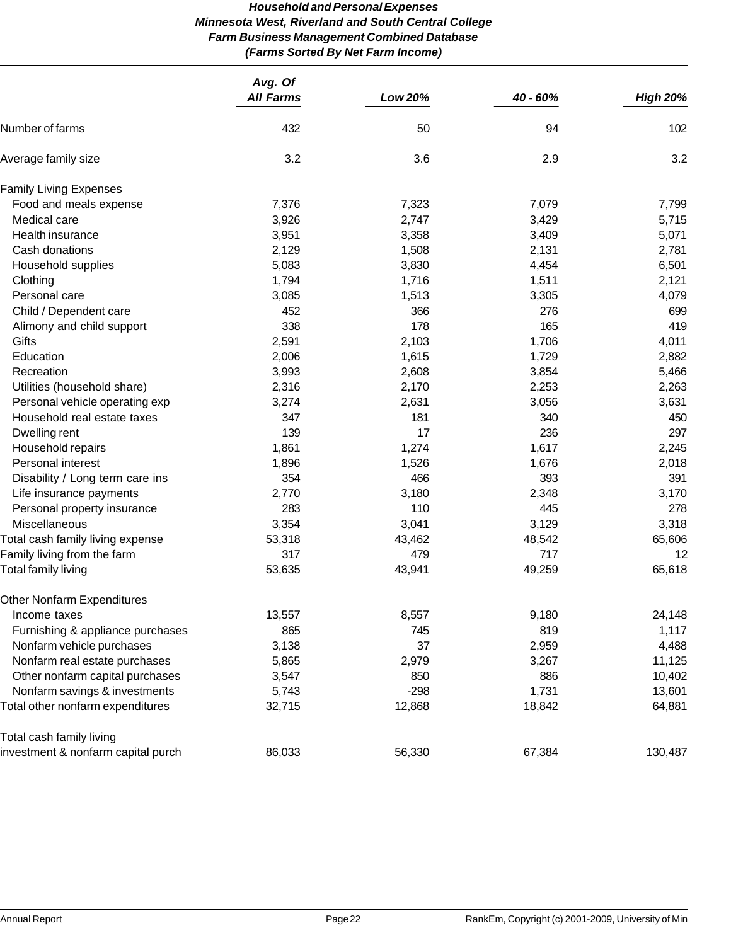# *Household and Personal Expenses Minnesota West, Riverland and South Central College Farm Business Management Combined Database (Farms Sorted By Net Farm Income)*

|                                    | Avg. Of          |         |          |                 |
|------------------------------------|------------------|---------|----------|-----------------|
|                                    | <b>All Farms</b> | Low 20% | 40 - 60% | <b>High 20%</b> |
| Number of farms                    | 432              | 50      | 94       | 102             |
| Average family size                | 3.2              | 3.6     | 2.9      | 3.2             |
| <b>Family Living Expenses</b>      |                  |         |          |                 |
| Food and meals expense             | 7,376            | 7,323   | 7,079    | 7,799           |
| Medical care                       | 3,926            | 2,747   | 3,429    | 5,715           |
| Health insurance                   | 3,951            | 3,358   | 3,409    | 5,071           |
| Cash donations                     | 2,129            | 1,508   | 2,131    | 2,781           |
| Household supplies                 | 5,083            | 3,830   | 4,454    | 6,501           |
| Clothing                           | 1,794            | 1,716   | 1,511    | 2,121           |
| Personal care                      | 3,085            | 1,513   | 3,305    | 4,079           |
| Child / Dependent care             | 452              | 366     | 276      | 699             |
| Alimony and child support          | 338              | 178     | 165      | 419             |
| Gifts                              | 2,591            | 2,103   | 1,706    | 4,011           |
| Education                          | 2,006            | 1,615   | 1,729    | 2,882           |
| Recreation                         | 3,993            | 2,608   | 3,854    | 5,466           |
| Utilities (household share)        | 2,316            | 2,170   | 2,253    | 2,263           |
| Personal vehicle operating exp     | 3,274            | 2,631   | 3,056    | 3,631           |
| Household real estate taxes        | 347              | 181     | 340      | 450             |
| Dwelling rent                      | 139              | 17      | 236      | 297             |
| Household repairs                  | 1,861            | 1,274   | 1,617    | 2,245           |
| Personal interest                  | 1,896            | 1,526   | 1,676    | 2,018           |
| Disability / Long term care ins    | 354              | 466     | 393      | 391             |
| Life insurance payments            | 2,770            | 3,180   | 2,348    | 3,170           |
| Personal property insurance        | 283              | 110     | 445      | 278             |
| Miscellaneous                      | 3,354            | 3,041   | 3,129    | 3,318           |
| Total cash family living expense   | 53,318           | 43,462  | 48,542   | 65,606          |
| Family living from the farm        | 317              | 479     | 717      | 12              |
| Total family living                | 53,635           | 43,941  | 49,259   | 65,618          |
| <b>Other Nonfarm Expenditures</b>  |                  |         |          |                 |
| Income taxes                       | 13,557           | 8,557   | 9,180    | 24,148          |
| Furnishing & appliance purchases   | 865              | 745     | 819      | 1,117           |
| Nonfarm vehicle purchases          | 3,138            | 37      | 2,959    | 4,488           |
| Nonfarm real estate purchases      | 5,865            | 2,979   | 3,267    | 11,125          |
| Other nonfarm capital purchases    | 3,547            | 850     | 886      | 10,402          |
| Nonfarm savings & investments      | 5,743            | $-298$  | 1,731    | 13,601          |
| Total other nonfarm expenditures   | 32,715           | 12,868  | 18,842   | 64,881          |
| Total cash family living           |                  |         |          |                 |
| investment & nonfarm capital purch | 86,033           | 56,330  | 67,384   | 130,487         |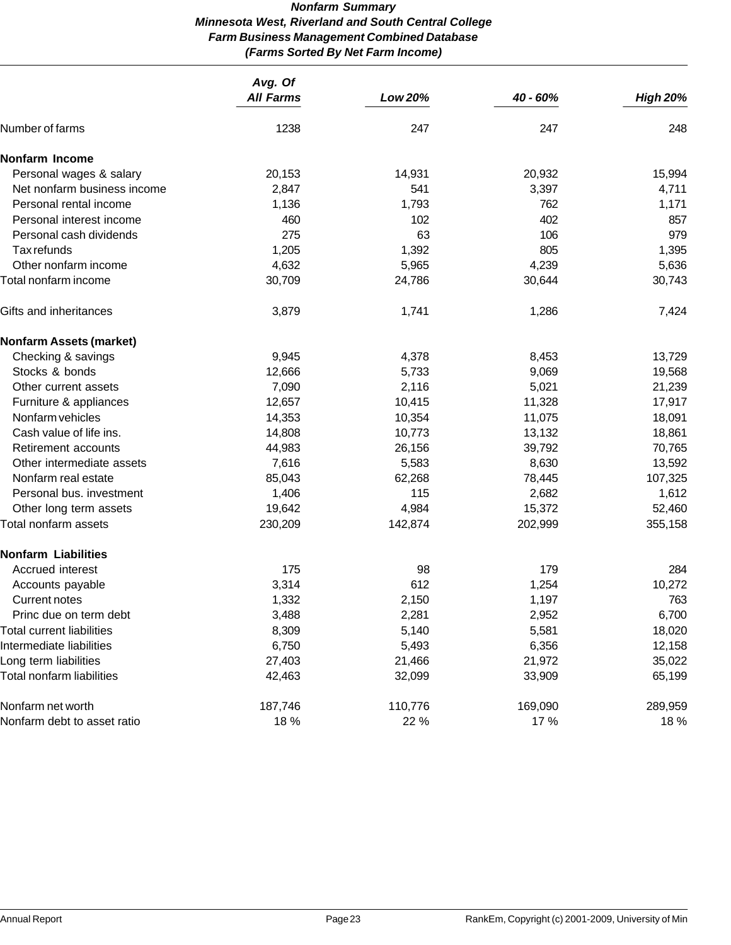# *Nonfarm Summary Minnesota West, Riverland and South Central College Farm Business Management Combined Database (Farms Sorted By Net Farm Income)*

|                                  | Avg. Of<br><b>All Farms</b> | Low 20% | 40 - 60% | <b>High 20%</b> |
|----------------------------------|-----------------------------|---------|----------|-----------------|
| Number of farms                  | 1238                        | 247     | 247      | 248             |
| <b>Nonfarm Income</b>            |                             |         |          |                 |
| Personal wages & salary          | 20,153                      | 14,931  | 20,932   | 15,994          |
| Net nonfarm business income      | 2,847                       | 541     | 3,397    | 4,711           |
| Personal rental income           | 1,136                       | 1,793   | 762      | 1,171           |
| Personal interest income         | 460                         | 102     | 402      | 857             |
| Personal cash dividends          | 275                         | 63      | 106      | 979             |
| Tax refunds                      | 1,205                       | 1,392   | 805      | 1,395           |
| Other nonfarm income             | 4,632                       | 5,965   | 4,239    | 5,636           |
| Total nonfarm income             | 30,709                      | 24,786  | 30,644   | 30,743          |
| Gifts and inheritances           | 3,879                       | 1,741   | 1,286    | 7,424           |
| <b>Nonfarm Assets (market)</b>   |                             |         |          |                 |
| Checking & savings               | 9,945                       | 4,378   | 8,453    | 13,729          |
| Stocks & bonds                   | 12,666                      | 5,733   | 9,069    | 19,568          |
| Other current assets             | 7,090                       | 2,116   | 5,021    | 21,239          |
| Furniture & appliances           | 12,657                      | 10,415  | 11,328   | 17,917          |
| Nonfarm vehicles                 | 14,353                      | 10,354  | 11,075   | 18,091          |
| Cash value of life ins.          | 14,808                      | 10,773  | 13,132   | 18,861          |
| Retirement accounts              | 44,983                      | 26,156  | 39,792   | 70,765          |
| Other intermediate assets        | 7,616                       | 5,583   | 8,630    | 13,592          |
| Nonfarm real estate              | 85,043                      | 62,268  | 78,445   | 107,325         |
| Personal bus. investment         | 1,406                       | 115     | 2,682    | 1,612           |
| Other long term assets           | 19,642                      | 4,984   | 15,372   | 52,460          |
| Total nonfarm assets             | 230,209                     | 142,874 | 202,999  | 355,158         |
| <b>Nonfarm Liabilities</b>       |                             |         |          |                 |
| Accrued interest                 | 175                         | 98      | 179      | 284             |
| Accounts payable                 | 3,314                       | 612     | 1,254    | 10,272          |
| <b>Current notes</b>             | 1,332                       | 2,150   | 1,197    | 763             |
| Princ due on term debt           | 3,488                       | 2,281   | 2,952    | 6,700           |
| <b>Total current liabilities</b> | 8,309                       | 5,140   | 5,581    | 18,020          |
| Intermediate liabilities         | 6,750                       | 5,493   | 6,356    | 12,158          |
| Long term liabilities            | 27,403                      | 21,466  | 21,972   | 35,022          |
| Total nonfarm liabilities        | 42,463                      | 32,099  | 33,909   | 65,199          |
| Nonfarm net worth                | 187,746                     | 110,776 | 169,090  | 289,959         |
| Nonfarm debt to asset ratio      | 18 %                        | 22 %    | 17 %     | 18 %            |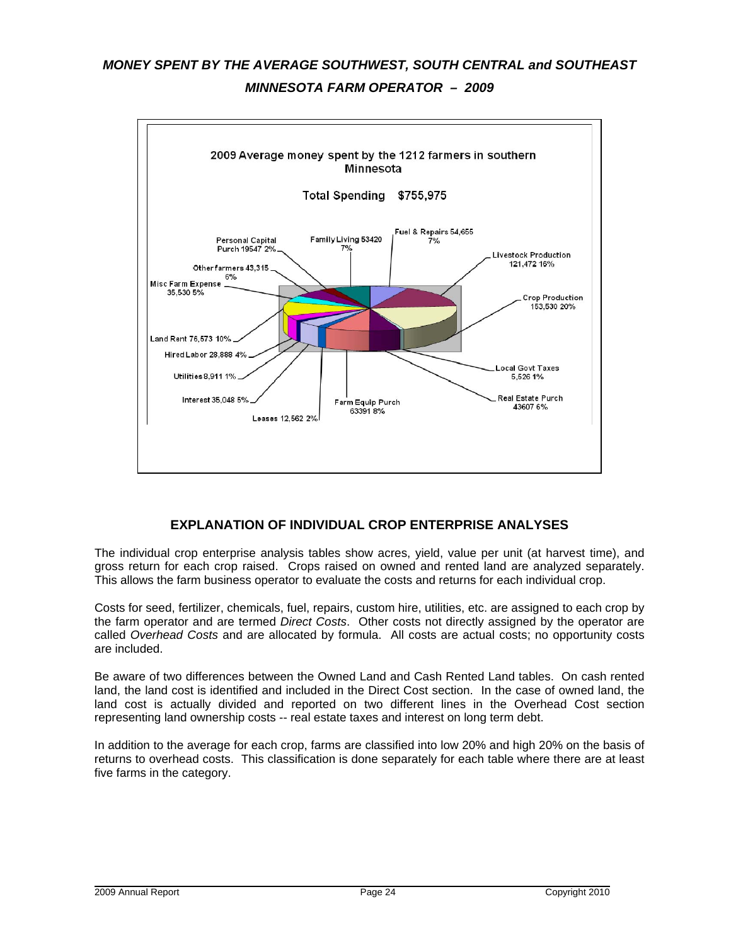# *MONEY SPENT BY THE AVERAGE SOUTHWEST, SOUTH CENTRAL and SOUTHEAST MINNESOTA FARM OPERATOR – 2009*



# **EXPLANATION OF INDIVIDUAL CROP ENTERPRISE ANALYSES**

The individual crop enterprise analysis tables show acres, yield, value per unit (at harvest time), and gross return for each crop raised. Crops raised on owned and rented land are analyzed separately. This allows the farm business operator to evaluate the costs and returns for each individual crop.

Costs for seed, fertilizer, chemicals, fuel, repairs, custom hire, utilities, etc. are assigned to each crop by the farm operator and are termed *Direct Costs*. Other costs not directly assigned by the operator are called *Overhead Costs* and are allocated by formula. All costs are actual costs; no opportunity costs are included.

Be aware of two differences between the Owned Land and Cash Rented Land tables. On cash rented land, the land cost is identified and included in the Direct Cost section. In the case of owned land, the land cost is actually divided and reported on two different lines in the Overhead Cost section representing land ownership costs -- real estate taxes and interest on long term debt.

In addition to the average for each crop, farms are classified into low 20% and high 20% on the basis of returns to overhead costs. This classification is done separately for each table where there are at least five farms in the category.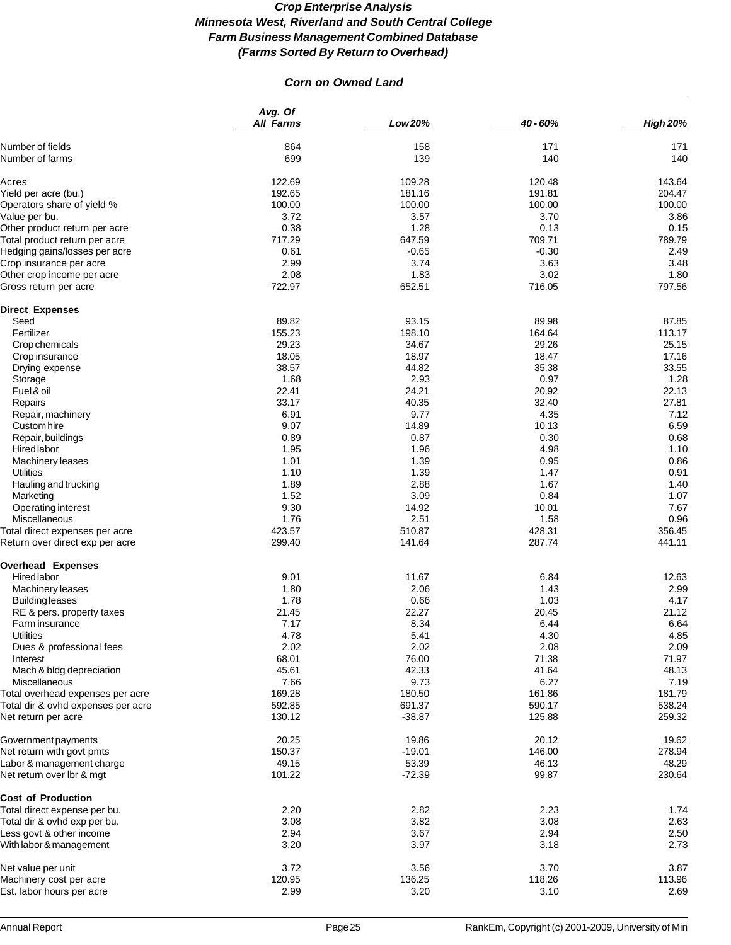# *Corn on Owned Land*

|                                                                        | Avg. Of<br><b>All Farms</b> | Low 20%          | 40 - 60%         | <b>High 20%</b>  |
|------------------------------------------------------------------------|-----------------------------|------------------|------------------|------------------|
| Number of fields                                                       | 864                         | 158              | 171              | 171              |
| Number of farms                                                        | 699                         | 139              | 140              | 140              |
| Acres                                                                  | 122.69                      | 109.28           | 120.48           | 143.64           |
| Yield per acre (bu.)                                                   | 192.65                      | 181.16           | 191.81           | 204.47           |
| Operators share of yield %                                             | 100.00                      | 100.00           | 100.00           | 100.00           |
| Value per bu.                                                          | 3.72                        | 3.57             | 3.70             | 3.86             |
| Other product return per acre                                          | 0.38                        | 1.28             | 0.13             | 0.15             |
| Total product return per acre                                          | 717.29                      | 647.59           | 709.71           | 789.79           |
| Hedging gains/losses per acre                                          | 0.61                        | $-0.65$          | $-0.30$          | 2.49             |
| Crop insurance per acre                                                | 2.99                        | 3.74             | 3.63             | 3.48             |
| Other crop income per acre                                             | 2.08                        | 1.83             | 3.02             | 1.80             |
| Gross return per acre                                                  | 722.97                      | 652.51           | 716.05           | 797.56           |
| <b>Direct Expenses</b>                                                 |                             |                  |                  |                  |
| Seed                                                                   | 89.82                       | 93.15            | 89.98            | 87.85            |
| Fertilizer                                                             | 155.23                      | 198.10           | 164.64           | 113.17           |
| Crop chemicals                                                         | 29.23                       | 34.67            | 29.26            | 25.15            |
| Crop insurance                                                         | 18.05                       | 18.97            | 18.47            | 17.16            |
| Drying expense                                                         | 38.57                       | 44.82            | 35.38            | 33.55            |
| Storage                                                                | 1.68                        | 2.93             | 0.97             | 1.28             |
| Fuel & oil                                                             | 22.41                       | 24.21            | 20.92            | 22.13            |
| Repairs                                                                | 33.17                       | 40.35            | 32.40            | 27.81            |
| Repair, machinery                                                      | 6.91                        | 9.77             | 4.35             | 7.12             |
| Custom hire                                                            | 9.07                        | 14.89            | 10.13            | 6.59             |
| Repair, buildings                                                      | 0.89                        | 0.87             | 0.30             | 0.68             |
| Hired labor                                                            | 1.95                        | 1.96             | 4.98             | 1.10             |
| Machinery leases                                                       | 1.01                        | 1.39             | 0.95             | 0.86             |
| <b>Utilities</b>                                                       | 1.10                        | 1.39             | 1.47             | 0.91             |
| Hauling and trucking                                                   | 1.89                        | 2.88             | 1.67             | 1.40             |
| Marketing                                                              | 1.52                        | 3.09             | 0.84             | 1.07             |
| Operating interest                                                     | 9.30                        | 14.92            | 10.01            | 7.67             |
| Miscellaneous                                                          | 1.76                        | 2.51             | 1.58             | 0.96             |
| Total direct expenses per acre<br>Return over direct exp per acre      | 423.57<br>299.40            | 510.87<br>141.64 | 428.31<br>287.74 | 356.45<br>441.11 |
|                                                                        |                             |                  |                  |                  |
| <b>Overhead Expenses</b>                                               |                             |                  |                  |                  |
| Hired labor                                                            | 9.01                        | 11.67            | 6.84             | 12.63            |
| Machinery leases                                                       | 1.80                        | 2.06             | 1.43             | 2.99             |
| <b>Building leases</b>                                                 | 1.78                        | 0.66             | 1.03             | 4.17             |
| RE & pers. property taxes<br>Farm insurance                            | 21.45<br>7.17               | 22.27<br>8.34    | 20.45<br>6.44    | 21.12            |
|                                                                        | 4.78                        | 5.41             |                  | 6.64<br>4.85     |
| <b>Utilities</b><br>Dues & professional fees                           | 2.02                        | 2.02             | 4.30<br>2.08     | 2.09             |
| Interest                                                               | 68.01                       | 76.00            | 71.38            | 71.97            |
| Mach & bldg depreciation                                               | 45.61                       | 42.33            | 41.64            | 48.13            |
| Miscellaneous                                                          | 7.66                        | 9.73             | 6.27             | 7.19             |
|                                                                        | 169.28                      | 180.50           | 161.86           | 181.79           |
| Total overhead expenses per acre<br>Total dir & ovhd expenses per acre | 592.85                      | 691.37           | 590.17           | 538.24           |
| Net return per acre                                                    | 130.12                      | $-38.87$         | 125.88           | 259.32           |
| Government payments                                                    | 20.25                       | 19.86            | 20.12            | 19.62            |
| Net return with govt pmts                                              | 150.37                      | $-19.01$         | 146.00           | 278.94           |
| Labor & management charge                                              | 49.15                       | 53.39            | 46.13            | 48.29            |
| Net return over Ibr & mgt                                              | 101.22                      | $-72.39$         | 99.87            | 230.64           |
| <b>Cost of Production</b>                                              |                             |                  |                  |                  |
| Total direct expense per bu.                                           | 2.20                        | 2.82             | 2.23             | 1.74             |
| Total dir & ovhd exp per bu.                                           | 3.08                        | 3.82             | 3.08             | 2.63             |
| Less govt & other income                                               | 2.94                        | 3.67             | 2.94             | 2.50             |
| With labor & management                                                | 3.20                        | 3.97             | 3.18             | 2.73             |
| Net value per unit                                                     | 3.72                        | 3.56             | 3.70             | 3.87             |
| Machinery cost per acre                                                | 120.95                      | 136.25           | 118.26           | 113.96           |
| Est. labor hours per acre                                              | 2.99                        | 3.20             | 3.10             | 2.69             |
|                                                                        |                             |                  |                  |                  |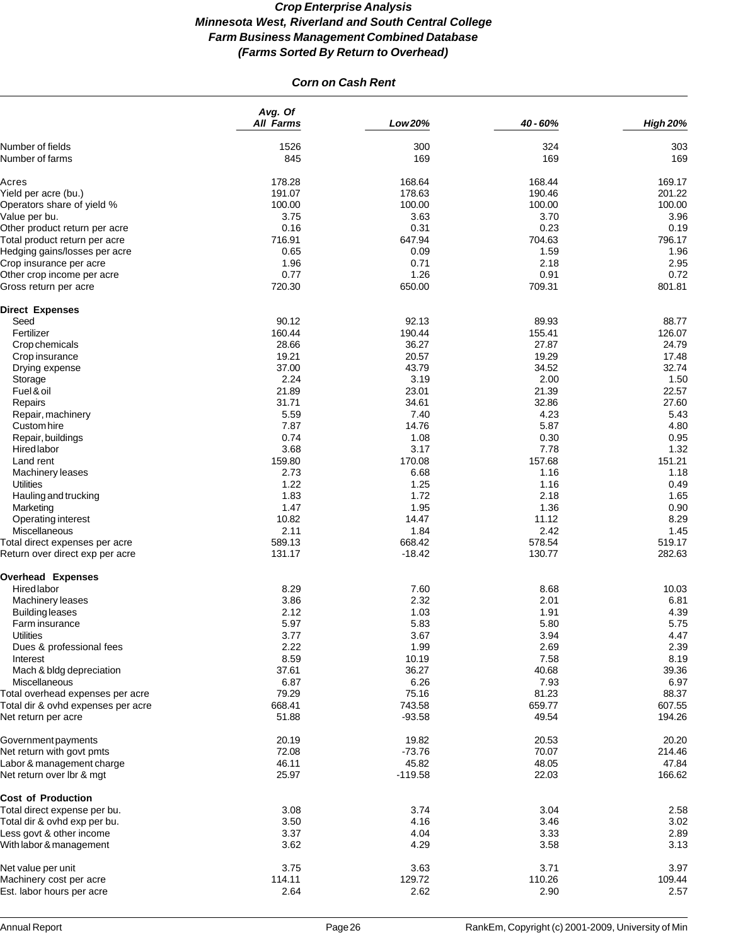# *Corn on Cash Rent*

|                                                                   | Avg. Of<br><b>All Farms</b> | Low 20%            | 40 - 60%         | <b>High 20%</b>  |
|-------------------------------------------------------------------|-----------------------------|--------------------|------------------|------------------|
| Number of fields                                                  | 1526                        | 300                | 324              | 303              |
| Number of farms                                                   | 845                         | 169                | 169              | 169              |
| Acres                                                             | 178.28                      | 168.64             | 168.44           | 169.17           |
| Yield per acre (bu.)                                              | 191.07                      | 178.63             | 190.46           | 201.22           |
| Operators share of yield %                                        | 100.00                      | 100.00             | 100.00           | 100.00           |
| Value per bu.                                                     | 3.75                        | 3.63               | 3.70             | 3.96             |
| Other product return per acre                                     | 0.16                        | 0.31               | 0.23             | 0.19             |
| Total product return per acre                                     | 716.91                      | 647.94             | 704.63           | 796.17           |
| Hedging gains/losses per acre                                     | 0.65                        | 0.09               | 1.59             | 1.96             |
| Crop insurance per acre                                           | 1.96                        | 0.71               | 2.18             | 2.95             |
| Other crop income per acre                                        | 0.77                        | 1.26               | 0.91             | 0.72             |
| Gross return per acre                                             | 720.30                      | 650.00             | 709.31           | 801.81           |
| <b>Direct Expenses</b>                                            |                             |                    |                  |                  |
| Seed                                                              | 90.12                       | 92.13              | 89.93            | 88.77            |
| Fertilizer                                                        | 160.44                      | 190.44             | 155.41           | 126.07           |
| Crop chemicals                                                    | 28.66                       | 36.27              | 27.87            | 24.79            |
| Crop insurance                                                    | 19.21                       | 20.57              | 19.29            | 17.48            |
| Drying expense                                                    | 37.00                       | 43.79              | 34.52            | 32.74            |
| Storage                                                           | 2.24                        | 3.19               | 2.00             | 1.50             |
| Fuel & oil                                                        | 21.89                       | 23.01              | 21.39            | 22.57            |
| Repairs                                                           | 31.71                       | 34.61              | 32.86            | 27.60            |
| Repair, machinery                                                 | 5.59                        | 7.40               | 4.23             | 5.43             |
| Custom hire                                                       | 7.87                        | 14.76              | 5.87             | 4.80             |
| Repair, buildings                                                 | 0.74                        | 1.08               | 0.30             | 0.95             |
| Hired labor                                                       | 3.68                        | 3.17               | 7.78             | 1.32             |
| Land rent                                                         | 159.80                      | 170.08             | 157.68           | 151.21           |
| Machinery leases                                                  | 2.73                        | 6.68               | 1.16             | 1.18             |
| <b>Utilities</b>                                                  | 1.22                        | 1.25               | 1.16             | 0.49             |
| Hauling and trucking                                              | 1.83                        | 1.72               | 2.18             | 1.65             |
| Marketing                                                         | 1.47                        | 1.95               | 1.36             | 0.90             |
| Operating interest                                                | 10.82                       | 14.47              | 11.12            | 8.29             |
| Miscellaneous                                                     | 2.11                        | 1.84               | 2.42             | 1.45             |
| Total direct expenses per acre<br>Return over direct exp per acre | 589.13<br>131.17            | 668.42<br>$-18.42$ | 578.54<br>130.77 | 519.17<br>282.63 |
|                                                                   |                             |                    |                  |                  |
| <b>Overhead Expenses</b>                                          |                             |                    |                  |                  |
| Hired labor                                                       | 8.29                        | 7.60               | 8.68             | 10.03            |
| Machinery leases                                                  | 3.86                        | 2.32               | 2.01             | 6.81             |
| <b>Building leases</b>                                            | 2.12                        | 1.03               | 1.91             | 4.39             |
| Farm insurance                                                    | 5.97                        | 5.83               | 5.80             | 5.75             |
| Utilities                                                         | 3.77                        | 3.67               | 3.94             | 4.47             |
| Dues & professional fees                                          | 2.22                        | 1.99               | 2.69             | 2.39             |
| Interest                                                          | 8.59                        | 10.19              | 7.58             | 8.19             |
| Mach & bldg depreciation                                          | 37.61                       | 36.27              | 40.68            | 39.36            |
| Miscellaneous                                                     | 6.87                        | 6.26               | 7.93             | 6.97             |
| Total overhead expenses per acre                                  | 79.29                       | 75.16              | 81.23            | 88.37            |
| Total dir & ovhd expenses per acre<br>Net return per acre         | 668.41<br>51.88             | 743.58<br>$-93.58$ | 659.77<br>49.54  | 607.55<br>194.26 |
| Government payments                                               | 20.19                       | 19.82              | 20.53            | 20.20            |
|                                                                   | 72.08                       | $-73.76$           | 70.07            | 214.46           |
| Net return with govt pmts                                         | 46.11                       | 45.82              | 48.05            | 47.84            |
| Labor & management charge<br>Net return over Ibr & mgt            | 25.97                       | $-119.58$          | 22.03            | 166.62           |
| <b>Cost of Production</b>                                         |                             |                    |                  |                  |
| Total direct expense per bu.                                      | 3.08                        | 3.74               | 3.04             | 2.58             |
| Total dir & ovhd exp per bu.                                      | 3.50                        | 4.16               | 3.46             | 3.02             |
| Less govt & other income                                          | 3.37                        | 4.04               | 3.33             | 2.89             |
| With labor & management                                           | 3.62                        | 4.29               | 3.58             | 3.13             |
| Net value per unit                                                | 3.75                        | 3.63               | 3.71             | 3.97             |
| Machinery cost per acre                                           | 114.11                      | 129.72             | 110.26           | 109.44           |
| Est. labor hours per acre                                         | 2.64                        | 2.62               | 2.90             | 2.57             |
|                                                                   |                             |                    |                  |                  |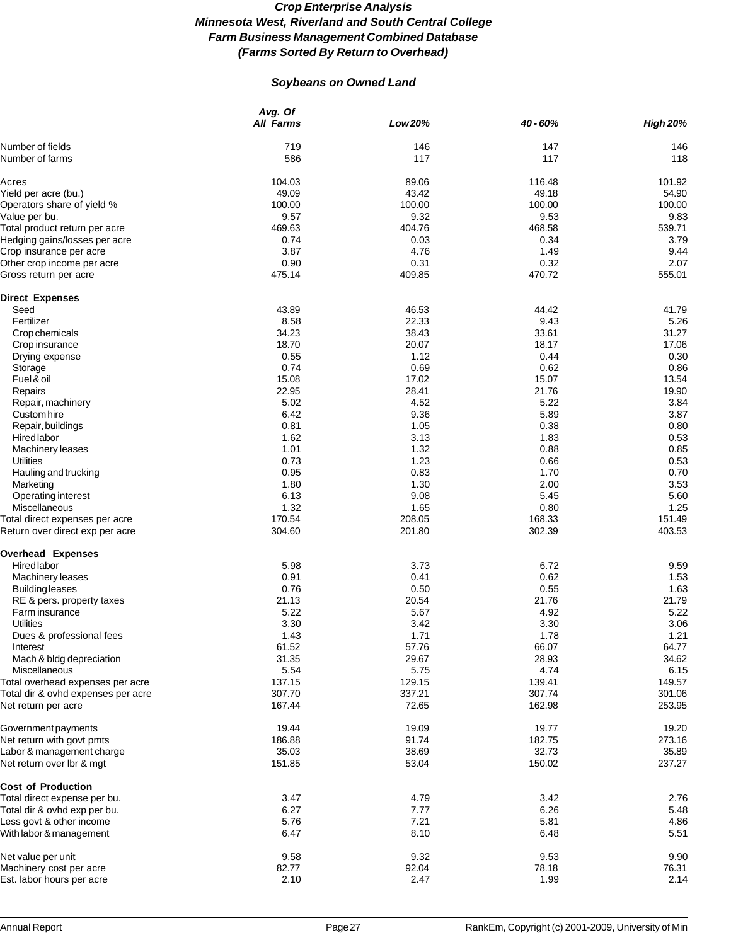# *Soybeans on Owned Land*

|                                                                   | Avg. Of<br><b>All Farms</b> | Low 20%          | 40 - 60%         | <b>High 20%</b>  |
|-------------------------------------------------------------------|-----------------------------|------------------|------------------|------------------|
| Number of fields                                                  | 719                         | 146              | 147              | 146              |
| Number of farms                                                   | 586                         | 117              | 117              | 118              |
| Acres                                                             | 104.03                      | 89.06            | 116.48           | 101.92           |
| Yield per acre (bu.)                                              | 49.09                       | 43.42            | 49.18            | 54.90            |
| Operators share of yield %                                        | 100.00                      | 100.00           | 100.00           | 100.00           |
| Value per bu.                                                     | 9.57                        | 9.32             | 9.53             | 9.83             |
| Total product return per acre                                     | 469.63                      | 404.76           | 468.58           | 539.71           |
| Hedging gains/losses per acre                                     | 0.74                        | 0.03             | 0.34             | 3.79             |
| Crop insurance per acre                                           | 3.87                        | 4.76             | 1.49             | 9.44             |
| Other crop income per acre                                        | 0.90                        | 0.31             | 0.32             | 2.07             |
| Gross return per acre                                             | 475.14                      | 409.85           | 470.72           | 555.01           |
| <b>Direct Expenses</b>                                            |                             |                  |                  |                  |
| Seed                                                              | 43.89                       | 46.53            | 44.42            | 41.79            |
| Fertilizer                                                        | 8.58                        | 22.33            |                  |                  |
|                                                                   |                             |                  | 9.43             | 5.26             |
| Crop chemicals                                                    | 34.23                       | 38.43            | 33.61            | 31.27            |
| Crop insurance                                                    | 18.70                       | 20.07            | 18.17            | 17.06            |
| Drying expense                                                    | 0.55                        | 1.12             | 0.44             | 0.30             |
| Storage                                                           | 0.74                        | 0.69             | 0.62             | 0.86             |
| Fuel & oil                                                        | 15.08                       | 17.02            | 15.07            | 13.54            |
| Repairs                                                           | 22.95                       | 28.41            | 21.76            | 19.90            |
| Repair, machinery                                                 | 5.02                        | 4.52             | 5.22             | 3.84             |
| Custom hire                                                       | 6.42                        | 9.36             | 5.89             | 3.87             |
| Repair, buildings                                                 | 0.81                        | 1.05             | 0.38             | 0.80             |
| <b>Hired labor</b>                                                | 1.62                        | 3.13             | 1.83             | 0.53             |
| Machinery leases                                                  | 1.01                        | 1.32             | 0.88             | 0.85             |
|                                                                   | 0.73                        | 1.23             |                  |                  |
| <b>Utilities</b>                                                  |                             |                  | 0.66             | 0.53             |
| Hauling and trucking                                              | 0.95                        | 0.83             | 1.70             | 0.70             |
| Marketing                                                         | 1.80                        | 1.30             | 2.00             | 3.53             |
| Operating interest                                                | 6.13                        | 9.08             | 5.45             | 5.60             |
| Miscellaneous                                                     | 1.32                        | 1.65             | 0.80             | 1.25             |
| Total direct expenses per acre<br>Return over direct exp per acre | 170.54<br>304.60            | 208.05<br>201.80 | 168.33<br>302.39 | 151.49<br>403.53 |
|                                                                   |                             |                  |                  |                  |
| <b>Overhead Expenses</b>                                          |                             |                  |                  |                  |
| Hired labor                                                       | 5.98                        | 3.73             | 6.72             | 9.59             |
| Machinery leases                                                  | 0.91                        | 0.41             | 0.62             | 1.53             |
| <b>Building leases</b>                                            | 0.76                        | 0.50             | 0.55             | 1.63             |
| RE & pers. property taxes                                         | 21.13                       | 20.54            | 21.76            | 21.79            |
| Farm insurance                                                    | 5.22                        | 5.67             | 4.92             | 5.22             |
| <b>Utilities</b>                                                  | 3.30                        | 3.42             | 3.30             | 3.06             |
| Dues & professional fees                                          | 1.43                        | 1.71             | 1.78             | 1.21             |
| Interest                                                          | 61.52                       | 57.76            | 66.07            | 64.77            |
| Mach & bldg depreciation                                          | 31.35                       | 29.67            | 28.93            | 34.62            |
| Miscellaneous                                                     | 5.54                        | 5.75             | 4.74             | 6.15             |
| Total overhead expenses per acre                                  | 137.15                      | 129.15           | 139.41           | 149.57           |
|                                                                   | 307.70                      |                  |                  | 301.06           |
| Total dir & ovhd expenses per acre<br>Net return per acre         | 167.44                      | 337.21<br>72.65  | 307.74<br>162.98 | 253.95           |
|                                                                   |                             |                  |                  |                  |
| Government payments                                               | 19.44                       | 19.09            | 19.77            | 19.20            |
| Net return with govt pmts                                         | 186.88                      | 91.74            | 182.75           | 273.16           |
| Labor & management charge                                         | 35.03                       | 38.69            | 32.73            | 35.89            |
| Net return over Ibr & mgt                                         | 151.85                      | 53.04            | 150.02           | 237.27           |
| <b>Cost of Production</b>                                         |                             |                  |                  |                  |
| Total direct expense per bu.                                      | 3.47                        | 4.79             | 3.42             | 2.76             |
| Total dir & ovhd exp per bu.                                      | 6.27                        | 7.77             | 6.26             | 5.48             |
| Less govt & other income                                          | 5.76                        | 7.21             | 5.81             | 4.86             |
| With labor & management                                           | 6.47                        | 8.10             | 6.48             | 5.51             |
| Net value per unit                                                | 9.58                        | 9.32             | 9.53             | 9.90             |
| Machinery cost per acre                                           | 82.77                       | 92.04            | 78.18            | 76.31            |
| Est. labor hours per acre                                         | 2.10                        | 2.47             | 1.99             |                  |
|                                                                   |                             |                  |                  | 2.14             |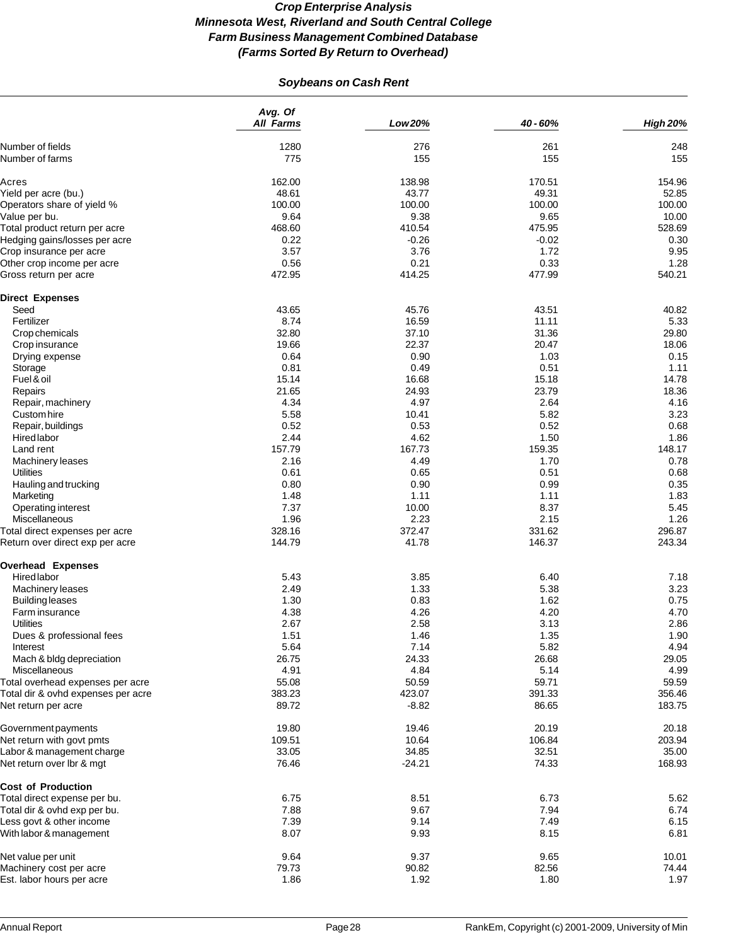# *Soybeans on Cash Rent*

|                                    | Avg. Of<br><b>All Farms</b> | Low 20%  | 40 - 60% | <b>High 20%</b> |
|------------------------------------|-----------------------------|----------|----------|-----------------|
| Number of fields                   | 1280                        | 276      | 261      | 248             |
| Number of farms                    | 775                         | 155      | 155      | 155             |
| Acres                              | 162.00                      | 138.98   | 170.51   | 154.96          |
| Yield per acre (bu.)               | 48.61                       | 43.77    | 49.31    | 52.85           |
| Operators share of yield %         | 100.00                      | 100.00   | 100.00   | 100.00          |
| Value per bu.                      | 9.64                        | 9.38     | 9.65     | 10.00           |
| Total product return per acre      | 468.60                      | 410.54   | 475.95   | 528.69          |
| Hedging gains/losses per acre      | 0.22                        | $-0.26$  | $-0.02$  | 0.30            |
| Crop insurance per acre            | 3.57                        | 3.76     | 1.72     | 9.95            |
| Other crop income per acre         | 0.56                        | 0.21     | 0.33     | 1.28            |
| Gross return per acre              | 472.95                      | 414.25   | 477.99   | 540.21          |
| <b>Direct Expenses</b>             |                             |          |          |                 |
| Seed                               | 43.65                       | 45.76    | 43.51    | 40.82           |
| Fertilizer                         | 8.74                        | 16.59    | 11.11    | 5.33            |
| Crop chemicals                     | 32.80                       | 37.10    | 31.36    | 29.80           |
| Crop insurance                     | 19.66                       | 22.37    | 20.47    | 18.06           |
| Drying expense                     | 0.64                        | 0.90     | 1.03     | 0.15            |
| Storage                            | 0.81                        | 0.49     | 0.51     | 1.11            |
| Fuel & oil                         | 15.14                       | 16.68    | 15.18    | 14.78           |
| Repairs                            | 21.65                       | 24.93    | 23.79    | 18.36           |
| Repair, machinery                  | 4.34                        | 4.97     | 2.64     | 4.16            |
| Custom hire                        | 5.58                        | 10.41    | 5.82     | 3.23            |
| Repair, buildings                  | 0.52                        | 0.53     | 0.52     | 0.68            |
| Hired labor                        | 2.44                        | 4.62     | 1.50     | 1.86            |
| Land rent                          | 157.79                      | 167.73   | 159.35   | 148.17          |
| Machinery leases                   | 2.16                        | 4.49     | 1.70     | 0.78            |
| Utilities                          | 0.61                        | 0.65     | 0.51     | 0.68            |
| Hauling and trucking               | 0.80                        | 0.90     | 0.99     | 0.35            |
| Marketing                          | 1.48                        | 1.11     | 1.11     | 1.83            |
| Operating interest                 | 7.37                        | 10.00    | 8.37     | 5.45            |
| Miscellaneous                      | 1.96                        | 2.23     | 2.15     | 1.26            |
| Total direct expenses per acre     | 328.16                      | 372.47   | 331.62   | 296.87          |
| Return over direct exp per acre    | 144.79                      | 41.78    | 146.37   | 243.34          |
| <b>Overhead Expenses</b>           |                             |          |          |                 |
| Hired labor                        | 5.43                        | 3.85     | 6.40     | 7.18            |
| Machinery leases                   | 2.49                        | 1.33     | 5.38     | 3.23            |
| <b>Building leases</b>             | 1.30                        | 0.83     | 1.62     | 0.75            |
| Farm insurance                     | 4.38                        | 4.26     | 4.20     | 4.70            |
| <b>Utilities</b>                   | 2.67                        | 2.58     | 3.13     | 2.86            |
| Dues & professional fees           | 1.51                        | 1.46     | 1.35     | 1.90            |
| Interest                           | 5.64                        | 7.14     | 5.82     | 4.94            |
| Mach & bldg depreciation           | 26.75                       | 24.33    | 26.68    | 29.05           |
| Miscellaneous                      | 4.91                        | 4.84     | 5.14     | 4.99            |
| Total overhead expenses per acre   | 55.08                       | 50.59    | 59.71    | 59.59           |
| Total dir & ovhd expenses per acre | 383.23                      | 423.07   | 391.33   | 356.46          |
| Net return per acre                | 89.72                       | $-8.82$  | 86.65    | 183.75          |
| Government payments                | 19.80                       | 19.46    | 20.19    | 20.18           |
| Net return with govt pmts          | 109.51                      | 10.64    | 106.84   | 203.94          |
| Labor & management charge          | 33.05                       | 34.85    | 32.51    | 35.00           |
| Net return over lbr & mgt          | 76.46                       | $-24.21$ | 74.33    | 168.93          |
| <b>Cost of Production</b>          |                             |          |          |                 |
| Total direct expense per bu.       | 6.75                        | 8.51     | 6.73     | 5.62            |
| Total dir & ovhd exp per bu.       | 7.88                        | 9.67     | 7.94     | 6.74            |
| Less govt & other income           | 7.39                        | 9.14     | 7.49     | 6.15            |
| With labor & management            | 8.07                        | 9.93     | 8.15     | 6.81            |
|                                    | 9.64                        | 9.37     | 9.65     | 10.01           |
| Net value per unit                 | 79.73                       | 90.82    | 82.56    | 74.44           |
| Machinery cost per acre            |                             |          |          |                 |
| Est. labor hours per acre          | 1.86                        | 1.92     | 1.80     | 1.97            |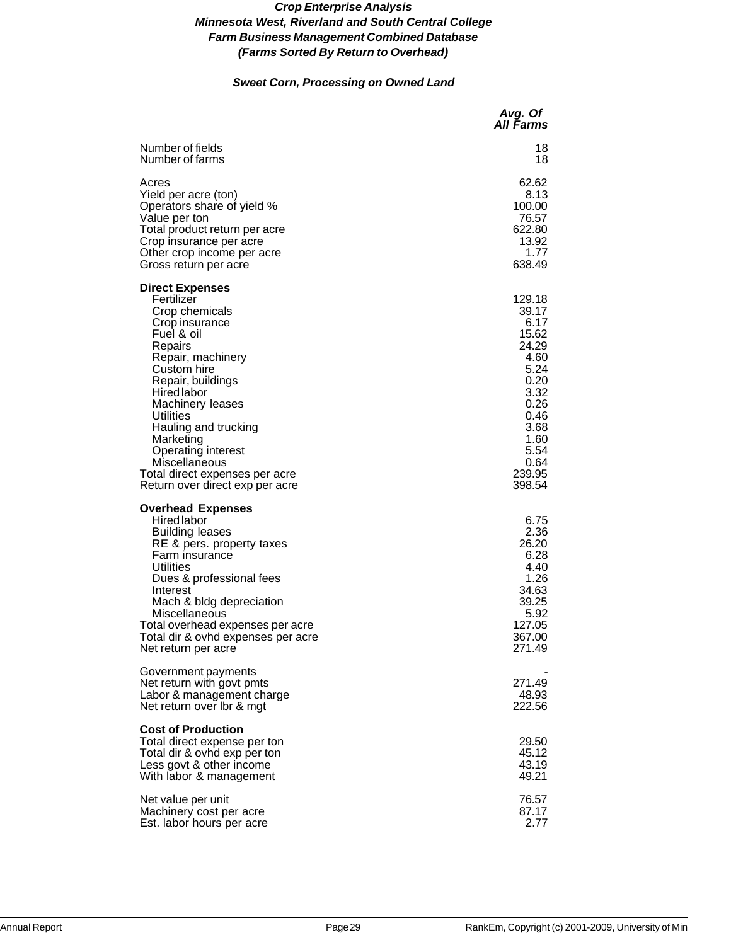### *Sweet Corn, Processing on Owned Land*

|                                                                                                                                                                                                                                                                                                                                                                           | Avg. Of<br><b>All Farms</b>                                                                                                                   |
|---------------------------------------------------------------------------------------------------------------------------------------------------------------------------------------------------------------------------------------------------------------------------------------------------------------------------------------------------------------------------|-----------------------------------------------------------------------------------------------------------------------------------------------|
| Number of fields<br>Number of farms                                                                                                                                                                                                                                                                                                                                       | 18<br>18                                                                                                                                      |
| Acres<br>Yield per acre (ton)<br>Operators share of yield %<br>Value per ton<br>Total product return per acre<br>Crop insurance per acre<br>Other crop income per acre<br>Gross return per acre                                                                                                                                                                           | 62.62<br>8.13<br>100.00<br>76.57<br>622.80<br>13.92<br>1.77<br>638.49                                                                         |
| <b>Direct Expenses</b><br>Fertilizer<br>Crop chemicals<br>Crop insurance<br>Fuel & oil<br>Repairs<br>Repair, machinery<br>Custom hire<br>Repair, buildings<br>Hired labor<br>Machinery leases<br>Utilities<br>Hauling and trucking<br>Marketing<br><b>Operating interest</b><br><b>Miscellaneous</b><br>Total direct expenses per acre<br>Return over direct exp per acre | 129.18<br>39.17<br>6.17<br>15.62<br>24.29<br>4.60<br>5.24<br>0.20<br>3.32<br>0.26<br>0.46<br>3.68<br>1.60<br>5.54<br>0.64<br>239.95<br>398.54 |
| <b>Overhead Expenses</b><br><b>Hired labor</b><br><b>Building leases</b><br>RE & pers. property taxes<br>Farm insurance<br>Utilities<br>Dues & professional fees<br>Interest<br>Mach & bldg depreciation<br>Miscellaneous<br>Total overhead expenses per acre<br>Total dir & ovhd expenses per acre<br>Net return per acre                                                | 6.75<br>2.36<br>26.20<br>6.28<br>4.40<br>1.26<br>34.63<br>39.25<br>5.92<br>127.05<br>367.00<br>271.49                                         |
| Government payments<br>Net return with govt pmts<br>Labor & management charge<br>Net return over Ibr & mgt                                                                                                                                                                                                                                                                | 271.49<br>48.93<br>222.56                                                                                                                     |
| <b>Cost of Production</b><br>Total direct expense per ton<br>Total dir & ovhd exp per ton<br>Less govt & other income<br>With labor & management                                                                                                                                                                                                                          | 29.50<br>45.12<br>43.19<br>49.21                                                                                                              |
| Net value per unit<br>Machinery cost per acre<br>Est. labor hours per acre                                                                                                                                                                                                                                                                                                | 76.57<br>87.17<br>2.77                                                                                                                        |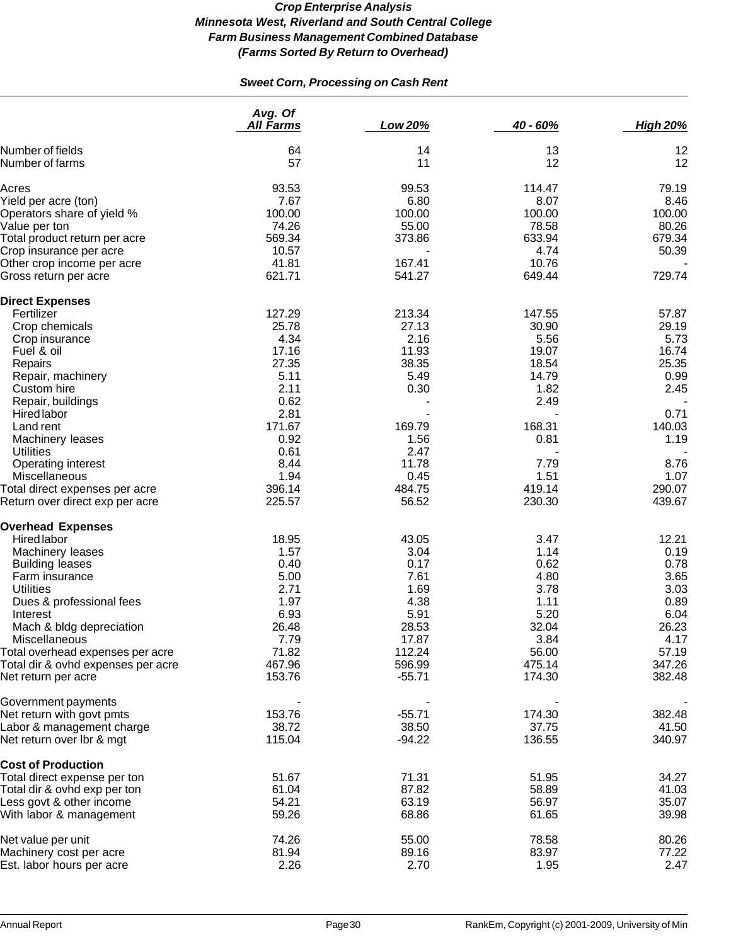# *Sweet Corn, Processing on Cash Rent*

|                                    | Avg. Of<br><b>All Farms</b> | Low 20%  | 40 - 60% | <b>High 20%</b> |
|------------------------------------|-----------------------------|----------|----------|-----------------|
| Number of fields                   | 64                          | 14       | 13       | 12              |
| Number of farms                    | 57                          | 11       | 12       | 12              |
| Acres                              | 93.53                       | 99.53    | 114.47   | 79.19           |
| Yield per acre (ton)               | 7.67                        | 6.80     | 8.07     | 8.46            |
| Operators share of yield %         | 100.00                      | 100.00   | 100.00   | 100.00          |
| Value per ton                      | 74.26                       | 55.00    | 78.58    | 80.26           |
| Total product return per acre      | 569.34                      | 373.86   | 633.94   | 679.34          |
| Crop insurance per acre            | 10.57                       |          | 4.74     | 50.39           |
| Other crop income per acre         | 41.81                       | 167.41   | 10.76    |                 |
| Gross return per acre              | 621.71                      | 541.27   | 649.44   | 729.74          |
| <b>Direct Expenses</b>             |                             |          |          |                 |
| Fertilizer                         | 127.29                      | 213.34   | 147.55   | 57.87           |
| Crop chemicals                     | 25.78                       | 27.13    | 30.90    | 29.19           |
| Crop insurance                     | 4.34                        | 2.16     | 5.56     | 5.73            |
| Fuel & oil                         | 17.16                       | 11.93    | 19.07    | 16.74           |
| Repairs                            | 27.35                       | 38.35    | 18.54    | 25.35           |
| Repair, machinery                  | 5.11                        | 5.49     | 14.79    | 0.99            |
| Custom hire                        | 2.11                        | 0.30     | 1.82     | 2.45            |
| Repair, buildings                  | 0.62                        |          | 2.49     |                 |
| Hired labor                        | 2.81                        |          |          | 0.71            |
| Land rent                          | 171.67                      | 169.79   | 168.31   | 140.03          |
| Machinery leases                   | 0.92                        | 1.56     | 0.81     | 1.19            |
| <b>Utilities</b>                   | 0.61                        | 2.47     |          |                 |
| Operating interest                 | 8.44                        | 11.78    | 7.79     | 8.76            |
| Miscellaneous                      | 1.94                        | 0.45     | 1.51     | 1.07            |
| Total direct expenses per acre     | 396.14                      | 484.75   | 419.14   | 290.07          |
| Return over direct exp per acre    | 225.57                      | 56.52    | 230.30   | 439.67          |
| <b>Overhead Expenses</b>           |                             |          |          |                 |
| <b>Hired labor</b>                 | 18.95                       | 43.05    | 3.47     | 12.21           |
| Machinery leases                   | 1.57                        | 3.04     | 1.14     | 0.19            |
| <b>Building leases</b>             | 0.40                        | 0.17     | 0.62     | 0.78            |
| Farm insurance                     | 5.00                        | 7.61     | 4.80     | 3.65            |
| <b>Utilities</b>                   | 2.71                        | 1.69     | 3.78     | 3.03            |
| Dues & professional fees           | 1.97                        | 4.38     | 1.11     | 0.89            |
| Interest                           | 6.93                        | 5.91     | 5.20     | 6.04            |
| Mach & bldg depreciation           | 26.48                       | 28.53    | 32.04    | 26.23           |
| Miscellaneous                      | 7.79                        | 17.87    | 3.84     | 4.17            |
| Total overhead expenses per acre   | 71.82                       | 112.24   | 56.00    | 57.19           |
| Total dir & ovhd expenses per acre | 467.96                      | 596.99   | 475.14   | 347.26          |
| Net return per acre                | 153.76                      | $-55.71$ | 174.30   | 382.48          |
| Government payments                |                             |          |          |                 |
| Net return with govt pmts          | 153.76                      | $-55.71$ | 174.30   | 382.48          |
| Labor & management charge          | 38.72                       | 38.50    | 37.75    | 41.50           |
| Net return over Ibr & mgt          | 115.04                      | $-94.22$ | 136.55   | 340.97          |
| <b>Cost of Production</b>          |                             |          |          |                 |
| Total direct expense per ton       | 51.67                       | 71.31    | 51.95    | 34.27           |
| Total dir & ovhd exp per ton       | 61.04                       | 87.82    | 58.89    | 41.03           |
| Less govt & other income           | 54.21                       | 63.19    | 56.97    | 35.07           |
| With labor & management            | 59.26                       | 68.86    | 61.65    | 39.98           |
| Net value per unit                 | 74.26                       | 55.00    | 78.58    | 80.26           |
| Machinery cost per acre            | 81.94                       | 89.16    | 83.97    | 77.22           |
| Est. labor hours per acre          | 2.26                        | 2.70     | 1.95     | 2.47            |
|                                    |                             |          |          |                 |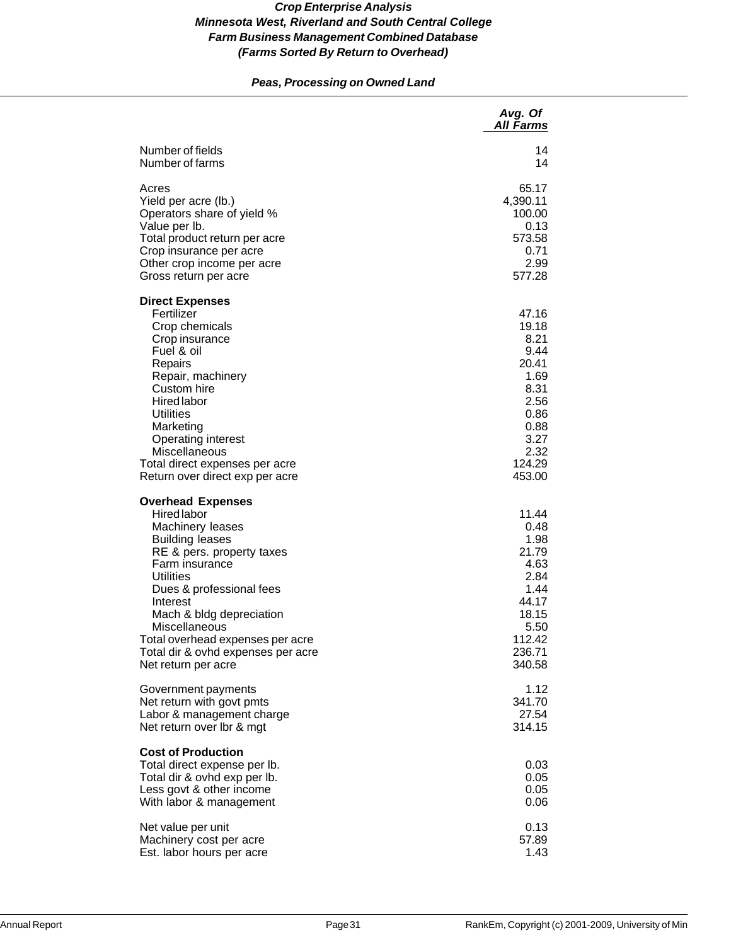# *Peas, Processing on Owned Land*

|                                                                                                                                                                                                                                                                                                                                                | Avg. Of<br><b>All Farms</b>                                                                                         |
|------------------------------------------------------------------------------------------------------------------------------------------------------------------------------------------------------------------------------------------------------------------------------------------------------------------------------------------------|---------------------------------------------------------------------------------------------------------------------|
| Number of fields                                                                                                                                                                                                                                                                                                                               | 14                                                                                                                  |
| Number of farms                                                                                                                                                                                                                                                                                                                                | 14                                                                                                                  |
| Acres                                                                                                                                                                                                                                                                                                                                          | 65.17                                                                                                               |
| Yield per acre (lb.)                                                                                                                                                                                                                                                                                                                           | 4,390.11                                                                                                            |
| Operators share of yield %                                                                                                                                                                                                                                                                                                                     | 100.00                                                                                                              |
| Value per Ib.                                                                                                                                                                                                                                                                                                                                  | 0.13                                                                                                                |
| Total product return per acre                                                                                                                                                                                                                                                                                                                  | 573.58                                                                                                              |
| Crop insurance per acre                                                                                                                                                                                                                                                                                                                        | 0.71                                                                                                                |
| Other crop income per acre                                                                                                                                                                                                                                                                                                                     | 2.99                                                                                                                |
| Gross return per acre                                                                                                                                                                                                                                                                                                                          | 577.28                                                                                                              |
| <b>Direct Expenses</b><br>Fertilizer<br>Crop chemicals<br>Crop insurance<br>Fuel & oil<br>Repairs<br>Repair, machinery<br>Custom hire<br><b>Hired</b> labor<br>Utilities<br>Marketing<br><b>Operating interest</b><br>Miscellaneous<br>Total direct expenses per acre<br>Return over direct exp per acre                                       | 47.16<br>19.18<br>8.21<br>9.44<br>20.41<br>1.69<br>8.31<br>2.56<br>0.86<br>0.88<br>3.27<br>2.32<br>124.29<br>453.00 |
| <b>Overhead Expenses</b><br><b>Hired labor</b><br>Machinery leases<br><b>Building leases</b><br>RE & pers. property taxes<br>Farm insurance<br>Utilities<br>Dues & professional fees<br>Interest<br>Mach & bldg depreciation<br>Miscellaneous<br>Total overhead expenses per acre<br>Total dir & ovhd expenses per acre<br>Net return per acre | 11.44<br>0.48<br>1.98<br>21.79<br>4.63<br>2.84<br>1.44<br>44.17<br>18.15<br>5.50<br>112.42<br>236.71<br>340.58      |
| Government payments                                                                                                                                                                                                                                                                                                                            | 1.12                                                                                                                |
| Net return with govt pmts                                                                                                                                                                                                                                                                                                                      | 341.70                                                                                                              |
| Labor & management charge                                                                                                                                                                                                                                                                                                                      | 27.54                                                                                                               |
| Net return over lbr & mgt                                                                                                                                                                                                                                                                                                                      | 314.15                                                                                                              |
| <b>Cost of Production</b><br>Total direct expense per lb.<br>Total dir & ovhd exp per lb.<br>Less govt & other income<br>With labor & management                                                                                                                                                                                               | 0.03<br>0.05<br>0.05<br>0.06                                                                                        |
| Net value per unit                                                                                                                                                                                                                                                                                                                             | 0.13                                                                                                                |
| Machinery cost per acre                                                                                                                                                                                                                                                                                                                        | 57.89                                                                                                               |
| Est. labor hours per acre                                                                                                                                                                                                                                                                                                                      | 1.43                                                                                                                |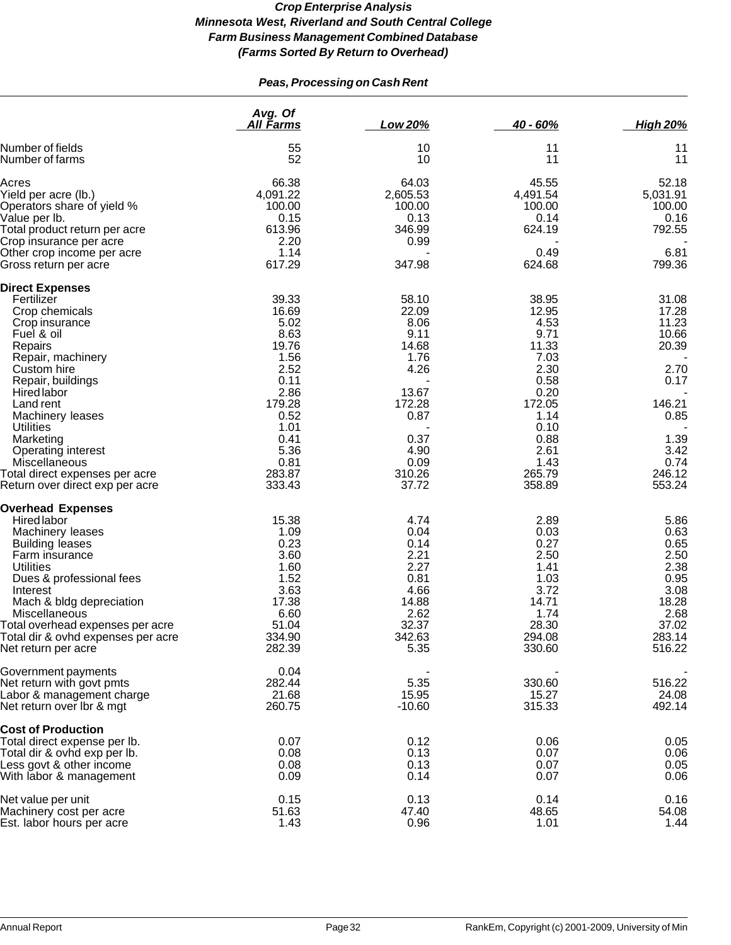# *Peas, Processing on Cash Rent*

|                                                                   | Avg. Of<br><b>All Farms</b> | Low 20%         | $40 - 60%$       | <b>High 20%</b>  |
|-------------------------------------------------------------------|-----------------------------|-----------------|------------------|------------------|
| Number of fields<br>Number of farms                               | 55<br>52                    | 10<br>10        | 11<br>11         | 11<br>11         |
| Acres                                                             | 66.38                       | 64.03           | 45.55            | 52.18            |
| Yield per acre (lb.)                                              | 4,091.22                    | 2,605.53        | 4,491.54         | 5,031.91         |
| Operators share of yield %                                        | 100.00                      | 100.00          | 100.00           | 100.00           |
| Value per lb.                                                     | 0.15                        | 0.13            | 0.14             | 0.16             |
| Total product return per acre                                     | 613.96                      | 346.99          | 624.19           | 792.55           |
| Crop insurance per acre                                           | 2.20                        | 0.99            |                  |                  |
| Other crop income per acre<br>Gross return per acre               | 1.14<br>617.29              | 347.98          | 0.49<br>624.68   | 6.81<br>799.36   |
| <b>Direct Expenses</b>                                            |                             |                 |                  |                  |
| Fertilizer                                                        | 39.33                       | 58.10           | 38.95            | 31.08            |
| Crop chemicals                                                    | 16.69                       | 22.09           | 12.95            | 17.28            |
| Crop insurance                                                    | 5.02                        | 8.06            | 4.53             | 11.23            |
| Fuel & oil                                                        | 8.63                        | 9.11            | 9.71             | 10.66            |
| Repairs                                                           | 19.76                       | 14.68           | 11.33            | 20.39            |
| Repair, machinery                                                 | 1.56                        | 1.76            | 7.03             |                  |
| Custom hire                                                       | 2.52                        | 4.26            | 2.30             | 2.70             |
| Repair, buildings                                                 | 0.11                        |                 | 0.58             | 0.17             |
| <b>Hired labor</b>                                                | 2.86                        | 13.67           | 0.20             |                  |
| Land rent                                                         | 179.28                      | 172.28          | 172.05           | 146.21           |
| Machinery leases                                                  | 0.52                        | 0.87            | 1.14             | 0.85             |
| Utilities                                                         | 1.01                        |                 | 0.10             |                  |
| Marketing                                                         | 0.41                        | 0.37            | 0.88             | 1.39             |
| Operating interest                                                | 5.36                        | 4.90            | 2.61             | 3.42             |
| Miscellaneous                                                     | 0.81                        | 0.09            | 1.43             | 0.74             |
| Total direct expenses per acre<br>Return over direct exp per acre | 283.87<br>333.43            | 310.26<br>37.72 | 265.79<br>358.89 | 246.12<br>553.24 |
|                                                                   |                             |                 |                  |                  |
| <b>Overhead Expenses</b>                                          |                             |                 |                  |                  |
| <b>Hired labor</b>                                                | 15.38                       | 4.74            | 2.89             | 5.86             |
| Machinery leases                                                  | 1.09<br>0.23                | 0.04            | 0.03             | 0.63             |
| <b>Building leases</b>                                            | 3.60                        | 0.14<br>2.21    | 0.27<br>2.50     | 0.65<br>2.50     |
| Farm insurance<br><b>Utilities</b>                                | 1.60                        | 2.27            | 1.41             | 2.38             |
| Dues & professional fees                                          | 1.52                        | 0.81            | 1.03             | 0.95             |
| Interest                                                          | 3.63                        | 4.66            | 3.72             | 3.08             |
| Mach & bldg depreciation                                          | 17.38                       | 14.88           | 14.71            | 18.28            |
| Miscellaneous                                                     | 6.60                        | 2.62            | 1.74             | 2.68             |
| Total overhead expenses per acre                                  | 51.04                       | 32.37           | 28.30            | 37.02            |
| Total dir & ovhd expenses per acre                                | 334.90                      | 342.63          | 294.08           | 283.14           |
| Net return per acre                                               | 282.39                      | 5.35            | 330.60           | 516.22           |
| Government payments                                               | 0.04                        |                 |                  |                  |
| Net return with govt pmts                                         | 282.44                      | 5.35            | 330.60           | 516.22           |
| Labor & management charge                                         | 21.68                       | 15.95           | 15.27            | 24.08            |
| Net return over Ibr & mgt                                         | 260.75                      | $-10.60$        | 315.33           | 492.14           |
| <b>Cost of Production</b>                                         |                             |                 |                  |                  |
| Total direct expense per lb.                                      | 0.07                        | 0.12            | 0.06             | 0.05             |
| Total dir & ovhd exp per lb.                                      | 0.08                        | 0.13            | 0.07             | 0.06             |
| Less govt & other income                                          | 0.08                        | 0.13            | 0.07             | 0.05             |
| With labor & management                                           | 0.09                        | 0.14            | 0.07             | 0.06             |
| Net value per unit                                                | 0.15                        | 0.13            | 0.14             | 0.16             |
| Machinery cost per acre                                           | 51.63<br>1.43               | 47.40<br>0.96   | 48.65            | 54.08<br>1.44    |
| Est. labor hours per acre                                         |                             |                 | 1.01             |                  |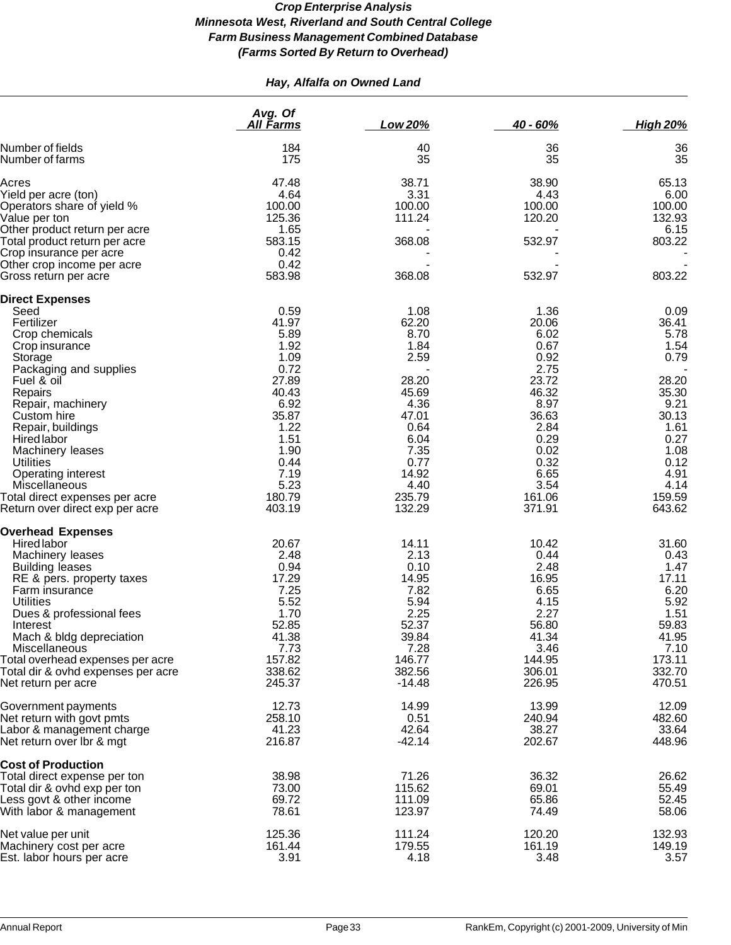# *Hay, Alfalfa on Owned Land*

|                                                        | Avg. Of<br><u>All Farms</u> | Low 20%           | 40 - 60%        | <b>High 20%</b> |
|--------------------------------------------------------|-----------------------------|-------------------|-----------------|-----------------|
| Number of fields<br>Number of farms                    | 184<br>175                  | 40<br>35          | 36<br>35        | 36<br>35        |
| Acres                                                  | 47.48                       | 38.71             | 38.90           | 65.13           |
| Yield per acre (ton)                                   | 4.64                        | 3.31              | 4.43            | 6.00            |
| Operators share of yield %                             | 100.00                      | 100.00            | 100.00          | 100.00          |
| Value per ton                                          | 125.36                      | 111.24            | 120.20          | 132.93          |
| Other product return per acre                          | 1.65                        |                   |                 | 6.15            |
| Total product return per acre                          | 583.15                      | 368.08            | 532.97          | 803.22          |
| Crop insurance per acre                                | 0.42                        |                   |                 |                 |
| Other crop income per acre<br>Gross return per acre    | 0.42<br>583.98              | 368.08            | 532.97          | 803.22          |
| <b>Direct Expenses</b>                                 |                             |                   |                 |                 |
| Seed                                                   | 0.59                        | 1.08              | 1.36            | 0.09            |
| Fertilizer                                             | 41.97                       | 62.20             | 20.06           | 36.41           |
| Crop chemicals                                         | 5.89                        | 8.70              | 6.02            | 5.78            |
| Crop insurance                                         | 1.92                        | 1.84              | 0.67            | 1.54            |
| Storage                                                | 1.09                        | 2.59              | 0.92            | 0.79            |
| Packaging and supplies                                 | 0.72                        |                   | 2.75            |                 |
| Fuel & oil                                             | 27.89                       | 28.20             | 23.72           | 28.20           |
| Repairs                                                | 40.43<br>6.92               | 45.69<br>4.36     | 46.32<br>8.97   | 35.30<br>9.21   |
| Repair, machinery<br>Custom hire                       | 35.87                       | 47.01             | 36.63           | 30.13           |
| Repair, buildings                                      | 1.22                        | 0.64              | 2.84            | 1.61            |
| Hired labor                                            | 1.51                        | 6.04              | 0.29            | 0.27            |
| Machinery leases                                       | 1.90                        | 7.35              | 0.02            | 1.08            |
| <b>Utilities</b>                                       | 0.44                        | 0.77              | 0.32            | 0.12            |
| Operating interest                                     | 7.19                        | 14.92             | 6.65            | 4.91            |
| Miscellaneous                                          | 5.23                        | 4.40              | 3.54            | 4.14            |
| Total direct expenses per acre                         | 180.79                      | 235.79            | 161.06          | 159.59          |
| Return over direct exp per acre                        | 403.19                      | 132.29            | 371.91          | 643.62          |
| <b>Overhead Expenses</b>                               |                             |                   |                 |                 |
| <b>Hired labor</b>                                     | 20.67                       | 14.11             | 10.42           | 31.60           |
| Machinery leases                                       | 2.48                        | 2.13              | 0.44            | 0.43            |
| <b>Building leases</b>                                 | 0.94                        | 0.10              | 2.48            | 1.47            |
| RE & pers. property taxes                              | 17.29                       | 14.95             | 16.95           | 17.11           |
| Farm insurance<br><b>Utilities</b>                     | 7.25<br>5.52                | 7.82<br>5.94      | 6.65<br>4.15    | 6.20<br>5.92    |
| Dues & professional fees                               | 1.70                        | 2.25              | 2.27            | 1.51            |
| Interest                                               | 52.85                       | 52.37             | 56.80           | 59.83           |
| Mach & bldg depreciation                               | 41.38                       | 39.84             | 41.34           | 41.95           |
| Miscellaneous                                          | 7.73                        | 7.28              | 3.46            | 7.10            |
| Total overhead expenses per acre                       | 157.82                      | 146.77            | 144.95          | 173.11          |
| Total dir & ovhd expenses per acre                     | 338.62                      | 382.56            | 306.01          | 332.70          |
| Net return per acre                                    | 245.37                      | $-14.48$          | 226.95          | 470.51          |
| Government payments                                    | 12.73                       | 14.99             | 13.99           | 12.09           |
| Net return with govt pmts                              | 258.10                      | 0.51              | 240.94          | 482.60          |
| Labor & management charge<br>Net return over Ibr & mgt | 41.23<br>216.87             | 42.64<br>$-42.14$ | 38.27<br>202.67 | 33.64<br>448.96 |
| <b>Cost of Production</b>                              |                             |                   |                 |                 |
| Total direct expense per ton                           | 38.98                       | 71.26             | 36.32           | 26.62           |
| Total dir & ovhd exp per ton                           | 73.00                       | 115.62            | 69.01           | 55.49           |
| Less govt & other income                               | 69.72                       | 111.09            | 65.86           | 52.45           |
| With labor & management                                | 78.61                       | 123.97            | 74.49           | 58.06           |
| Net value per unit                                     | 125.36                      | 111.24            | 120.20          | 132.93          |
| Machinery cost per acre                                | 161.44                      | 179.55            | 161.19          | 149.19          |
| Est. labor hours per acre                              | 3.91                        | 4.18              | 3.48            | 3.57            |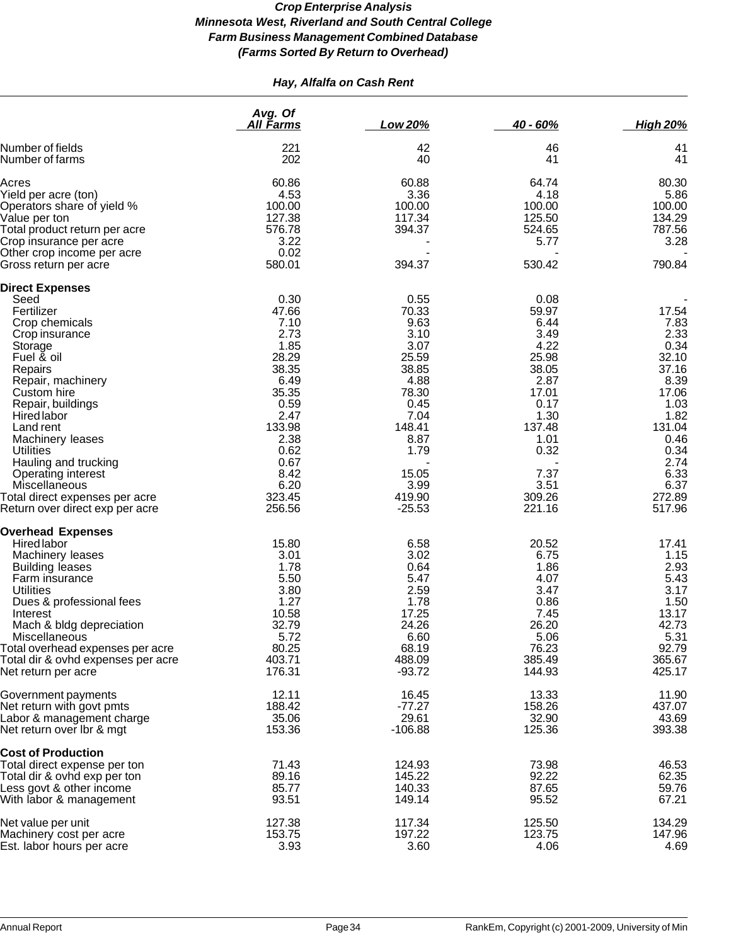# *Hay, Alfalfa on Cash Rent*

|                                                    | Avg. Of<br>All Farms | Low 20%        | 40 - 60%       | <b>High 20%</b> |
|----------------------------------------------------|----------------------|----------------|----------------|-----------------|
| Number of fields<br>Number of farms                | 221<br>202           | 42<br>40       | 46<br>41       | 41<br>41        |
|                                                    |                      |                |                |                 |
| Acres                                              | 60.86                | 60.88          | 64.74          | 80.30           |
| Yield per acre (ton)<br>Operators share of yield % | 4.53<br>100.00       | 3.36<br>100.00 | 4.18<br>100.00 | 5.86<br>100.00  |
| Value per ton                                      | 127.38               | 117.34         | 125.50         | 134.29          |
| Total product return per acre                      | 576.78               | 394.37         | 524.65         | 787.56          |
| Crop insurance per acre                            | 3.22                 |                | 5.77           | 3.28            |
| Other crop income per acre                         | 0.02                 |                |                |                 |
| Gross return per acre                              | 580.01               | 394.37         | 530.42         | 790.84          |
| <b>Direct Expenses</b>                             |                      |                |                |                 |
| Seed                                               | 0.30                 | 0.55           | 0.08           |                 |
| Fertilizer                                         | 47.66                | 70.33          | 59.97          | 17.54           |
| Crop chemicals                                     | 7.10                 | 9.63           | 6.44           | 7.83            |
| Crop insurance                                     | 2.73                 | 3.10           | 3.49           | 2.33            |
| Storage                                            | 1.85                 | 3.07           | 4.22           | 0.34            |
| Fuel & oil                                         | 28.29                | 25.59          | 25.98          | 32.10           |
| Repairs                                            | 38.35                | 38.85          | 38.05          | 37.16           |
| Repair, machinery                                  | 6.49                 | 4.88           | 2.87           | 8.39            |
| Custom hire                                        | 35.35                | 78.30          | 17.01          | 17.06           |
| Repair, buildings                                  | 0.59<br>2.47         | 0.45<br>7.04   | 0.17           | 1.03            |
| <b>Hired labor</b><br>Land rent                    | 133.98               | 148.41         | 1.30<br>137.48 | 1.82<br>131.04  |
| Machinery leases                                   | 2.38                 | 8.87           | 1.01           | 0.46            |
| <b>Utilities</b>                                   | 0.62                 | 1.79           | 0.32           | 0.34            |
| Hauling and trucking                               | 0.67                 |                |                | 2.74            |
| Operating interest                                 | 8.42                 | 15.05          | 7.37           | 6.33            |
| Miscellaneous                                      | 6.20                 | 3.99           | 3.51           | 6.37            |
| Total direct expenses per acre                     | 323.45               | 419.90         | 309.26         | 272.89          |
| Return over direct exp per acre                    | 256.56               | $-25.53$       | 221.16         | 517.96          |
| <b>Overhead Expenses</b>                           |                      |                |                |                 |
| <b>Hired labor</b>                                 | 15.80                | 6.58           | 20.52          | 17.41           |
| Machinery leases                                   | 3.01                 | 3.02           | 6.75           | 1.15            |
| <b>Building leases</b>                             | 1.78                 | 0.64           | 1.86           | 2.93            |
| Farm insurance                                     | 5.50                 | 5.47           | 4.07           | 5.43            |
| Utilities                                          | 3.80                 | 2.59           | 3.47           | 3.17            |
| Dues & professional fees                           | 1.27                 | 1.78           | 0.86           | 1.50            |
| Interest                                           | 10.58                | 17.25          | 7.45           | 13.17<br>42.73  |
| Mach & bldg depreciation<br>Miscellaneous          | 32.79<br>5.72        | 24.26<br>6.60  | 26.20<br>5.06  | 5.31            |
| Total overhead expenses per acre                   | 80.25                | 68.19          | 76.23          | 92.79           |
| Total dir & ovhd expenses per acre                 | 403.71               | 488.09         | 385.49         | 365.67          |
| Net return per acre                                | 176.31               | $-93.72$       | 144.93         | 425.17          |
| Government payments                                | 12.11                | 16.45          | 13.33          | 11.90           |
| Net return with govt pmts                          | 188.42               | $-77.27$       | 158.26         | 437.07          |
| Labor & management charge                          | 35.06                | 29.61          | 32.90          | 43.69           |
| Net return over Ibr & mgt                          | 153.36               | $-106.88$      | 125.36         | 393.38          |
| <b>Cost of Production</b>                          |                      |                |                |                 |
| Total direct expense per ton                       | 71.43                | 124.93         | 73.98          | 46.53           |
| Total dir & ovhd exp per ton                       | 89.16                | 145.22         | 92.22          | 62.35           |
| Less govt & other income                           | 85.77                | 140.33         | 87.65          | 59.76           |
| With labor & management                            | 93.51                | 149.14         | 95.52          | 67.21           |
| Net value per unit                                 | 127.38               | 117.34         | 125.50         | 134.29          |
| Machinery cost per acre                            | 153.75               | 197.22         | 123.75         | 147.96          |
| Est. labor hours per acre                          | 3.93                 | 3.60           | 4.06           | 4.69            |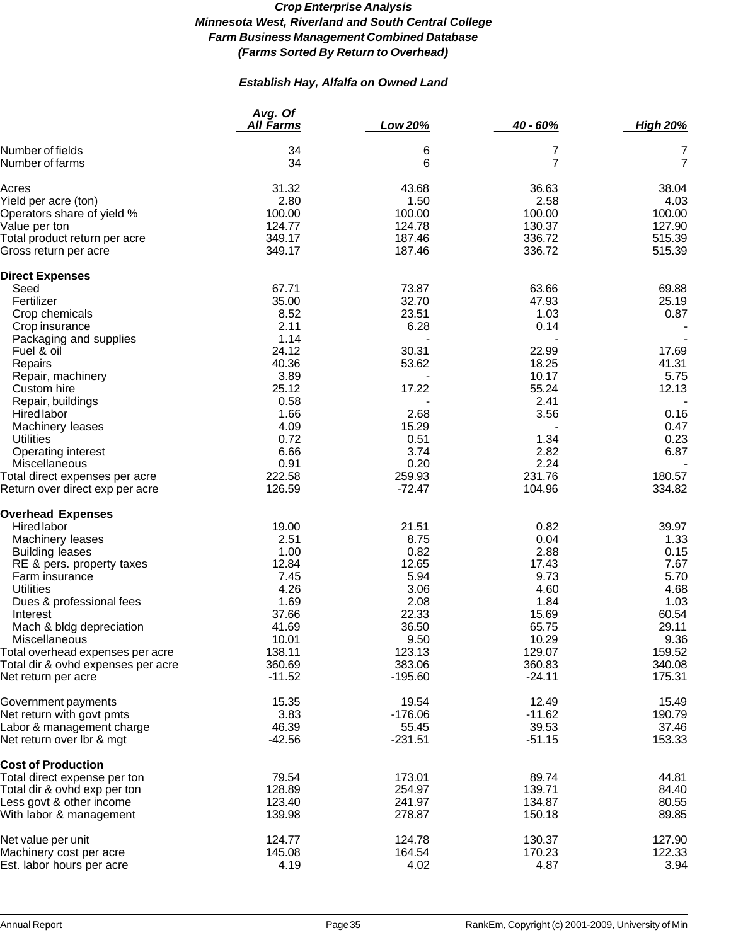# *Establish Hay, Alfalfa on Owned Land*

|                                                                   | Avg. Of<br><b>All Farms</b> | Low 20%            | 40 - 60%         | <b>High 20%</b>  |
|-------------------------------------------------------------------|-----------------------------|--------------------|------------------|------------------|
| Number of fields                                                  | 34                          | 6                  | 7                | 7                |
| Number of farms                                                   | 34                          | 6                  | 7                | $\overline{7}$   |
| Acres                                                             | 31.32                       | 43.68              | 36.63            | 38.04            |
| Yield per acre (ton)                                              | 2.80                        | 1.50               | 2.58             | 4.03             |
| Operators share of yield %                                        | 100.00                      | 100.00             | 100.00           | 100.00           |
| Value per ton                                                     | 124.77                      | 124.78             | 130.37           | 127.90           |
| Total product return per acre                                     | 349.17                      | 187.46             | 336.72           | 515.39           |
| Gross return per acre                                             | 349.17                      | 187.46             | 336.72           | 515.39           |
| <b>Direct Expenses</b>                                            |                             |                    |                  |                  |
| Seed                                                              | 67.71                       | 73.87              | 63.66            | 69.88            |
| Fertilizer                                                        | 35.00                       | 32.70              | 47.93            | 25.19            |
| Crop chemicals                                                    | 8.52                        | 23.51              | 1.03             | 0.87             |
| Crop insurance                                                    | 2.11                        | 6.28               | 0.14             |                  |
| Packaging and supplies                                            | 1.14                        |                    |                  |                  |
| Fuel & oil                                                        | 24.12                       | 30.31              | 22.99            | 17.69            |
| Repairs                                                           | 40.36                       | 53.62              | 18.25            | 41.31            |
| Repair, machinery                                                 | 3.89                        |                    | 10.17            | 5.75             |
| Custom hire                                                       | 25.12                       | 17.22              | 55.24            | 12.13            |
| Repair, buildings                                                 | 0.58                        |                    | 2.41             |                  |
| <b>Hired labor</b>                                                | 1.66                        | 2.68               | 3.56             | 0.16             |
| Machinery leases                                                  | 4.09                        | 15.29              |                  | 0.47             |
| <b>Utilities</b>                                                  | 0.72                        | 0.51               | 1.34             | 0.23             |
| Operating interest                                                | 6.66                        | 3.74               | 2.82             | 6.87             |
| Miscellaneous                                                     | 0.91                        | 0.20               | 2.24             |                  |
| Total direct expenses per acre<br>Return over direct exp per acre | 222.58<br>126.59            | 259.93<br>$-72.47$ | 231.76<br>104.96 | 180.57<br>334.82 |
| <b>Overhead Expenses</b>                                          |                             |                    |                  |                  |
| Hired labor                                                       | 19.00                       | 21.51              | 0.82             | 39.97            |
| Machinery leases                                                  | 2.51                        | 8.75               | 0.04             | 1.33             |
| <b>Building leases</b>                                            | 1.00                        | 0.82               | 2.88             | 0.15             |
| RE & pers. property taxes                                         | 12.84                       | 12.65              | 17.43            | 7.67             |
| Farm insurance                                                    | 7.45                        | 5.94               | 9.73             | 5.70             |
| <b>Utilities</b>                                                  | 4.26                        | 3.06               | 4.60             | 4.68             |
| Dues & professional fees                                          | 1.69                        | 2.08               | 1.84             | 1.03             |
| Interest                                                          | 37.66                       | 22.33              | 15.69            | 60.54            |
| Mach & bldg depreciation                                          | 41.69                       | 36.50              | 65.75            | 29.11            |
| Miscellaneous                                                     | 10.01                       | 9.50               | 10.29            | 9.36             |
| Total overhead expenses per acre                                  | 138.11                      | 123.13             | 129.07           | 159.52           |
| Total dir & ovhd expenses per acre                                | 360.69                      | 383.06             | 360.83           | 340.08           |
| Net return per acre                                               | $-11.52$                    | $-195.60$          | $-24.11$         | 175.31           |
| Government payments                                               | 15.35                       | 19.54              | 12.49            | 15.49            |
| Net return with govt pmts                                         | 3.83                        | $-176.06$          | $-11.62$         | 190.79           |
| Labor & management charge                                         | 46.39                       | 55.45              | 39.53            | 37.46            |
| Net return over Ibr & mgt                                         | $-42.56$                    | $-231.51$          | $-51.15$         | 153.33           |
| <b>Cost of Production</b>                                         |                             |                    |                  |                  |
| Total direct expense per ton                                      | 79.54                       | 173.01             | 89.74            | 44.81            |
| Total dir & ovhd exp per ton                                      | 128.89                      | 254.97             | 139.71           | 84.40            |
| Less govt & other income                                          | 123.40                      | 241.97             | 134.87           | 80.55            |
| With labor & management                                           | 139.98                      | 278.87             | 150.18           | 89.85            |
| Net value per unit                                                | 124.77                      | 124.78             | 130.37           | 127.90           |
| Machinery cost per acre                                           | 145.08                      | 164.54             | 170.23           | 122.33           |
| Est. labor hours per acre                                         | 4.19                        | 4.02               | 4.87             | 3.94             |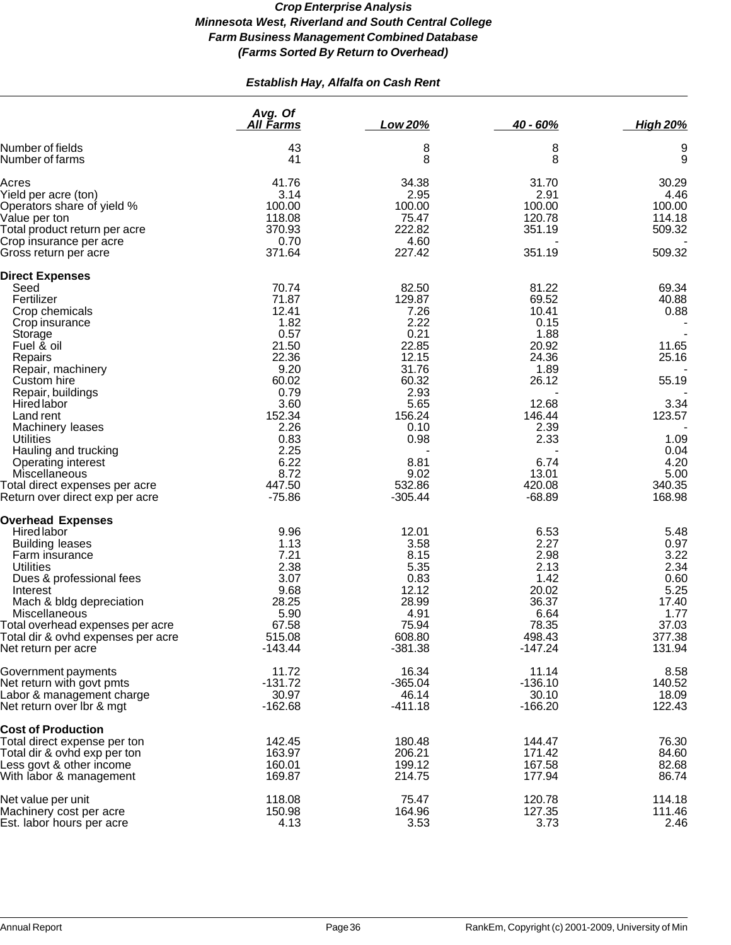# *Establish Hay, Alfalfa on Cash Rent*

|                                    | Avg. Of<br><b>All Farms</b> | Low 20%   | 40 - 60%  | <b>High 20%</b> |
|------------------------------------|-----------------------------|-----------|-----------|-----------------|
| Number of fields                   | 43                          | 8         | 8         | 9               |
| Number of farms                    | 41                          | 8         | 8         | 9               |
| Acres                              | 41.76                       | 34.38     | 31.70     | 30.29           |
| Yield per acre (ton)               | 3.14                        | 2.95      | 2.91      | 4.46            |
| Operators share of yield %         | 100.00                      | 100.00    | 100.00    | 100.00          |
| Value per ton                      | 118.08                      | 75.47     | 120.78    | 114.18          |
| Total product return per acre      | 370.93                      | 222.82    | 351.19    | 509.32          |
| Crop insurance per acre            | 0.70                        | 4.60      |           |                 |
| Gross return per acre              | 371.64                      | 227.42    | 351.19    | 509.32          |
| <b>Direct Expenses</b>             |                             |           |           |                 |
| Seed                               | 70.74                       | 82.50     | 81.22     | 69.34           |
| Fertilizer                         | 71.87                       | 129.87    | 69.52     | 40.88           |
| Crop chemicals                     | 12.41                       | 7.26      | 10.41     | 0.88            |
| Crop insurance                     | 1.82                        | 2.22      | 0.15      |                 |
| Storage                            | 0.57                        | 0.21      | 1.88      |                 |
| Fuel & oil                         | 21.50                       | 22.85     | 20.92     | 11.65           |
| Repairs                            | 22.36                       | 12.15     | 24.36     | 25.16           |
| Repair, machinery                  | 9.20                        | 31.76     | 1.89      |                 |
| Custom hire                        | 60.02                       | 60.32     | 26.12     | 55.19           |
| Repair, buildings                  | 0.79                        | 2.93      |           |                 |
| <b>Hired labor</b>                 | 3.60                        | 5.65      | 12.68     | 3.34            |
| Land rent                          | 152.34                      | 156.24    | 146.44    | 123.57          |
| Machinery leases                   | 2.26                        | 0.10      | 2.39      |                 |
| <b>Utilities</b>                   | 0.83                        | 0.98      | 2.33      | 1.09            |
| Hauling and trucking               | 2.25                        |           |           | 0.04            |
| Operating interest                 | 6.22                        | 8.81      | 6.74      | 4.20            |
| Miscellaneous                      | 8.72                        | 9.02      | 13.01     | 5.00            |
| Total direct expenses per acre     | 447.50                      | 532.86    | 420.08    | 340.35          |
| Return over direct exp per acre    | $-75.86$                    | $-305.44$ | $-68.89$  | 168.98          |
| <b>Overhead Expenses</b>           |                             |           |           |                 |
| <b>Hired labor</b>                 | 9.96                        | 12.01     | 6.53      | 5.48            |
| <b>Building leases</b>             | 1.13                        | 3.58      | 2.27      | 0.97            |
| Farm insurance                     | 7.21                        | 8.15      | 2.98      | 3.22            |
| <b>Utilities</b>                   | 2.38                        | 5.35      | 2.13      | 2.34            |
| Dues & professional fees           | 3.07                        | 0.83      | 1.42      | 0.60            |
| Interest                           | 9.68                        | 12.12     | 20.02     | 5.25            |
| Mach & bldg depreciation           | 28.25                       | 28.99     | 36.37     | 17.40           |
| Miscellaneous                      | 5.90                        | 4.91      | 6.64      | 1.77            |
| Total overhead expenses per acre   | 67.58                       | 75.94     | 78.35     | 37.03           |
| Total dir & ovhd expenses per acre | 515.08                      | 608.80    | 498.43    | 377.38          |
| Net return per acre                | $-143.44$                   | $-381.38$ | $-147.24$ | 131.94          |
| Government payments                | 11.72                       | 16.34     | 11.14     | 8.58            |
| Net return with govt pmts          | $-131.72$                   | $-365.04$ | $-136.10$ | 140.52          |
| Labor & management charge          | 30.97                       | 46.14     | 30.10     | 18.09           |
| Net return over Ibr & mgt          | $-162.68$                   | $-411.18$ | $-166.20$ | 122.43          |
| <b>Cost of Production</b>          |                             |           |           |                 |
| Total direct expense per ton       | 142.45                      | 180.48    | 144.47    | 76.30           |
| Total dir & ovhd exp per ton       | 163.97                      | 206.21    | 171.42    | 84.60           |
| Less govt & other income           | 160.01                      | 199.12    | 167.58    | 82.68           |
| With labor & management            | 169.87                      | 214.75    | 177.94    | 86.74           |
| Net value per unit                 | 118.08                      | 75.47     | 120.78    | 114.18          |
| Machinery cost per acre            | 150.98                      | 164.96    | 127.35    | 111.46          |
| Est. labor hours per acre          | 4.13                        | 3.53      | 3.73      | 2.46            |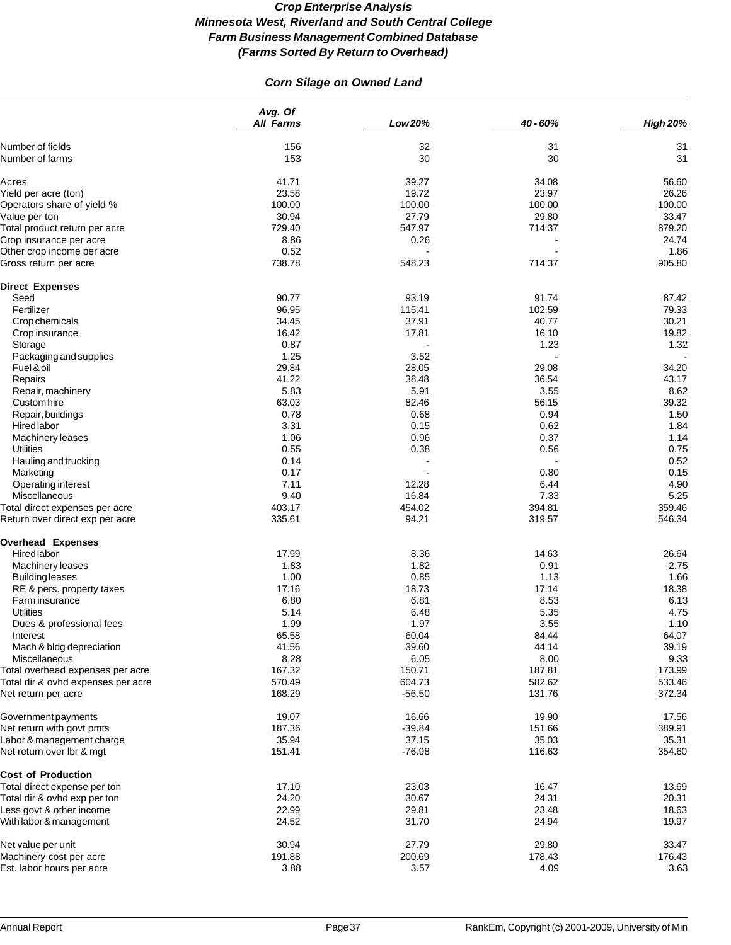# *Corn Silage on Owned Land*

|                                                                   | Avg. Of<br>All Farms | Low 20%  | 40 - 60% | <b>High 20%</b> |
|-------------------------------------------------------------------|----------------------|----------|----------|-----------------|
|                                                                   |                      |          |          |                 |
| Number of fields<br>Number of farms                               | 156<br>153           | 32<br>30 | 31<br>30 | 31<br>31        |
|                                                                   |                      |          |          |                 |
| Acres                                                             | 41.71                | 39.27    | 34.08    | 56.60           |
| Yield per acre (ton)                                              | 23.58                | 19.72    | 23.97    | 26.26           |
| Operators share of yield %                                        | 100.00               | 100.00   | 100.00   | 100.00          |
| Value per ton                                                     | 30.94                | 27.79    | 29.80    | 33.47           |
| Total product return per acre                                     | 729.40               | 547.97   | 714.37   | 879.20          |
| Crop insurance per acre                                           | 8.86                 | 0.26     |          | 24.74           |
| Other crop income per acre<br>Gross return per acre               | 0.52<br>738.78       | 548.23   | 714.37   | 1.86<br>905.80  |
|                                                                   |                      |          |          |                 |
| <b>Direct Expenses</b><br>Seed                                    | 90.77                | 93.19    | 91.74    | 87.42           |
| Fertilizer                                                        | 96.95                | 115.41   | 102.59   | 79.33           |
| Crop chemicals                                                    | 34.45                | 37.91    | 40.77    | 30.21           |
| Crop insurance                                                    | 16.42                | 17.81    | 16.10    | 19.82           |
| Storage                                                           | 0.87                 |          | 1.23     | 1.32            |
| Packaging and supplies                                            | 1.25                 | 3.52     |          |                 |
| Fuel & oil                                                        | 29.84                | 28.05    | 29.08    | 34.20           |
| Repairs                                                           | 41.22                | 38.48    | 36.54    | 43.17           |
| Repair, machinery                                                 | 5.83                 | 5.91     | 3.55     | 8.62            |
| Custom hire                                                       | 63.03                | 82.46    | 56.15    | 39.32           |
| Repair, buildings                                                 | 0.78                 | 0.68     | 0.94     | 1.50            |
| Hired labor                                                       | 3.31                 | 0.15     | 0.62     | 1.84            |
|                                                                   | 1.06                 | 0.96     | 0.37     | 1.14            |
| Machinery leases<br><b>Utilities</b>                              | 0.55                 | 0.38     | 0.56     | 0.75            |
|                                                                   | 0.14                 |          |          | 0.52            |
| Hauling and trucking                                              | 0.17                 |          | 0.80     | 0.15            |
| Marketing                                                         | 7.11                 | 12.28    | 6.44     | 4.90            |
| Operating interest<br>Miscellaneous                               | 9.40                 | 16.84    | 7.33     | 5.25            |
|                                                                   | 403.17               | 454.02   | 394.81   | 359.46          |
| Total direct expenses per acre<br>Return over direct exp per acre | 335.61               | 94.21    | 319.57   | 546.34          |
| <b>Overhead Expenses</b>                                          |                      |          |          |                 |
| Hired labor                                                       | 17.99                | 8.36     | 14.63    | 26.64           |
| Machinery leases                                                  | 1.83                 | 1.82     | 0.91     | 2.75            |
| <b>Building leases</b>                                            | 1.00                 | 0.85     | 1.13     | 1.66            |
| RE & pers. property taxes                                         | 17.16                | 18.73    | 17.14    | 18.38           |
| Farm insurance                                                    | 6.80                 | 6.81     | 8.53     | 6.13            |
| Utilities                                                         | 5.14                 | 6.48     | 5.35     | 4.75            |
| Dues & professional fees                                          | 1.99                 | 1.97     | 3.55     | 1.10            |
| Interest                                                          | 65.58                | 60.04    | 84.44    | 64.07           |
| Mach & bldg depreciation                                          | 41.56                | 39.60    | 44.14    | 39.19           |
| Miscellaneous                                                     | 8.28                 | 6.05     | 8.00     | 9.33            |
| Total overhead expenses per acre                                  | 167.32               | 150.71   | 187.81   | 173.99          |
| Total dir & ovhd expenses per acre                                | 570.49               | 604.73   | 582.62   | 533.46          |
| Net return per acre                                               | 168.29               | $-56.50$ | 131.76   | 372.34          |
| Government payments                                               | 19.07                | 16.66    | 19.90    | 17.56           |
| Net return with govt pmts                                         | 187.36               | $-39.84$ | 151.66   | 389.91          |
| Labor & management charge                                         | 35.94                | 37.15    | 35.03    | 35.31           |
| Net return over lbr & mgt                                         | 151.41               | $-76.98$ | 116.63   | 354.60          |
| <b>Cost of Production</b>                                         |                      |          |          |                 |
| Total direct expense per ton                                      | 17.10                | 23.03    | 16.47    | 13.69           |
| Total dir & ovhd exp per ton                                      | 24.20                | 30.67    | 24.31    | 20.31           |
| Less govt & other income                                          | 22.99                | 29.81    | 23.48    | 18.63           |
| With labor & management                                           | 24.52                | 31.70    | 24.94    | 19.97           |
| Net value per unit                                                | 30.94                | 27.79    | 29.80    | 33.47           |
| Machinery cost per acre                                           | 191.88               | 200.69   | 178.43   | 176.43          |
| Est. labor hours per acre                                         | 3.88                 | 3.57     | 4.09     | 3.63            |
|                                                                   |                      |          |          |                 |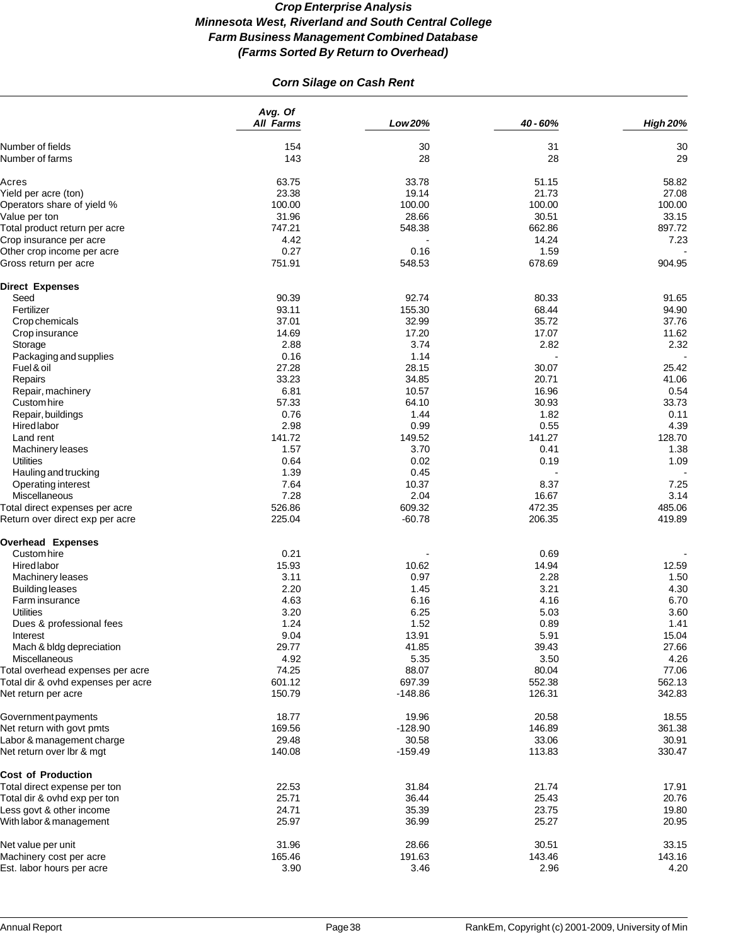# *Corn Silage on Cash Rent*

|                                     | Avg. Of<br>All Farms | Low 20%   | 40 - 60% | <b>High 20%</b> |
|-------------------------------------|----------------------|-----------|----------|-----------------|
|                                     |                      |           |          |                 |
| Number of fields<br>Number of farms | 154<br>143           | 30<br>28  | 31<br>28 | 30<br>29        |
| Acres                               | 63.75                | 33.78     | 51.15    | 58.82           |
| Yield per acre (ton)                | 23.38                | 19.14     | 21.73    | 27.08           |
| Operators share of yield %          | 100.00               | 100.00    | 100.00   | 100.00          |
| Value per ton                       | 31.96                | 28.66     | 30.51    | 33.15           |
| Total product return per acre       | 747.21               | 548.38    | 662.86   | 897.72          |
| Crop insurance per acre             | 4.42                 |           | 14.24    | 7.23            |
| Other crop income per acre          | 0.27                 | 0.16      | 1.59     |                 |
| Gross return per acre               | 751.91               | 548.53    | 678.69   | 904.95          |
| <b>Direct Expenses</b>              |                      |           |          |                 |
| Seed                                | 90.39                | 92.74     | 80.33    | 91.65           |
| Fertilizer                          | 93.11                | 155.30    | 68.44    | 94.90           |
| Crop chemicals                      | 37.01                | 32.99     | 35.72    | 37.76           |
| Crop insurance                      | 14.69                | 17.20     | 17.07    | 11.62           |
| Storage                             | 2.88                 | 3.74      | 2.82     | 2.32            |
| Packaging and supplies              | 0.16                 | 1.14      |          |                 |
| Fuel & oil                          | 27.28                | 28.15     | 30.07    | 25.42           |
| Repairs                             | 33.23                | 34.85     | 20.71    | 41.06           |
| Repair, machinery                   | 6.81                 | 10.57     | 16.96    | 0.54            |
| Custom hire                         | 57.33                | 64.10     | 30.93    | 33.73           |
| Repair, buildings                   | 0.76                 | 1.44      | 1.82     | 0.11            |
| Hired labor                         | 2.98                 | 0.99      | 0.55     | 4.39            |
| Land rent                           | 141.72               | 149.52    | 141.27   | 128.70          |
| Machinery leases                    | 1.57                 | 3.70      | 0.41     | 1.38            |
| Utilities                           | 0.64                 | 0.02      | 0.19     | 1.09            |
| Hauling and trucking                | 1.39                 | 0.45      |          |                 |
| Operating interest                  | 7.64                 | 10.37     | 8.37     | 7.25            |
| Miscellaneous                       | 7.28                 | 2.04      | 16.67    | 3.14            |
| Total direct expenses per acre      | 526.86               | 609.32    | 472.35   | 485.06          |
| Return over direct exp per acre     | 225.04               | $-60.78$  | 206.35   | 419.89          |
| <b>Overhead Expenses</b>            |                      |           |          |                 |
| Custom hire                         | 0.21                 |           | 0.69     |                 |
| Hired labor                         | 15.93                | 10.62     | 14.94    | 12.59           |
| Machinery leases                    | 3.11                 | 0.97      | 2.28     | 1.50            |
| <b>Building leases</b>              | 2.20                 | 1.45      | 3.21     | 4.30            |
| Farm insurance                      | 4.63                 | 6.16      | 4.16     | 6.70            |
| <b>Utilities</b>                    | 3.20                 | 6.25      | 5.03     | 3.60            |
| Dues & professional fees            | 1.24                 | 1.52      | 0.89     | 1.41            |
| Interest                            | 9.04                 | 13.91     | 5.91     | 15.04           |
| Mach & bldg depreciation            | 29.77                | 41.85     | 39.43    | 27.66           |
| <b>Miscellaneous</b>                | 4.92                 | 5.35      | 3.50     | 4.26            |
| Total overhead expenses per acre    | 74.25                | 88.07     | 80.04    | 77.06           |
| Total dir & ovhd expenses per acre  | 601.12               | 697.39    | 552.38   | 562.13          |
| Net return per acre                 | 150.79               | $-148.86$ | 126.31   | 342.83          |
| Government payments                 | 18.77                | 19.96     | 20.58    | 18.55           |
| Net return with govt pmts           | 169.56               | $-128.90$ | 146.89   | 361.38          |
| Labor & management charge           | 29.48                | 30.58     | 33.06    | 30.91           |
| Net return over Ibr & mgt           | 140.08               | $-159.49$ | 113.83   | 330.47          |
| <b>Cost of Production</b>           |                      |           |          |                 |
| Total direct expense per ton        | 22.53                | 31.84     | 21.74    | 17.91           |
| Total dir & ovhd exp per ton        | 25.71                | 36.44     | 25.43    | 20.76           |
| Less govt & other income            | 24.71                | 35.39     | 23.75    | 19.80           |
| With labor & management             | 25.97                | 36.99     | 25.27    | 20.95           |
| Net value per unit                  | 31.96                | 28.66     | 30.51    | 33.15           |
| Machinery cost per acre             | 165.46               | 191.63    | 143.46   | 143.16          |
| Est. labor hours per acre           | 3.90                 | 3.46      | 2.96     | 4.20            |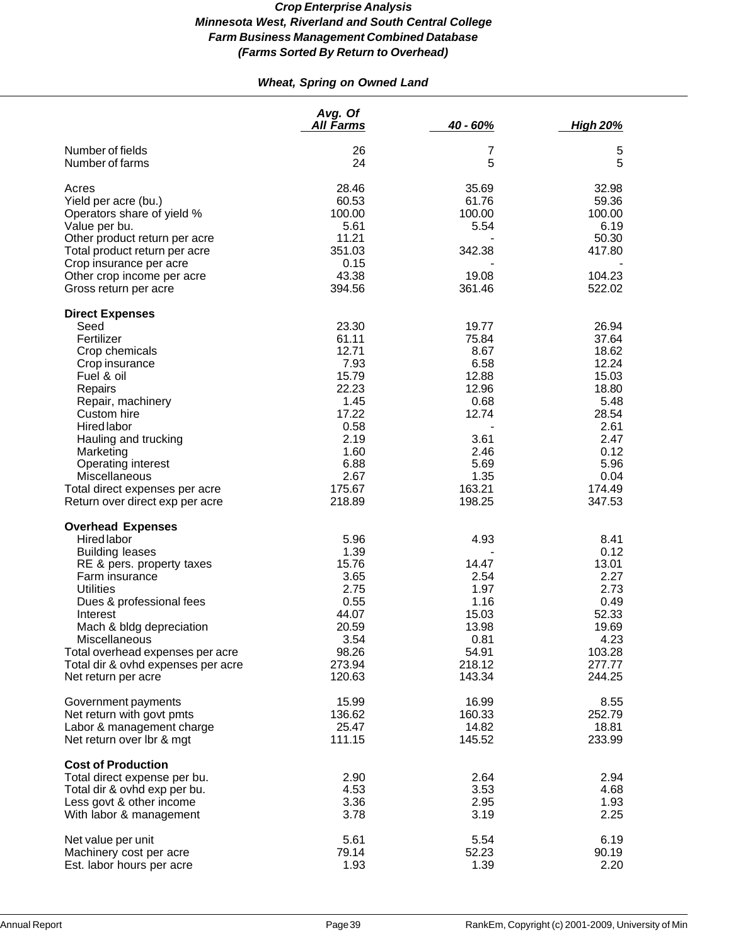# *Wheat, Spring on Owned Land*

|                                                                                                                                                                                                                                                                                                                                   | Avg. Of<br>All Farms                                                                                                           | 40 - 60%                                                                                                              | <b>High 20%</b>                                                                                                                 |
|-----------------------------------------------------------------------------------------------------------------------------------------------------------------------------------------------------------------------------------------------------------------------------------------------------------------------------------|--------------------------------------------------------------------------------------------------------------------------------|-----------------------------------------------------------------------------------------------------------------------|---------------------------------------------------------------------------------------------------------------------------------|
| Number of fields<br>Number of farms                                                                                                                                                                                                                                                                                               | 26<br>24                                                                                                                       | 7<br>5                                                                                                                | 5<br>5                                                                                                                          |
| Acres<br>Yield per acre (bu.)<br>Operators share of yield %<br>Value per bu.<br>Other product return per acre<br>Total product return per acre<br>Crop insurance per acre<br>Other crop income per acre                                                                                                                           | 28.46<br>60.53<br>100.00<br>5.61<br>11.21<br>351.03<br>0.15<br>43.38                                                           | 35.69<br>61.76<br>100.00<br>5.54<br>342.38<br>19.08                                                                   | 32.98<br>59.36<br>100.00<br>6.19<br>50.30<br>417.80<br>104.23                                                                   |
| Gross return per acre                                                                                                                                                                                                                                                                                                             | 394.56                                                                                                                         | 361.46                                                                                                                | 522.02                                                                                                                          |
| <b>Direct Expenses</b><br>Seed<br>Fertilizer<br>Crop chemicals<br>Crop insurance<br>Fuel & oil<br>Repairs<br>Repair, machinery<br>Custom hire<br><b>Hired labor</b><br>Hauling and trucking<br>Marketing<br><b>Operating interest</b><br>Miscellaneous<br>Total direct expenses per acre<br>Return over direct exp per acre       | 23.30<br>61.11<br>12.71<br>7.93<br>15.79<br>22.23<br>1.45<br>17.22<br>0.58<br>2.19<br>1.60<br>6.88<br>2.67<br>175.67<br>218.89 | 19.77<br>75.84<br>8.67<br>6.58<br>12.88<br>12.96<br>0.68<br>12.74<br>3.61<br>2.46<br>5.69<br>1.35<br>163.21<br>198.25 | 26.94<br>37.64<br>18.62<br>12.24<br>15.03<br>18.80<br>5.48<br>28.54<br>2.61<br>2.47<br>0.12<br>5.96<br>0.04<br>174.49<br>347.53 |
| <b>Overhead Expenses</b><br><b>Hired labor</b><br><b>Building leases</b><br>RE & pers. property taxes<br>Farm insurance<br><b>Utilities</b><br>Dues & professional fees<br>Interest<br>Mach & bldg depreciation<br>Miscellaneous<br>Total overhead expenses per acre<br>Total dir & ovhd expenses per acre<br>Net return per acre | 5.96<br>1.39<br>15.76<br>3.65<br>2.75<br>0.55<br>44.07<br>20.59<br>3.54<br>98.26<br>273.94<br>120.63                           | 4.93<br>14.47<br>2.54<br>1.97<br>1.16<br>15.03<br>13.98<br>0.81<br>54.91<br>218.12<br>143.34                          | 8.41<br>0.12<br>13.01<br>2.27<br>2.73<br>0.49<br>52.33<br>19.69<br>4.23<br>103.28<br>277.77<br>244.25                           |
| Government payments<br>Net return with govt pmts<br>Labor & management charge<br>Net return over Ibr & mgt                                                                                                                                                                                                                        | 15.99<br>136.62<br>25.47<br>111.15                                                                                             | 16.99<br>160.33<br>14.82<br>145.52                                                                                    | 8.55<br>252.79<br>18.81<br>233.99                                                                                               |
| <b>Cost of Production</b><br>Total direct expense per bu.<br>Total dir & ovhd exp per bu.<br>Less govt & other income<br>With labor & management                                                                                                                                                                                  | 2.90<br>4.53<br>3.36<br>3.78                                                                                                   | 2.64<br>3.53<br>2.95<br>3.19                                                                                          | 2.94<br>4.68<br>1.93<br>2.25                                                                                                    |
| Net value per unit<br>Machinery cost per acre<br>Est. labor hours per acre                                                                                                                                                                                                                                                        | 5.61<br>79.14<br>1.93                                                                                                          | 5.54<br>52.23<br>1.39                                                                                                 | 6.19<br>90.19<br>2.20                                                                                                           |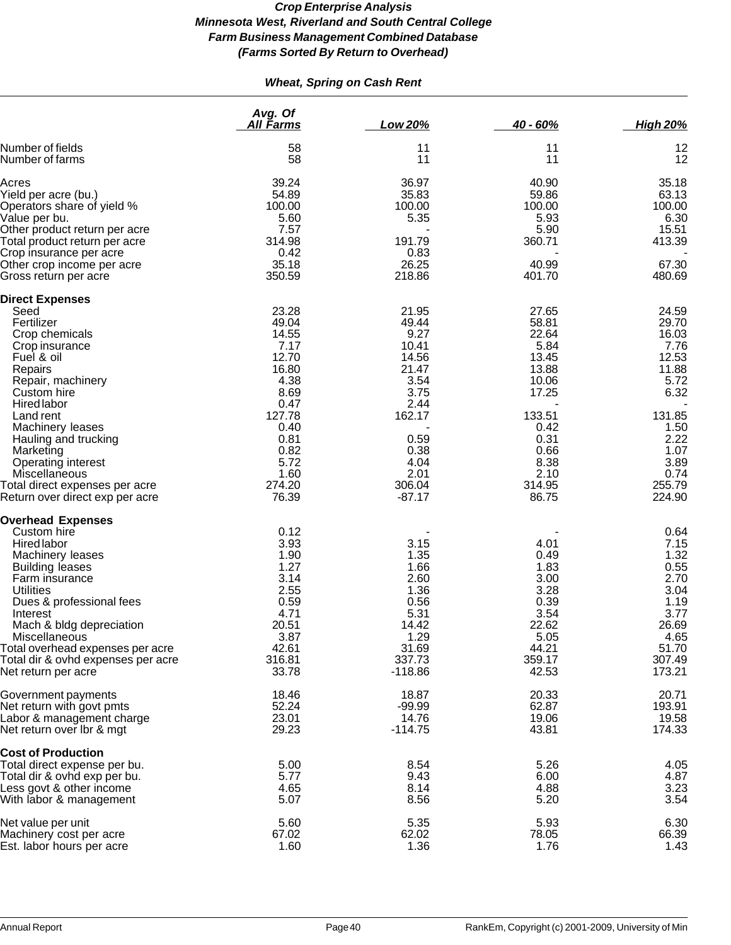# *Wheat, Spring on Cash Rent*

|                                                                   | Avg. Of<br>All Farms | Low 20%            | $40 - 60%$      | <b>High 20%</b>  |
|-------------------------------------------------------------------|----------------------|--------------------|-----------------|------------------|
| Number of fields<br>Number of farms                               | 58<br>58             | 11<br>11           | 11<br>11        | 12<br>12         |
| Acres                                                             | 39.24                | 36.97              | 40.90           | 35.18            |
| Yield per acre (bu.)                                              | 54.89                | 35.83              | 59.86           | 63.13            |
| Operators share of yield %                                        | 100.00               | 100.00             | 100.00          | 100.00           |
| Value per bu.                                                     | 5.60                 | 5.35               | 5.93            | 6.30             |
| Other product return per acre                                     | 7.57                 |                    | 5.90            | 15.51            |
| Total product return per acre                                     | 314.98               | 191.79             | 360.71          | 413.39           |
| Crop insurance per acre                                           | 0.42                 | 0.83               |                 |                  |
| Other crop income per acre                                        | 35.18                | 26.25              | 40.99           | 67.30            |
| Gross return per acre                                             | 350.59               | 218.86             | 401.70          | 480.69           |
| <b>Direct Expenses</b>                                            |                      |                    |                 |                  |
| Seed                                                              | 23.28                | 21.95              | 27.65           | 24.59            |
| Fertilizer                                                        | 49.04                | 49.44              | 58.81           | 29.70            |
| Crop chemicals                                                    | 14.55                | 9.27               | 22.64           | 16.03            |
| Crop insurance                                                    | 7.17<br>12.70        | 10.41              | 5.84            | 7.76             |
| Fuel & oil                                                        | 16.80                | 14.56<br>21.47     | 13.45<br>13.88  | 12.53<br>11.88   |
| Repairs                                                           | 4.38                 | 3.54               | 10.06           | 5.72             |
| Repair, machinery<br>Custom hire                                  | 8.69                 | 3.75               | 17.25           | 6.32             |
| <b>Hired labor</b>                                                | 0.47                 | 2.44               |                 |                  |
| Land rent                                                         | 127.78               | 162.17             | 133.51          | 131.85           |
| Machinery leases                                                  | 0.40                 |                    | 0.42            | 1.50             |
| Hauling and trucking                                              | 0.81                 | 0.59               | 0.31            | 2.22             |
| Marketing                                                         | 0.82                 | 0.38               | 0.66            | 1.07             |
| Operating interest                                                | 5.72                 | 4.04               | 8.38            | 3.89             |
| Miscellaneous                                                     | 1.60                 | 2.01               | 2.10            | 0.74             |
| Total direct expenses per acre<br>Return over direct exp per acre | 274.20<br>76.39      | 306.04<br>$-87.17$ | 314.95<br>86.75 | 255.79<br>224.90 |
| <b>Overhead Expenses</b>                                          |                      |                    |                 |                  |
| Custom hire                                                       | 0.12                 |                    |                 | 0.64             |
| <b>Hired labor</b>                                                | 3.93                 | 3.15               | 4.01            | 7.15             |
| Machinery leases                                                  | 1.90                 | 1.35               | 0.49            | 1.32             |
| <b>Building leases</b>                                            | 1.27                 | 1.66               | 1.83            | 0.55             |
| Farm insurance                                                    | 3.14                 | 2.60               | 3.00            | 2.70             |
| <b>Utilities</b>                                                  | 2.55                 | 1.36               | 3.28            | 3.04             |
| Dues & professional fees                                          | 0.59                 | 0.56               | 0.39            | 1.19             |
| Interest                                                          | 4.71                 | 5.31               | 3.54            | 3.77             |
| Mach & bldg depreciation<br>Miscellaneous                         | 20.51<br>3.87        | 14.42<br>1.29      | 22.62<br>5.05   | 26.69<br>4.65    |
| Total overhead expenses per acre                                  | 42.61                | 31.69              | 44.21           | 51.70            |
| Total dir & ovhd expenses per acre                                | 316.81               | 337.73             | 359.17          | 307.49           |
| Net return per acre                                               | 33.78                | $-118.86$          | 42.53           | 173.21           |
| Government payments                                               | 18.46                | 18.87              | 20.33           | 20.71            |
| Net return with govt pmts                                         | 52.24                | $-99.99$           | 62.87           | 193.91           |
| Labor & management charge                                         | 23.01                | 14.76              | 19.06           | 19.58            |
| Net return over Ibr & mgt                                         | 29.23                | $-114.75$          | 43.81           | 174.33           |
| <b>Cost of Production</b>                                         |                      |                    |                 |                  |
| Total direct expense per bu.                                      | 5.00                 | 8.54               | 5.26            | 4.05             |
| Total dir & ovhd exp per bu.                                      | 5.77                 | 9.43               | 6.00            | 4.87             |
| Less govt & other income                                          | 4.65                 | 8.14               | 4.88            | 3.23             |
| With labor & management                                           | 5.07                 | 8.56               | 5.20            | 3.54             |
| Net value per unit                                                | 5.60                 | 5.35               | 5.93            | 6.30             |
| Machinery cost per acre                                           | 67.02                | 62.02              | 78.05           | 66.39            |
| Est. labor hours per acre                                         | 1.60                 | 1.36               | 1.76            | 1.43             |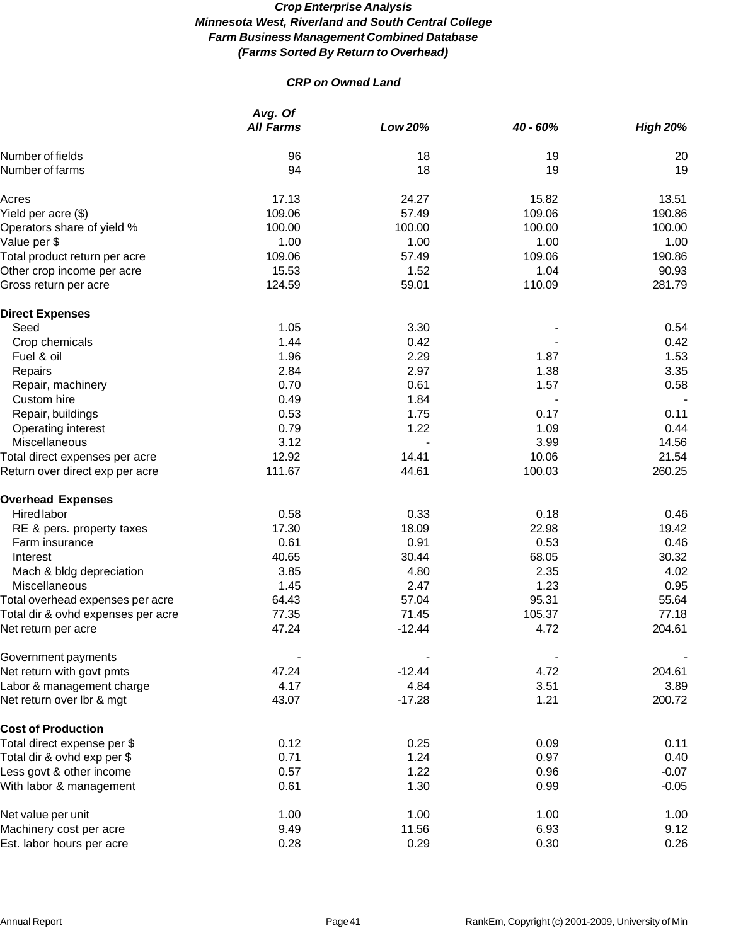# *CRP on Owned Land*

|                                    | Avg. Of<br><b>All Farms</b> | Low 20%  | 40 - 60% | <b>High 20%</b> |
|------------------------------------|-----------------------------|----------|----------|-----------------|
| Number of fields                   | 96                          | 18       | 19       | 20              |
| Number of farms                    | 94                          | 18       | 19       | 19              |
| Acres                              | 17.13                       | 24.27    | 15.82    | 13.51           |
| Yield per acre (\$)                | 109.06                      | 57.49    | 109.06   | 190.86          |
| Operators share of yield %         | 100.00                      | 100.00   | 100.00   | 100.00          |
| Value per \$                       | 1.00                        | 1.00     | 1.00     | 1.00            |
| Total product return per acre      | 109.06                      | 57.49    | 109.06   | 190.86          |
| Other crop income per acre         | 15.53                       | 1.52     | 1.04     | 90.93           |
| Gross return per acre              | 124.59                      | 59.01    | 110.09   | 281.79          |
| <b>Direct Expenses</b>             |                             |          |          |                 |
| Seed                               | 1.05                        | 3.30     |          | 0.54            |
| Crop chemicals                     | 1.44                        | 0.42     |          | 0.42            |
| Fuel & oil                         | 1.96                        | 2.29     | 1.87     | 1.53            |
| Repairs                            | 2.84                        | 2.97     | 1.38     | 3.35            |
| Repair, machinery                  | 0.70                        | 0.61     | 1.57     | 0.58            |
| Custom hire                        | 0.49                        | 1.84     |          |                 |
| Repair, buildings                  | 0.53                        | 1.75     | 0.17     | 0.11            |
| Operating interest                 | 0.79                        | 1.22     | 1.09     | 0.44            |
| Miscellaneous                      | 3.12                        |          | 3.99     | 14.56           |
| Total direct expenses per acre     | 12.92                       | 14.41    | 10.06    | 21.54           |
| Return over direct exp per acre    | 111.67                      | 44.61    | 100.03   | 260.25          |
| <b>Overhead Expenses</b>           |                             |          |          |                 |
| Hired labor                        | 0.58                        | 0.33     | 0.18     | 0.46            |
| RE & pers. property taxes          | 17.30                       | 18.09    | 22.98    | 19.42           |
| Farm insurance                     | 0.61                        | 0.91     | 0.53     | 0.46            |
| Interest                           | 40.65                       | 30.44    | 68.05    | 30.32           |
| Mach & bldg depreciation           | 3.85                        | 4.80     | 2.35     | 4.02            |
| Miscellaneous                      | 1.45                        | 2.47     | 1.23     | 0.95            |
| Total overhead expenses per acre   | 64.43                       | 57.04    | 95.31    | 55.64           |
| Total dir & ovhd expenses per acre | 77.35                       | 71.45    | 105.37   | 77.18           |
| Net return per acre                | 47.24                       | $-12.44$ | 4.72     | 204.61          |
| Government payments                |                             |          |          |                 |
| Net return with govt pmts          | 47.24                       | $-12.44$ | 4.72     | 204.61          |
| Labor & management charge          | 4.17                        | 4.84     | 3.51     | 3.89            |
| Net return over Ibr & mgt          | 43.07                       | $-17.28$ | 1.21     | 200.72          |
| <b>Cost of Production</b>          |                             |          |          |                 |
| Total direct expense per \$        | 0.12                        | 0.25     | 0.09     | 0.11            |
| Total dir & ovhd exp per \$        | 0.71                        | 1.24     | 0.97     | 0.40            |
| Less govt & other income           | 0.57                        | 1.22     | 0.96     | $-0.07$         |
| With labor & management            | 0.61                        | 1.30     | 0.99     | $-0.05$         |
| Net value per unit                 | 1.00                        | 1.00     | 1.00     | 1.00            |
| Machinery cost per acre            | 9.49                        | 11.56    | 6.93     | 9.12            |
| Est. labor hours per acre          | 0.28                        | 0.29     | 0.30     | 0.26            |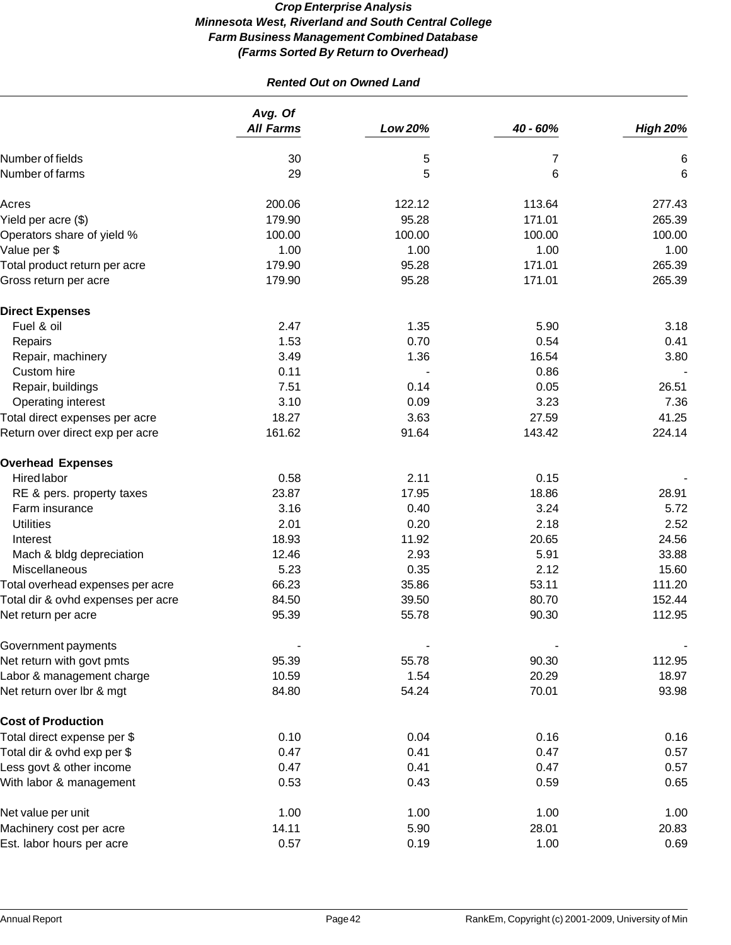# *Rented Out on Owned Land*

|                                    | Avg. Of<br><b>All Farms</b> | <b>Low 20%</b> | 40 - 60% | <b>High 20%</b> |
|------------------------------------|-----------------------------|----------------|----------|-----------------|
| Number of fields                   | 30                          | 5              | 7        | 6               |
| Number of farms                    | 29                          | 5              | 6        | 6               |
| Acres                              | 200.06                      | 122.12         | 113.64   | 277.43          |
| Yield per acre (\$)                | 179.90                      | 95.28          | 171.01   | 265.39          |
| Operators share of yield %         | 100.00                      | 100.00         | 100.00   | 100.00          |
| Value per \$                       | 1.00                        | 1.00           | 1.00     | 1.00            |
| Total product return per acre      | 179.90                      | 95.28          | 171.01   | 265.39          |
| Gross return per acre              | 179.90                      | 95.28          | 171.01   | 265.39          |
| <b>Direct Expenses</b>             |                             |                |          |                 |
| Fuel & oil                         | 2.47                        | 1.35           | 5.90     | 3.18            |
| Repairs                            | 1.53                        | 0.70           | 0.54     | 0.41            |
| Repair, machinery                  | 3.49                        | 1.36           | 16.54    | 3.80            |
| Custom hire                        | 0.11                        |                | 0.86     |                 |
| Repair, buildings                  | 7.51                        | 0.14           | 0.05     | 26.51           |
| Operating interest                 | 3.10                        | 0.09           | 3.23     | 7.36            |
| Total direct expenses per acre     | 18.27                       | 3.63           | 27.59    | 41.25           |
| Return over direct exp per acre    | 161.62                      | 91.64          | 143.42   | 224.14          |
| <b>Overhead Expenses</b>           |                             |                |          |                 |
| <b>Hired labor</b>                 | 0.58                        | 2.11           | 0.15     |                 |
| RE & pers. property taxes          | 23.87                       | 17.95          | 18.86    | 28.91           |
| Farm insurance                     | 3.16                        | 0.40           | 3.24     | 5.72            |
| <b>Utilities</b>                   | 2.01                        | 0.20           | 2.18     | 2.52            |
| Interest                           | 18.93                       | 11.92          | 20.65    | 24.56           |
| Mach & bldg depreciation           | 12.46                       | 2.93           | 5.91     | 33.88           |
| Miscellaneous                      | 5.23                        | 0.35           | 2.12     | 15.60           |
| Total overhead expenses per acre   | 66.23                       | 35.86          | 53.11    | 111.20          |
| Total dir & ovhd expenses per acre | 84.50                       | 39.50          | 80.70    | 152.44          |
| Net return per acre                | 95.39                       | 55.78          | 90.30    | 112.95          |
| Government payments                |                             |                |          |                 |
| Net return with govt pmts          | 95.39                       | 55.78          | 90.30    | 112.95          |
| Labor & management charge          | 10.59                       | 1.54           | 20.29    | 18.97           |
| Net return over Ibr & mgt          | 84.80                       | 54.24          | 70.01    | 93.98           |
| <b>Cost of Production</b>          |                             |                |          |                 |
| Total direct expense per \$        | 0.10                        | 0.04           | 0.16     | 0.16            |
| Total dir & ovhd exp per \$        | 0.47                        | 0.41           | 0.47     | 0.57            |
| Less govt & other income           | 0.47                        | 0.41           | 0.47     | 0.57            |
| With labor & management            | 0.53                        | 0.43           | 0.59     | 0.65            |
| Net value per unit                 | 1.00                        | 1.00           | 1.00     | 1.00            |
| Machinery cost per acre            | 14.11                       | 5.90           | 28.01    | 20.83           |
| Est. labor hours per acre          | 0.57                        | 0.19           | 1.00     | 0.69            |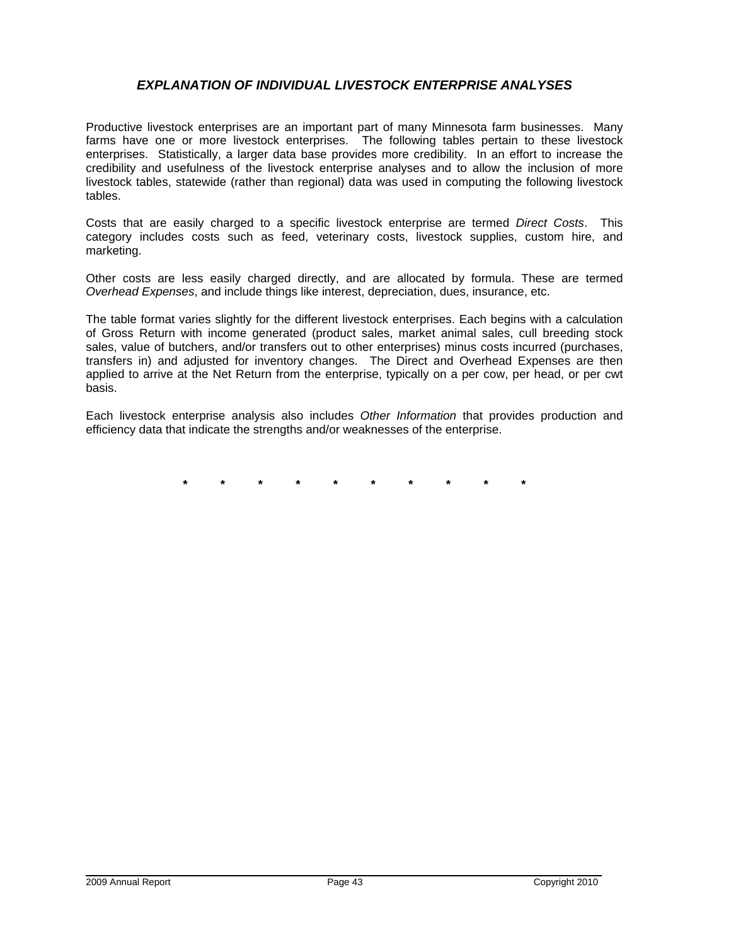# *EXPLANATION OF INDIVIDUAL LIVESTOCK ENTERPRISE ANALYSES*

Productive livestock enterprises are an important part of many Minnesota farm businesses. Many farms have one or more livestock enterprises. The following tables pertain to these livestock enterprises. Statistically, a larger data base provides more credibility. In an effort to increase the credibility and usefulness of the livestock enterprise analyses and to allow the inclusion of more livestock tables, statewide (rather than regional) data was used in computing the following livestock tables.

Costs that are easily charged to a specific livestock enterprise are termed *Direct Costs*. This category includes costs such as feed, veterinary costs, livestock supplies, custom hire, and marketing.

Other costs are less easily charged directly, and are allocated by formula. These are termed *Overhead Expenses*, and include things like interest, depreciation, dues, insurance, etc.

The table format varies slightly for the different livestock enterprises. Each begins with a calculation of Gross Return with income generated (product sales, market animal sales, cull breeding stock sales, value of butchers, and/or transfers out to other enterprises) minus costs incurred (purchases, transfers in) and adjusted for inventory changes. The Direct and Overhead Expenses are then applied to arrive at the Net Return from the enterprise, typically on a per cow, per head, or per cwt basis.

Each livestock enterprise analysis also includes *Other Information* that provides production and efficiency data that indicate the strengths and/or weaknesses of the enterprise.

**\* \* \* \* \* \* \* \* \* \***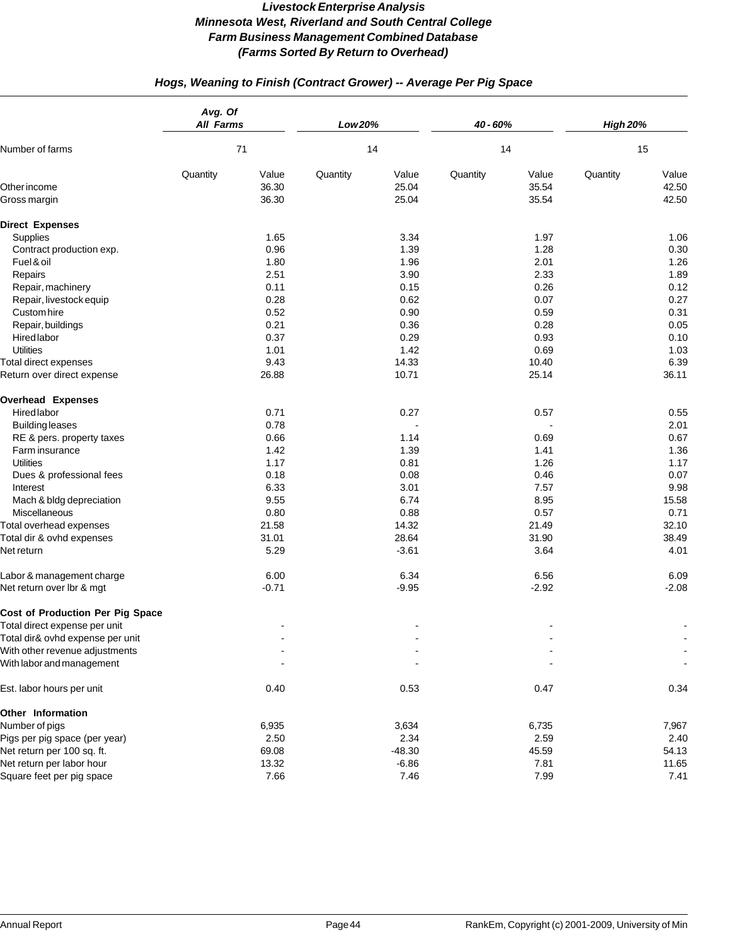# *Hogs, Weaning to Finish (Contract Grower) -- Average Per Pig Space*

|                                         | Avg. Of<br><b>All Farms</b> |         | Low 20%  |          | 40 - 60% |         | <b>High 20%</b> |         |
|-----------------------------------------|-----------------------------|---------|----------|----------|----------|---------|-----------------|---------|
| Number of farms                         | 71                          |         | 14       |          | 14       |         | 15              |         |
|                                         | Quantity                    | Value   | Quantity | Value    | Quantity | Value   | Quantity        | Value   |
| Other income                            |                             | 36.30   |          | 25.04    |          | 35.54   |                 | 42.50   |
| Gross margin                            |                             | 36.30   |          | 25.04    |          | 35.54   |                 | 42.50   |
| <b>Direct Expenses</b>                  |                             |         |          |          |          |         |                 |         |
| Supplies                                |                             | 1.65    |          | 3.34     |          | 1.97    |                 | 1.06    |
| Contract production exp.                |                             | 0.96    |          | 1.39     |          | 1.28    |                 | 0.30    |
| Fuel & oil                              |                             | 1.80    |          | 1.96     |          | 2.01    |                 | 1.26    |
| Repairs                                 |                             | 2.51    |          | 3.90     |          | 2.33    |                 | 1.89    |
| Repair, machinery                       |                             | 0.11    |          | 0.15     |          | 0.26    |                 | 0.12    |
| Repair, livestock equip                 |                             | 0.28    |          | 0.62     |          | 0.07    |                 | 0.27    |
| Custom hire                             |                             | 0.52    |          | 0.90     |          | 0.59    |                 | 0.31    |
| Repair, buildings                       |                             | 0.21    |          | 0.36     |          | 0.28    |                 | 0.05    |
| <b>Hired labor</b>                      |                             | 0.37    |          | 0.29     |          | 0.93    |                 | 0.10    |
| <b>Utilities</b>                        |                             | 1.01    |          | 1.42     |          | 0.69    |                 | 1.03    |
| Total direct expenses                   |                             | 9.43    |          | 14.33    |          | 10.40   |                 | 6.39    |
| Return over direct expense              |                             | 26.88   |          | 10.71    |          | 25.14   |                 | 36.11   |
| <b>Overhead Expenses</b>                |                             |         |          |          |          |         |                 |         |
| <b>Hired labor</b>                      |                             | 0.71    |          | 0.27     |          | 0.57    |                 | 0.55    |
| <b>Building leases</b>                  |                             | 0.78    |          |          |          |         |                 | 2.01    |
| RE & pers. property taxes               |                             | 0.66    |          | 1.14     |          | 0.69    |                 | 0.67    |
| Farm insurance                          |                             | 1.42    |          | 1.39     |          | 1.41    |                 | 1.36    |
| <b>Utilities</b>                        |                             | 1.17    |          | 0.81     |          | 1.26    |                 | 1.17    |
| Dues & professional fees                |                             | 0.18    |          | 0.08     |          | 0.46    |                 | 0.07    |
| Interest                                |                             | 6.33    |          | 3.01     |          | 7.57    |                 | 9.98    |
| Mach & bldg depreciation                |                             | 9.55    |          | 6.74     |          | 8.95    |                 | 15.58   |
| Miscellaneous                           |                             | 0.80    |          | 0.88     |          | 0.57    |                 | 0.71    |
| Total overhead expenses                 |                             | 21.58   |          | 14.32    |          | 21.49   |                 | 32.10   |
| Total dir & ovhd expenses               |                             | 31.01   |          | 28.64    |          | 31.90   |                 | 38.49   |
| Net return                              |                             | 5.29    |          | $-3.61$  |          | 3.64    |                 | 4.01    |
| Labor & management charge               |                             | 6.00    |          | 6.34     |          | 6.56    |                 | 6.09    |
| Net return over Ibr & mgt               |                             | $-0.71$ |          | $-9.95$  |          | $-2.92$ |                 | $-2.08$ |
| <b>Cost of Production Per Pig Space</b> |                             |         |          |          |          |         |                 |         |
| Total direct expense per unit           |                             |         |          |          |          |         |                 |         |
| Total dir& ovhd expense per unit        |                             |         |          |          |          |         |                 |         |
| With other revenue adjustments          |                             |         |          |          |          |         |                 |         |
| With labor and management               |                             |         |          |          |          |         |                 |         |
| Est. labor hours per unit               |                             | 0.40    |          | 0.53     |          | 0.47    |                 | 0.34    |
| Other Information                       |                             |         |          |          |          |         |                 |         |
| Number of pigs                          |                             | 6,935   |          | 3,634    |          | 6,735   |                 | 7,967   |
| Pigs per pig space (per year)           |                             | 2.50    |          | 2.34     |          | 2.59    |                 | 2.40    |
| Net return per 100 sq. ft.              |                             | 69.08   |          | $-48.30$ |          | 45.59   |                 | 54.13   |
| Net return per labor hour               |                             | 13.32   |          | $-6.86$  |          | 7.81    |                 | 11.65   |
| Square feet per pig space               |                             | 7.66    |          | 7.46     |          | 7.99    |                 | 7.41    |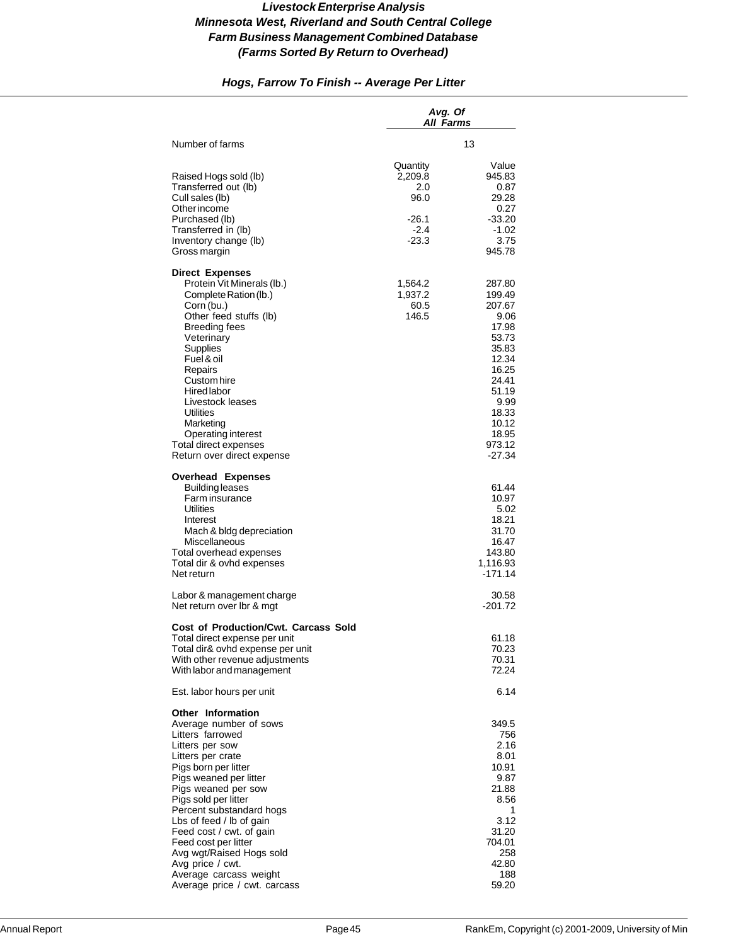# *Hogs, Farrow To Finish -- Average Per Litter*

|                                                                                                                                                                                                                                                                                                                                                           | Avg. Of<br>All Farms                                             |                                                                                                                                                            |
|-----------------------------------------------------------------------------------------------------------------------------------------------------------------------------------------------------------------------------------------------------------------------------------------------------------------------------------------------------------|------------------------------------------------------------------|------------------------------------------------------------------------------------------------------------------------------------------------------------|
| Number of farms                                                                                                                                                                                                                                                                                                                                           |                                                                  | 13                                                                                                                                                         |
| Raised Hogs sold (lb)<br>Transferred out (lb)<br>Cull sales (lb)<br>Other income<br>Purchased (lb)<br>Transferred in (lb)<br>Inventory change (lb)<br>Gross margin                                                                                                                                                                                        | Quantity<br>2,209.8<br>2.0<br>96.0<br>-26.1<br>$-2.4$<br>$-23.3$ | Value<br>945.83<br>0.87<br>29.28<br>0.27<br>$-33.20$<br>-1.02<br>3.75<br>945.78                                                                            |
| <b>Direct Expenses</b><br>Protein Vit Minerals (lb.)<br>Complete Ration (lb.)<br>Corn (bu.)<br>Other feed stuffs (lb)<br><b>Breeding fees</b><br>Veterinary<br>Supplies<br>Fuel & oil<br>Repairs<br>Custom hire<br>Hired labor<br>Livestock leases<br>Utilities<br>Marketing<br>Operating interest<br>Total direct expenses<br>Return over direct expense | 1,564.2<br>1,937.2<br>60.5<br>146.5                              | 287.80<br>199.49<br>207.67<br>9.06<br>17.98<br>53.73<br>35.83<br>12.34<br>16.25<br>24.41<br>51.19<br>9.99<br>18.33<br>10.12<br>18.95<br>973.12<br>$-27.34$ |
| <b>Overhead Expenses</b><br><b>Building leases</b><br>Farm insurance<br><b>Utilities</b><br>Interest<br>Mach & bldg depreciation<br>Miscellaneous<br>Total overhead expenses<br>Total dir & ovhd expenses<br>Net return                                                                                                                                   |                                                                  | 61.44<br>10.97<br>5.02<br>18.21<br>31.70<br>16.47<br>143.80<br>1,116.93<br>$-171.14$                                                                       |
| Labor & management charge<br>Net return over Ibr & mgt                                                                                                                                                                                                                                                                                                    |                                                                  | 30.58<br>$-201.72$                                                                                                                                         |
| <b>Cost of Production/Cwt. Carcass Sold</b><br>Total direct expense per unit<br>Total dir& ovhd expense per unit<br>With other revenue adjustments<br>With labor and management<br>Est. labor hours per unit                                                                                                                                              |                                                                  | 61.18<br>70.23<br>70.31<br>72.24<br>6.14                                                                                                                   |
| <b>Other Information</b><br>Average number of sows<br>Litters farrowed<br>Litters per sow<br>Litters per crate<br>Pigs born per litter<br>Pigs weaned per litter<br>Pigs weaned per sow<br>Pigs sold per litter<br>Percent substandard hogs<br>Lbs of feed / lb of gain<br>Feed cost / cwt. of gain<br>Feed cost per litter<br>Avg wgt/Raised Hogs sold   |                                                                  | 349.5<br>756<br>2.16<br>8.01<br>10.91<br>9.87<br>21.88<br>8.56<br>1<br>3.12<br>31.20<br>704.01<br>258                                                      |
| Avg price / cwt.<br>Average carcass weight<br>Average price / cwt. carcass                                                                                                                                                                                                                                                                                |                                                                  | 42.80<br>188<br>59.20                                                                                                                                      |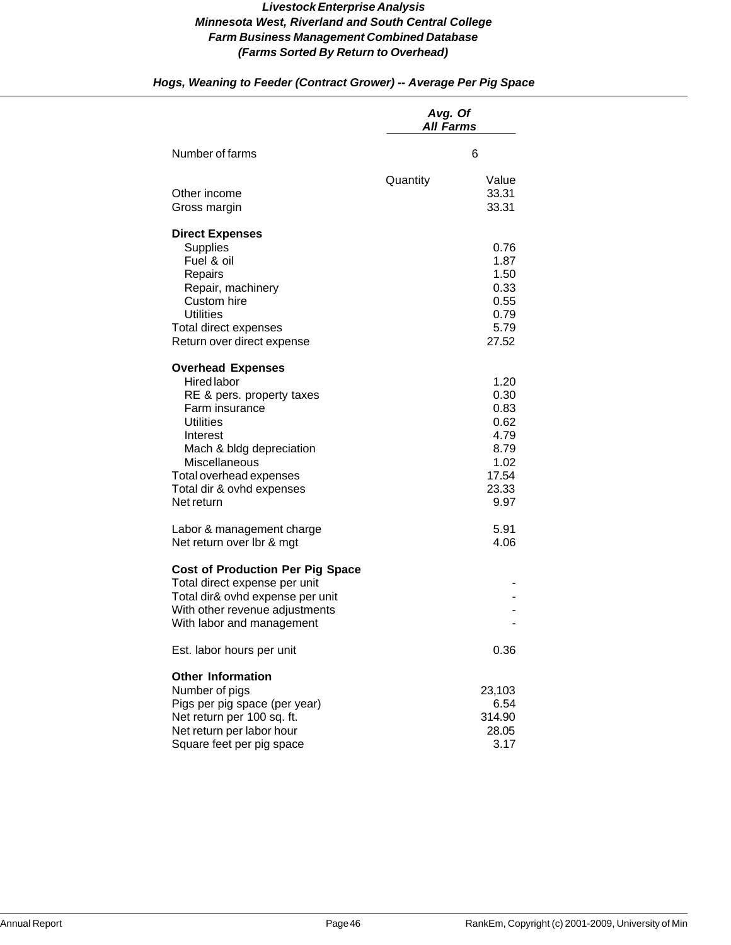|                                                                                                                                                                                                                                                  | Avg. Of<br><b>All Farms</b> |                                                                                |
|--------------------------------------------------------------------------------------------------------------------------------------------------------------------------------------------------------------------------------------------------|-----------------------------|--------------------------------------------------------------------------------|
| Number of farms                                                                                                                                                                                                                                  |                             | 6                                                                              |
| Other income<br>Gross margin                                                                                                                                                                                                                     | Quantity                    | Value<br>33.31<br>33.31                                                        |
| <b>Direct Expenses</b><br><b>Supplies</b><br>Fuel & oil<br>Repairs<br>Repair, machinery<br>Custom hire<br><b>Utilities</b><br>Total direct expenses<br>Return over direct expense                                                                |                             | 0.76<br>1.87<br>1.50<br>0.33<br>0.55<br>0.79<br>5.79<br>27.52                  |
| <b>Overhead Expenses</b><br><b>Hired labor</b><br>RE & pers. property taxes<br>Farm insurance<br><b>Utilities</b><br>Interest<br>Mach & bldg depreciation<br>Miscellaneous<br>Total overhead expenses<br>Total dir & ovhd expenses<br>Net return |                             | 1.20<br>0.30<br>0.83<br>0.62<br>4.79<br>8.79<br>1.02<br>17.54<br>23.33<br>9.97 |
| Labor & management charge<br>Net return over Ibr & mgt                                                                                                                                                                                           |                             | 5.91<br>4.06                                                                   |
| <b>Cost of Production Per Pig Space</b><br>Total direct expense per unit<br>Total dir& ovhd expense per unit<br>With other revenue adjustments<br>With labor and management                                                                      |                             |                                                                                |
| Est. labor hours per unit                                                                                                                                                                                                                        |                             | 0.36                                                                           |
| <b>Other Information</b><br>Number of pigs<br>Pigs per pig space (per year)<br>Net return per 100 sq. ft.<br>Net return per labor hour<br>Square feet per pig space                                                                              |                             | 23,103<br>6.54<br>314.90<br>28.05<br>3.17                                      |

# *Hogs, Weaning to Feeder (Contract Grower) -- Average Per Pig Space*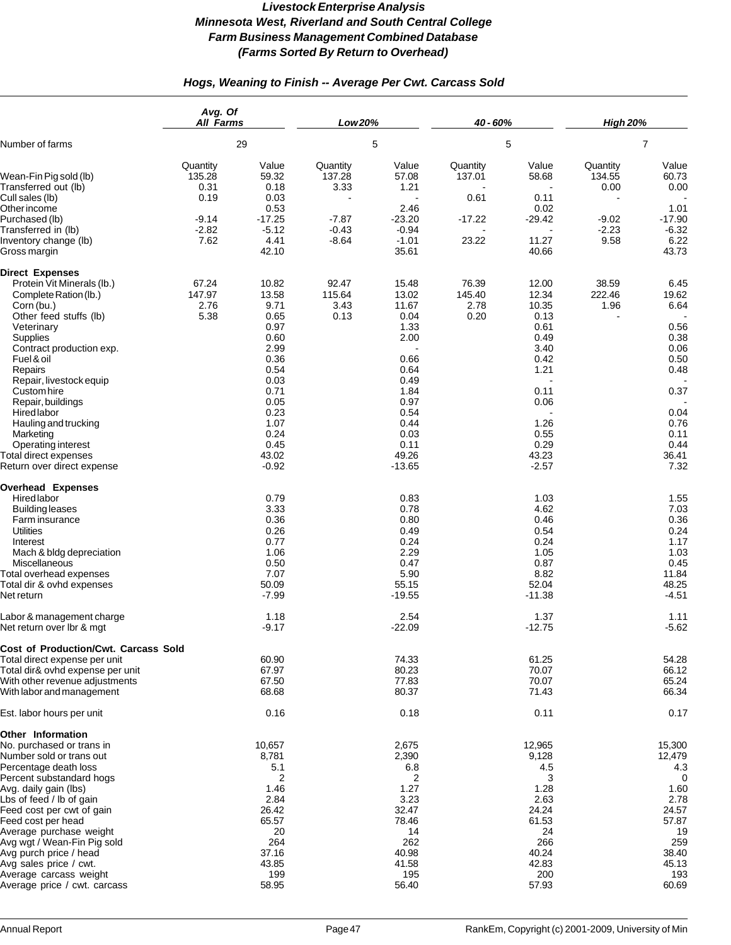# *Hogs, Weaning to Finish -- Average Per Cwt. Carcass Sold*

|                                                                                                                                                                                                                                                                                                                                  | Avg. Of<br><b>All Farms</b>        |                                                                                              | Low 20%                         |                                                                                             | 40 - 60%                        |                                                                                              | <b>High 20%</b>            |                                                                                               |
|----------------------------------------------------------------------------------------------------------------------------------------------------------------------------------------------------------------------------------------------------------------------------------------------------------------------------------|------------------------------------|----------------------------------------------------------------------------------------------|---------------------------------|---------------------------------------------------------------------------------------------|---------------------------------|----------------------------------------------------------------------------------------------|----------------------------|-----------------------------------------------------------------------------------------------|
| Number of farms                                                                                                                                                                                                                                                                                                                  | 29                                 |                                                                                              | 5                               |                                                                                             | 5                               |                                                                                              | $\overline{7}$             |                                                                                               |
| Wean-Fin Pig sold (lb)<br>Transferred out (lb)<br>Cull sales (lb)                                                                                                                                                                                                                                                                | Quantity<br>135.28<br>0.31<br>0.19 | Value<br>59.32<br>0.18<br>0.03<br>0.53                                                       | Quantity<br>137.28<br>3.33      | Value<br>57.08<br>1.21<br>2.46                                                              | Quantity<br>137.01<br>0.61      | Value<br>58.68<br>0.11                                                                       | Quantity<br>134.55<br>0.00 | Value<br>60.73<br>0.00                                                                        |
| Other income<br>Purchased (lb)<br>Transferred in (lb)                                                                                                                                                                                                                                                                            | $-9.14$<br>$-2.82$<br>7.62         | $-17.25$<br>$-5.12$                                                                          | $-7.87$<br>$-0.43$              | $-23.20$<br>$-0.94$                                                                         | $-17.22$                        | 0.02<br>$-29.42$<br>11.27                                                                    | $-9.02$<br>$-2.23$         | 1.01<br>$-17.90$<br>$-6.32$<br>6.22                                                           |
| Inventory change (lb)<br>Gross margin                                                                                                                                                                                                                                                                                            |                                    | 4.41<br>42.10                                                                                | $-8.64$                         | $-1.01$<br>35.61                                                                            | 23.22                           | 40.66                                                                                        | 9.58                       | 43.73                                                                                         |
| <b>Direct Expenses</b><br>Protein Vit Minerals (lb.)<br>Complete Ration (lb.)<br>Corn (bu.)<br>Other feed stuffs (lb)<br>Veterinary<br>Supplies<br>Contract production exp.<br>Fuel & oil<br>Repairs<br>Repair, livestock equip                                                                                                  | 67.24<br>147.97<br>2.76<br>5.38    | 10.82<br>13.58<br>9.71<br>0.65<br>0.97<br>0.60<br>2.99<br>0.36<br>0.54<br>0.03               | 92.47<br>115.64<br>3.43<br>0.13 | 15.48<br>13.02<br>11.67<br>0.04<br>1.33<br>2.00<br>$\blacksquare$<br>0.66<br>0.64<br>0.49   | 76.39<br>145.40<br>2.78<br>0.20 | 12.00<br>12.34<br>10.35<br>0.13<br>0.61<br>0.49<br>3.40<br>0.42<br>1.21                      | 38.59<br>222.46<br>1.96    | 6.45<br>19.62<br>6.64<br>0.56<br>0.38<br>0.06<br>0.50<br>0.48                                 |
| Custom hire<br>Repair, buildings<br>Hired labor<br>Hauling and trucking<br>Marketing<br>Operating interest<br>Total direct expenses<br>Return over direct expense                                                                                                                                                                |                                    | 0.71<br>0.05<br>0.23<br>1.07<br>0.24<br>0.45<br>43.02<br>$-0.92$                             |                                 | 1.84<br>0.97<br>0.54<br>0.44<br>0.03<br>0.11<br>49.26<br>$-13.65$                           |                                 | 0.11<br>0.06<br>1.26<br>0.55<br>0.29<br>43.23<br>$-2.57$                                     |                            | 0.37<br>0.04<br>0.76<br>0.11<br>0.44<br>36.41<br>7.32                                         |
| <b>Overhead Expenses</b><br>Hired labor<br><b>Building leases</b><br>Farm insurance<br><b>Utilities</b><br>Interest<br>Mach & bldg depreciation<br>Miscellaneous<br>Total overhead expenses<br>Total dir & ovhd expenses<br>Net return                                                                                           |                                    | 0.79<br>3.33<br>0.36<br>0.26<br>0.77<br>1.06<br>0.50<br>7.07<br>50.09<br>$-7.99$             |                                 | 0.83<br>0.78<br>0.80<br>0.49<br>0.24<br>2.29<br>0.47<br>5.90<br>55.15<br>$-19.55$           |                                 | 1.03<br>4.62<br>0.46<br>0.54<br>0.24<br>1.05<br>0.87<br>8.82<br>52.04<br>$-11.38$            |                            | 1.55<br>7.03<br>0.36<br>0.24<br>1.17<br>1.03<br>0.45<br>11.84<br>48.25<br>$-4.51$             |
| Labor & management charge<br>Net return over Ibr & mgt                                                                                                                                                                                                                                                                           |                                    | 1.18<br>$-9.17$                                                                              |                                 | 2.54<br>$-22.09$                                                                            |                                 | 1.37<br>$-12.75$                                                                             |                            | 1.11<br>$-5.62$                                                                               |
| Cost of Production/Cwt. Carcass Sold<br>Total direct expense per unit<br>Total dir& ovhd expense per unit<br>With other revenue adjustments<br>With labor and management<br>Est. labor hours per unit                                                                                                                            |                                    | 60.90<br>67.97<br>67.50<br>68.68<br>0.16                                                     |                                 | 74.33<br>80.23<br>77.83<br>80.37<br>0.18                                                    |                                 | 61.25<br>70.07<br>70.07<br>71.43<br>0.11                                                     |                            | 54.28<br>66.12<br>65.24<br>66.34<br>0.17                                                      |
| Other Information                                                                                                                                                                                                                                                                                                                |                                    |                                                                                              |                                 |                                                                                             |                                 |                                                                                              |                            |                                                                                               |
| No. purchased or trans in<br>Number sold or trans out<br>Percentage death loss<br>Percent substandard hogs<br>Avg. daily gain (lbs)<br>Lbs of feed / lb of gain<br>Feed cost per cwt of gain<br>Feed cost per head<br>Average purchase weight<br>Avg wgt / Wean-Fin Pig sold<br>Avg purch price / head<br>Avg sales price / cwt. |                                    | 10,657<br>8,781<br>5.1<br>2<br>1.46<br>2.84<br>26.42<br>65.57<br>20<br>264<br>37.16<br>43.85 |                                 | 2,675<br>2,390<br>6.8<br>2<br>1.27<br>3.23<br>32.47<br>78.46<br>14<br>262<br>40.98<br>41.58 |                                 | 12,965<br>9,128<br>4.5<br>3<br>1.28<br>2.63<br>24.24<br>61.53<br>24<br>266<br>40.24<br>42.83 |                            | 15,300<br>12,479<br>4.3<br>0<br>1.60<br>2.78<br>24.57<br>57.87<br>19<br>259<br>38.40<br>45.13 |
| Average carcass weight<br>Average price / cwt. carcass                                                                                                                                                                                                                                                                           |                                    | 199<br>58.95                                                                                 |                                 | 195<br>56.40                                                                                |                                 | 200<br>57.93                                                                                 |                            | 193<br>60.69                                                                                  |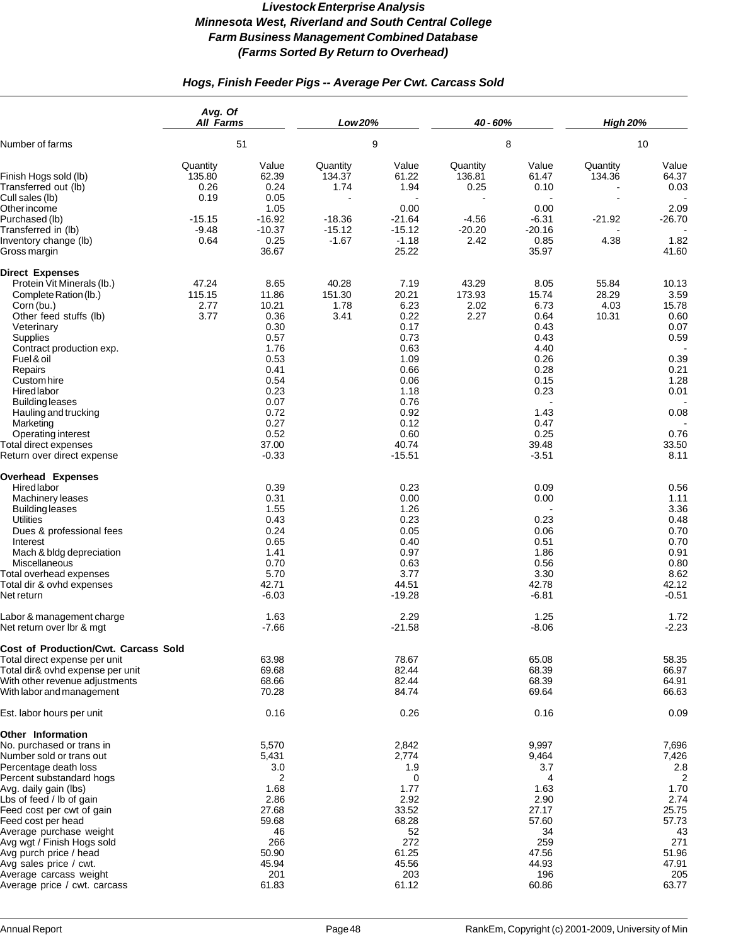# *Hogs, Finish Feeder Pigs -- Average Per Cwt. Carcass Sold*

|                                                                                                                                                                                                                                                                                                                                                             | Avg. Of<br><b>All Farms</b><br>51  |                                                                                                                                            | Low 20%<br>9                    |                                                                                                                                            | 40 - 60%                        |                                                                                                                                   | <b>High 20%</b>                 |                                                                                                                 |
|-------------------------------------------------------------------------------------------------------------------------------------------------------------------------------------------------------------------------------------------------------------------------------------------------------------------------------------------------------------|------------------------------------|--------------------------------------------------------------------------------------------------------------------------------------------|---------------------------------|--------------------------------------------------------------------------------------------------------------------------------------------|---------------------------------|-----------------------------------------------------------------------------------------------------------------------------------|---------------------------------|-----------------------------------------------------------------------------------------------------------------|
| Number of farms                                                                                                                                                                                                                                                                                                                                             |                                    |                                                                                                                                            |                                 |                                                                                                                                            | 8                               |                                                                                                                                   | 10                              |                                                                                                                 |
| Finish Hogs sold (lb)<br>Transferred out (lb)<br>Cull sales (lb)                                                                                                                                                                                                                                                                                            | Quantity<br>135.80<br>0.26<br>0.19 | Value<br>62.39<br>0.24<br>0.05                                                                                                             | Quantity<br>134.37<br>1.74      | Value<br>61.22<br>1.94                                                                                                                     | Quantity<br>136.81<br>0.25      | Value<br>61.47<br>0.10                                                                                                            | Quantity<br>134.36              | Value<br>64.37<br>0.03                                                                                          |
| Other income<br>Purchased (lb)<br>Transferred in (lb)                                                                                                                                                                                                                                                                                                       | $-15.15$<br>$-9.48$                | 1.05<br>$-16.92$<br>$-10.37$                                                                                                               | $-18.36$<br>$-15.12$            | 0.00<br>$-21.64$<br>$-15.12$                                                                                                               | $-4.56$<br>$-20.20$             | 0.00<br>$-6.31$<br>$-20.16$                                                                                                       | $-21.92$                        | 2.09<br>$-26.70$                                                                                                |
| Inventory change (lb)<br>Gross margin                                                                                                                                                                                                                                                                                                                       | 0.64                               | 0.25<br>36.67                                                                                                                              | $-1.67$                         | $-1.18$<br>25.22                                                                                                                           | 2.42                            | 0.85<br>35.97                                                                                                                     | 4.38                            | 1.82<br>41.60                                                                                                   |
| <b>Direct Expenses</b>                                                                                                                                                                                                                                                                                                                                      |                                    |                                                                                                                                            |                                 |                                                                                                                                            |                                 |                                                                                                                                   |                                 |                                                                                                                 |
| Protein Vit Minerals (lb.)<br>Complete Ration (lb.)<br>Corn (bu.)<br>Other feed stuffs (lb)<br>Veterinary<br>Supplies<br>Contract production exp.<br>Fuel & oil<br>Repairs<br>Custom hire<br>Hired labor<br><b>Building leases</b><br>Hauling and trucking<br>Marketing<br>Operating interest<br><b>Total direct expenses</b><br>Return over direct expense | 47.24<br>115.15<br>2.77<br>3.77    | 8.65<br>11.86<br>10.21<br>0.36<br>0.30<br>0.57<br>1.76<br>0.53<br>0.41<br>0.54<br>0.23<br>0.07<br>0.72<br>0.27<br>0.52<br>37.00<br>$-0.33$ | 40.28<br>151.30<br>1.78<br>3.41 | 7.19<br>20.21<br>6.23<br>0.22<br>0.17<br>0.73<br>0.63<br>1.09<br>0.66<br>0.06<br>1.18<br>0.76<br>0.92<br>0.12<br>0.60<br>40.74<br>$-15.51$ | 43.29<br>173.93<br>2.02<br>2.27 | 8.05<br>15.74<br>6.73<br>0.64<br>0.43<br>0.43<br>4.40<br>0.26<br>0.28<br>0.15<br>0.23<br>1.43<br>0.47<br>0.25<br>39.48<br>$-3.51$ | 55.84<br>28.29<br>4.03<br>10.31 | 10.13<br>3.59<br>15.78<br>0.60<br>0.07<br>0.59<br>0.39<br>0.21<br>1.28<br>0.01<br>0.08<br>0.76<br>33.50<br>8.11 |
| <b>Overhead Expenses</b><br>Hired labor                                                                                                                                                                                                                                                                                                                     |                                    | 0.39                                                                                                                                       |                                 | 0.23                                                                                                                                       |                                 | 0.09                                                                                                                              |                                 | 0.56                                                                                                            |
| Machinery leases<br><b>Building leases</b><br><b>Utilities</b><br>Dues & professional fees<br>Interest<br>Mach & bldg depreciation                                                                                                                                                                                                                          |                                    | 0.31<br>1.55<br>0.43<br>0.24<br>0.65<br>1.41                                                                                               |                                 | 0.00<br>1.26<br>0.23<br>0.05<br>0.40<br>0.97                                                                                               |                                 | 0.00<br>0.23<br>0.06<br>0.51<br>1.86                                                                                              |                                 | 1.11<br>3.36<br>0.48<br>0.70<br>0.70<br>0.91                                                                    |
| Miscellaneous<br>Total overhead expenses<br>Total dir & ovhd expenses<br>Net return                                                                                                                                                                                                                                                                         |                                    | 0.70<br>5.70<br>42.71<br>$-6.03$                                                                                                           |                                 | 0.63<br>3.77<br>44.51<br>$-19.28$                                                                                                          |                                 | 0.56<br>3.30<br>42.78<br>$-6.81$                                                                                                  |                                 | 0.80<br>8.62<br>42.12<br>$-0.51$                                                                                |
| Labor & management charge<br>Net return over Ibr & mgt                                                                                                                                                                                                                                                                                                      |                                    | 1.63<br>$-7.66$                                                                                                                            |                                 | 2.29<br>$-21.58$                                                                                                                           |                                 | 1.25<br>$-8.06$                                                                                                                   |                                 | 1.72<br>$-2.23$                                                                                                 |
| Cost of Production/Cwt. Carcass Sold                                                                                                                                                                                                                                                                                                                        |                                    |                                                                                                                                            |                                 |                                                                                                                                            |                                 |                                                                                                                                   |                                 |                                                                                                                 |
| Total direct expense per unit<br>Total dir& ovhd expense per unit<br>With other revenue adjustments<br>With labor and management                                                                                                                                                                                                                            |                                    | 63.98<br>69.68<br>68.66<br>70.28                                                                                                           |                                 | 78.67<br>82.44<br>82.44<br>84.74                                                                                                           |                                 | 65.08<br>68.39<br>68.39<br>69.64                                                                                                  |                                 | 58.35<br>66.97<br>64.91<br>66.63                                                                                |
| Est. labor hours per unit                                                                                                                                                                                                                                                                                                                                   |                                    | 0.16                                                                                                                                       |                                 | 0.26                                                                                                                                       |                                 | 0.16                                                                                                                              |                                 | 0.09                                                                                                            |
| Other Information                                                                                                                                                                                                                                                                                                                                           |                                    |                                                                                                                                            |                                 |                                                                                                                                            |                                 |                                                                                                                                   |                                 |                                                                                                                 |
| No. purchased or trans in<br>Number sold or trans out<br>Percentage death loss<br>Percent substandard hogs                                                                                                                                                                                                                                                  |                                    | 5,570<br>5,431<br>3.0<br>2                                                                                                                 |                                 | 2,842<br>2,774<br>1.9<br>0                                                                                                                 |                                 | 9,997<br>9,464<br>3.7<br>4                                                                                                        |                                 | 7,696<br>7,426<br>2.8<br>2                                                                                      |
| Avg. daily gain (lbs)<br>Lbs of feed / lb of gain<br>Feed cost per cwt of gain<br>Feed cost per head                                                                                                                                                                                                                                                        |                                    | 1.68<br>2.86<br>27.68<br>59.68                                                                                                             |                                 | 1.77<br>2.92<br>33.52<br>68.28                                                                                                             |                                 | 1.63<br>2.90<br>27.17<br>57.60                                                                                                    |                                 | 1.70<br>2.74<br>25.75<br>57.73                                                                                  |
| Average purchase weight<br>Avg wgt / Finish Hogs sold<br>Avg purch price / head<br>Avg sales price / cwt.<br>Average carcass weight                                                                                                                                                                                                                         |                                    | 46<br>266<br>50.90<br>45.94<br>201                                                                                                         |                                 | 52<br>272<br>61.25<br>45.56<br>203                                                                                                         |                                 | 34<br>259<br>47.56<br>44.93<br>196                                                                                                |                                 | 43<br>271<br>51.96<br>47.91<br>205                                                                              |
| Average price / cwt. carcass                                                                                                                                                                                                                                                                                                                                |                                    | 61.83                                                                                                                                      |                                 | 61.12                                                                                                                                      |                                 | 60.86                                                                                                                             |                                 | 63.77                                                                                                           |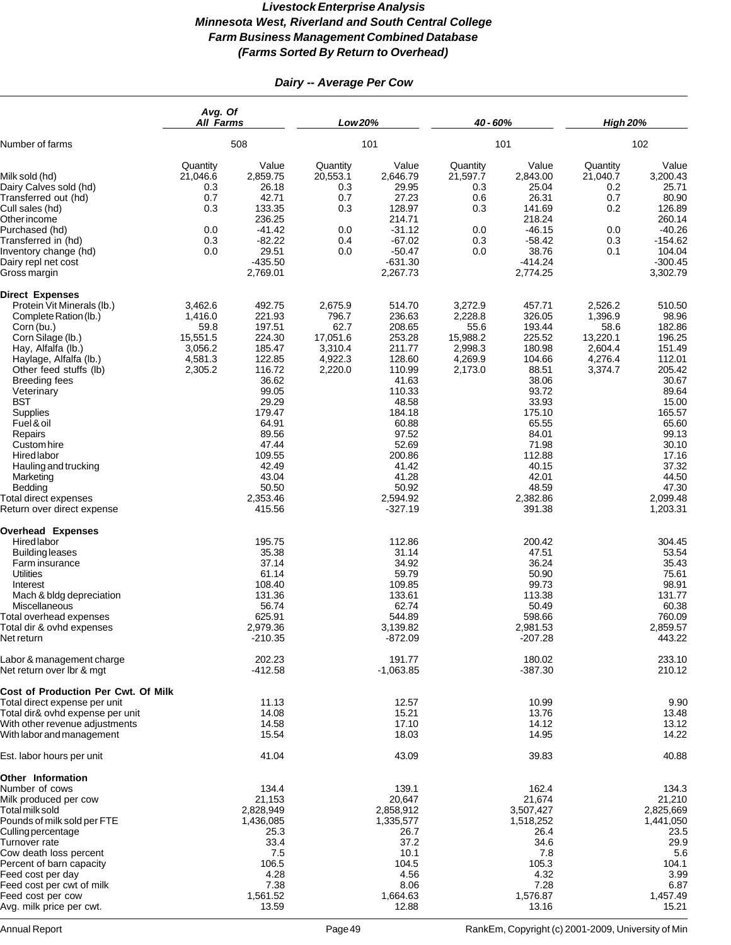# *Dairy -- Average Per Cow*

|                                                                                                                                                                                                                                                                                                                                                                                                                          | Avg. Of<br><b>All Farms</b><br>508                                      |                                                                                                                                                                                               |                                                                       | Low 20%                                                                                                                                                                                           |                                                                         | 40 - 60%                                                                                                                                                                                     | <b>High 20%</b><br>102                                                  |                                                                                                                                                                                               |
|--------------------------------------------------------------------------------------------------------------------------------------------------------------------------------------------------------------------------------------------------------------------------------------------------------------------------------------------------------------------------------------------------------------------------|-------------------------------------------------------------------------|-----------------------------------------------------------------------------------------------------------------------------------------------------------------------------------------------|-----------------------------------------------------------------------|---------------------------------------------------------------------------------------------------------------------------------------------------------------------------------------------------|-------------------------------------------------------------------------|----------------------------------------------------------------------------------------------------------------------------------------------------------------------------------------------|-------------------------------------------------------------------------|-----------------------------------------------------------------------------------------------------------------------------------------------------------------------------------------------|
| Number of farms                                                                                                                                                                                                                                                                                                                                                                                                          |                                                                         |                                                                                                                                                                                               | 101                                                                   |                                                                                                                                                                                                   |                                                                         | 101                                                                                                                                                                                          |                                                                         |                                                                                                                                                                                               |
| Milk sold (hd)<br>Dairy Calves sold (hd)<br>Transferred out (hd)<br>Cull sales (hd)<br>Other income<br>Purchased (hd)<br>Transferred in (hd)<br>Inventory change (hd)<br>Dairy repl net cost<br>Gross margin                                                                                                                                                                                                             | Quantity<br>21,046.6<br>0.3<br>0.7<br>0.3<br>0.0<br>0.3<br>0.0          | Value<br>2,859.75<br>26.18<br>42.71<br>133.35<br>236.25<br>$-41.42$<br>$-82.22$<br>29.51<br>$-435.50$<br>2,769.01                                                                             | Quantity<br>20,553.1<br>0.3<br>0.7<br>0.3<br>0.0<br>0.4<br>0.0        | Value<br>2,646.79<br>29.95<br>27.23<br>128.97<br>214.71<br>$-31.12$<br>$-67.02$<br>$-50.47$<br>$-631.30$<br>2,267.73                                                                              | Quantity<br>21,597.7<br>0.3<br>0.6<br>0.3<br>0.0<br>0.3<br>0.0          | Value<br>2,843.00<br>25.04<br>26.31<br>141.69<br>218.24<br>$-46.15$<br>$-58.42$<br>38.76<br>$-414.24$<br>2,774.25                                                                            | Quantity<br>21,040.7<br>0.2<br>0.7<br>0.2<br>0.0<br>0.3<br>0.1          | Value<br>3,200.43<br>25.71<br>80.90<br>126.89<br>260.14<br>$-40.26$<br>$-154.62$<br>104.04<br>$-300.45$<br>3,302.79                                                                           |
| <b>Direct Expenses</b><br>Protein Vit Minerals (lb.)<br>Complete Ration (lb.)<br>Corn (bu.)<br>Corn Silage (lb.)<br>Hay, Alfalfa (lb.)<br>Haylage, Alfalfa (lb.)<br>Other feed stuffs (lb)<br><b>Breeding fees</b><br>Veterinary<br><b>BST</b><br>Supplies<br>Fuel & oil<br>Repairs<br>Custom hire<br>Hired labor<br>Hauling and trucking<br>Marketing<br>Bedding<br>Total direct expenses<br>Return over direct expense | 3,462.6<br>1,416.0<br>59.8<br>15,551.5<br>3,056.2<br>4,581.3<br>2,305.2 | 492.75<br>221.93<br>197.51<br>224.30<br>185.47<br>122.85<br>116.72<br>36.62<br>99.05<br>29.29<br>179.47<br>64.91<br>89.56<br>47.44<br>109.55<br>42.49<br>43.04<br>50.50<br>2,353.46<br>415.56 | 2,675.9<br>796.7<br>62.7<br>17,051.6<br>3,310.4<br>4,922.3<br>2,220.0 | 514.70<br>236.63<br>208.65<br>253.28<br>211.77<br>128.60<br>110.99<br>41.63<br>110.33<br>48.58<br>184.18<br>60.88<br>97.52<br>52.69<br>200.86<br>41.42<br>41.28<br>50.92<br>2,594.92<br>$-327.19$ | 3,272.9<br>2,228.8<br>55.6<br>15,988.2<br>2,998.3<br>4,269.9<br>2,173.0 | 457.71<br>326.05<br>193.44<br>225.52<br>180.98<br>104.66<br>88.51<br>38.06<br>93.72<br>33.93<br>175.10<br>65.55<br>84.01<br>71.98<br>112.88<br>40.15<br>42.01<br>48.59<br>2,382.86<br>391.38 | 2,526.2<br>1,396.9<br>58.6<br>13,220.1<br>2,604.4<br>4,276.4<br>3,374.7 | 510.50<br>98.96<br>182.86<br>196.25<br>151.49<br>112.01<br>205.42<br>30.67<br>89.64<br>15.00<br>165.57<br>65.60<br>99.13<br>30.10<br>17.16<br>37.32<br>44.50<br>47.30<br>2,099.48<br>1,203.31 |
| <b>Overhead Expenses</b><br>Hired labor<br>Building leases<br>Farm insurance<br>Utilities<br>Interest<br>Mach & bldg depreciation<br>Miscellaneous<br>Total overhead expenses<br>Total dir & ovhd expenses<br>Net return                                                                                                                                                                                                 |                                                                         | 195.75<br>35.38<br>37.14<br>61.14<br>108.40<br>131.36<br>56.74<br>625.91<br>2,979.36<br>$-210.35$                                                                                             |                                                                       | 112.86<br>31.14<br>34.92<br>59.79<br>109.85<br>133.61<br>62.74<br>544.89<br>3,139.82<br>$-872.09$                                                                                                 |                                                                         | 200.42<br>47.51<br>36.24<br>50.90<br>99.73<br>113.38<br>50.49<br>598.66<br>2,981.53<br>$-207.28$                                                                                             |                                                                         | 304.45<br>53.54<br>35.43<br>75.61<br>98.91<br>131.77<br>60.38<br>760.09<br>2,859.57<br>443.22                                                                                                 |
| Labor & management charge<br>Net return over Ibr & mgt<br>Cost of Production Per Cwt. Of Milk<br>Total direct expense per unit<br>Total dir& ovhd expense per unit                                                                                                                                                                                                                                                       |                                                                         | 202.23<br>$-412.58$<br>11.13<br>14.08                                                                                                                                                         |                                                                       | 191.77<br>$-1,063.85$<br>12.57<br>15.21                                                                                                                                                           |                                                                         | 180.02<br>$-387.30$<br>10.99<br>13.76                                                                                                                                                        |                                                                         | 233.10<br>210.12<br>9.90<br>13.48                                                                                                                                                             |
| With other revenue adjustments<br>With labor and management                                                                                                                                                                                                                                                                                                                                                              |                                                                         | 14.58<br>15.54                                                                                                                                                                                |                                                                       | 17.10<br>18.03                                                                                                                                                                                    |                                                                         | 14.12<br>14.95                                                                                                                                                                               |                                                                         | 13.12<br>14.22                                                                                                                                                                                |
| Est. labor hours per unit                                                                                                                                                                                                                                                                                                                                                                                                |                                                                         | 41.04                                                                                                                                                                                         |                                                                       | 43.09                                                                                                                                                                                             |                                                                         | 39.83                                                                                                                                                                                        |                                                                         | 40.88                                                                                                                                                                                         |
| <b>Other Information</b><br>Number of cows<br>Milk produced per cow<br>Total milk sold<br>Pounds of milk sold per FTE<br>Culling percentage<br>Turnover rate<br>Cow death loss percent<br>Percent of barn capacity<br>Feed cost per day<br>Feed cost per cwt of milk<br>Feed cost per cow<br>Avg. milk price per cwt.                                                                                                    |                                                                         | 134.4<br>21,153<br>2,828,949<br>1,436,085<br>25.3<br>33.4<br>7.5<br>106.5<br>4.28<br>7.38<br>1,561.52<br>13.59                                                                                |                                                                       | 139.1<br>20,647<br>2,858,912<br>1,335,577<br>26.7<br>37.2<br>10.1<br>104.5<br>4.56<br>8.06<br>1,664.63<br>12.88                                                                                   |                                                                         | 162.4<br>21,674<br>3,507,427<br>1,518,252<br>26.4<br>34.6<br>7.8<br>105.3<br>4.32<br>7.28<br>1,576.87<br>13.16                                                                               |                                                                         | 134.3<br>21,210<br>2,825,669<br>1,441,050<br>23.5<br>29.9<br>5.6<br>104.1<br>3.99<br>6.87<br>1,457.49<br>15.21                                                                                |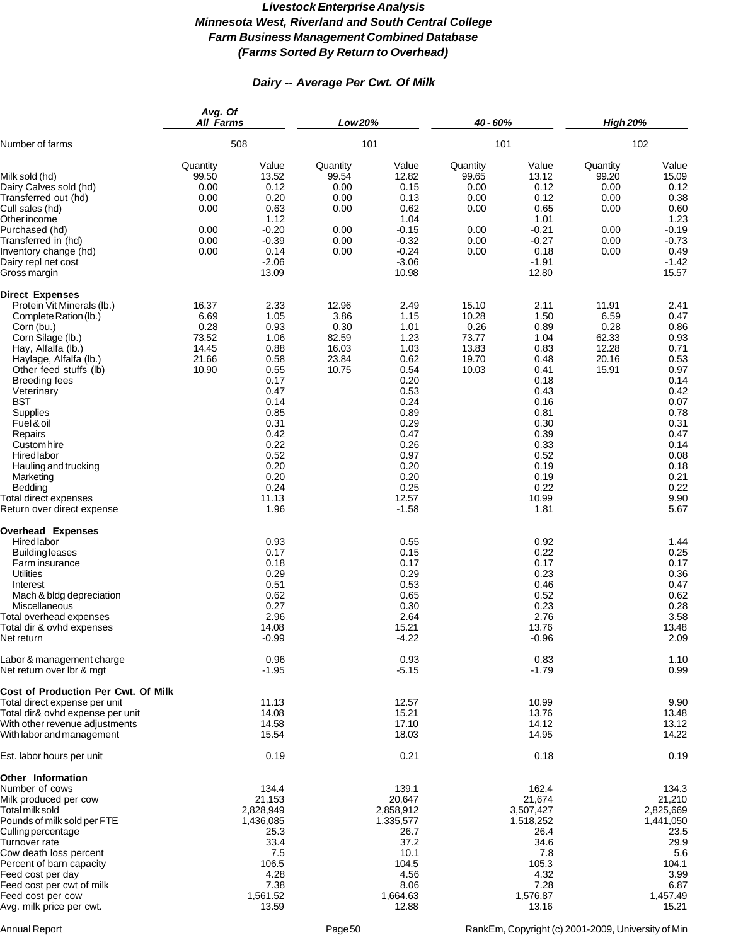# *Dairy -- Average Per Cwt. Of Milk*

|                                                                                                                                                                                                                                                                                                                                                                                                                          | Avg. Of<br><b>All Farms</b><br>508                                |                                                                                                                                                               | Low 20%<br>101                                                    |                                                                                                                                                                  | 40 - 60%                                                          |                                                                                                                                                               | <b>High 20%</b>                                                   |                                                                                                                                                              |
|--------------------------------------------------------------------------------------------------------------------------------------------------------------------------------------------------------------------------------------------------------------------------------------------------------------------------------------------------------------------------------------------------------------------------|-------------------------------------------------------------------|---------------------------------------------------------------------------------------------------------------------------------------------------------------|-------------------------------------------------------------------|------------------------------------------------------------------------------------------------------------------------------------------------------------------|-------------------------------------------------------------------|---------------------------------------------------------------------------------------------------------------------------------------------------------------|-------------------------------------------------------------------|--------------------------------------------------------------------------------------------------------------------------------------------------------------|
| Number of farms                                                                                                                                                                                                                                                                                                                                                                                                          |                                                                   |                                                                                                                                                               |                                                                   |                                                                                                                                                                  | 101                                                               |                                                                                                                                                               | 102                                                               |                                                                                                                                                              |
| Milk sold (hd)<br>Dairy Calves sold (hd)<br>Transferred out (hd)<br>Cull sales (hd)<br>Other income<br>Purchased (hd)<br>Transferred in (hd)<br>Inventory change (hd)<br>Dairy repl net cost<br>Gross margin                                                                                                                                                                                                             | Quantity<br>99.50<br>0.00<br>0.00<br>0.00<br>0.00<br>0.00<br>0.00 | Value<br>13.52<br>0.12<br>0.20<br>0.63<br>1.12<br>$-0.20$<br>$-0.39$<br>0.14<br>$-2.06$<br>13.09                                                              | Quantity<br>99.54<br>0.00<br>0.00<br>0.00<br>0.00<br>0.00<br>0.00 | Value<br>12.82<br>0.15<br>0.13<br>0.62<br>1.04<br>$-0.15$<br>$-0.32$<br>$-0.24$<br>$-3.06$<br>10.98                                                              | Quantity<br>99.65<br>0.00<br>0.00<br>0.00<br>0.00<br>0.00<br>0.00 | Value<br>13.12<br>0.12<br>0.12<br>0.65<br>1.01<br>$-0.21$<br>$-0.27$<br>0.18<br>$-1.91$<br>12.80                                                              | Quantity<br>99.20<br>0.00<br>0.00<br>0.00<br>0.00<br>0.00<br>0.00 | Value<br>15.09<br>0.12<br>0.38<br>0.60<br>1.23<br>$-0.19$<br>$-0.73$<br>0.49<br>$-1.42$<br>15.57                                                             |
| <b>Direct Expenses</b><br>Protein Vit Minerals (lb.)<br>Complete Ration (lb.)<br>Corn (bu.)<br>Corn Silage (lb.)<br>Hay, Alfalfa (lb.)<br>Haylage, Alfalfa (lb.)<br>Other feed stuffs (lb)<br><b>Breeding fees</b><br>Veterinary<br><b>BST</b><br>Supplies<br>Fuel & oil<br>Repairs<br>Custom hire<br>Hired labor<br>Hauling and trucking<br>Marketing<br>Bedding<br>Total direct expenses<br>Return over direct expense | 16.37<br>6.69<br>0.28<br>73.52<br>14.45<br>21.66<br>10.90         | 2.33<br>1.05<br>0.93<br>1.06<br>0.88<br>0.58<br>0.55<br>0.17<br>0.47<br>0.14<br>0.85<br>0.31<br>0.42<br>0.22<br>0.52<br>0.20<br>0.20<br>0.24<br>11.13<br>1.96 | 12.96<br>3.86<br>0.30<br>82.59<br>16.03<br>23.84<br>10.75         | 2.49<br>1.15<br>1.01<br>1.23<br>1.03<br>0.62<br>0.54<br>0.20<br>0.53<br>0.24<br>0.89<br>0.29<br>0.47<br>0.26<br>0.97<br>0.20<br>0.20<br>0.25<br>12.57<br>$-1.58$ | 15.10<br>10.28<br>0.26<br>73.77<br>13.83<br>19.70<br>10.03        | 2.11<br>1.50<br>0.89<br>1.04<br>0.83<br>0.48<br>0.41<br>0.18<br>0.43<br>0.16<br>0.81<br>0.30<br>0.39<br>0.33<br>0.52<br>0.19<br>0.19<br>0.22<br>10.99<br>1.81 | 11.91<br>6.59<br>0.28<br>62.33<br>12.28<br>20.16<br>15.91         | 2.41<br>0.47<br>0.86<br>0.93<br>0.71<br>0.53<br>0.97<br>0.14<br>0.42<br>0.07<br>0.78<br>0.31<br>0.47<br>0.14<br>0.08<br>0.18<br>0.21<br>0.22<br>9.90<br>5.67 |
| <b>Overhead Expenses</b><br>Hired labor<br><b>Building leases</b><br>Farm insurance<br><b>Utilities</b><br>Interest<br>Mach & bldg depreciation<br>Miscellaneous<br>Total overhead expenses<br>Total dir & ovhd expenses<br>Net return                                                                                                                                                                                   |                                                                   | 0.93<br>0.17<br>0.18<br>0.29<br>0.51<br>0.62<br>0.27<br>2.96<br>14.08<br>$-0.99$                                                                              |                                                                   | 0.55<br>0.15<br>0.17<br>0.29<br>0.53<br>0.65<br>0.30<br>2.64<br>15.21<br>$-4.22$                                                                                 |                                                                   | 0.92<br>0.22<br>0.17<br>0.23<br>0.46<br>0.52<br>0.23<br>2.76<br>13.76<br>$-0.96$                                                                              |                                                                   | 1.44<br>0.25<br>0.17<br>0.36<br>0.47<br>0.62<br>0.28<br>3.58<br>13.48<br>2.09                                                                                |
| Labor & management charge<br>Net return over Ibr & mgt                                                                                                                                                                                                                                                                                                                                                                   |                                                                   | 0.96<br>$-1.95$                                                                                                                                               |                                                                   | 0.93<br>$-5.15$                                                                                                                                                  |                                                                   | 0.83<br>$-1.79$                                                                                                                                               |                                                                   | 1.10<br>0.99                                                                                                                                                 |
| Cost of Production Per Cwt. Of Milk<br>Total direct expense per unit<br>Total dir& ovhd expense per unit<br>With other revenue adjustments<br>With labor and management                                                                                                                                                                                                                                                  |                                                                   | 11.13<br>14.08<br>14.58<br>15.54                                                                                                                              |                                                                   | 12.57<br>15.21<br>17.10<br>18.03                                                                                                                                 |                                                                   | 10.99<br>13.76<br>14.12<br>14.95                                                                                                                              |                                                                   | 9.90<br>13.48<br>13.12<br>14.22                                                                                                                              |
| Est. labor hours per unit                                                                                                                                                                                                                                                                                                                                                                                                |                                                                   | 0.19                                                                                                                                                          |                                                                   | 0.21                                                                                                                                                             |                                                                   | 0.18                                                                                                                                                          |                                                                   | 0.19                                                                                                                                                         |
| Other Information<br>Number of cows<br>Milk produced per cow<br>Total milk sold<br>Pounds of milk sold per FTE<br>Culling percentage<br>Turnover rate<br>Cow death loss percent<br>Percent of barn capacity<br>Feed cost per day<br>Feed cost per cwt of milk<br>Feed cost per cow<br>Avg. milk price per cwt.                                                                                                           |                                                                   | 134.4<br>21,153<br>2,828,949<br>1,436,085<br>25.3<br>33.4<br>7.5<br>106.5<br>4.28<br>7.38<br>1,561.52<br>13.59                                                |                                                                   | 139.1<br>20,647<br>2,858,912<br>1,335,577<br>26.7<br>37.2<br>10.1<br>104.5<br>4.56<br>8.06<br>1,664.63<br>12.88                                                  |                                                                   | 162.4<br>21,674<br>3,507,427<br>1,518,252<br>26.4<br>34.6<br>7.8<br>105.3<br>4.32<br>7.28<br>1,576.87<br>13.16                                                |                                                                   | 134.3<br>21,210<br>2,825,669<br>1,441,050<br>23.5<br>29.9<br>5.6<br>104.1<br>3.99<br>6.87<br>1,457.49<br>15.21                                               |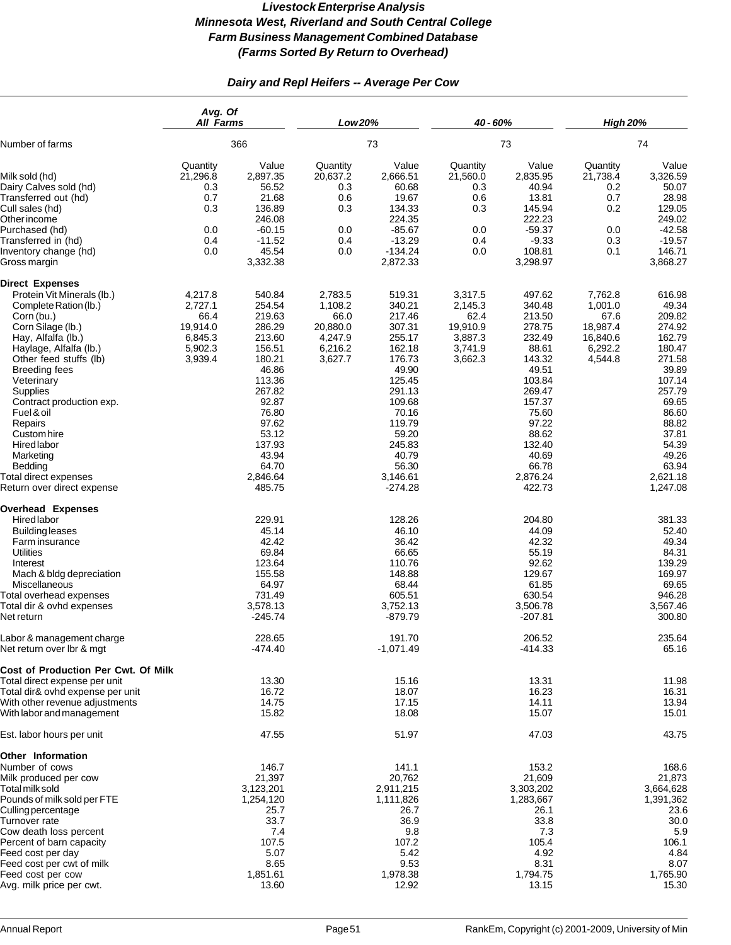# *Dairy and Repl Heifers -- Average Per Cow*

|                                                                                                                                                                                                                                                                                                                                                                                                                | Avg. Of<br>All Farms                                                    |                                                                                                                                                                                       | Low 20%                                                                 |                                                                                                                                                                                            | 40 - 60%                                                                |                                                                                                                                                                                       | <b>High 20%</b>                                                          |                                                                                                                                                                                       |
|----------------------------------------------------------------------------------------------------------------------------------------------------------------------------------------------------------------------------------------------------------------------------------------------------------------------------------------------------------------------------------------------------------------|-------------------------------------------------------------------------|---------------------------------------------------------------------------------------------------------------------------------------------------------------------------------------|-------------------------------------------------------------------------|--------------------------------------------------------------------------------------------------------------------------------------------------------------------------------------------|-------------------------------------------------------------------------|---------------------------------------------------------------------------------------------------------------------------------------------------------------------------------------|--------------------------------------------------------------------------|---------------------------------------------------------------------------------------------------------------------------------------------------------------------------------------|
| Number of farms                                                                                                                                                                                                                                                                                                                                                                                                | 366                                                                     |                                                                                                                                                                                       | 73                                                                      |                                                                                                                                                                                            | 73                                                                      |                                                                                                                                                                                       | 74                                                                       |                                                                                                                                                                                       |
| Milk sold (hd)<br>Dairy Calves sold (hd)<br>Transferred out (hd)<br>Cull sales (hd)<br>Other income<br>Purchased (hd)<br>Transferred in (hd)<br>Inventory change (hd)<br>Gross margin                                                                                                                                                                                                                          | Quantity<br>21,296.8<br>0.3<br>0.7<br>0.3<br>0.0<br>0.4<br>0.0          | Value<br>2,897.35<br>56.52<br>21.68<br>136.89<br>246.08<br>$-60.15$<br>$-11.52$<br>45.54<br>3,332.38                                                                                  | Quantity<br>20,637.2<br>0.3<br>0.6<br>0.3<br>0.0<br>0.4<br>0.0          | Value<br>2,666.51<br>60.68<br>19.67<br>134.33<br>224.35<br>$-85.67$<br>$-13.29$<br>$-134.24$<br>2,872.33                                                                                   | Quantity<br>21,560.0<br>0.3<br>0.6<br>0.3<br>0.0<br>0.4<br>0.0          | Value<br>2,835.95<br>40.94<br>13.81<br>145.94<br>222.23<br>$-59.37$<br>$-9.33$<br>108.81<br>3,298.97                                                                                  | Quantity<br>21,738.4<br>0.2<br>0.7<br>0.2<br>0.0<br>0.3<br>0.1           | Value<br>3,326.59<br>50.07<br>28.98<br>129.05<br>249.02<br>$-42.58$<br>$-19.57$<br>146.71<br>3,868.27                                                                                 |
| <b>Direct Expenses</b><br>Protein Vit Minerals (lb.)<br>Complete Ration (lb.)<br>Corn (bu.)<br>Corn Silage (lb.)<br>Hay, Alfalfa (lb.)<br>Haylage, Alfalfa (lb.)<br>Other feed stuffs (lb)<br><b>Breeding fees</b><br>Veterinary<br>Supplies<br>Contract production exp.<br>Fuel & oil<br>Repairs<br>Custom hire<br>Hired labor<br>Marketing<br>Bedding<br>Total direct expenses<br>Return over direct expense | 4,217.8<br>2,727.1<br>66.4<br>19,914.0<br>6,845.3<br>5,902.3<br>3,939.4 | 540.84<br>254.54<br>219.63<br>286.29<br>213.60<br>156.51<br>180.21<br>46.86<br>113.36<br>267.82<br>92.87<br>76.80<br>97.62<br>53.12<br>137.93<br>43.94<br>64.70<br>2,846.64<br>485.75 | 2,783.5<br>1,108.2<br>66.0<br>20,880.0<br>4,247.9<br>6,216.2<br>3,627.7 | 519.31<br>340.21<br>217.46<br>307.31<br>255.17<br>162.18<br>176.73<br>49.90<br>125.45<br>291.13<br>109.68<br>70.16<br>119.79<br>59.20<br>245.83<br>40.79<br>56.30<br>3,146.61<br>$-274.28$ | 3,317.5<br>2,145.3<br>62.4<br>19,910.9<br>3,887.3<br>3,741.9<br>3,662.3 | 497.62<br>340.48<br>213.50<br>278.75<br>232.49<br>88.61<br>143.32<br>49.51<br>103.84<br>269.47<br>157.37<br>75.60<br>97.22<br>88.62<br>132.40<br>40.69<br>66.78<br>2,876.24<br>422.73 | 7,762.8<br>1,001.0<br>67.6<br>18,987.4<br>16,840.6<br>6,292.2<br>4,544.8 | 616.98<br>49.34<br>209.82<br>274.92<br>162.79<br>180.47<br>271.58<br>39.89<br>107.14<br>257.79<br>69.65<br>86.60<br>88.82<br>37.81<br>54.39<br>49.26<br>63.94<br>2,621.18<br>1,247.08 |
| <b>Overhead Expenses</b><br>Hired labor<br><b>Building leases</b><br>Farm insurance<br><b>Utilities</b><br>Interest<br>Mach & bldg depreciation<br>Miscellaneous<br>Total overhead expenses<br>Total dir & ovhd expenses<br>Net return                                                                                                                                                                         |                                                                         | 229.91<br>45.14<br>42.42<br>69.84<br>123.64<br>155.58<br>64.97<br>731.49<br>3,578.13<br>$-245.74$                                                                                     |                                                                         | 128.26<br>46.10<br>36.42<br>66.65<br>110.76<br>148.88<br>68.44<br>605.51<br>3,752.13<br>$-879.79$                                                                                          |                                                                         | 204.80<br>44.09<br>42.32<br>55.19<br>92.62<br>129.67<br>61.85<br>630.54<br>3,506.78<br>$-207.81$                                                                                      |                                                                          | 381.33<br>52.40<br>49.34<br>84.31<br>139.29<br>169.97<br>69.65<br>946.28<br>3,567.46<br>300.80                                                                                        |
| Labor & management charge<br>Net return over Ibr & mgt<br>Cost of Production Per Cwt. Of Milk<br>Total direct expense per unit                                                                                                                                                                                                                                                                                 |                                                                         | 228.65<br>$-474.40$<br>13.30                                                                                                                                                          |                                                                         | 191.70<br>$-1,071.49$<br>15.16                                                                                                                                                             |                                                                         | 206.52<br>$-414.33$<br>13.31                                                                                                                                                          |                                                                          | 235.64<br>65.16<br>11.98                                                                                                                                                              |
| Total dir& ovhd expense per unit<br>With other revenue adjustments<br>With labor and management                                                                                                                                                                                                                                                                                                                |                                                                         | 16.72<br>14.75<br>15.82                                                                                                                                                               |                                                                         | 18.07<br>17.15<br>18.08                                                                                                                                                                    |                                                                         | 16.23<br>14.11<br>15.07                                                                                                                                                               |                                                                          | 16.31<br>13.94<br>15.01                                                                                                                                                               |
| Est. labor hours per unit                                                                                                                                                                                                                                                                                                                                                                                      |                                                                         | 47.55                                                                                                                                                                                 |                                                                         | 51.97                                                                                                                                                                                      |                                                                         | 47.03                                                                                                                                                                                 |                                                                          | 43.75                                                                                                                                                                                 |
| <b>Other Information</b><br>Number of cows<br>Milk produced per cow<br>Total milk sold<br>Pounds of milk sold per FTE<br>Culling percentage<br>Turnover rate<br>Cow death loss percent<br>Percent of barn capacity<br>Feed cost per day<br>Feed cost per cwt of milk<br>Feed cost per cow                                                                                                                      |                                                                         | 146.7<br>21,397<br>3,123,201<br>1,254,120<br>25.7<br>33.7<br>7.4<br>107.5<br>5.07<br>8.65<br>1,851.61                                                                                 |                                                                         | 141.1<br>20,762<br>2,911,215<br>1,111,826<br>26.7<br>36.9<br>9.8<br>107.2<br>5.42<br>9.53<br>1,978.38                                                                                      |                                                                         | 153.2<br>21,609<br>3,303,202<br>1,283,667<br>26.1<br>33.8<br>7.3<br>105.4<br>4.92<br>8.31<br>1,794.75                                                                                 |                                                                          | 168.6<br>21,873<br>3,664,628<br>1,391,362<br>23.6<br>30.0<br>5.9<br>106.1<br>4.84<br>8.07<br>1,765.90                                                                                 |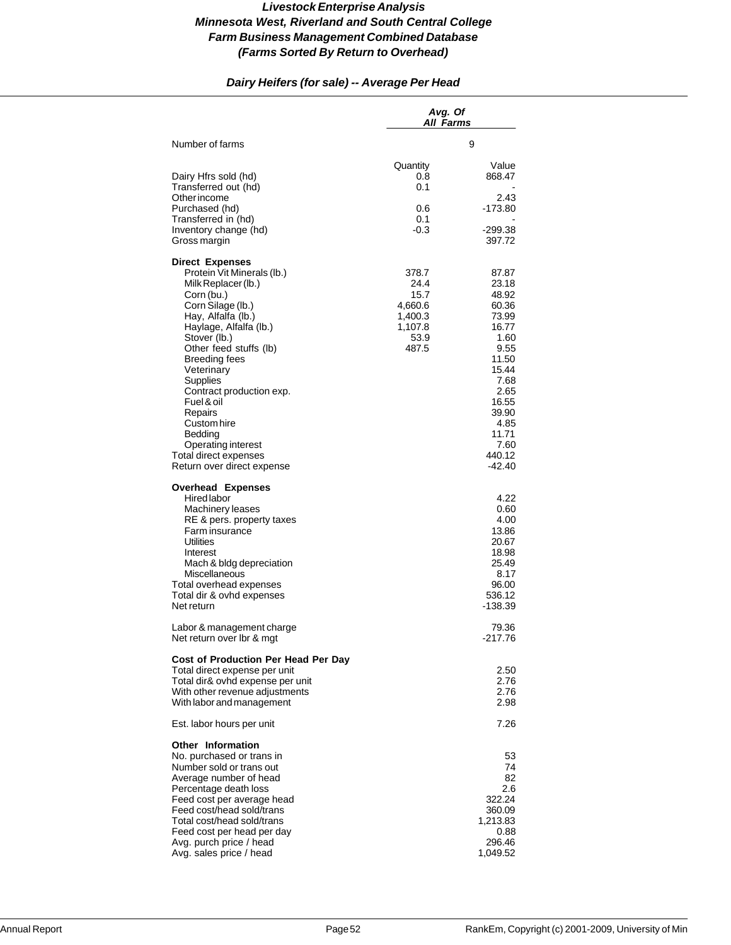# *Dairy Heifers (for sale) -- Average Per Head*

|                                                                                                                                                                                                                                                                                                                                                                                                                        | Avg. Of<br>All Farms                                                    |                                                                                                                                                                     |
|------------------------------------------------------------------------------------------------------------------------------------------------------------------------------------------------------------------------------------------------------------------------------------------------------------------------------------------------------------------------------------------------------------------------|-------------------------------------------------------------------------|---------------------------------------------------------------------------------------------------------------------------------------------------------------------|
| Number of farms                                                                                                                                                                                                                                                                                                                                                                                                        |                                                                         | 9                                                                                                                                                                   |
| Dairy Hfrs sold (hd)<br>Transferred out (hd)<br>Other income<br>Purchased (hd)<br>Transferred in (hd)<br>Inventory change (hd)<br>Gross margin                                                                                                                                                                                                                                                                         | Quantity<br>0.8<br>0.1<br>0.6<br>0.1<br>-0.3                            | Value<br>868.47<br>2.43<br>-173.80<br>$-299.38$<br>397.72                                                                                                           |
| <b>Direct Expenses</b><br>Protein Vit Minerals (lb.)<br>Milk Replacer (lb.)<br>Corn (bu.)<br>Corn Silage (lb.)<br>Hay, Alfalfa (lb.)<br>Haylage, Alfalfa (lb.)<br>Stover (lb.)<br>Other feed stuffs (lb)<br><b>Breeding fees</b><br>Veterinary<br>Supplies<br>Contract production exp.<br>Fuel & oil<br>Repairs<br>Custom hire<br>Bedding<br>Operating interest<br>Total direct expenses<br>Return over direct expense | 378.7<br>24.4<br>15.7<br>4,660.6<br>1,400.3<br>1,107.8<br>53.9<br>487.5 | 87.87<br>23.18<br>48.92<br>60.36<br>73.99<br>16.77<br>1.60<br>9.55<br>11.50<br>15.44<br>7.68<br>2.65<br>16.55<br>39.90<br>4.85<br>11.71<br>7.60<br>440.12<br>-42.40 |
| <b>Overhead Expenses</b><br><b>Hired labor</b><br><b>Machinery leases</b><br>RE & pers. property taxes<br>Farm insurance<br>Utilities<br>Interest<br>Mach & bldg depreciation<br><b>Miscellaneous</b><br>Total overhead expenses<br>Total dir & ovhd expenses<br>Net return                                                                                                                                            |                                                                         | 4.22<br>0.60<br>4.00<br>13.86<br>20.67<br>18.98<br>25.49<br>8.17<br>96.00<br>536.12<br>-138.39                                                                      |
| Labor & management charge<br>Net return over Ibr & mgt                                                                                                                                                                                                                                                                                                                                                                 |                                                                         | 79.36<br>-217.76                                                                                                                                                    |
| Cost of Production Per Head Per Day<br>Total direct expense per unit<br>Total dir& ovhd expense per unit<br>With other revenue adjustments<br>With labor and management                                                                                                                                                                                                                                                |                                                                         | 2.50<br>2.76<br>2.76<br>2.98                                                                                                                                        |
| Est. labor hours per unit                                                                                                                                                                                                                                                                                                                                                                                              |                                                                         | 7.26                                                                                                                                                                |
| <b>Other Information</b><br>No. purchased or trans in<br>Number sold or trans out<br>Average number of head<br>Percentage death loss<br>Feed cost per average head<br>Feed cost/head sold/trans<br>Total cost/head sold/trans<br>Feed cost per head per day<br>Avg. purch price / head<br>Avg. sales price / head                                                                                                      |                                                                         | 53<br>74<br>82<br>2.6<br>322.24<br>360.09<br>1,213.83<br>0.88<br>296.46<br>1,049.52                                                                                 |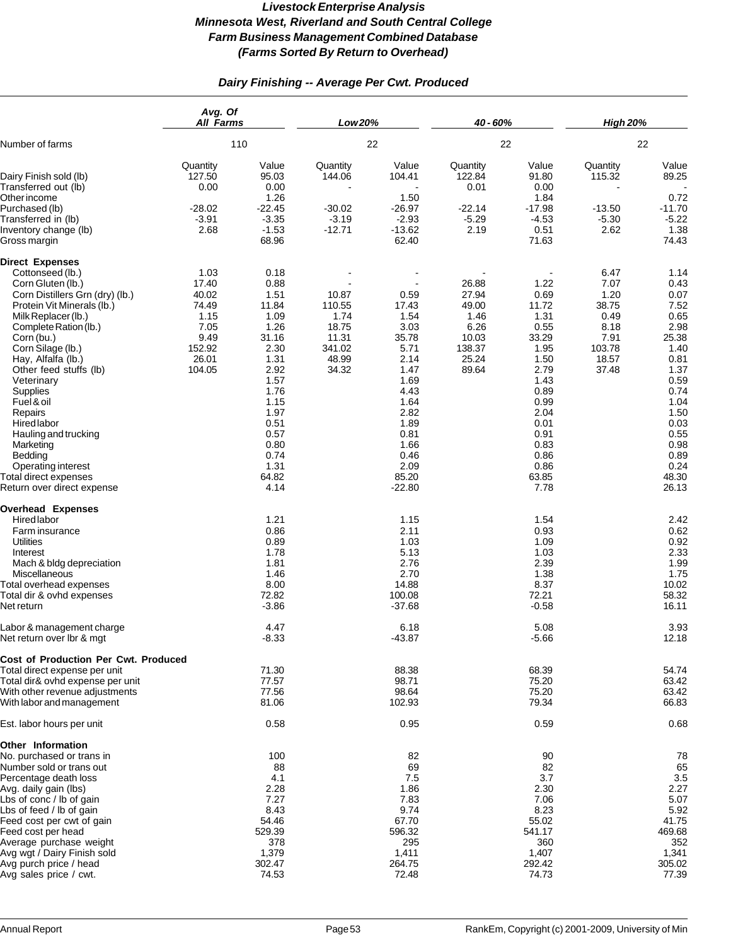# *Dairy Finishing -- Average Per Cwt. Produced*

|                                                                                                                                                                                                                                                                                                                                                                                                                                                                           | Avg. Of<br><b>All Farms</b>                                                          |                                                                                                                                                                         | Low 20%                                                               |                                                                                                                                                             | 40 - 60%                                                                     |                                                                                                                                                                 | <b>High 20%</b>                                                                   |                                                                                                                                                                         |
|---------------------------------------------------------------------------------------------------------------------------------------------------------------------------------------------------------------------------------------------------------------------------------------------------------------------------------------------------------------------------------------------------------------------------------------------------------------------------|--------------------------------------------------------------------------------------|-------------------------------------------------------------------------------------------------------------------------------------------------------------------------|-----------------------------------------------------------------------|-------------------------------------------------------------------------------------------------------------------------------------------------------------|------------------------------------------------------------------------------|-----------------------------------------------------------------------------------------------------------------------------------------------------------------|-----------------------------------------------------------------------------------|-------------------------------------------------------------------------------------------------------------------------------------------------------------------------|
| Number of farms                                                                                                                                                                                                                                                                                                                                                                                                                                                           | 110                                                                                  |                                                                                                                                                                         | 22                                                                    |                                                                                                                                                             | 22                                                                           |                                                                                                                                                                 | 22                                                                                |                                                                                                                                                                         |
| Dairy Finish sold (lb)<br>Transferred out (lb)<br>Other income<br>Purchased (lb)                                                                                                                                                                                                                                                                                                                                                                                          | Quantity<br>127.50<br>0.00<br>$-28.02$                                               | Value<br>95.03<br>0.00<br>1.26<br>$-22.45$                                                                                                                              | Quantity<br>144.06<br>$-30.02$                                        | Value<br>104.41<br>1.50<br>$-26.97$                                                                                                                         | Quantity<br>122.84<br>0.01<br>$-22.14$                                       | Value<br>91.80<br>0.00<br>1.84<br>$-17.98$                                                                                                                      | Quantity<br>115.32<br>$-13.50$                                                    | Value<br>89.25<br>0.72<br>$-11.70$                                                                                                                                      |
| Transferred in (lb)<br>Inventory change (lb)<br>Gross margin                                                                                                                                                                                                                                                                                                                                                                                                              | $-3.91$<br>2.68                                                                      | $-3.35$<br>$-1.53$<br>68.96                                                                                                                                             | $-3.19$<br>$-12.71$                                                   | $-2.93$<br>$-13.62$<br>62.40                                                                                                                                | $-5.29$<br>2.19                                                              | $-4.53$<br>0.51<br>71.63                                                                                                                                        | $-5.30$<br>2.62                                                                   | $-5.22$<br>1.38<br>74.43                                                                                                                                                |
| <b>Direct Expenses</b><br>Cottonseed (lb.)<br>Corn Gluten (lb.)<br>Corn Distillers Grn (dry) (lb.)<br>Protein Vit Minerals (lb.)<br>Milk Replacer (lb.)<br>Complete Ration (lb.)<br>Corn (bu.)<br>Corn Silage (lb.)<br>Hay, Alfalfa (lb.)<br>Other feed stuffs (lb)<br>Veterinary<br>Supplies<br>Fuel & oil<br>Repairs<br><b>Hired labor</b><br>Hauling and trucking<br>Marketing<br>Bedding<br>Operating interest<br>Total direct expenses<br>Return over direct expense | 1.03<br>17.40<br>40.02<br>74.49<br>1.15<br>7.05<br>9.49<br>152.92<br>26.01<br>104.05 | 0.18<br>0.88<br>1.51<br>11.84<br>1.09<br>1.26<br>31.16<br>2.30<br>1.31<br>2.92<br>1.57<br>1.76<br>1.15<br>1.97<br>0.51<br>0.57<br>0.80<br>0.74<br>1.31<br>64.82<br>4.14 | 10.87<br>110.55<br>1.74<br>18.75<br>11.31<br>341.02<br>48.99<br>34.32 | 0.59<br>17.43<br>1.54<br>3.03<br>35.78<br>5.71<br>2.14<br>1.47<br>1.69<br>4.43<br>1.64<br>2.82<br>1.89<br>0.81<br>1.66<br>0.46<br>2.09<br>85.20<br>$-22.80$ | 26.88<br>27.94<br>49.00<br>1.46<br>6.26<br>10.03<br>138.37<br>25.24<br>89.64 | 1.22<br>0.69<br>11.72<br>1.31<br>0.55<br>33.29<br>1.95<br>1.50<br>2.79<br>1.43<br>0.89<br>0.99<br>2.04<br>0.01<br>0.91<br>0.83<br>0.86<br>0.86<br>63.85<br>7.78 | 6.47<br>7.07<br>1.20<br>38.75<br>0.49<br>8.18<br>7.91<br>103.78<br>18.57<br>37.48 | 1.14<br>0.43<br>0.07<br>7.52<br>0.65<br>2.98<br>25.38<br>1.40<br>0.81<br>1.37<br>0.59<br>0.74<br>1.04<br>1.50<br>0.03<br>0.55<br>0.98<br>0.89<br>0.24<br>48.30<br>26.13 |
| <b>Overhead Expenses</b><br>Hired labor<br>Farm insurance<br><b>Utilities</b><br>Interest<br>Mach & bldg depreciation<br>Miscellaneous<br>Total overhead expenses<br>Total dir & ovhd expenses<br>Net return                                                                                                                                                                                                                                                              |                                                                                      | 1.21<br>0.86<br>0.89<br>1.78<br>1.81<br>1.46<br>8.00<br>72.82<br>$-3.86$                                                                                                |                                                                       | 1.15<br>2.11<br>1.03<br>5.13<br>2.76<br>2.70<br>14.88<br>100.08<br>$-37.68$                                                                                 |                                                                              | 1.54<br>0.93<br>1.09<br>1.03<br>2.39<br>1.38<br>8.37<br>72.21<br>$-0.58$                                                                                        |                                                                                   | 2.42<br>0.62<br>0.92<br>2.33<br>1.99<br>1.75<br>10.02<br>58.32<br>16.11                                                                                                 |
| Labor & management charge<br>Net return over Ibr & mgt                                                                                                                                                                                                                                                                                                                                                                                                                    |                                                                                      | 4.47<br>$-8.33$                                                                                                                                                         |                                                                       | 6.18<br>$-43.87$                                                                                                                                            |                                                                              | 5.08<br>$-5.66$                                                                                                                                                 |                                                                                   | 3.93<br>12.18                                                                                                                                                           |
| Cost of Production Per Cwt. Produced<br>Total direct expense per unit<br>Total dir& ovhd expense per unit<br>With other revenue adjustments<br>With labor and management                                                                                                                                                                                                                                                                                                  |                                                                                      | 71.30<br>77.57<br>77.56<br>81.06                                                                                                                                        |                                                                       | 88.38<br>98.71<br>98.64<br>102.93                                                                                                                           |                                                                              | 68.39<br>75.20<br>75.20<br>79.34                                                                                                                                |                                                                                   | 54.74<br>63.42<br>63.42<br>66.83                                                                                                                                        |
| Est. labor hours per unit                                                                                                                                                                                                                                                                                                                                                                                                                                                 |                                                                                      | 0.58                                                                                                                                                                    |                                                                       | 0.95                                                                                                                                                        |                                                                              | 0.59                                                                                                                                                            |                                                                                   | 0.68                                                                                                                                                                    |
| Other Information<br>No. purchased or trans in<br>Number sold or trans out<br>Percentage death loss<br>Avg. daily gain (lbs)<br>Lbs of conc / lb of gain<br>Lbs of feed / lb of gain<br>Feed cost per cwt of gain<br>Feed cost per head<br>Average purchase weight<br>Avg wgt / Dairy Finish sold                                                                                                                                                                         |                                                                                      | 100<br>88<br>4.1<br>2.28<br>7.27<br>8.43<br>54.46<br>529.39<br>378<br>1,379                                                                                             |                                                                       | 82<br>69<br>7.5<br>1.86<br>7.83<br>9.74<br>67.70<br>596.32<br>295<br>1,411                                                                                  |                                                                              | 90<br>82<br>3.7<br>2.30<br>7.06<br>8.23<br>55.02<br>541.17<br>360<br>1,407                                                                                      |                                                                                   | 78<br>65<br>$3.5\,$<br>2.27<br>5.07<br>5.92<br>41.75<br>469.68<br>352<br>1,341                                                                                          |
| Avg purch price / head<br>Avg sales price / cwt.                                                                                                                                                                                                                                                                                                                                                                                                                          |                                                                                      | 302.47<br>74.53                                                                                                                                                         |                                                                       | 264.75<br>72.48                                                                                                                                             |                                                                              | 292.42<br>74.73                                                                                                                                                 |                                                                                   | 305.02<br>77.39                                                                                                                                                         |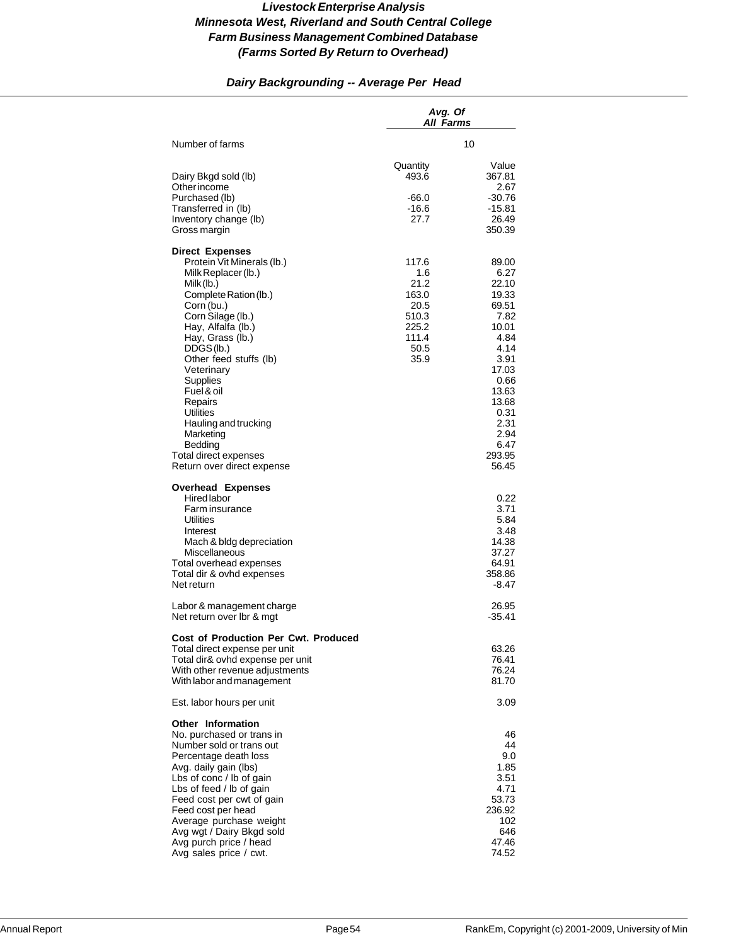# *Dairy Backgrounding -- Average Per Head*

|                                                                                                                                                                                                                                                                                                                                                                                                               | Avg. Of<br>All Farms                                                             |                                                                                                                                                                         |
|---------------------------------------------------------------------------------------------------------------------------------------------------------------------------------------------------------------------------------------------------------------------------------------------------------------------------------------------------------------------------------------------------------------|----------------------------------------------------------------------------------|-------------------------------------------------------------------------------------------------------------------------------------------------------------------------|
| Number of farms                                                                                                                                                                                                                                                                                                                                                                                               |                                                                                  | 10                                                                                                                                                                      |
| Dairy Bkgd sold (lb)<br>Other income<br>Purchased (lb)<br>Transferred in (lb)<br>Inventory change (lb)<br>Gross margin                                                                                                                                                                                                                                                                                        | Quantity<br>493.6<br>$-66.0$<br>-16.6<br>27.7                                    | Value<br>367.81<br>2.67<br>$-30.76$<br>-15.81<br>26.49<br>350.39                                                                                                        |
| <b>Direct Expenses</b><br>Protein Vit Minerals (lb.)<br>Milk Replacer (lb.)<br>Milk (lb.)<br>Complete Ration (lb.)<br>Corn (bu.)<br>Corn Silage (lb.)<br>Hay, Alfalfa (lb.)<br>Hay, Grass (lb.)<br>DDGS(lb.)<br>Other feed stuffs (lb)<br>Veterinary<br>Supplies<br>Fuel & oil<br>Repairs<br>Utilities<br>Hauling and trucking<br>Marketing<br>Bedding<br>Total direct expenses<br>Return over direct expense | 117.6<br>1.6<br>21.2<br>163.0<br>20.5<br>510.3<br>225.2<br>111.4<br>50.5<br>35.9 | 89.00<br>6.27<br>22.10<br>19.33<br>69.51<br>7.82<br>10.01<br>4.84<br>4.14<br>3.91<br>17.03<br>0.66<br>13.63<br>13.68<br>0.31<br>2.31<br>2.94<br>6.47<br>293.95<br>56.45 |
| <b>Overhead Expenses</b><br>Hired labor<br>Farm insurance<br>Utilities<br>Interest<br>Mach & bldg depreciation<br>Miscellaneous<br>Total overhead expenses<br>Total dir & ovhd expenses<br>Net return                                                                                                                                                                                                         |                                                                                  | 0.22<br>3.71<br>5.84<br>3.48<br>14.38<br>37.27<br>64.91<br>358.86<br>$-8.47$                                                                                            |
| Labor & management charge<br>Net return over Ibr & mgt                                                                                                                                                                                                                                                                                                                                                        |                                                                                  | 26.95<br>$-35.41$                                                                                                                                                       |
| <b>Cost of Production Per Cwt. Produced</b><br>Total direct expense per unit<br>Total dir& ovhd expense per unit<br>With other revenue adjustments<br>With labor and management                                                                                                                                                                                                                               |                                                                                  | 63.26<br>76.41<br>76.24<br>81.70                                                                                                                                        |
| Est. labor hours per unit                                                                                                                                                                                                                                                                                                                                                                                     |                                                                                  | 3.09                                                                                                                                                                    |
| Other Information<br>No. purchased or trans in<br>Number sold or trans out<br>Percentage death loss<br>Avg. daily gain (lbs)<br>Lbs of conc / lb of gain<br>Lbs of feed / lb of gain<br>Feed cost per cwt of gain<br>Feed cost per head<br>Average purchase weight<br>Avg wgt / Dairy Bkgd sold<br>Avg purch price / head<br>Avg sales price / cwt.                                                           |                                                                                  | 46<br>44<br>9.0<br>1.85<br>3.51<br>4.71<br>53.73<br>236.92<br>102<br>646<br>47.46<br>74.52                                                                              |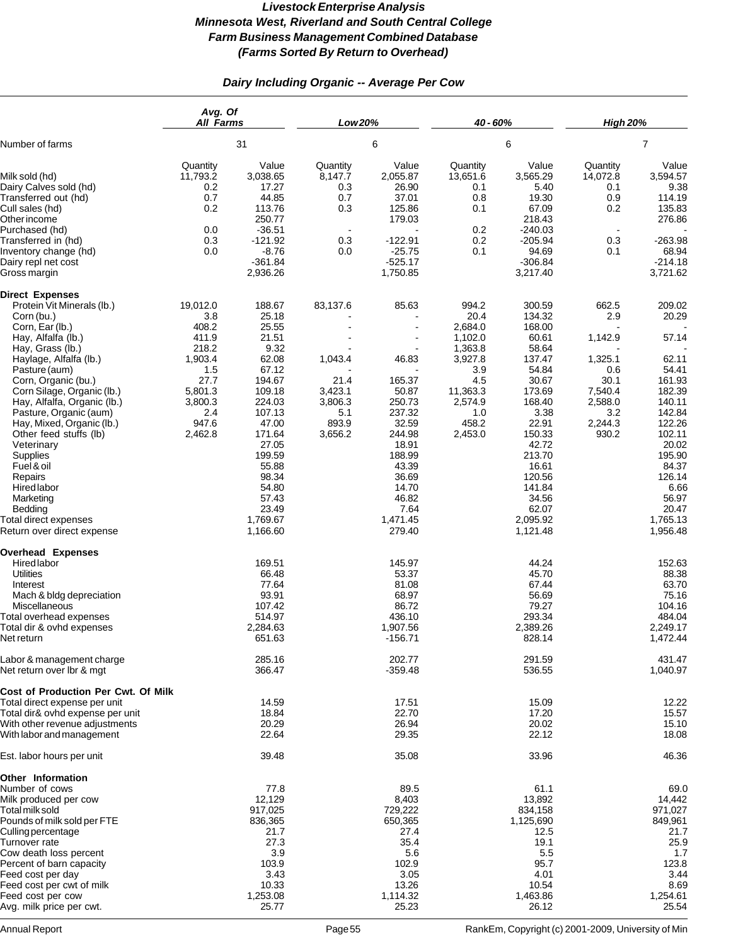# *Dairy Including Organic -- Average Per Cow*

|                                                                                                                             | Avg. Of<br><b>All Farms</b>              |                                               | Low 20%                           |                                                | 40 - 60%                                 |                                             | <b>High 20%</b>                          |                                               |
|-----------------------------------------------------------------------------------------------------------------------------|------------------------------------------|-----------------------------------------------|-----------------------------------|------------------------------------------------|------------------------------------------|---------------------------------------------|------------------------------------------|-----------------------------------------------|
| Number of farms                                                                                                             | 31                                       |                                               | 6                                 |                                                | 6                                        |                                             | $\overline{7}$                           |                                               |
| Milk sold (hd)<br>Dairy Calves sold (hd)<br>Transferred out (hd)                                                            | Quantity<br>11,793.2<br>0.2<br>0.7       | Value<br>3,038.65<br>17.27<br>44.85           | Quantity<br>8,147.7<br>0.3<br>0.7 | Value<br>2,055.87<br>26.90<br>37.01            | Quantity<br>13,651.6<br>0.1<br>0.8       | Value<br>3,565.29<br>5.40<br>19.30          | Quantity<br>14,072.8<br>0.1<br>0.9       | Value<br>3,594.57<br>9.38<br>114.19           |
| Cull sales (hd)<br>Other income<br>Purchased (hd)                                                                           | 0.2<br>0.0                               | 113.76<br>250.77<br>$-36.51$                  | 0.3<br>$\sim$                     | 125.86<br>179.03                               | 0.1<br>0.2                               | 67.09<br>218.43<br>$-240.03$                | 0.2                                      | 135.83<br>276.86                              |
| Transferred in (hd)<br>Inventory change (hd)<br>Dairy repl net cost<br>Gross margin                                         | 0.3<br>0.0                               | $-121.92$<br>$-8.76$<br>$-361.84$<br>2,936.26 | 0.3<br>0.0                        | $-122.91$<br>$-25.75$<br>$-525.17$<br>1,750.85 | 0.2<br>0.1                               | $-205.94$<br>94.69<br>$-306.84$<br>3,217.40 | 0.3<br>0.1                               | $-263.98$<br>68.94<br>$-214.18$<br>3,721.62   |
| <b>Direct Expenses</b><br>Protein Vit Minerals (lb.)                                                                        | 19,012.0                                 | 188.67                                        | 83,137.6                          | 85.63                                          | 994.2                                    | 300.59                                      | 662.5                                    | 209.02                                        |
| Corn (bu.)<br>Corn, Ear (lb.)                                                                                               | 3.8<br>408.2                             | 25.18<br>25.55                                |                                   | $\overline{\phantom{a}}$                       | 20.4<br>2,684.0                          | 134.32<br>168.00                            | 2.9                                      | 20.29                                         |
| Hay, Alfalfa (lb.)<br>Hay, Grass (lb.)<br>Haylage, Alfalfa (lb.)                                                            | 411.9<br>218.2<br>1,903.4                | 21.51<br>9.32<br>62.08                        | 1,043.4                           | $\blacksquare$<br>$\blacksquare$<br>46.83      | 1,102.0<br>1,363.8<br>3,927.8            | 60.61<br>58.64<br>137.47                    | 1,142.9<br>1,325.1                       | 57.14<br>62.11                                |
| Pasture (aum)<br>Corn, Organic (bu.)<br>Corn Silage, Organic (lb.)<br>Hay, Alfalfa, Organic (lb.)<br>Pasture, Organic (aum) | 1.5<br>27.7<br>5,801.3<br>3,800.3<br>2.4 | 67.12<br>194.67<br>109.18<br>224.03<br>107.13 | 21.4<br>3,423.1<br>3,806.3<br>5.1 | 165.37<br>50.87<br>250.73<br>237.32            | 3.9<br>4.5<br>11,363.3<br>2,574.9<br>1.0 | 54.84<br>30.67<br>173.69<br>168.40<br>3.38  | 0.6<br>30.1<br>7,540.4<br>2,588.0<br>3.2 | 54.41<br>161.93<br>182.39<br>140.11<br>142.84 |
| Hay, Mixed, Organic (lb.)<br>Other feed stuffs (lb)<br>Veterinary<br>Supplies<br>Fuel & oil                                 | 947.6<br>2,462.8                         | 47.00<br>171.64<br>27.05<br>199.59<br>55.88   | 893.9<br>3,656.2                  | 32.59<br>244.98<br>18.91<br>188.99<br>43.39    | 458.2<br>2,453.0                         | 22.91<br>150.33<br>42.72<br>213.70<br>16.61 | 2,244.3<br>930.2                         | 122.26<br>102.11<br>20.02<br>195.90<br>84.37  |
| Repairs<br>Hired labor<br>Marketing<br>Bedding                                                                              |                                          | 98.34<br>54.80<br>57.43<br>23.49              |                                   | 36.69<br>14.70<br>46.82<br>7.64                |                                          | 120.56<br>141.84<br>34.56<br>62.07          |                                          | 126.14<br>6.66<br>56.97<br>20.47              |
| Total direct expenses<br>Return over direct expense                                                                         |                                          | 1,769.67<br>1,166.60                          |                                   | 1,471.45<br>279.40                             |                                          | 2,095.92<br>1,121.48                        |                                          | 1,765.13<br>1,956.48                          |
| <b>Overhead Expenses</b><br>Hired labor<br><b>Utilities</b>                                                                 |                                          | 169.51<br>66.48                               |                                   | 145.97<br>53.37                                |                                          | 44.24<br>45.70                              |                                          | 152.63<br>88.38                               |
| Interest<br>Mach & bldg depreciation<br><b>Miscellaneous</b>                                                                |                                          | 77.64<br>93.91<br>107.42                      |                                   | 81.08<br>68.97<br>86.72                        |                                          | 67.44<br>56.69<br>79.27                     |                                          | 63.70<br>75.16<br>104.16                      |
| Total overhead expenses<br>Total dir & ovhd expenses<br>Net return                                                          |                                          | 514.97<br>2,284.63<br>651.63                  |                                   | 436.10<br>1,907.56<br>$-156.71$                |                                          | 293.34<br>2,389.26<br>828.14                |                                          | 484.04<br>2,249.17<br>1,472.44                |
| Labor & management charge<br>Net return over Ibr & mgt                                                                      |                                          | 285.16<br>366.47                              |                                   | 202.77<br>$-359.48$                            |                                          | 291.59<br>536.55                            |                                          | 431.47<br>1,040.97                            |
| Cost of Production Per Cwt. Of Milk<br>Total direct expense per unit                                                        |                                          | 14.59                                         |                                   | 17.51                                          |                                          | 15.09                                       |                                          | 12.22                                         |
| Total dir& ovhd expense per unit<br>With other revenue adjustments<br>With labor and management                             |                                          | 18.84<br>20.29<br>22.64                       |                                   | 22.70<br>26.94<br>29.35                        |                                          | 17.20<br>20.02<br>22.12                     |                                          | 15.57<br>15.10<br>18.08                       |
| Est. labor hours per unit                                                                                                   |                                          | 39.48                                         |                                   | 35.08                                          |                                          | 33.96                                       |                                          | 46.36                                         |
| <b>Other Information</b>                                                                                                    |                                          |                                               |                                   |                                                |                                          |                                             |                                          |                                               |
| Number of cows<br>Milk produced per cow<br>Total milk sold                                                                  |                                          | 77.8<br>12,129<br>917,025                     |                                   | 89.5<br>8,403<br>729,222                       |                                          | 61.1<br>13,892<br>834,158                   |                                          | 69.0<br>14,442<br>971,027                     |
| Pounds of milk sold per FTE<br>Culling percentage<br>Turnover rate                                                          |                                          | 836,365<br>21.7<br>27.3                       |                                   | 650,365<br>27.4<br>35.4                        |                                          | 1,125,690<br>12.5<br>19.1                   |                                          | 849,961<br>21.7<br>25.9                       |
| Cow death loss percent<br>Percent of barn capacity                                                                          |                                          | 3.9<br>103.9                                  |                                   | 5.6<br>102.9                                   |                                          | 5.5<br>95.7                                 |                                          | 1.7<br>123.8                                  |
| Feed cost per day<br>Feed cost per cwt of milk<br>Feed cost per cow                                                         |                                          | 3.43<br>10.33<br>1,253.08                     |                                   | 3.05<br>13.26<br>1,114.32                      |                                          | 4.01<br>10.54<br>1,463.86                   |                                          | 3.44<br>8.69<br>1,254.61                      |
| Avg. milk price per cwt.                                                                                                    |                                          | 25.77                                         |                                   | 25.23                                          |                                          | 26.12                                       |                                          | 25.54                                         |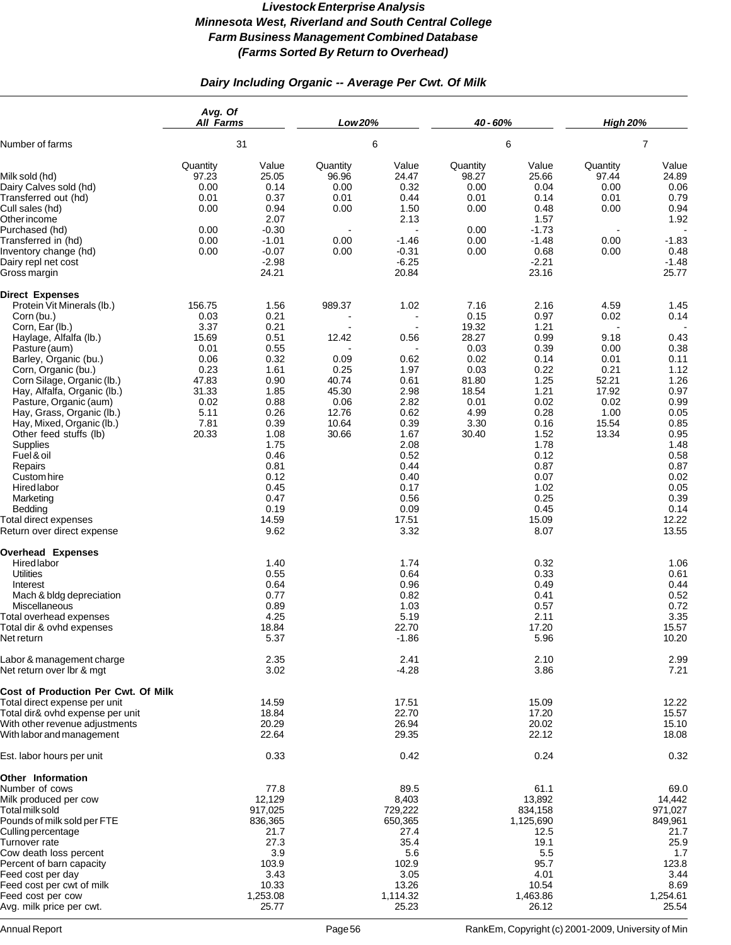# *Dairy Including Organic -- Average Per Cwt. Of Milk*

|                                                                                                                                                                                                                                                                                                                                                                                                                                                                                                               | Avg. Of<br><b>All Farms</b>                                                                                |                                                                                                                                                                               | Low 20%                                                                              |                                                                                                                                                                                           | 40 - 60%                                                                                                  |                                                                                                                                                                               | <b>High 20%</b>                                                                                  |                                                                                                                                                                        |
|---------------------------------------------------------------------------------------------------------------------------------------------------------------------------------------------------------------------------------------------------------------------------------------------------------------------------------------------------------------------------------------------------------------------------------------------------------------------------------------------------------------|------------------------------------------------------------------------------------------------------------|-------------------------------------------------------------------------------------------------------------------------------------------------------------------------------|--------------------------------------------------------------------------------------|-------------------------------------------------------------------------------------------------------------------------------------------------------------------------------------------|-----------------------------------------------------------------------------------------------------------|-------------------------------------------------------------------------------------------------------------------------------------------------------------------------------|--------------------------------------------------------------------------------------------------|------------------------------------------------------------------------------------------------------------------------------------------------------------------------|
| Number of farms                                                                                                                                                                                                                                                                                                                                                                                                                                                                                               | 31                                                                                                         |                                                                                                                                                                               | 6                                                                                    |                                                                                                                                                                                           | 6                                                                                                         |                                                                                                                                                                               | $\overline{7}$                                                                                   |                                                                                                                                                                        |
| Milk sold (hd)<br>Dairy Calves sold (hd)<br>Transferred out (hd)<br>Cull sales (hd)<br>Other income                                                                                                                                                                                                                                                                                                                                                                                                           | Quantity<br>97.23<br>0.00<br>0.01<br>0.00                                                                  | Value<br>25.05<br>0.14<br>0.37<br>0.94<br>2.07                                                                                                                                | Quantity<br>96.96<br>0.00<br>0.01<br>0.00                                            | Value<br>24.47<br>0.32<br>0.44<br>1.50<br>2.13                                                                                                                                            | Quantity<br>98.27<br>0.00<br>0.01<br>0.00                                                                 | Value<br>25.66<br>0.04<br>0.14<br>0.48<br>1.57                                                                                                                                | Quantity<br>97.44<br>0.00<br>0.01<br>0.00                                                        | Value<br>24.89<br>0.06<br>0.79<br>0.94<br>1.92                                                                                                                         |
| Purchased (hd)<br>Transferred in (hd)<br>Inventory change (hd)<br>Dairy repl net cost<br>Gross margin                                                                                                                                                                                                                                                                                                                                                                                                         | 0.00<br>0.00<br>0.00                                                                                       | $-0.30$<br>$-1.01$<br>$-0.07$<br>$-2.98$<br>24.21                                                                                                                             | $\blacksquare$<br>0.00<br>0.00                                                       | $-1.46$<br>$-0.31$<br>$-6.25$<br>20.84                                                                                                                                                    | 0.00<br>0.00<br>0.00                                                                                      | $-1.73$<br>$-1.48$<br>0.68<br>$-2.21$<br>23.16                                                                                                                                | 0.00<br>0.00                                                                                     | $-1.83$<br>0.48<br>$-1.48$<br>25.77                                                                                                                                    |
| <b>Direct Expenses</b><br>Protein Vit Minerals (lb.)<br>Corn (bu.)<br>Corn, Ear (lb.)<br>Haylage, Alfalfa (lb.)<br>Pasture (aum)<br>Barley, Organic (bu.)<br>Corn, Organic (bu.)<br>Corn Silage, Organic (lb.)<br>Hay, Alfalfa, Organic (lb.)<br>Pasture, Organic (aum)<br>Hay, Grass, Organic (lb.)<br>Hay, Mixed, Organic (lb.)<br>Other feed stuffs (lb)<br>Supplies<br>Fuel & oil<br>Repairs<br>Custom hire<br>Hired labor<br>Marketing<br>Bedding<br>Total direct expenses<br>Return over direct expense | 156.75<br>0.03<br>3.37<br>15.69<br>0.01<br>0.06<br>0.23<br>47.83<br>31.33<br>0.02<br>5.11<br>7.81<br>20.33 | 1.56<br>0.21<br>0.21<br>0.51<br>0.55<br>0.32<br>1.61<br>0.90<br>1.85<br>0.88<br>0.26<br>0.39<br>1.08<br>1.75<br>0.46<br>0.81<br>0.12<br>0.45<br>0.47<br>0.19<br>14.59<br>9.62 | 989.37<br>12.42<br>0.09<br>0.25<br>40.74<br>45.30<br>0.06<br>12.76<br>10.64<br>30.66 | 1.02<br>$\blacksquare$<br>$\blacksquare$<br>0.56<br>0.62<br>1.97<br>0.61<br>2.98<br>2.82<br>0.62<br>0.39<br>1.67<br>2.08<br>0.52<br>0.44<br>0.40<br>0.17<br>0.56<br>0.09<br>17.51<br>3.32 | 7.16<br>0.15<br>19.32<br>28.27<br>0.03<br>0.02<br>0.03<br>81.80<br>18.54<br>0.01<br>4.99<br>3.30<br>30.40 | 2.16<br>0.97<br>1.21<br>0.99<br>0.39<br>0.14<br>0.22<br>1.25<br>1.21<br>0.02<br>0.28<br>0.16<br>1.52<br>1.78<br>0.12<br>0.87<br>0.07<br>1.02<br>0.25<br>0.45<br>15.09<br>8.07 | 4.59<br>0.02<br>9.18<br>0.00<br>0.01<br>0.21<br>52.21<br>17.92<br>0.02<br>1.00<br>15.54<br>13.34 | 1.45<br>0.14<br>0.43<br>0.38<br>0.11<br>1.12<br>1.26<br>0.97<br>0.99<br>0.05<br>0.85<br>0.95<br>1.48<br>0.58<br>0.87<br>0.02<br>0.05<br>0.39<br>0.14<br>12.22<br>13.55 |
| <b>Overhead Expenses</b><br>Hired labor<br><b>Utilities</b><br>Interest<br>Mach & bldg depreciation<br>Miscellaneous<br>Total overhead expenses<br>Total dir & ovhd expenses<br>Net return                                                                                                                                                                                                                                                                                                                    |                                                                                                            | 1.40<br>0.55<br>0.64<br>0.77<br>0.89<br>4.25<br>18.84<br>5.37                                                                                                                 |                                                                                      | 1.74<br>0.64<br>0.96<br>0.82<br>1.03<br>5.19<br>22.70<br>$-1.86$                                                                                                                          |                                                                                                           | 0.32<br>0.33<br>0.49<br>0.41<br>0.57<br>2.11<br>17.20<br>5.96                                                                                                                 |                                                                                                  | 1.06<br>0.61<br>0.44<br>0.52<br>0.72<br>3.35<br>15.57<br>10.20                                                                                                         |
| Labor & management charge<br>Net return over Ibr & mgt                                                                                                                                                                                                                                                                                                                                                                                                                                                        |                                                                                                            | 2.35<br>3.02                                                                                                                                                                  |                                                                                      | 2.41<br>$-4.28$                                                                                                                                                                           |                                                                                                           | 2.10<br>3.86                                                                                                                                                                  |                                                                                                  | 2.99<br>7.21                                                                                                                                                           |
| Cost of Production Per Cwt. Of Milk<br>Total direct expense per unit<br>Total dir& ovhd expense per unit<br>With other revenue adjustments<br>With labor and management                                                                                                                                                                                                                                                                                                                                       |                                                                                                            | 14.59<br>18.84<br>20.29<br>22.64                                                                                                                                              |                                                                                      | 17.51<br>22.70<br>26.94<br>29.35                                                                                                                                                          |                                                                                                           | 15.09<br>17.20<br>20.02<br>22.12                                                                                                                                              |                                                                                                  | 12.22<br>15.57<br>15.10<br>18.08                                                                                                                                       |
| Est. labor hours per unit                                                                                                                                                                                                                                                                                                                                                                                                                                                                                     |                                                                                                            | 0.33                                                                                                                                                                          |                                                                                      | 0.42                                                                                                                                                                                      |                                                                                                           | 0.24                                                                                                                                                                          |                                                                                                  | 0.32                                                                                                                                                                   |
| <b>Other Information</b><br>Number of cows<br>Milk produced per cow<br>Total milk sold<br>Pounds of milk sold per FTE<br><b>Culling percentage</b><br>Turnover rate<br>Cow death loss percent<br>Percent of barn capacity<br>Feed cost per day<br>Feed cost per cwt of milk<br>Feed cost per cow<br>Avg. milk price per cwt.                                                                                                                                                                                  |                                                                                                            | 77.8<br>12,129<br>917,025<br>836,365<br>21.7<br>27.3<br>3.9<br>103.9<br>3.43<br>10.33<br>1,253.08<br>25.77                                                                    |                                                                                      | 89.5<br>8,403<br>729,222<br>650,365<br>27.4<br>35.4<br>5.6<br>102.9<br>3.05<br>13.26<br>1,114.32<br>25.23                                                                                 |                                                                                                           | 61.1<br>13,892<br>834,158<br>1,125,690<br>12.5<br>19.1<br>5.5<br>95.7<br>4.01<br>10.54<br>1,463.86<br>26.12                                                                   |                                                                                                  | 69.0<br>14,442<br>971,027<br>849,961<br>21.7<br>25.9<br>1.7<br>123.8<br>3.44<br>8.69<br>1,254.61<br>25.54                                                              |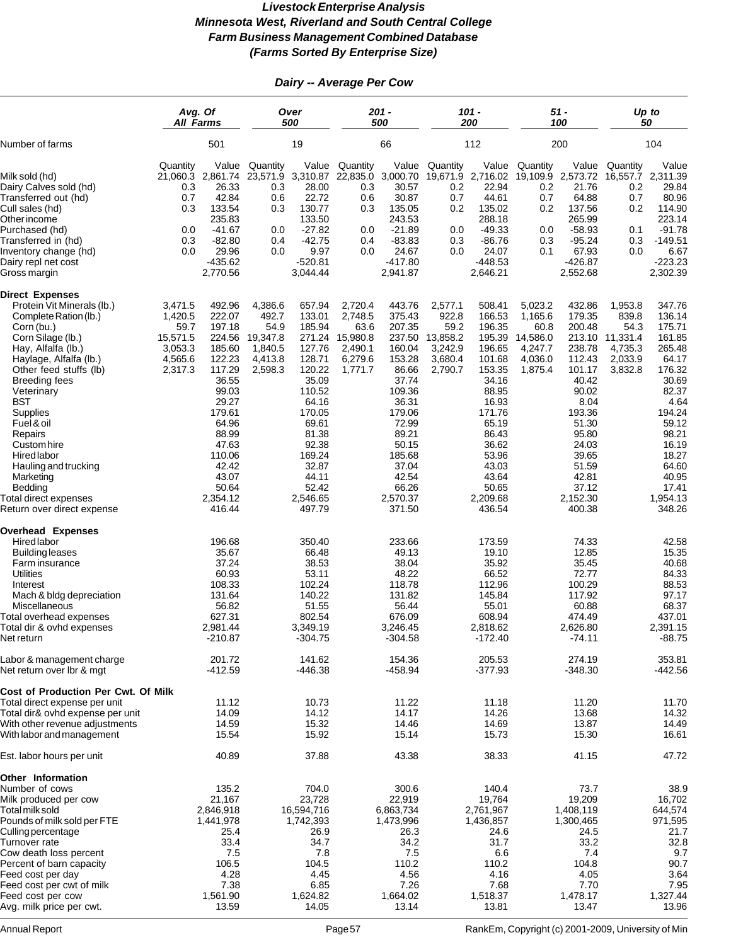# *Dairy -- Average Per Cow*

|                                                                                                                                                                                                                                                                                                                                                                                                                          | Avg. Of<br><b>All Farms</b>                                                                                                                                                             |                                                                                                                                                        | Over<br>500                                                                                                                                                                                    |                                                                         | $201 -$<br>500                                                                                                                                                                                |                                                                       | $101 -$<br>200                                                                                                                                                                               |                                                                         | $51 -$<br>100                                                                                                                                                                               |                                                                       | Up to<br>50                                                                                                                                                                                |
|--------------------------------------------------------------------------------------------------------------------------------------------------------------------------------------------------------------------------------------------------------------------------------------------------------------------------------------------------------------------------------------------------------------------------|-----------------------------------------------------------------------------------------------------------------------------------------------------------------------------------------|--------------------------------------------------------------------------------------------------------------------------------------------------------|------------------------------------------------------------------------------------------------------------------------------------------------------------------------------------------------|-------------------------------------------------------------------------|-----------------------------------------------------------------------------------------------------------------------------------------------------------------------------------------------|-----------------------------------------------------------------------|----------------------------------------------------------------------------------------------------------------------------------------------------------------------------------------------|-------------------------------------------------------------------------|---------------------------------------------------------------------------------------------------------------------------------------------------------------------------------------------|-----------------------------------------------------------------------|--------------------------------------------------------------------------------------------------------------------------------------------------------------------------------------------|
| Number of farms                                                                                                                                                                                                                                                                                                                                                                                                          | 501                                                                                                                                                                                     |                                                                                                                                                        | 19                                                                                                                                                                                             |                                                                         | 66                                                                                                                                                                                            |                                                                       | 112                                                                                                                                                                                          |                                                                         | 200                                                                                                                                                                                         |                                                                       | 104                                                                                                                                                                                        |
| Milk sold (hd)<br>Dairy Calves sold (hd)<br>Transferred out (hd)<br>Cull sales (hd)<br>Other income<br>Purchased (hd)<br>Transferred in (hd)<br>Inventory change (hd)<br>Dairy repl net cost<br>Gross margin                                                                                                                                                                                                             | Quantity<br>21,060.3 2,861.74<br>0.3<br>0.7<br>133.54<br>0.3<br>235.83<br>$-41.67$<br>0.0<br>$-82.80$<br>0.3<br>0.0<br>$-435.62$<br>2,770.56                                            | Value<br>Quantity<br>23,571.9<br>26.33<br>0.3<br>42.84<br>0.6<br>0.3<br>0.0<br>0.4<br>29.96<br>0.0                                                     | Value<br>3,310.87<br>28.00<br>22.72<br>130.77<br>133.50<br>$-27.82$<br>$-42.75$<br>9.97<br>$-520.81$<br>3,044.44                                                                               | Quantity<br>0.3<br>0.6<br>0.3<br>0.0<br>0.4<br>0.0                      | Value<br>22,835.0 3,000.70<br>30.57<br>30.87<br>135.05<br>243.53<br>$-21.89$<br>$-83.83$<br>24.67<br>$-417.80$<br>2,941.87                                                                    | Quantity<br>19,671.9<br>0.2<br>0.7<br>0.2<br>0.0<br>0.3<br>0.0        | Value<br>2,716.02<br>22.94<br>44.61<br>135.02<br>288.18<br>$-49.33$<br>$-86.76$<br>24.07<br>$-448.53$<br>2,646.21                                                                            | Quantity<br>19,109.9<br>0.2<br>0.7<br>0.2<br>0.0<br>0.3<br>0.1          | Value<br>2,573.72<br>21.76<br>64.88<br>137.56<br>265.99<br>$-58.93$<br>$-95.24$<br>67.93<br>$-426.87$<br>2,552.68                                                                           | Quantity<br>0.2<br>0.7<br>0.2<br>0.1<br>0.3<br>0.0                    | Value<br>16,557.7 2,311.39<br>29.84<br>80.96<br>114.90<br>223.14<br>$-91.78$<br>$-149.51$<br>6.67<br>$-223.23$<br>2,302.39                                                                 |
| <b>Direct Expenses</b><br>Protein Vit Minerals (lb.)<br>Complete Ration (lb.)<br>Corn (bu.)<br>Corn Silage (lb.)<br>Hay, Alfalfa (lb.)<br>Haylage, Alfalfa (lb.)<br>Other feed stuffs (lb)<br><b>Breeding fees</b><br>Veterinary<br><b>BST</b><br>Supplies<br>Fuel & oil<br>Repairs<br>Custom hire<br>Hired labor<br>Hauling and trucking<br>Marketing<br>Bedding<br>Total direct expenses<br>Return over direct expense | 3,471.5<br>492.96<br>222.07<br>1,420.5<br>197.18<br>59.7<br>15,571.5<br>224.56<br>3,053.3<br>185.60<br>4,565.6<br>122.23<br>117.29<br>2,317.3<br>179.61<br>110.06<br>2,354.12<br>416.44 | 4,386.6<br>492.7<br>54.9<br>19,347.8<br>1,840.5<br>4,413.8<br>2,598.3<br>36.55<br>99.03<br>29.27<br>64.96<br>88.99<br>47.63<br>42.42<br>43.07<br>50.64 | 657.94<br>133.01<br>185.94<br>271.24<br>127.76<br>128.71<br>120.22<br>35.09<br>110.52<br>64.16<br>170.05<br>69.61<br>81.38<br>92.38<br>169.24<br>32.87<br>44.11<br>52.42<br>2,546.65<br>497.79 | 2,720.4<br>2,748.5<br>63.6<br>15,980.8<br>2,490.1<br>6,279.6<br>1,771.7 | 443.76<br>375.43<br>207.35<br>237.50<br>160.04<br>153.28<br>86.66<br>37.74<br>109.36<br>36.31<br>179.06<br>72.99<br>89.21<br>50.15<br>185.68<br>37.04<br>42.54<br>66.26<br>2,570.37<br>371.50 | 2,577.1<br>922.8<br>59.2<br>13,858.2<br>3,242.9<br>3,680.4<br>2,790.7 | 508.41<br>166.53<br>196.35<br>195.39<br>196.65<br>101.68<br>153.35<br>34.16<br>88.95<br>16.93<br>171.76<br>65.19<br>86.43<br>36.62<br>53.96<br>43.03<br>43.64<br>50.65<br>2,209.68<br>436.54 | 5,023.2<br>1,165.6<br>60.8<br>14,586.0<br>4,247.7<br>4,036.0<br>1,875.4 | 432.86<br>179.35<br>200.48<br>213.10<br>238.78<br>112.43<br>101.17<br>40.42<br>90.02<br>8.04<br>193.36<br>51.30<br>95.80<br>24.03<br>39.65<br>51.59<br>42.81<br>37.12<br>2,152.30<br>400.38 | 1,953.8<br>839.8<br>54.3<br>11,331.4<br>4,735.3<br>2,033.9<br>3,832.8 | 347.76<br>136.14<br>175.71<br>161.85<br>265.48<br>64.17<br>176.32<br>30.69<br>82.37<br>4.64<br>194.24<br>59.12<br>98.21<br>16.19<br>18.27<br>64.60<br>40.95<br>17.41<br>1,954.13<br>348.26 |
| <b>Overhead Expenses</b><br>Hired labor<br><b>Building leases</b><br>Farm insurance<br><b>Utilities</b><br>Interest<br>Mach & bldg depreciation<br>Miscellaneous<br>Total overhead expenses<br>Total dir & ovhd expenses<br>Net return<br>Labor & management charge<br>Net return over Ibr & mgt                                                                                                                         | 196.68<br>108.33<br>131.64<br>627.31<br>2,981.44<br>$-210.87$<br>201.72<br>$-412.59$                                                                                                    | 35.67<br>37.24<br>60.93<br>56.82                                                                                                                       | 350.40<br>66.48<br>38.53<br>53.11<br>102.24<br>140.22<br>51.55<br>802.54<br>3,349.19<br>$-304.75$<br>141.62<br>-446.38                                                                         |                                                                         | 233.66<br>49.13<br>38.04<br>48.22<br>118.78<br>131.82<br>56.44<br>676.09<br>3,246.45<br>$-304.58$<br>154.36<br>$-458.94$                                                                      |                                                                       | 173.59<br>19.10<br>35.92<br>66.52<br>112.96<br>145.84<br>55.01<br>608.94<br>2,818.62<br>$-172.40$<br>205.53<br>$-377.93$                                                                     |                                                                         | 74.33<br>12.85<br>35.45<br>72.77<br>100.29<br>117.92<br>60.88<br>474.49<br>2,626.80<br>$-74.11$<br>274.19<br>$-348.30$                                                                      |                                                                       | 42.58<br>15.35<br>40.68<br>84.33<br>88.53<br>97.17<br>68.37<br>437.01<br>2,391.15<br>$-88.75$<br>353.81<br>$-442.56$                                                                       |
| Cost of Production Per Cwt. Of Milk<br>Total direct expense per unit<br>Total dir& ovhd expense per unit<br>With other revenue adjustments<br>With labor and management<br>Est. labor hours per unit                                                                                                                                                                                                                     |                                                                                                                                                                                         | 11.12<br>14.09<br>14.59<br>15.54<br>40.89                                                                                                              | 10.73<br>14.12<br>15.32<br>15.92<br>37.88                                                                                                                                                      |                                                                         | 11.22<br>14.17<br>14.46<br>15.14<br>43.38                                                                                                                                                     |                                                                       | 11.18<br>14.26<br>14.69<br>15.73<br>38.33                                                                                                                                                    |                                                                         | 11.20<br>13.68<br>13.87<br>15.30<br>41.15                                                                                                                                                   |                                                                       | 11.70<br>14.32<br>14.49<br>16.61<br>47.72                                                                                                                                                  |
| Other Information<br>Number of cows<br>Milk produced per cow<br>Total milk sold<br>Pounds of milk sold per FTE<br>Culling percentage<br>Turnover rate<br>Cow death loss percent<br>Percent of barn capacity<br>Feed cost per day<br>Feed cost per cwt of milk<br>Feed cost per cow<br>Avg. milk price per cwt.                                                                                                           | 21,167<br>2,846,918<br>1,441,978<br>1,561.90                                                                                                                                            | 135.2<br>25.4<br>33.4<br>7.5<br>106.5<br>4.28<br>7.38<br>13.59                                                                                         | 704.0<br>23,728<br>16,594,716<br>1,742,393<br>26.9<br>34.7<br>7.8<br>104.5<br>4.45<br>6.85<br>1,624.82<br>14.05                                                                                |                                                                         | 300.6<br>22,919<br>6,863,734<br>1,473,996<br>26.3<br>34.2<br>7.5<br>110.2<br>4.56<br>7.26<br>1,664.02<br>13.14                                                                                |                                                                       | 140.4<br>19,764<br>2,761,967<br>1,436,857<br>24.6<br>31.7<br>6.6<br>110.2<br>4.16<br>7.68<br>1,518.37<br>13.81                                                                               |                                                                         | 73.7<br>19,209<br>1,408,119<br>1,300,465<br>24.5<br>33.2<br>7.4<br>104.8<br>4.05<br>7.70<br>1,478.17<br>13.47                                                                               |                                                                       | 38.9<br>16,702<br>644,574<br>971,595<br>21.7<br>32.8<br>9.7<br>90.7<br>3.64<br>7.95<br>1,327.44<br>13.96                                                                                   |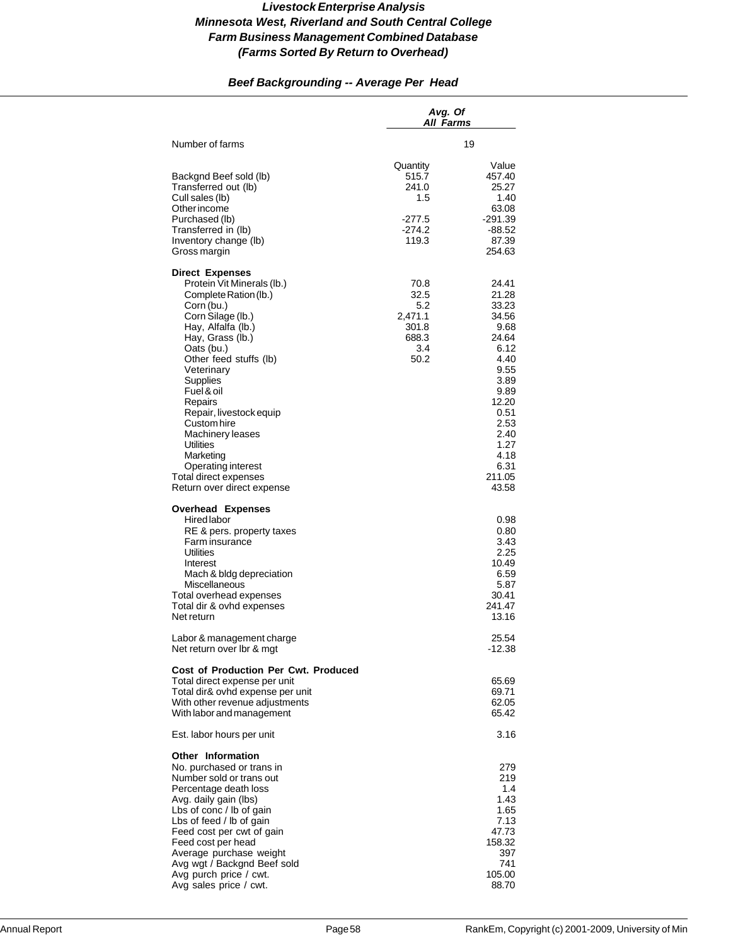# *Beef Backgrounding -- Average Per Head*

|                                                                                                                                                                                                                                                                                                                                                                                                                            | Avg. Of<br>All Farms                                               |                                                                                                                                                                       |
|----------------------------------------------------------------------------------------------------------------------------------------------------------------------------------------------------------------------------------------------------------------------------------------------------------------------------------------------------------------------------------------------------------------------------|--------------------------------------------------------------------|-----------------------------------------------------------------------------------------------------------------------------------------------------------------------|
| Number of farms                                                                                                                                                                                                                                                                                                                                                                                                            |                                                                    | 19                                                                                                                                                                    |
| Backgnd Beef sold (lb)<br>Transferred out (lb)<br>Cull sales (lb)<br>Other income<br>Purchased (lb)<br>Transferred in (lb)<br>Inventory change (lb)<br>Gross margin                                                                                                                                                                                                                                                        | Quantity<br>515.7<br>241.0<br>1.5<br>$-277.5$<br>$-274.2$<br>119.3 | Value<br>457.40<br>25.27<br>1.40<br>63.08<br>$-291.39$<br>-88.52<br>87.39<br>254.63                                                                                   |
| <b>Direct Expenses</b><br>Protein Vit Minerals (lb.)<br>Complete Ration (lb.)<br>Corn (bu.)<br>Corn Silage (lb.)<br>Hay, Alfalfa (lb.)<br>Hay, Grass (lb.)<br>Oats (bu.)<br>Other feed stuffs (lb)<br>Veterinary<br>Supplies<br>Fuel & oil<br>Repairs<br>Repair, livestock equip<br>Custom hire<br>Machinery leases<br>Utilities<br>Marketing<br>Operating interest<br>Total direct expenses<br>Return over direct expense | 70.8<br>32.5<br>5.2<br>2,471.1<br>301.8<br>688.3<br>3.4<br>50.2    | 24.41<br>21.28<br>33.23<br>34.56<br>9.68<br>24.64<br>6.12<br>4.40<br>9.55<br>3.89<br>9.89<br>12.20<br>0.51<br>2.53<br>2.40<br>1.27<br>4.18<br>6.31<br>211.05<br>43.58 |
| Overhead Expenses<br>Hired labor<br>RE & pers. property taxes<br>Farm insurance<br><b>Utilities</b><br>Interest<br>Mach & bldg depreciation<br>Miscellaneous<br>Total overhead expenses<br>Total dir & ovhd expenses<br>Net return                                                                                                                                                                                         |                                                                    | 0.98<br>0.80<br>3.43<br>2.25<br>10.49<br>6.59<br>5.87<br>30.41<br>241.47<br>13.16                                                                                     |
| Labor & management charge<br>Net return over Ibr & mgt                                                                                                                                                                                                                                                                                                                                                                     |                                                                    | 25.54<br>-12.38                                                                                                                                                       |
| Cost of Production Per Cwt. Produced<br>Total direct expense per unit<br>Total dir& ovhd expense per unit<br>With other revenue adjustments<br>With labor and management                                                                                                                                                                                                                                                   |                                                                    | 65.69<br>69.71<br>62.05<br>65.42                                                                                                                                      |
| Est. labor hours per unit                                                                                                                                                                                                                                                                                                                                                                                                  |                                                                    | 3.16                                                                                                                                                                  |
| Other Information<br>No. purchased or trans in<br>Number sold or trans out<br>Percentage death loss<br>Avg. daily gain (lbs)<br>Lbs of conc / lb of gain<br>Lbs of feed / lb of gain<br>Feed cost per cwt of gain<br>Feed cost per head<br>Average purchase weight<br>Avg wgt / Backgnd Beef sold<br>Avg purch price / cwt.<br>Avg sales price / cwt.                                                                      |                                                                    | 279<br>219<br>1.4<br>1.43<br>1.65<br>7.13<br>47.73<br>158.32<br>397<br>741<br>105.00<br>88.70                                                                         |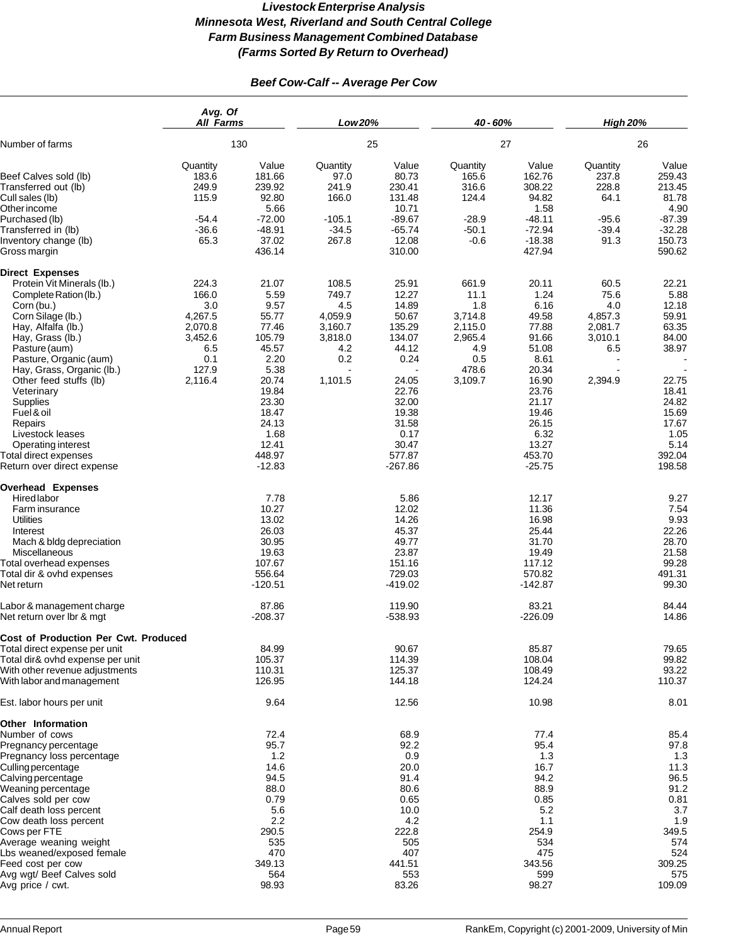# *Beef Cow-Calf -- Average Per Cow*

|                                                                                                                                                                                                                                                                                                                                                                                                                  | Avg. Of<br><b>All Farms</b>                                                              |                                                                                                                                                                | Low 20%                                                                         |                                                                                                                                                            | 40 - 60%                                                                                |                                                                                                                                                                | <b>High 20%</b>                                                        |                                                                                                                                             |
|------------------------------------------------------------------------------------------------------------------------------------------------------------------------------------------------------------------------------------------------------------------------------------------------------------------------------------------------------------------------------------------------------------------|------------------------------------------------------------------------------------------|----------------------------------------------------------------------------------------------------------------------------------------------------------------|---------------------------------------------------------------------------------|------------------------------------------------------------------------------------------------------------------------------------------------------------|-----------------------------------------------------------------------------------------|----------------------------------------------------------------------------------------------------------------------------------------------------------------|------------------------------------------------------------------------|---------------------------------------------------------------------------------------------------------------------------------------------|
| Number of farms                                                                                                                                                                                                                                                                                                                                                                                                  | 130                                                                                      |                                                                                                                                                                | 25                                                                              |                                                                                                                                                            | 27                                                                                      |                                                                                                                                                                | 26                                                                     |                                                                                                                                             |
| Beef Calves sold (lb)<br>Transferred out (lb)<br>Cull sales (lb)<br>Other income<br>Purchased (lb)<br>Transferred in (lb)<br>Inventory change (lb)<br>Gross margin                                                                                                                                                                                                                                               | Quantity<br>183.6<br>249.9<br>115.9<br>$-54.4$<br>$-36.6$<br>65.3                        | Value<br>181.66<br>239.92<br>92.80<br>5.66<br>$-72.00$<br>$-48.91$<br>37.02<br>436.14                                                                          | Quantity<br>97.0<br>241.9<br>166.0<br>$-105.1$<br>$-34.5$<br>267.8              | Value<br>80.73<br>230.41<br>131.48<br>10.71<br>$-89.67$<br>$-65.74$<br>12.08<br>310.00                                                                     | Quantity<br>165.6<br>316.6<br>124.4<br>$-28.9$<br>$-50.1$<br>$-0.6$                     | Value<br>162.76<br>308.22<br>94.82<br>1.58<br>$-48.11$<br>$-72.94$<br>$-18.38$<br>427.94                                                                       | Quantity<br>237.8<br>228.8<br>64.1<br>$-95.6$<br>$-39.4$<br>91.3       | Value<br>259.43<br>213.45<br>81.78<br>4.90<br>$-87.39$<br>$-32.28$<br>150.73<br>590.62                                                      |
| <b>Direct Expenses</b><br>Protein Vit Minerals (lb.)<br>Complete Ration (lb.)<br>Corn (bu.)<br>Corn Silage (lb.)<br>Hay, Alfalfa (lb.)<br>Hay, Grass (lb.)<br>Pasture (aum)<br>Pasture, Organic (aum)<br>Hay, Grass, Organic (lb.)<br>Other feed stuffs (lb)<br>Veterinary<br>Supplies<br>Fuel & oil<br>Repairs<br>Livestock leases<br>Operating interest<br>Total direct expenses<br>Return over direct expense | 224.3<br>166.0<br>3.0<br>4,267.5<br>2,070.8<br>3,452.6<br>6.5<br>0.1<br>127.9<br>2,116.4 | 21.07<br>5.59<br>9.57<br>55.77<br>77.46<br>105.79<br>45.57<br>2.20<br>5.38<br>20.74<br>19.84<br>23.30<br>18.47<br>24.13<br>1.68<br>12.41<br>448.97<br>$-12.83$ | 108.5<br>749.7<br>4.5<br>4,059.9<br>3,160.7<br>3,818.0<br>4.2<br>0.2<br>1,101.5 | 25.91<br>12.27<br>14.89<br>50.67<br>135.29<br>134.07<br>44.12<br>0.24<br>24.05<br>22.76<br>32.00<br>19.38<br>31.58<br>0.17<br>30.47<br>577.87<br>$-267.86$ | 661.9<br>11.1<br>1.8<br>3,714.8<br>2,115.0<br>2,965.4<br>4.9<br>0.5<br>478.6<br>3,109.7 | 20.11<br>1.24<br>6.16<br>49.58<br>77.88<br>91.66<br>51.08<br>8.61<br>20.34<br>16.90<br>23.76<br>21.17<br>19.46<br>26.15<br>6.32<br>13.27<br>453.70<br>$-25.75$ | 60.5<br>75.6<br>4.0<br>4,857.3<br>2,081.7<br>3,010.1<br>6.5<br>2,394.9 | 22.21<br>5.88<br>12.18<br>59.91<br>63.35<br>84.00<br>38.97<br>22.75<br>18.41<br>24.82<br>15.69<br>17.67<br>1.05<br>5.14<br>392.04<br>198.58 |
| <b>Overhead Expenses</b><br>Hired labor<br>Farm insurance<br>Utilities<br>Interest<br>Mach & bldg depreciation<br>Miscellaneous<br>Total overhead expenses<br>Total dir & ovhd expenses<br>Net return                                                                                                                                                                                                            |                                                                                          | 7.78<br>10.27<br>13.02<br>26.03<br>30.95<br>19.63<br>107.67<br>556.64<br>$-120.51$                                                                             |                                                                                 | 5.86<br>12.02<br>14.26<br>45.37<br>49.77<br>23.87<br>151.16<br>729.03<br>$-419.02$                                                                         |                                                                                         | 12.17<br>11.36<br>16.98<br>25.44<br>31.70<br>19.49<br>117.12<br>570.82<br>$-142.87$                                                                            |                                                                        | 9.27<br>7.54<br>9.93<br>22.26<br>28.70<br>21.58<br>99.28<br>491.31<br>99.30                                                                 |
| Labor & management charge<br>Net return over Ibr & mgt                                                                                                                                                                                                                                                                                                                                                           |                                                                                          | 87.86<br>$-208.37$                                                                                                                                             |                                                                                 | 119.90<br>$-538.93$                                                                                                                                        |                                                                                         | 83.21<br>$-226.09$                                                                                                                                             |                                                                        | 84.44<br>14.86                                                                                                                              |
| <b>Cost of Production Per Cwt. Produced</b><br>Total direct expense per unit<br>Total dir& ovhd expense per unit<br>With other revenue adjustments<br>With labor and management                                                                                                                                                                                                                                  |                                                                                          | 84.99<br>105.37<br>110.31<br>126.95                                                                                                                            |                                                                                 | 90.67<br>114.39<br>125.37<br>144.18                                                                                                                        |                                                                                         | 85.87<br>108.04<br>108.49<br>124.24                                                                                                                            |                                                                        | 79.65<br>99.82<br>93.22<br>110.37                                                                                                           |
| Est. labor hours per unit                                                                                                                                                                                                                                                                                                                                                                                        |                                                                                          | 9.64                                                                                                                                                           |                                                                                 | 12.56                                                                                                                                                      |                                                                                         | 10.98                                                                                                                                                          |                                                                        | 8.01                                                                                                                                        |
| Other Information<br>Number of cows<br>Pregnancy percentage<br>Pregnancy loss percentage<br>Culling percentage<br>Calving percentage<br>Weaning percentage<br>Calves sold per cow<br>Calf death loss percent<br>Cow death loss percent<br>Cows per FTE<br>Average weaning weight<br>Lbs weaned/exposed female                                                                                                    |                                                                                          | 72.4<br>95.7<br>1.2<br>14.6<br>94.5<br>88.0<br>0.79<br>5.6<br>2.2<br>290.5<br>535<br>470                                                                       |                                                                                 | 68.9<br>92.2<br>0.9<br>20.0<br>91.4<br>80.6<br>0.65<br>10.0<br>4.2<br>222.8<br>505<br>407                                                                  |                                                                                         | 77.4<br>95.4<br>1.3<br>16.7<br>94.2<br>88.9<br>0.85<br>5.2<br>1.1<br>254.9<br>534<br>475                                                                       |                                                                        | 85.4<br>97.8<br>1.3<br>11.3<br>96.5<br>91.2<br>0.81<br>3.7<br>1.9<br>349.5<br>574<br>524                                                    |
| Feed cost per cow<br>Avg wgt/ Beef Calves sold<br>Avg price / cwt.                                                                                                                                                                                                                                                                                                                                               |                                                                                          | 349.13<br>564<br>98.93                                                                                                                                         |                                                                                 | 441.51<br>553<br>83.26                                                                                                                                     |                                                                                         | 343.56<br>599<br>98.27                                                                                                                                         |                                                                        | 309.25<br>575<br>109.09                                                                                                                     |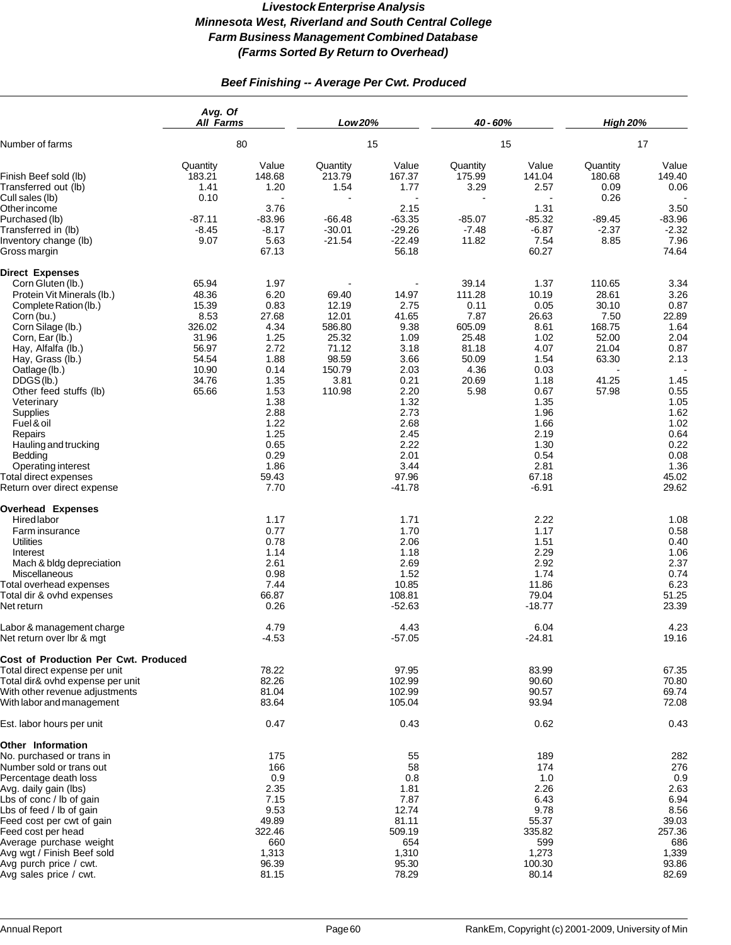# *Beef Finishing -- Average Per Cwt. Produced*

| 80                                                                                              |                                                                                                                                                                | 15                                                                                       |                                                                                                                                                             | 15                                                                                            |                                                                                                                                                                    | 17                                                                                      |                                                                                                                                                         |
|-------------------------------------------------------------------------------------------------|----------------------------------------------------------------------------------------------------------------------------------------------------------------|------------------------------------------------------------------------------------------|-------------------------------------------------------------------------------------------------------------------------------------------------------------|-----------------------------------------------------------------------------------------------|--------------------------------------------------------------------------------------------------------------------------------------------------------------------|-----------------------------------------------------------------------------------------|---------------------------------------------------------------------------------------------------------------------------------------------------------|
| Quantity<br>183.21<br>1.41                                                                      | Value<br>148.68<br>1.20                                                                                                                                        | Quantity<br>213.79<br>1.54                                                               | Value<br>167.37<br>1.77                                                                                                                                     | Quantity<br>175.99<br>3.29                                                                    | Value<br>141.04<br>2.57                                                                                                                                            | Quantity<br>180.68<br>0.09                                                              | Value<br>149.40<br>0.06                                                                                                                                 |
| $-87.11$<br>$-8.45$<br>9.07                                                                     | 3.76<br>$-83.96$<br>$-8.17$<br>5.63<br>67.13                                                                                                                   | $-66.48$<br>$-30.01$<br>$-21.54$                                                         | 2.15<br>$-63.35$<br>$-29.26$<br>$-22.49$<br>56.18                                                                                                           | $-85.07$<br>$-7.48$<br>11.82                                                                  | 1.31<br>$-85.32$<br>$-6.87$<br>7.54<br>60.27                                                                                                                       | $-89.45$<br>$-2.37$<br>8.85                                                             | 3.50<br>$-83.96$<br>$-2.32$<br>7.96<br>74.64                                                                                                            |
| 65.94<br>48.36<br>15.39<br>8.53<br>326.02<br>31.96<br>56.97<br>54.54<br>10.90<br>34.76<br>65.66 | 1.97<br>6.20<br>0.83<br>27.68<br>4.34<br>1.25<br>2.72<br>1.88<br>0.14<br>1.35<br>1.53<br>1.38<br>2.88<br>1.22<br>1.25<br>0.65<br>0.29<br>1.86<br>59.43<br>7.70 | 69.40<br>12.19<br>12.01<br>586.80<br>25.32<br>71.12<br>98.59<br>150.79<br>3.81<br>110.98 | 14.97<br>2.75<br>41.65<br>9.38<br>1.09<br>3.18<br>3.66<br>2.03<br>0.21<br>2.20<br>1.32<br>2.73<br>2.68<br>2.45<br>2.22<br>2.01<br>3.44<br>97.96<br>$-41.78$ | 39.14<br>111.28<br>0.11<br>7.87<br>605.09<br>25.48<br>81.18<br>50.09<br>4.36<br>20.69<br>5.98 | 1.37<br>10.19<br>0.05<br>26.63<br>8.61<br>1.02<br>4.07<br>1.54<br>0.03<br>1.18<br>0.67<br>1.35<br>1.96<br>1.66<br>2.19<br>1.30<br>0.54<br>2.81<br>67.18<br>$-6.91$ | 110.65<br>28.61<br>30.10<br>7.50<br>168.75<br>52.00<br>21.04<br>63.30<br>41.25<br>57.98 | 3.34<br>3.26<br>0.87<br>22.89<br>1.64<br>2.04<br>0.87<br>2.13<br>1.45<br>0.55<br>1.05<br>1.62<br>1.02<br>0.64<br>0.22<br>0.08<br>1.36<br>45.02<br>29.62 |
|                                                                                                 | 1.17<br>0.77<br>0.78<br>1.14<br>2.61<br>0.98<br>7.44<br>66.87<br>0.26                                                                                          |                                                                                          | 1.71<br>1.70<br>2.06<br>1.18<br>2.69<br>1.52<br>10.85<br>108.81<br>$-52.63$                                                                                 |                                                                                               | 2.22<br>1.17<br>1.51<br>2.29<br>2.92<br>1.74<br>11.86<br>79.04<br>$-18.77$                                                                                         |                                                                                         | 1.08<br>0.58<br>0.40<br>1.06<br>2.37<br>0.74<br>6.23<br>51.25<br>23.39                                                                                  |
|                                                                                                 | 4.79<br>$-4.53$                                                                                                                                                |                                                                                          | 4.43<br>$-57.05$                                                                                                                                            |                                                                                               | 6.04<br>$-24.81$                                                                                                                                                   |                                                                                         | 4.23<br>19.16                                                                                                                                           |
| <b>Cost of Production Per Cwt. Produced</b>                                                     | 78.22<br>82.26<br>81.04<br>83.64                                                                                                                               |                                                                                          | 97.95<br>102.99<br>102.99<br>105.04                                                                                                                         |                                                                                               | 83.99<br>90.60<br>90.57<br>93.94                                                                                                                                   |                                                                                         | 67.35<br>70.80<br>69.74<br>72.08                                                                                                                        |
|                                                                                                 | 0.47                                                                                                                                                           |                                                                                          | 0.43                                                                                                                                                        |                                                                                               | 0.62                                                                                                                                                               |                                                                                         | 0.43                                                                                                                                                    |
|                                                                                                 | 175<br>166<br>0.9<br>2.35<br>7.15<br>9.53<br>49.89<br>322.46<br>660<br>1,313<br>96.39                                                                          |                                                                                          | 55<br>58<br>0.8<br>1.81<br>7.87<br>12.74<br>81.11<br>509.19<br>654<br>1,310<br>95.30                                                                        |                                                                                               | 189<br>174<br>1.0<br>2.26<br>6.43<br>9.78<br>55.37<br>335.82<br>599<br>1,273<br>100.30                                                                             |                                                                                         | 282<br>276<br>0.9<br>2.63<br>6.94<br>8.56<br>39.03<br>257.36<br>686<br>1,339<br>93.86<br>82.69                                                          |
|                                                                                                 | 0.10                                                                                                                                                           | Avg. Of<br>All Farms<br>81.15                                                            |                                                                                                                                                             | Low 20%<br>78.29                                                                              |                                                                                                                                                                    | 40 - 60%<br>80.14                                                                       | <b>High 20%</b><br>0.26                                                                                                                                 |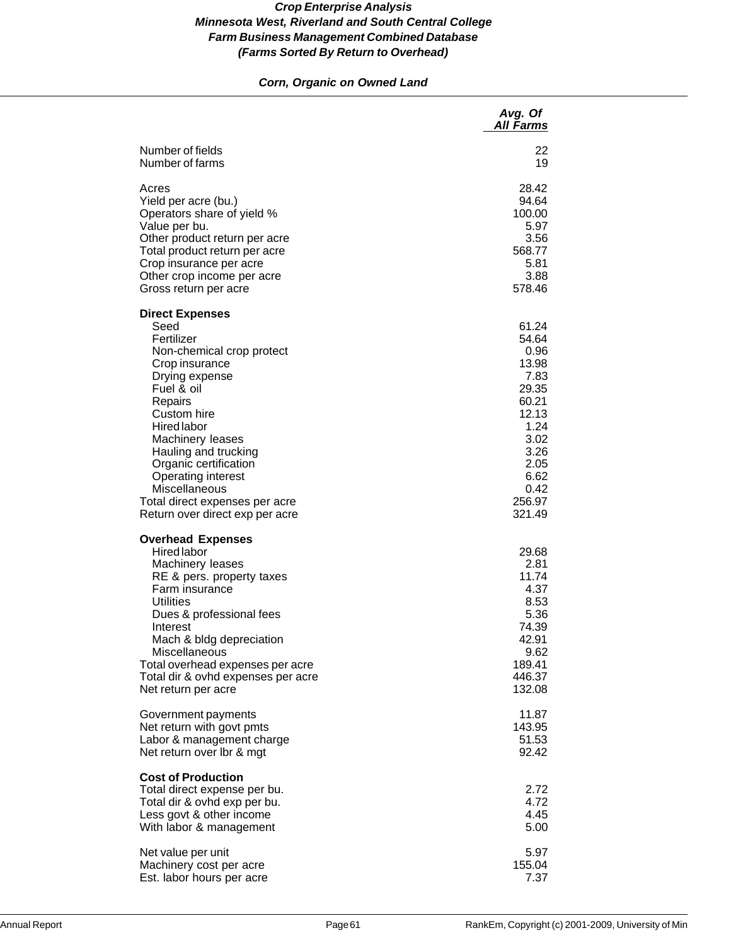# *Corn, Organic on Owned Land*

|                                                                                                                                                                                                                                                                                                                                                              | Avg. Of<br><b>All Farms</b>                                                                                                            |
|--------------------------------------------------------------------------------------------------------------------------------------------------------------------------------------------------------------------------------------------------------------------------------------------------------------------------------------------------------------|----------------------------------------------------------------------------------------------------------------------------------------|
| Number of fields                                                                                                                                                                                                                                                                                                                                             | 22                                                                                                                                     |
| Number of farms                                                                                                                                                                                                                                                                                                                                              | 19                                                                                                                                     |
| Acres                                                                                                                                                                                                                                                                                                                                                        | 28.42                                                                                                                                  |
| Yield per acre (bu.)                                                                                                                                                                                                                                                                                                                                         | 94.64                                                                                                                                  |
| Operators share of yield %                                                                                                                                                                                                                                                                                                                                   | 100.00                                                                                                                                 |
| Value per bu.                                                                                                                                                                                                                                                                                                                                                | 5.97                                                                                                                                   |
| Other product return per acre                                                                                                                                                                                                                                                                                                                                | 3.56                                                                                                                                   |
| Total product return per acre                                                                                                                                                                                                                                                                                                                                | 568.77                                                                                                                                 |
| Crop insurance per acre                                                                                                                                                                                                                                                                                                                                      | 5.81                                                                                                                                   |
| Other crop income per acre                                                                                                                                                                                                                                                                                                                                   | 3.88                                                                                                                                   |
| Gross return per acre                                                                                                                                                                                                                                                                                                                                        | 578.46                                                                                                                                 |
| <b>Direct Expenses</b><br>Seed<br>Fertilizer<br>Non-chemical crop protect<br>Crop insurance<br>Drying expense<br>Fuel & oil<br>Repairs<br>Custom hire<br><b>Hired labor</b><br>Machinery leases<br>Hauling and trucking<br>Organic certification<br>Operating interest<br>Miscellaneous<br>Total direct expenses per acre<br>Return over direct exp per acre | 61.24<br>54.64<br>0.96<br>13.98<br>7.83<br>29.35<br>60.21<br>12.13<br>1.24<br>3.02<br>3.26<br>2.05<br>6.62<br>0.42<br>256.97<br>321.49 |
| <b>Overhead Expenses</b><br><b>Hired labor</b><br>Machinery leases<br>RE & pers. property taxes<br>Farm insurance<br><b>Utilities</b><br>Dues & professional fees<br>Interest<br>Mach & bldg depreciation<br>Miscellaneous<br>Total overhead expenses per acre<br>Total dir & ovhd expenses per acre<br>Net return per acre                                  | 29.68<br>2.81<br>11.74<br>4.37<br>8.53<br>5.36<br>74.39<br>42.91<br>9.62<br>189.41<br>446.37<br>132.08                                 |
| Government payments                                                                                                                                                                                                                                                                                                                                          | 11.87                                                                                                                                  |
| Net return with govt pmts                                                                                                                                                                                                                                                                                                                                    | 143.95                                                                                                                                 |
| Labor & management charge                                                                                                                                                                                                                                                                                                                                    | 51.53                                                                                                                                  |
| Net return over Ibr & mgt                                                                                                                                                                                                                                                                                                                                    | 92.42                                                                                                                                  |
| <b>Cost of Production</b><br>Total direct expense per bu.<br>Total dir & ovhd exp per bu.<br>Less govt & other income<br>With labor & management                                                                                                                                                                                                             | 2.72<br>4.72<br>4.45<br>5.00                                                                                                           |
| Net value per unit                                                                                                                                                                                                                                                                                                                                           | 5.97                                                                                                                                   |
| Machinery cost per acre                                                                                                                                                                                                                                                                                                                                      | 155.04                                                                                                                                 |
| Est. labor hours per acre                                                                                                                                                                                                                                                                                                                                    | 7.37                                                                                                                                   |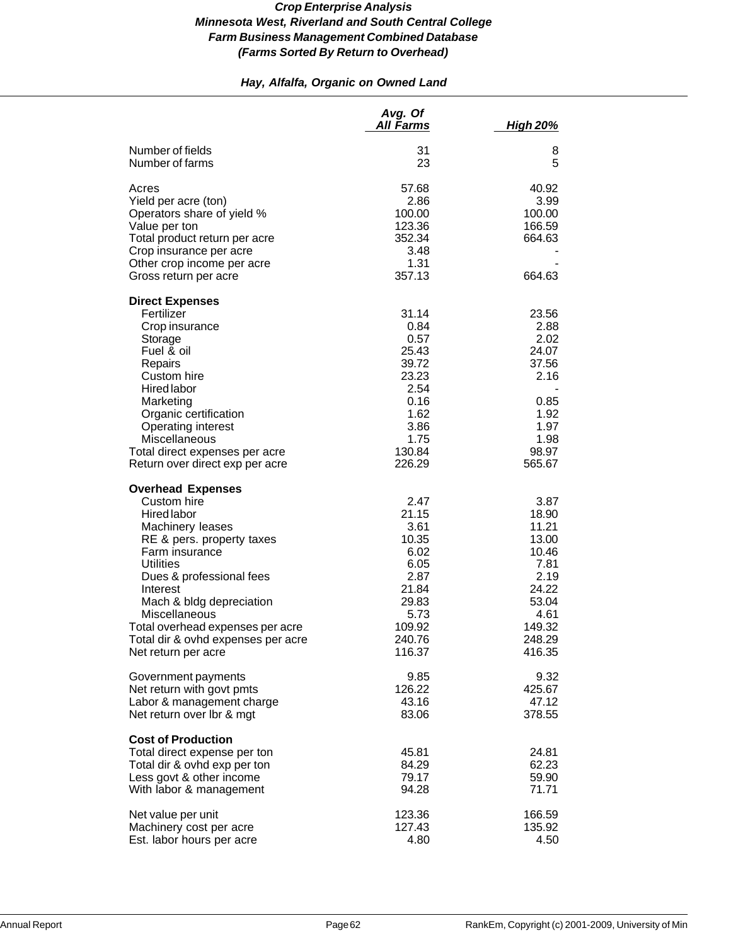# *Hay, Alfalfa, Organic on Owned Land*

|                                                                                                                                                                                                                                                                                                                                     | Avg. Of<br><b>All Farms</b>                                                                                    | <b>High 20%</b>                                                                                                  |
|-------------------------------------------------------------------------------------------------------------------------------------------------------------------------------------------------------------------------------------------------------------------------------------------------------------------------------------|----------------------------------------------------------------------------------------------------------------|------------------------------------------------------------------------------------------------------------------|
| Number of fields<br>Number of farms                                                                                                                                                                                                                                                                                                 | 31<br>23                                                                                                       | 8<br>5                                                                                                           |
| Acres<br>Yield per acre (ton)<br>Operators share of yield %<br>Value per ton<br>Total product return per acre<br>Crop insurance per acre<br>Other crop income per acre<br>Gross return per acre                                                                                                                                     | 57.68<br>2.86<br>100.00<br>123.36<br>352.34<br>3.48<br>1.31<br>357.13                                          | 40.92<br>3.99<br>100.00<br>166.59<br>664.63<br>664.63                                                            |
| <b>Direct Expenses</b><br>Fertilizer<br>Crop insurance<br>Storage<br>Fuel & oil<br>Repairs<br>Custom hire<br><b>Hired labor</b><br>Marketing<br>Organic certification<br>Operating interest<br>Miscellaneous<br>Total direct expenses per acre<br>Return over direct exp per acre                                                   | 31.14<br>0.84<br>0.57<br>25.43<br>39.72<br>23.23<br>2.54<br>0.16<br>1.62<br>3.86<br>1.75<br>130.84<br>226.29   | 23.56<br>2.88<br>2.02<br>24.07<br>37.56<br>2.16<br>0.85<br>1.92<br>1.97<br>1.98<br>98.97<br>565.67               |
| <b>Overhead Expenses</b><br>Custom hire<br>Hired labor<br>Machinery leases<br>RE & pers. property taxes<br>Farm insurance<br><b>Utilities</b><br>Dues & professional fees<br>Interest<br>Mach & bldg depreciation<br>Miscellaneous<br>Total overhead expenses per acre<br>Total dir & ovhd expenses per acre<br>Net return per acre | 2.47<br>21.15<br>3.61<br>10.35<br>6.02<br>6.05<br>2.87<br>21.84<br>29.83<br>5.73<br>109.92<br>240.76<br>116.37 | 3.87<br>18.90<br>11.21<br>13.00<br>10.46<br>7.81<br>2.19<br>24.22<br>53.04<br>4.61<br>149.32<br>248.29<br>416.35 |
| Government payments<br>Net return with govt pmts<br>Labor & management charge<br>Net return over lbr & mgt                                                                                                                                                                                                                          | 9.85<br>126.22<br>43.16<br>83.06                                                                               | 9.32<br>425.67<br>47.12<br>378.55                                                                                |
| <b>Cost of Production</b><br>Total direct expense per ton<br>Total dir & ovhd exp per ton<br>Less govt & other income<br>With labor & management                                                                                                                                                                                    | 45.81<br>84.29<br>79.17<br>94.28                                                                               | 24.81<br>62.23<br>59.90<br>71.71                                                                                 |
| Net value per unit<br>Machinery cost per acre<br>Est. labor hours per acre                                                                                                                                                                                                                                                          | 123.36<br>127.43<br>4.80                                                                                       | 166.59<br>135.92<br>4.50                                                                                         |